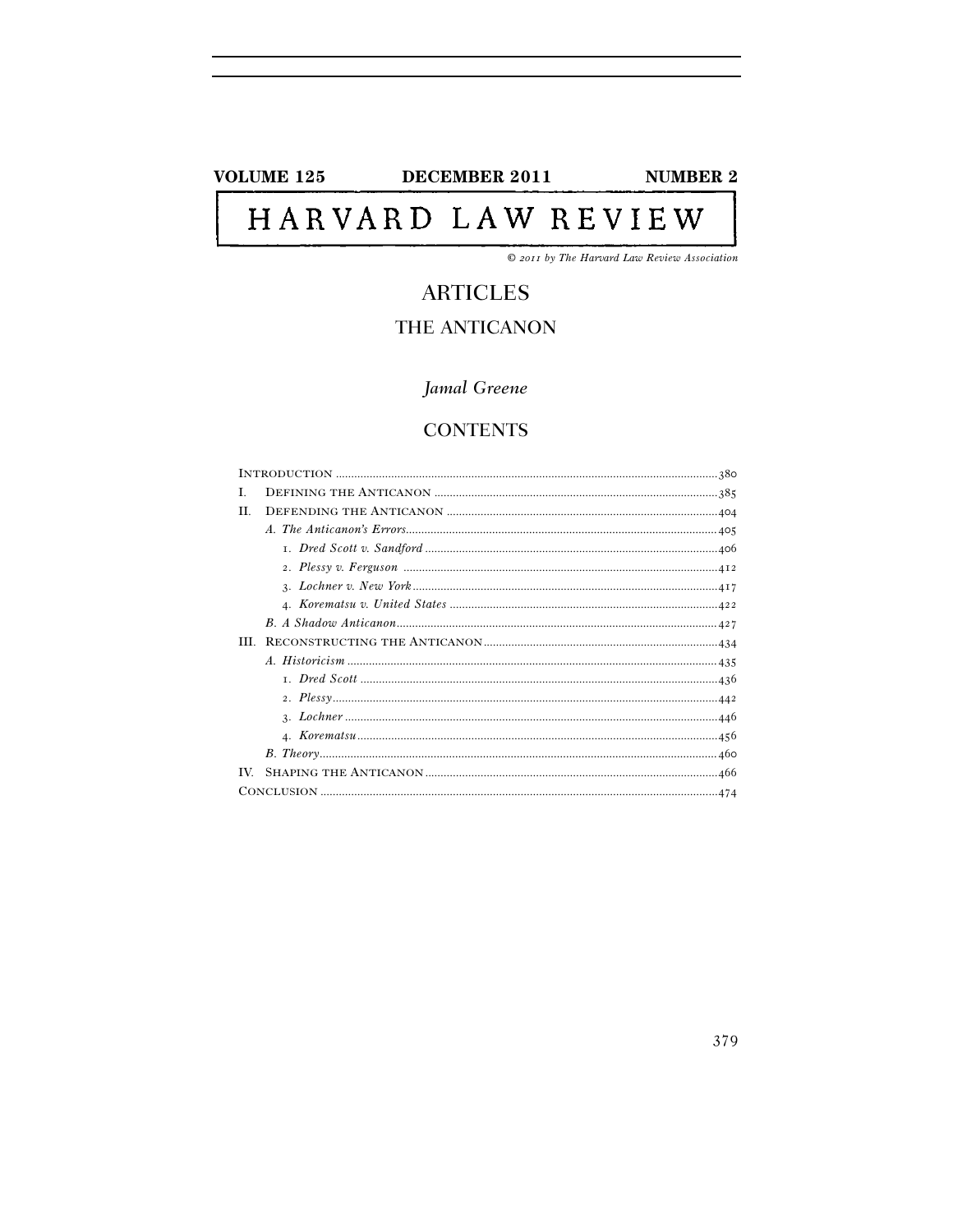## **VOLUME 125**

DECEMBER 2011

**NUMBER 2** 

# HARVARD LAW REVIEW

© 2011 by The Harvard Law Review Association

# **ARTICLES**

# THE ANTICANON

## Jamal Greene

## **CONTENTS**

| L.         |  |
|------------|--|
| H.         |  |
|            |  |
|            |  |
|            |  |
|            |  |
|            |  |
|            |  |
| <b>III</b> |  |
|            |  |
|            |  |
|            |  |
|            |  |
|            |  |
|            |  |
| TV.        |  |
|            |  |
|            |  |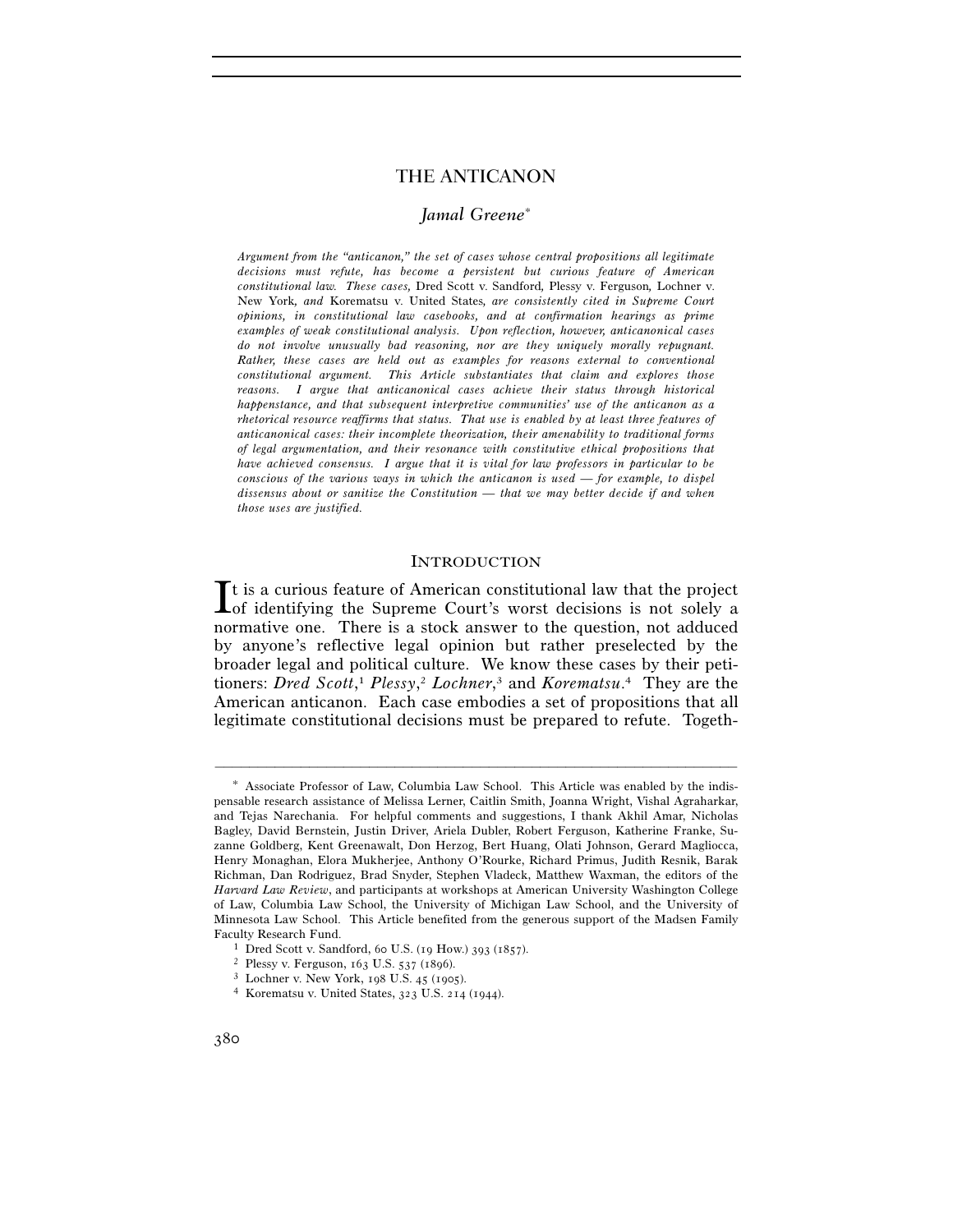## *Jamal Greene*<sup>∗</sup>

*Argument from the "anticanon," the set of cases whose central propositions all legitimate decisions must refute, has become a persistent but curious feature of American constitutional law. These cases,* Dred Scott v. Sandford*,* Plessy v. Ferguson*,* Lochner v. New York*, and* Korematsu v. United States*, are consistently cited in Supreme Court opinions, in constitutional law casebooks, and at confirmation hearings as prime examples of weak constitutional analysis. Upon reflection, however, anticanonical cases do not involve unusually bad reasoning, nor are they uniquely morally repugnant. Rather, these cases are held out as examples for reasons external to conventional constitutional argument. This Article substantiates that claim and explores those reasons. I argue that anticanonical cases achieve their status through historical happenstance, and that subsequent interpretive communities' use of the anticanon as a rhetorical resource reaffirms that status. That use is enabled by at least three features of anticanonical cases: their incomplete theorization, their amenability to traditional forms of legal argumentation, and their resonance with constitutive ethical propositions that have achieved consensus. I argue that it is vital for law professors in particular to be conscious of the various ways in which the anticanon is used — for example, to dispel dissensus about or sanitize the Constitution — that we may better decide if and when those uses are justified.* 

## **INTRODUCTION**

 $\mathbf{\mathsf{T}}$ t is a curious feature of American constitutional law that the project  $I$ t is a curious feature of American constitutional law that the project of identifying the Supreme Court's worst decisions is not solely a normative one. There is a stock answer to the question, not adduced by anyone's reflective legal opinion but rather preselected by the broader legal and political culture. We know these cases by their petitioners: *Dred Scott*, <sup>1</sup> *Plessy*, <sup>2</sup> *Lochner*, 3 and *Korematsu*. 4 They are the American anticanon. Each case embodies a set of propositions that all legitimate constitutional decisions must be prepared to refute. Togeth-

<sup>∗</sup> Associate Professor of Law, Columbia Law School. This Article was enabled by the indispensable research assistance of Melissa Lerner, Caitlin Smith, Joanna Wright, Vishal Agraharkar, and Tejas Narechania. For helpful comments and suggestions, I thank Akhil Amar, Nicholas Bagley, David Bernstein, Justin Driver, Ariela Dubler, Robert Ferguson, Katherine Franke, Suzanne Goldberg, Kent Greenawalt, Don Herzog, Bert Huang, Olati Johnson, Gerard Magliocca, Henry Monaghan, Elora Mukherjee, Anthony O'Rourke, Richard Primus, Judith Resnik, Barak Richman, Dan Rodriguez, Brad Snyder, Stephen Vladeck, Matthew Waxman, the editors of the *Harvard Law Review*, and participants at workshops at American University Washington College of Law, Columbia Law School, the University of Michigan Law School, and the University of Minnesota Law School. This Article benefited from the generous support of the Madsen Family Faculty Research Fund.<br>
<sup>1</sup> Dred Scott v. Sandford, 60 U.S. (19 How.) 393 (1857).<br>
<sup>2</sup> Plessy v. Ferguson, 163 U.S. 537 (1896).<br>
<sup>3</sup> Lochner v. New York, 198 U.S. 45 (1905).<br>
<sup>4</sup> Korematsu v. United States, 323 U.S. 214 (1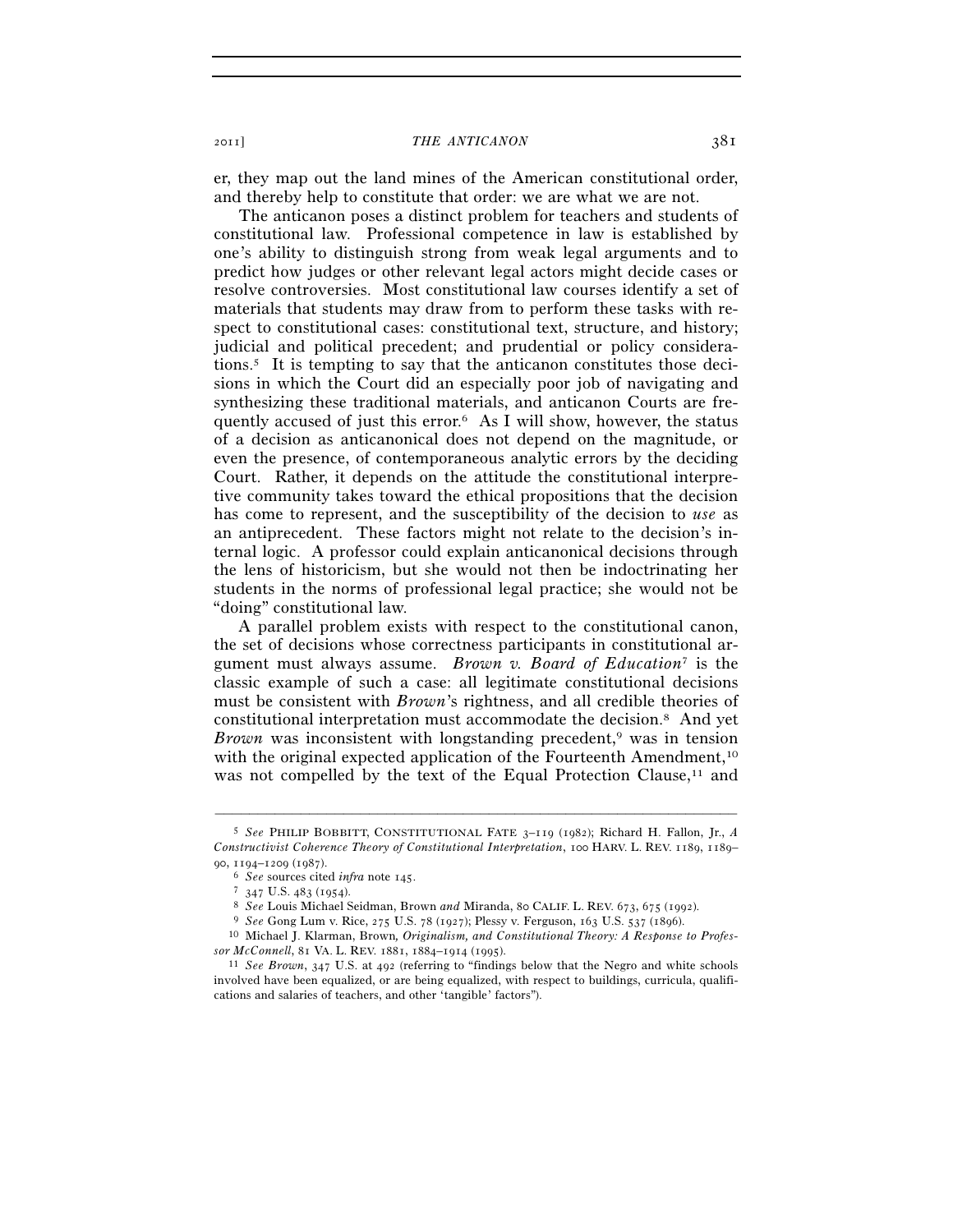er, they map out the land mines of the American constitutional order, and thereby help to constitute that order: we are what we are not.

The anticanon poses a distinct problem for teachers and students of constitutional law. Professional competence in law is established by one's ability to distinguish strong from weak legal arguments and to predict how judges or other relevant legal actors might decide cases or resolve controversies. Most constitutional law courses identify a set of materials that students may draw from to perform these tasks with respect to constitutional cases: constitutional text, structure, and history; judicial and political precedent; and prudential or policy considerations.5 It is tempting to say that the anticanon constitutes those decisions in which the Court did an especially poor job of navigating and synthesizing these traditional materials, and anticanon Courts are frequently accused of just this error.6 As I will show, however, the status of a decision as anticanonical does not depend on the magnitude, or even the presence, of contemporaneous analytic errors by the deciding Court. Rather, it depends on the attitude the constitutional interpretive community takes toward the ethical propositions that the decision has come to represent, and the susceptibility of the decision to *use* as an antiprecedent. These factors might not relate to the decision's internal logic. A professor could explain anticanonical decisions through the lens of historicism, but she would not then be indoctrinating her students in the norms of professional legal practice; she would not be "doing" constitutional law.

A parallel problem exists with respect to the constitutional canon, the set of decisions whose correctness participants in constitutional argument must always assume. *Brown v. Board of Education*7 is the classic example of such a case: all legitimate constitutional decisions must be consistent with *Brown*'s rightness, and all credible theories of constitutional interpretation must accommodate the decision.8 And yet *Brown* was inconsistent with longstanding precedent,<sup>9</sup> was in tension with the original expected application of the Fourteenth Amendment,<sup>10</sup> was not compelled by the text of the Equal Protection Clause, $^{11}$  and

<sup>5</sup> *See* PHILIP BOBBITT, CONSTITUTIONAL FATE 3–119 (1982); Richard H. Fallon, Jr., *A Constructivist Coherence Theory of Constitutional Interpretation*, 100 HARV. L. REV. 1189, 1189– 90, 1194–1209 (1987).<br>
<sup>6</sup> See sources cited *infra* note 145.<br>
<sup>7</sup> 347 U.S. 483 (1954).<br>
<sup>8</sup> See Louis Michael Seidman, Brown *and* Miranda, 80 CALIF. L. REV. 673, 675 (1992).<br>
<sup>9</sup> See Gong Lum v. Rice, 275 U.S. 78 (1927

*sor McConnell*, 81 VA. L. REV. 1881, 1884–1914 (1995). 11 *See Brown*, 347 U.S. at 492 (referring to "findings below that the Negro and white schools

involved have been equalized, or are being equalized, with respect to buildings, curricula, qualifications and salaries of teachers, and other 'tangible' factors").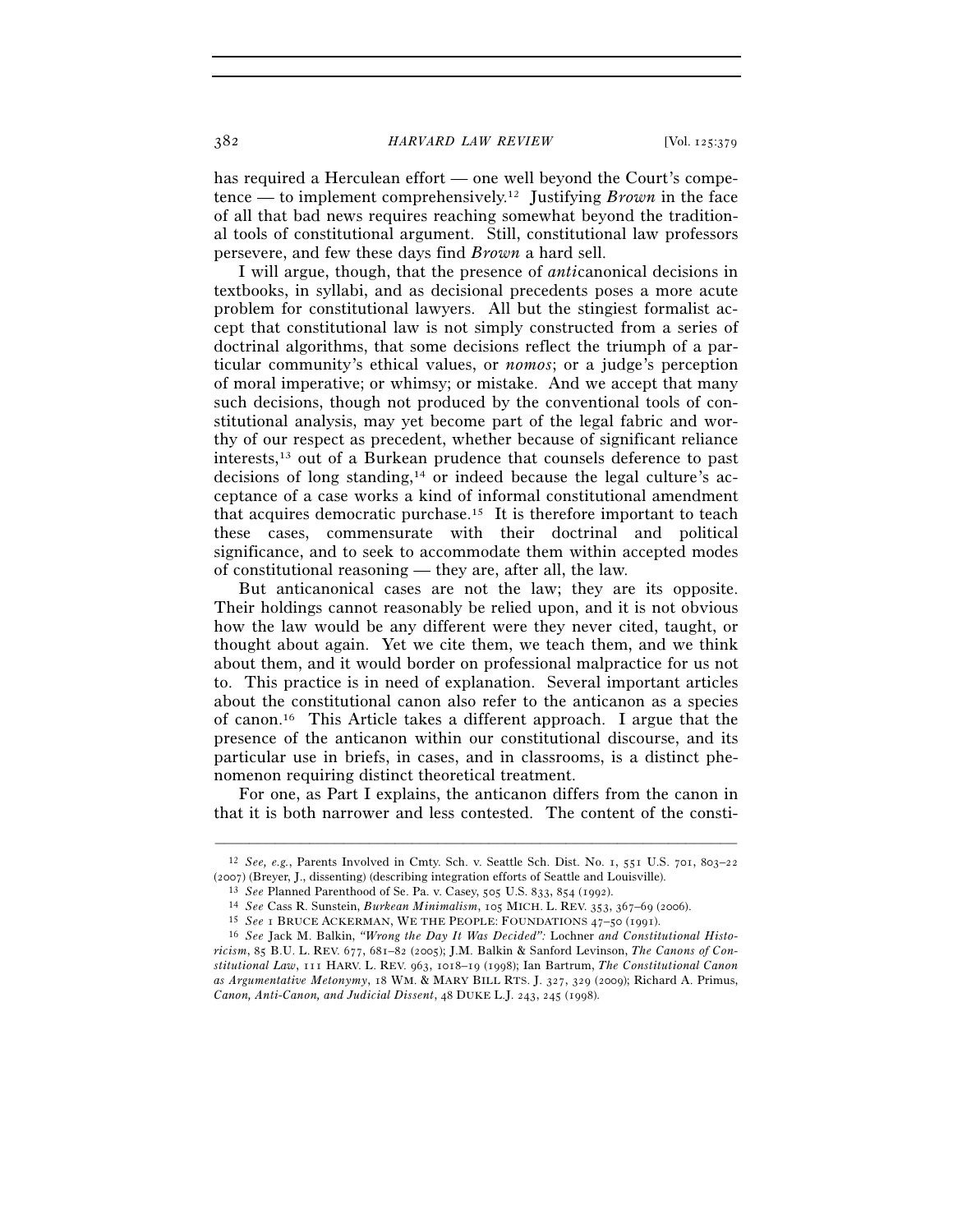382 *HARVARD LAW REVIEW* [Vol. 125:379

has required a Herculean effort — one well beyond the Court's competence — to implement comprehensively.12 Justifying *Brown* in the face of all that bad news requires reaching somewhat beyond the traditional tools of constitutional argument. Still, constitutional law professors persevere, and few these days find *Brown* a hard sell.

I will argue, though, that the presence of *anti*canonical decisions in textbooks, in syllabi, and as decisional precedents poses a more acute problem for constitutional lawyers. All but the stingiest formalist accept that constitutional law is not simply constructed from a series of doctrinal algorithms, that some decisions reflect the triumph of a particular community's ethical values, or *nomos*; or a judge's perception of moral imperative; or whimsy; or mistake. And we accept that many such decisions, though not produced by the conventional tools of constitutional analysis, may yet become part of the legal fabric and worthy of our respect as precedent, whether because of significant reliance interests,13 out of a Burkean prudence that counsels deference to past decisions of long standing,14 or indeed because the legal culture's acceptance of a case works a kind of informal constitutional amendment that acquires democratic purchase.15 It is therefore important to teach these cases, commensurate with their doctrinal and political significance, and to seek to accommodate them within accepted modes of constitutional reasoning — they are, after all, the law.

But anticanonical cases are not the law; they are its opposite. Their holdings cannot reasonably be relied upon, and it is not obvious how the law would be any different were they never cited, taught, or thought about again. Yet we cite them, we teach them, and we think about them, and it would border on professional malpractice for us not to. This practice is in need of explanation. Several important articles about the constitutional canon also refer to the anticanon as a species of canon.16 This Article takes a different approach. I argue that the presence of the anticanon within our constitutional discourse, and its particular use in briefs, in cases, and in classrooms, is a distinct phenomenon requiring distinct theoretical treatment.

For one, as Part I explains, the anticanon differs from the canon in that it is both narrower and less contested. The content of the consti-

<sup>–––––––––––––––––––––––––––––––––––––––––––––––––––––––––––––</sup> 12 *See, e.g.*, Parents Involved in Cmty. Sch. v. Seattle Sch. Dist. No. 1, 551 U.S. 701, 803–22 (2007) (Breyer, J., dissenting) (describing integration efforts of Seattle and Louisville).<br>
<sup>13</sup> See Planned Parenthood of Se. Pa. v. Casey, 505 U.S. 833, 854 (1992).<br>
<sup>14</sup> See Cass R. Sunstein, *Burkean Minimalism*, 105

*ricism*, 85 B.U. L. REV. 677, 681–82 (2005); J.M. Balkin & Sanford Levinson, *The Canons of Constitutional Law*, 111 HARV. L. REV. 963, 1018–19 (1998); Ian Bartrum, *The Constitutional Canon as Argumentative Metonymy*, 18 WM. & MARY BILL RTS. J. 327, 329 (2009); Richard A. Primus, *Canon, Anti-Canon, and Judicial Dissent*, 48 DUKE L.J. 243, 245 (1998).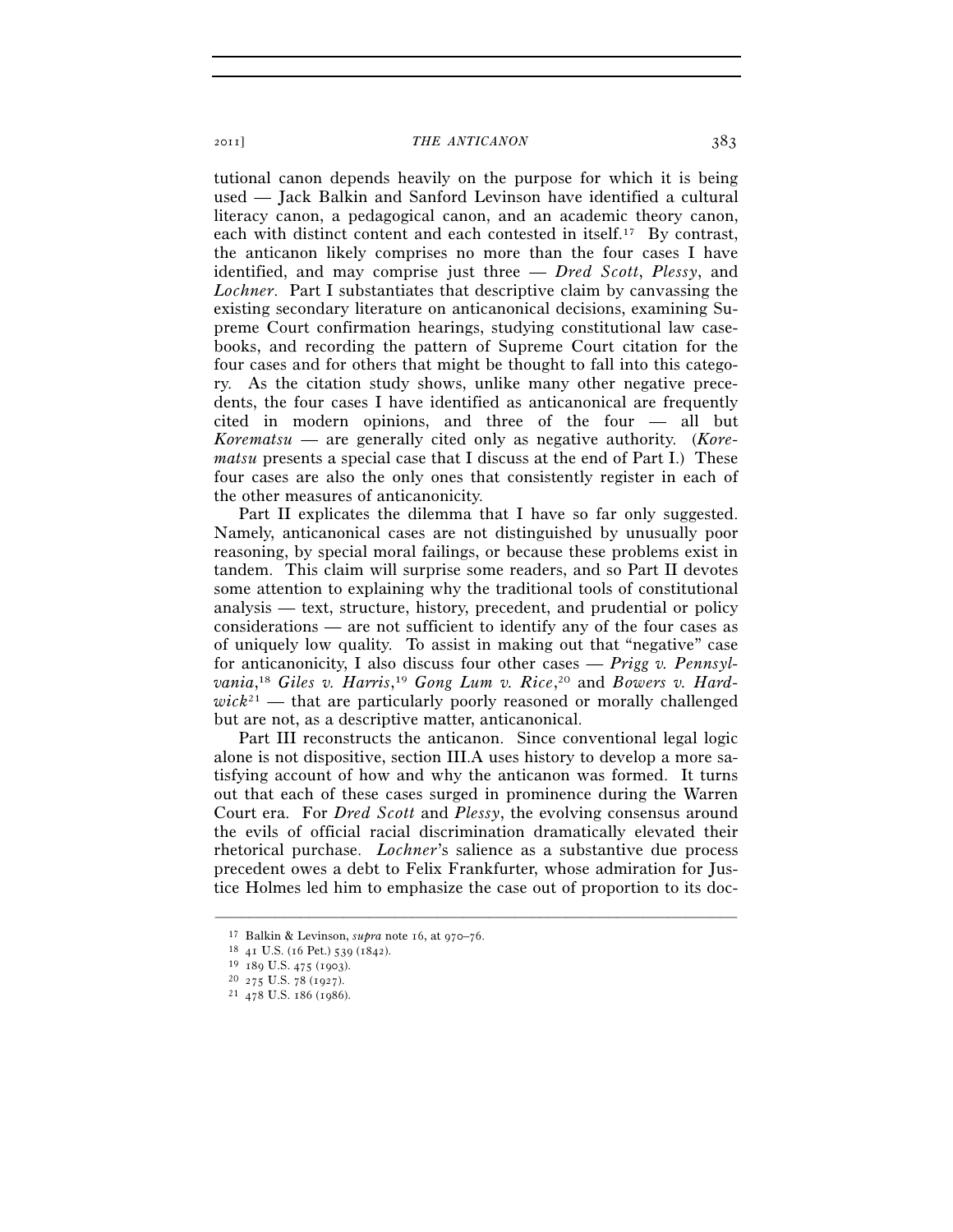tutional canon depends heavily on the purpose for which it is being used — Jack Balkin and Sanford Levinson have identified a cultural literacy canon, a pedagogical canon, and an academic theory canon, each with distinct content and each contested in itself.17 By contrast, the anticanon likely comprises no more than the four cases I have identified, and may comprise just three — *Dred Scott*, *Plessy*, and *Lochner*. Part I substantiates that descriptive claim by canvassing the existing secondary literature on anticanonical decisions, examining Supreme Court confirmation hearings, studying constitutional law casebooks, and recording the pattern of Supreme Court citation for the four cases and for others that might be thought to fall into this category. As the citation study shows, unlike many other negative precedents, the four cases I have identified as anticanonical are frequently cited in modern opinions, and three of the four — all but *Korematsu* — are generally cited only as negative authority. (*Korematsu* presents a special case that I discuss at the end of Part I.) These four cases are also the only ones that consistently register in each of the other measures of anticanonicity.

Part II explicates the dilemma that I have so far only suggested. Namely, anticanonical cases are not distinguished by unusually poor reasoning, by special moral failings, or because these problems exist in tandem. This claim will surprise some readers, and so Part II devotes some attention to explaining why the traditional tools of constitutional analysis — text, structure, history, precedent, and prudential or policy considerations — are not sufficient to identify any of the four cases as of uniquely low quality. To assist in making out that "negative" case for anticanonicity, I also discuss four other cases — *Prigg v. Pennsyl*vania,<sup>18</sup> *Giles v. Harris*,<sup>19</sup> *Gong Lum v. Rice*,<sup>20</sup> and *Bowers v. Hard* $wick^{21}$  — that are particularly poorly reasoned or morally challenged but are not, as a descriptive matter, anticanonical.

Part III reconstructs the anticanon. Since conventional legal logic alone is not dispositive, section III.A uses history to develop a more satisfying account of how and why the anticanon was formed. It turns out that each of these cases surged in prominence during the Warren Court era. For *Dred Scott* and *Plessy*, the evolving consensus around the evils of official racial discrimination dramatically elevated their rhetorical purchase. *Lochner*'s salience as a substantive due process precedent owes a debt to Felix Frankfurter, whose admiration for Justice Holmes led him to emphasize the case out of proportion to its doc-

<sup>17</sup> Balkin & Levinson, *supra* note 16, at 970–76.<br>
<sup>18</sup> 41 U.S. (16 Pet.) 539 (1842).<br>
<sup>19</sup> 189 U.S. 475 (1903).<br>
<sup>20</sup> 275 U.S. 78 (1927).<br>
<sup>21</sup> 478 U.S. 186 (1986).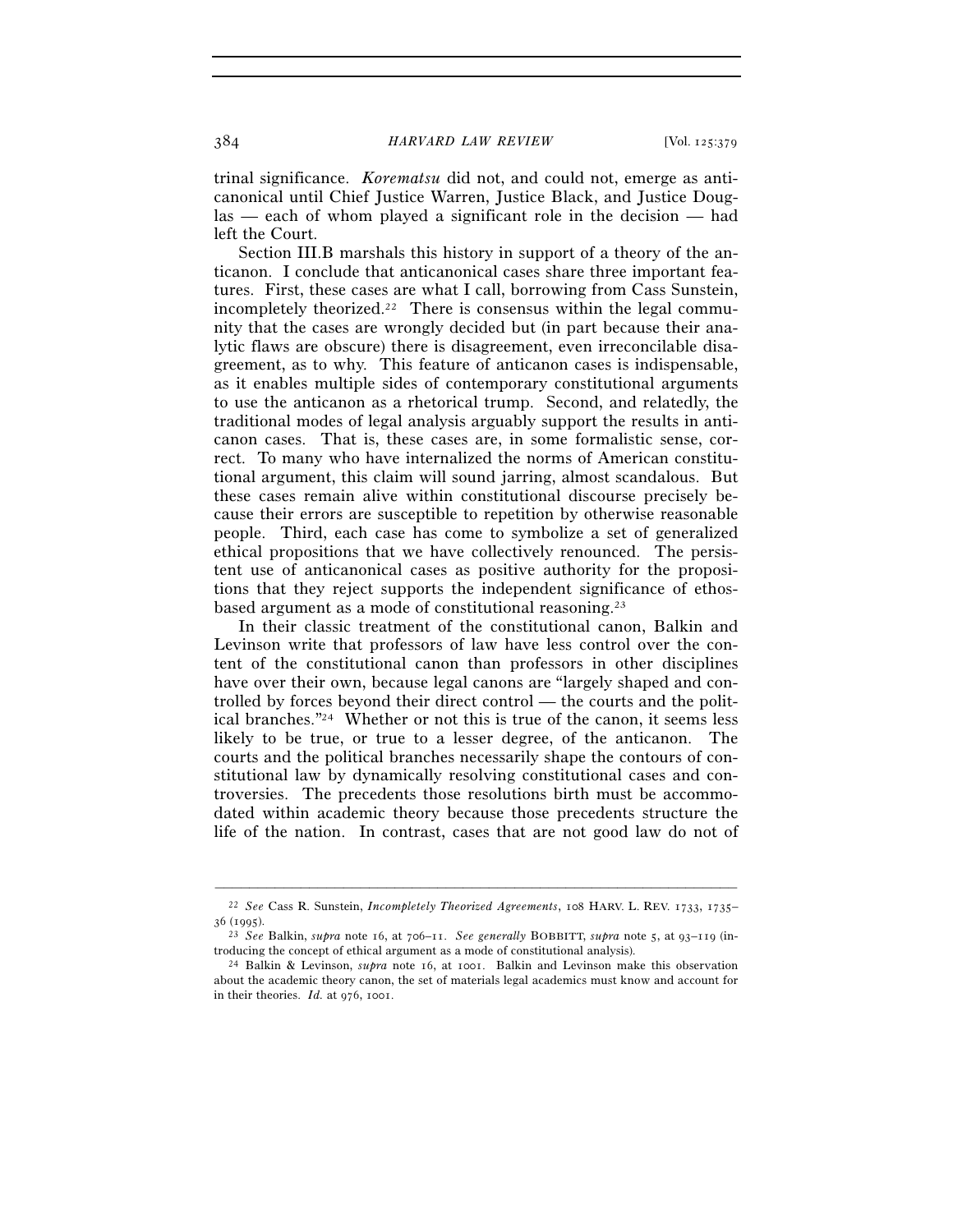trinal significance. *Korematsu* did not, and could not, emerge as anticanonical until Chief Justice Warren, Justice Black, and Justice Douglas — each of whom played a significant role in the decision — had left the Court.

Section III.B marshals this history in support of a theory of the anticanon. I conclude that anticanonical cases share three important features. First, these cases are what I call, borrowing from Cass Sunstein, incompletely theorized.<sup>22</sup> There is consensus within the legal community that the cases are wrongly decided but (in part because their analytic flaws are obscure) there is disagreement, even irreconcilable disagreement, as to why. This feature of anticanon cases is indispensable, as it enables multiple sides of contemporary constitutional arguments to use the anticanon as a rhetorical trump. Second, and relatedly, the traditional modes of legal analysis arguably support the results in anticanon cases. That is, these cases are, in some formalistic sense, correct. To many who have internalized the norms of American constitutional argument, this claim will sound jarring, almost scandalous. But these cases remain alive within constitutional discourse precisely because their errors are susceptible to repetition by otherwise reasonable people. Third, each case has come to symbolize a set of generalized ethical propositions that we have collectively renounced. The persistent use of anticanonical cases as positive authority for the propositions that they reject supports the independent significance of ethosbased argument as a mode of constitutional reasoning.23

In their classic treatment of the constitutional canon, Balkin and Levinson write that professors of law have less control over the content of the constitutional canon than professors in other disciplines have over their own, because legal canons are "largely shaped and controlled by forces beyond their direct control — the courts and the political branches."24 Whether or not this is true of the canon, it seems less likely to be true, or true to a lesser degree, of the anticanon. The courts and the political branches necessarily shape the contours of constitutional law by dynamically resolving constitutional cases and controversies. The precedents those resolutions birth must be accommodated within academic theory because those precedents structure the life of the nation. In contrast, cases that are not good law do not of

<sup>–––––––––––––––––––––––––––––––––––––––––––––––––––––––––––––</sup> 22 *See* Cass R. Sunstein, *Incompletely Theorized Agreements*, 108 HARV. L. REV. 1733, 1735– <sup>36</sup> (1995). 23 *See* Balkin, *supra* note 16, at 706–11. *See generally* BOBBITT, *supra* note 5, at <sup>93</sup>–119 (in-

troducing the concept of ethical argument as a mode of constitutional analysis). 24 Balkin & Levinson, *supra* note 16, at 1001. Balkin and Levinson make this observation

about the academic theory canon, the set of materials legal academics must know and account for in their theories. *Id.* at 976, 1001.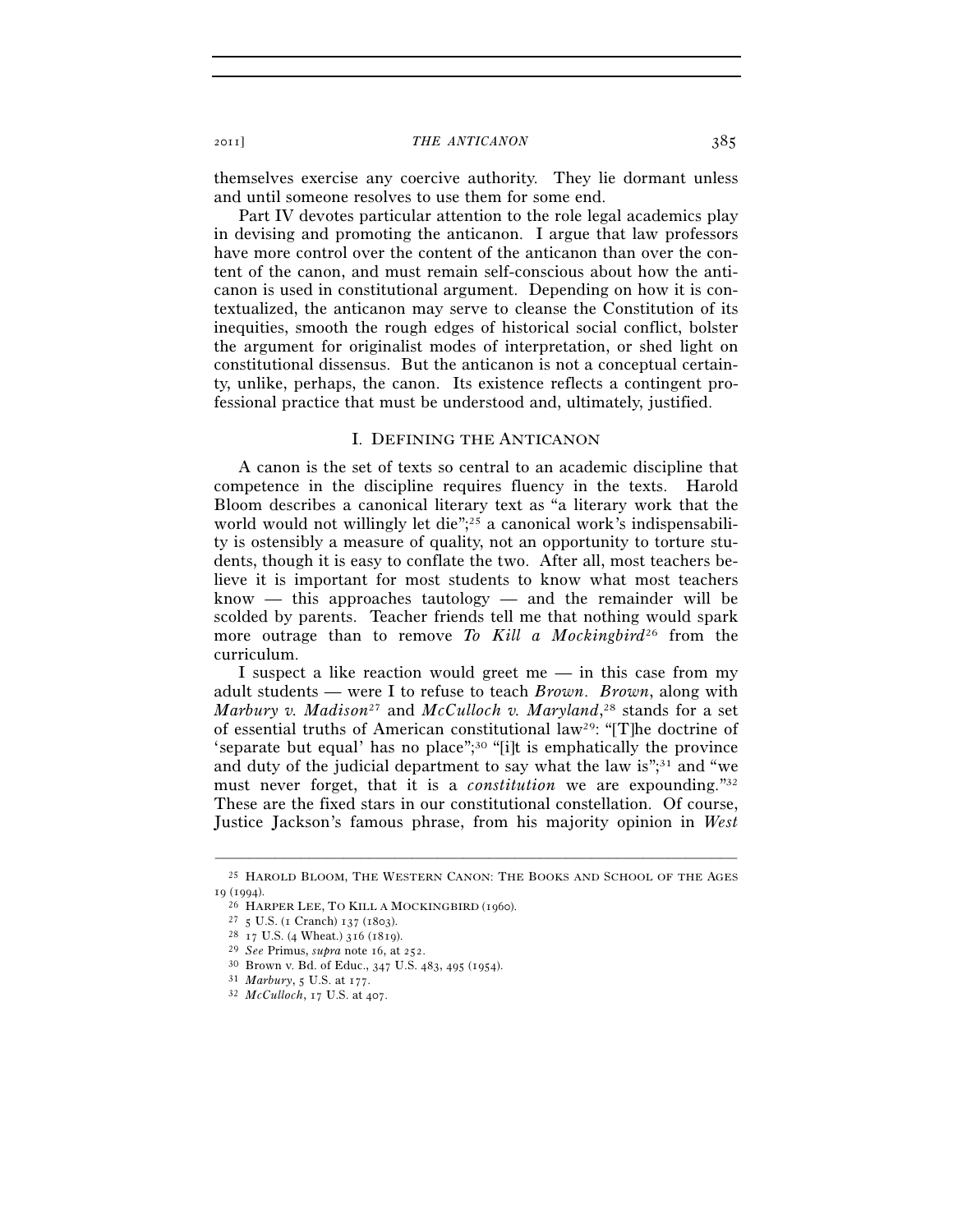themselves exercise any coercive authority. They lie dormant unless and until someone resolves to use them for some end.

Part IV devotes particular attention to the role legal academics play in devising and promoting the anticanon. I argue that law professors have more control over the content of the anticanon than over the content of the canon, and must remain self-conscious about how the anticanon is used in constitutional argument. Depending on how it is contextualized, the anticanon may serve to cleanse the Constitution of its inequities, smooth the rough edges of historical social conflict, bolster the argument for originalist modes of interpretation, or shed light on constitutional dissensus. But the anticanon is not a conceptual certainty, unlike, perhaps, the canon. Its existence reflects a contingent professional practice that must be understood and, ultimately, justified.

## I. DEFINING THE ANTICANON

A canon is the set of texts so central to an academic discipline that competence in the discipline requires fluency in the texts. Harold Bloom describes a canonical literary text as "a literary work that the world would not willingly let die";<sup>25</sup> a canonical work's indispensability is ostensibly a measure of quality, not an opportunity to torture students, though it is easy to conflate the two. After all, most teachers believe it is important for most students to know what most teachers  $known$  — this approaches tautology — and the remainder will be scolded by parents. Teacher friends tell me that nothing would spark more outrage than to remove *To Kill a Mockingbird*26 from the curriculum.

I suspect a like reaction would greet me — in this case from my adult students — were I to refuse to teach *Brown*. *Brown*, along with *Marbury v. Madison*27 and *McCulloch v. Maryland*, 28 stands for a set of essential truths of American constitutional law29: "[T]he doctrine of 'separate but equal' has no place";30 "[i]t is emphatically the province and duty of the judicial department to say what the law is" $,31$  and "we must never forget, that it is a *constitution* we are expounding."32 These are the fixed stars in our constitutional constellation. Of course, Justice Jackson's famous phrase, from his majority opinion in *West* 

<sup>–––––––––––––––––––––––––––––––––––––––––––––––––––––––––––––</sup> 25 HAROLD BLOOM, THE WESTERN CANON: THE BOOKS AND SCHOOL OF THE AGES 19 (1994).<br>
<sup>26</sup> HARPER LEE, TO KILL A MOCKINGBIRD (1960).<br>
<sup>27</sup> 5 U.S. (1 Cranch) 137 (1803).<br>
<sup>28</sup> 17 U.S. (4 Wheat.) 316 (1819).<br>
<sup>29</sup> *See* Primus, *supra* note 16, at 252.<br>
<sup>30</sup> Brown v. Bd. of Educ., 347 U.S. 483, 4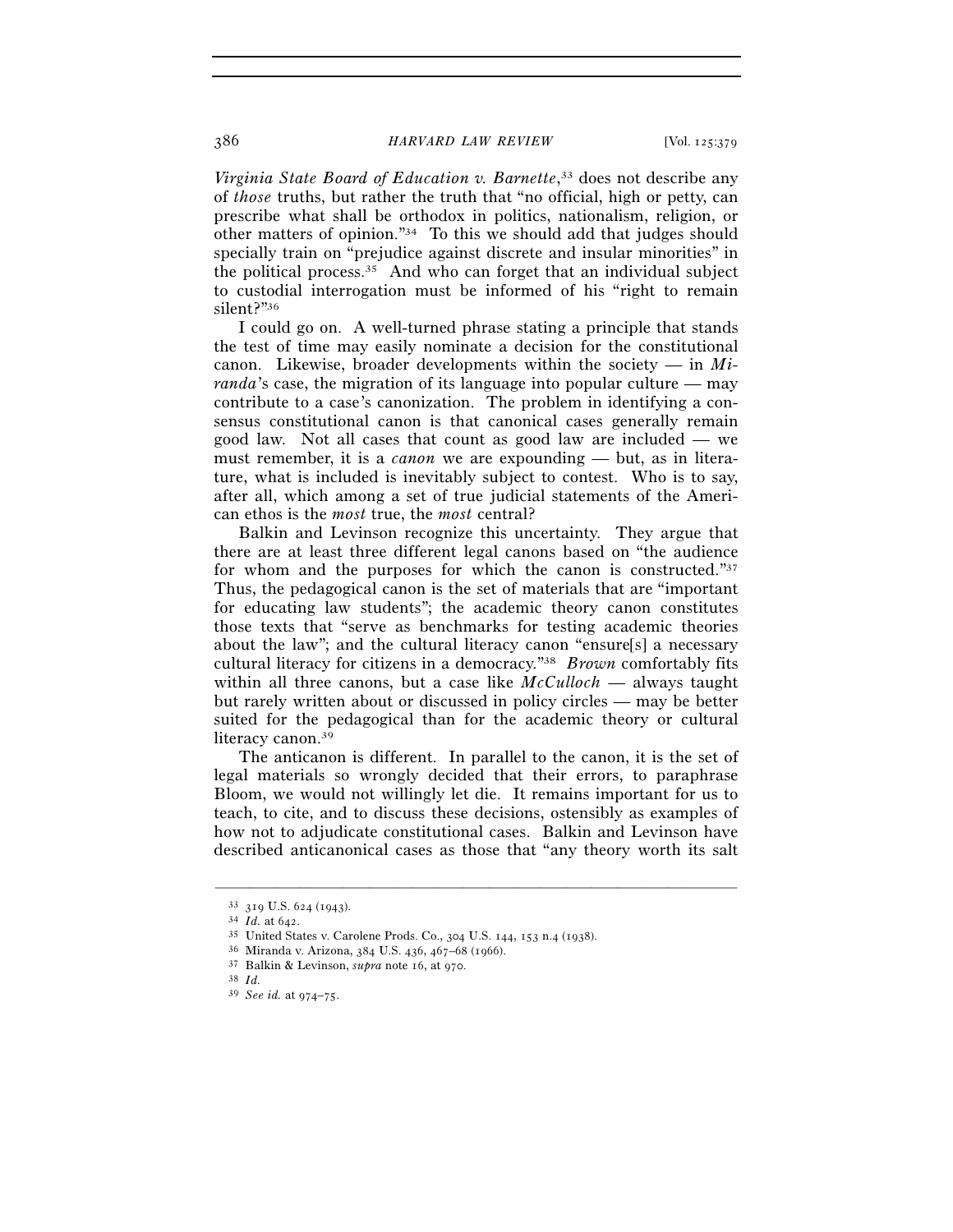*Virginia State Board of Education v. Barnette*, 33 does not describe any of *those* truths, but rather the truth that "no official, high or petty, can prescribe what shall be orthodox in politics, nationalism, religion, or other matters of opinion."34 To this we should add that judges should specially train on "prejudice against discrete and insular minorities" in the political process.35 And who can forget that an individual subject to custodial interrogation must be informed of his "right to remain silent?"36

I could go on. A well-turned phrase stating a principle that stands the test of time may easily nominate a decision for the constitutional canon. Likewise, broader developments within the society — in *Miranda*'s case, the migration of its language into popular culture — may contribute to a case's canonization. The problem in identifying a consensus constitutional canon is that canonical cases generally remain good law. Not all cases that count as good law are included — we must remember, it is a *canon* we are expounding — but, as in literature, what is included is inevitably subject to contest. Who is to say, after all, which among a set of true judicial statements of the American ethos is the *most* true, the *most* central?

Balkin and Levinson recognize this uncertainty. They argue that there are at least three different legal canons based on "the audience for whom and the purposes for which the canon is constructed."<sup>37</sup> Thus, the pedagogical canon is the set of materials that are "important for educating law students"; the academic theory canon constitutes those texts that "serve as benchmarks for testing academic theories about the law"; and the cultural literacy canon "ensure[s] a necessary cultural literacy for citizens in a democracy."38 *Brown* comfortably fits within all three canons, but a case like *McCulloch* — always taught but rarely written about or discussed in policy circles — may be better suited for the pedagogical than for the academic theory or cultural literacy canon.<sup>39</sup>

The anticanon is different. In parallel to the canon, it is the set of legal materials so wrongly decided that their errors, to paraphrase Bloom, we would not willingly let die. It remains important for us to teach, to cite, and to discuss these decisions, ostensibly as examples of how not to adjudicate constitutional cases. Balkin and Levinson have described anticanonical cases as those that "any theory worth its salt

<sup>33 319</sup> U.S. 624 (1943).<br>
34 Id. at 642.<br>
35 United States v. Carolene Prods. Co., 304 U.S. 144, 153 n.4 (1938).<br>
36 Miranda v. Arizona, 384 U.S. 436, 467–68 (1966).<br>
37 Balkin & Levinson, *supra* note 16, at 970.<br>
38 Id.

<sup>39</sup> *See id.* at 974–75.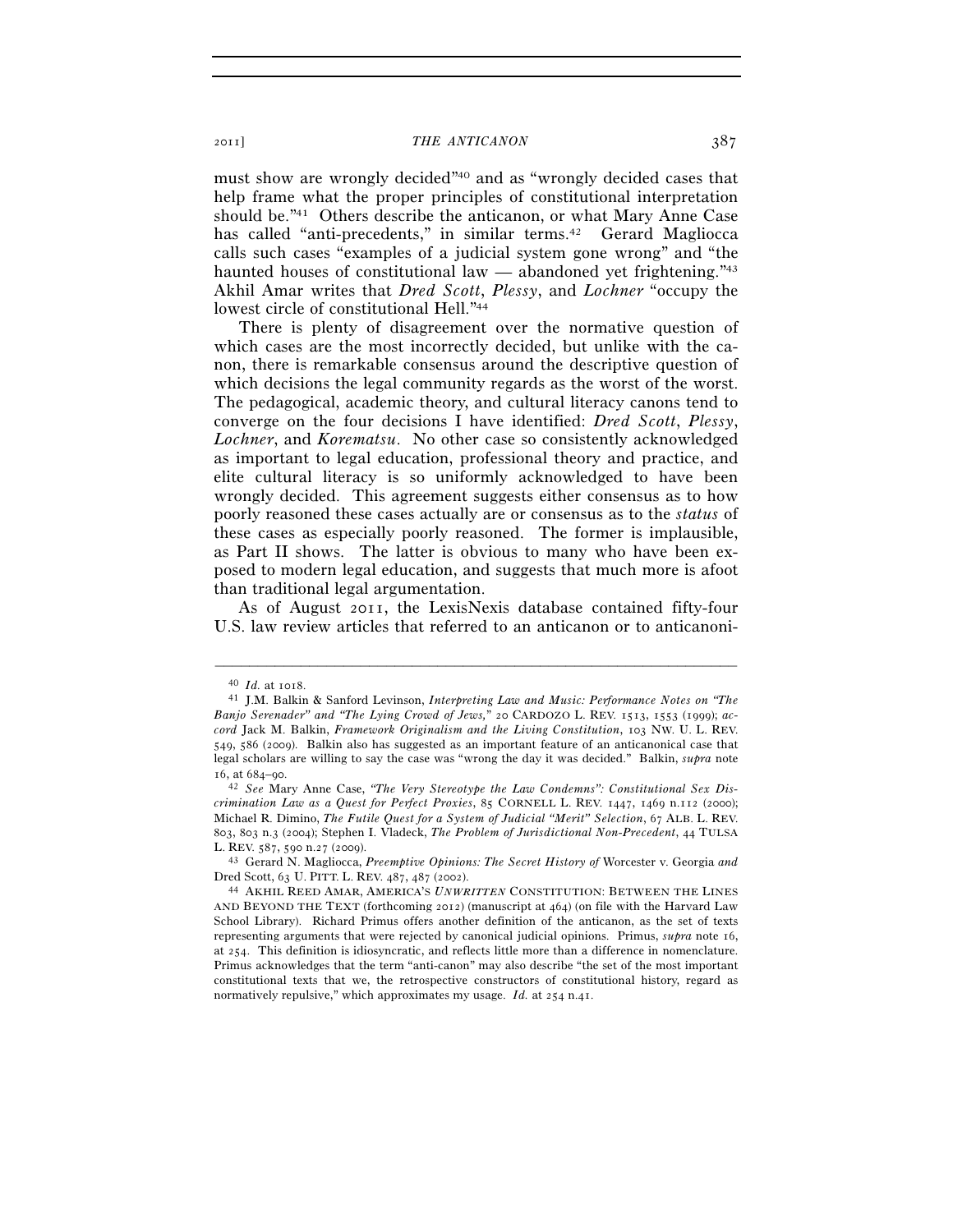must show are wrongly decided"40 and as "wrongly decided cases that help frame what the proper principles of constitutional interpretation should be."41 Others describe the anticanon, or what Mary Anne Case has called "anti-precedents," in similar terms.<sup>42</sup> Gerard Magliocca calls such cases "examples of a judicial system gone wrong" and "the haunted houses of constitutional law — abandoned yet frightening.<sup>743</sup> Akhil Amar writes that *Dred Scott*, *Plessy*, and *Lochner* "occupy the lowest circle of constitutional Hell."44

There is plenty of disagreement over the normative question of which cases are the most incorrectly decided, but unlike with the canon, there is remarkable consensus around the descriptive question of which decisions the legal community regards as the worst of the worst. The pedagogical, academic theory, and cultural literacy canons tend to converge on the four decisions I have identified: *Dred Scott*, *Plessy*, *Lochner*, and *Korematsu*. No other case so consistently acknowledged as important to legal education, professional theory and practice, and elite cultural literacy is so uniformly acknowledged to have been wrongly decided. This agreement suggests either consensus as to how poorly reasoned these cases actually are or consensus as to the *status* of these cases as especially poorly reasoned. The former is implausible, as Part II shows. The latter is obvious to many who have been exposed to modern legal education, and suggests that much more is afoot than traditional legal argumentation.

As of August 2011, the LexisNexis database contained fifty-four U.S. law review articles that referred to an anticanon or to anticanoni-

<sup>40</sup> *Id.* at 1018. 41 J.M. Balkin & Sanford Levinson, *Interpreting Law and Music: Performance Notes on "The Banjo Serenader" and "The Lying Crowd of Jews,*" 20 CARDOZO L. REV. 1513, 1553 (1999); *accord* Jack M. Balkin, *Framework Originalism and the Living Constitution*, 103 NW. U. L. REV. 549, 586 (2009). Balkin also has suggested as an important feature of an anticanonical case that legal scholars are willing to say the case was "wrong the day it was decided." Balkin, *supra* note

<sup>16</sup>, at 684–90. 42 *See* Mary Anne Case, *"The Very Stereotype the Law Condemns": Constitutional Sex Discrimination Law as a Quest for Perfect Proxies*, 85 CORNELL L. REV. 1447, 1469 n.112 (2000); Michael R. Dimino, *The Futile Quest for a System of Judicial "Merit" Selection*, 67 ALB. L. REV. 803, 803 n.3 (2004); Stephen I. Vladeck, *The Problem of Jurisdictional Non-Precedent*, 44 TULSA L. REV. 587, 590 n.27 (2009). 43 Gerard N. Magliocca, *Preemptive Opinions: The Secret History of* Worcester v. Georgia *and* 

Dred Scott, 63 U. PITT. L. REV. 487, 487 (2002). 44 AKHIL REED AMAR, AMERICA'S *UNWRITTEN* CONSTITUTION: BETWEEN THE LINES

AND BEYOND THE TEXT (forthcoming 2012) (manuscript at 464) (on file with the Harvard Law School Library). Richard Primus offers another definition of the anticanon, as the set of texts representing arguments that were rejected by canonical judicial opinions. Primus, *supra* note 16, at 254. This definition is idiosyncratic, and reflects little more than a difference in nomenclature. Primus acknowledges that the term "anti-canon" may also describe "the set of the most important constitutional texts that we, the retrospective constructors of constitutional history, regard as normatively repulsive," which approximates my usage. *Id.* at 254 n.41.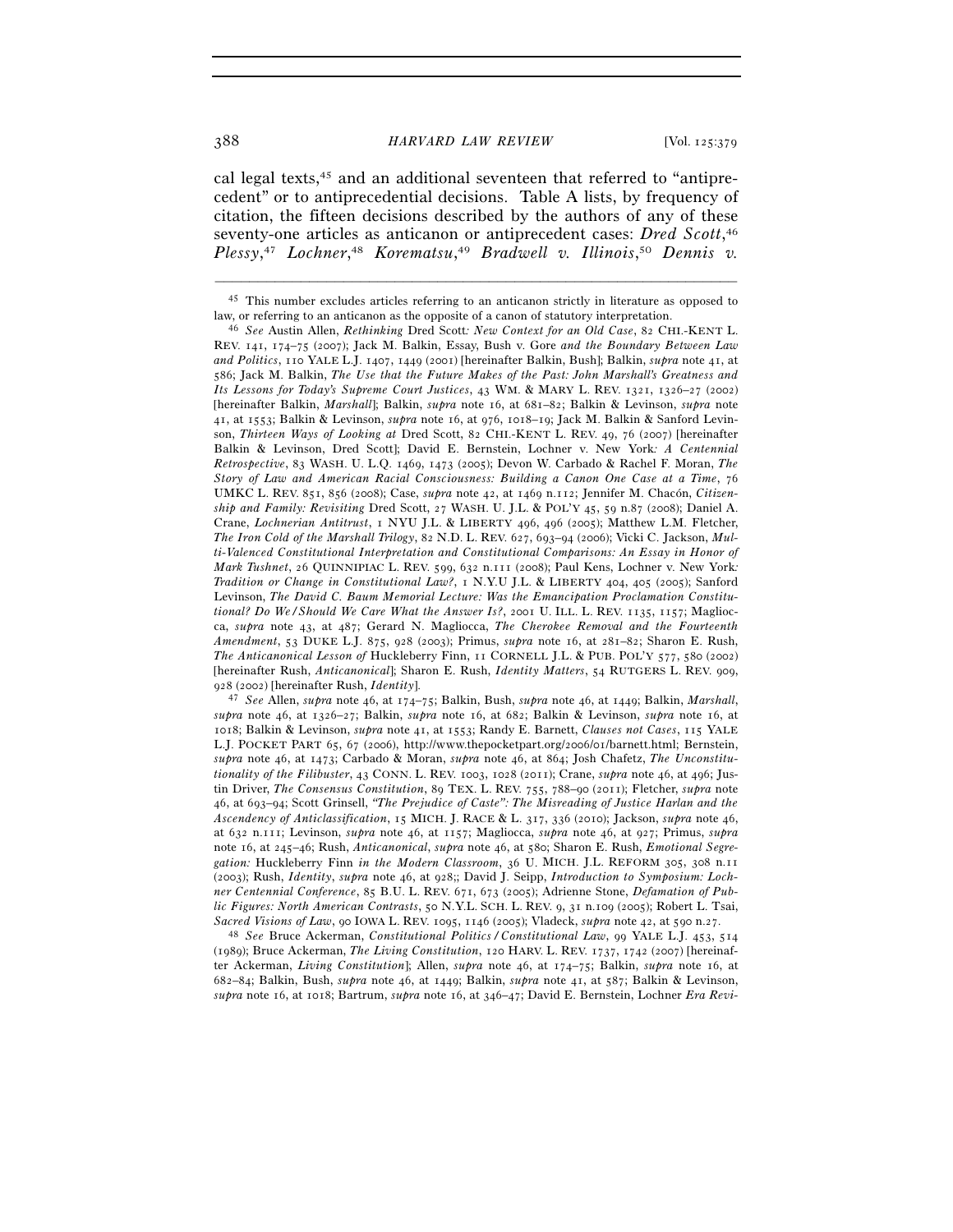cal legal texts,45 and an additional seventeen that referred to "antiprecedent" or to antiprecedential decisions. Table A lists, by frequency of citation, the fifteen decisions described by the authors of any of these seventy-one articles as anticanon or antiprecedent cases: *Dred Scott*, 46 *Plessy*, <sup>47</sup> *Lochner*, <sup>48</sup> *Korematsu*, <sup>49</sup> *Bradwell v. Illinois*, <sup>50</sup> *Dennis v.* 

<sup>928</sup> (2002) [hereinafter Rush, *Identity*]. 47 *See* Allen, *supra* note 46, at 174–75; Balkin, Bush, *supra* note 46, at 1449; Balkin, *Marshall*, *supra* note 46, at 1326–27; Balkin, *supra* note 16, at 682; Balkin & Levinson, *supra* note 16, at 1018; Balkin & Levinson, *supra* note 41, at 1553; Randy E. Barnett, *Clauses not Cases*, 115 YALE L.J. POCKET PART 65, 67 (2006), http://www.thepocketpart.org/2006/01/barnett.html; Bernstein, *supra* note 46, at 1473; Carbado & Moran, *supra* note 46, at 864; Josh Chafetz, *The Unconstitutionality of the Filibuster*, 43 CONN. L. REV. 1003, 1028 (2011); Crane, *supra* note 46, at 496; Justin Driver, *The Consensus Constitution*, 89 TEX. L. REV. 755, 788–90 (2011); Fletcher, *supra* note 46, at 693–94; Scott Grinsell, *"The Prejudice of Caste": The Misreading of Justice Harlan and the Ascendency of Anticlassification*, 15 MICH. J. RACE & L. 317, 336 (2010); Jackson, *supra* note 46, at 632 n.111; Levinson, *supra* note 46, at 1157; Magliocca, *supra* note 46, at 927; Primus, *supra* note 16, at 245–46; Rush, *Anticanonical*, *supra* note 46, at 580; Sharon E. Rush, *Emotional Segregation:* Huckleberry Finn *in the Modern Classroom*, 36 U. MICH. J.L. REFORM 305, 308 n.11 (2003); Rush, *Identity*, *supra* note 46, at 928;; David J. Seipp, *Introduction to Symposium: Lochner Centennial Conference*, 85 B.U. L. REV. 671, 673 (2005); Adrienne Stone, *Defamation of Public Figures: North American Contrasts*, 50 N.Y.L. SCH. L. REV. 9, 31 n.109 (2005); Robert L. Tsai, *Sacred Visions of Law*, 90 IOWA L. REV. 1095, 1146 (2005); Vladeck, *supra* note 42, at 590 n.27. 48 *See* Bruce Ackerman, *Constitutional Politics / Constitutional Law*, 99 YALE L.J. 453, <sup>514</sup>

(1989); Bruce Ackerman, *The Living Constitution*, 120 HARV. L. REV. 1737, 1742 (2007) [hereinafter Ackerman, *Living Constitution*]; Allen, *supra* note 46, at 174–75; Balkin, *supra* note 16, at 682–84; Balkin, Bush, *supra* note 46, at 1449; Balkin, *supra* note 41, at 587; Balkin & Levinson, *supra* note 16, at 1018; Bartrum, *supra* note 16, at 346–47; David E. Bernstein, Lochner *Era Revi-*

<sup>–––––––––––––––––––––––––––––––––––––––––––––––––––––––––––––</sup> 45 This number excludes articles referring to an anticanon strictly in literature as opposed to law, or referring to an anticanon as the opposite of a canon of statutory interpretation. 46 *See* Austin Allen, *Rethinking* Dred Scott*: New Context for an Old Case*, 82 CHI.-KENT L.

REV. 141, 174–75 (2007); Jack M. Balkin, Essay, Bush v. Gore *and the Boundary Between Law and Politics*, 110 YALE L.J. 1407, 1449 (2001) [hereinafter Balkin, Bush]; Balkin, *supra* note 41, at 586; Jack M. Balkin, *The Use that the Future Makes of the Past: John Marshall's Greatness and Its Lessons for Today's Supreme Court Justices*, 43 WM. & MARY L. REV. 1321, 1326–27 (2002) [hereinafter Balkin, *Marshall*]; Balkin, *supra* note 16, at 681–82; Balkin & Levinson, *supra* note 41, at 1553; Balkin & Levinson, *supra* note 16, at 976, 1018–19; Jack M. Balkin & Sanford Levinson, *Thirteen Ways of Looking at* Dred Scott, 82 CHI.-KENT L. REV. 49, 76 (2007) [hereinafter Balkin & Levinson, Dred Scott]; David E. Bernstein, Lochner v. New York*: A Centennial Retrospective*, 83 WASH. U. L.Q. 1469, 1473 (2005); Devon W. Carbado & Rachel F. Moran, *The Story of Law and American Racial Consciousness: Building a Canon One Case at a Time*, 76 UMKC L. REV. 851, 856 (2008); Case, *supra* note 42, at 1469 n.112; Jennifer M. Chacón, *Citizenship and Family: Revisiting* Dred Scott, 27 WASH. U. J.L. & POL'Y 45, 59 n.87 (2008); Daniel A. Crane, *Lochnerian Antitrust*, 1 NYU J.L. & LIBERTY 496, 496 (2005); Matthew L.M. Fletcher, *The Iron Cold of the Marshall Trilogy*, 82 N.D. L. REV. 627, 693–94 (2006); Vicki C. Jackson, *Multi-Valenced Constitutional Interpretation and Constitutional Comparisons: An Essay in Honor of Mark Tushnet*, 26 QUINNIPIAC L. REV. 599, 632 n.111 (2008); Paul Kens, Lochner v. New York*: Tradition or Change in Constitutional Law?*, 1 N.Y.U J.L. & LIBERTY 404, 405 (2005); Sanford Levinson, *The David C. Baum Memorial Lecture: Was the Emancipation Proclamation Constitutional? Do We / Should We Care What the Answer Is?*, 2001 U. ILL. L. REV. 1135, 1157; Magliocca, *supra* note 43, at 487; Gerard N. Magliocca, *The Cherokee Removal and the Fourteenth Amendment*, 53 DUKE L.J. 875, 928 (2003); Primus, *supra* note 16, at 281–82; Sharon E. Rush, *The Anticanonical Lesson of* Huckleberry Finn, 11 CORNELL J.L. & PUB. POL'Y 577, 580 (2002) [hereinafter Rush, *Anticanonical*]; Sharon E. Rush, *Identity Matters*, 54 RUTGERS L. REV. 909,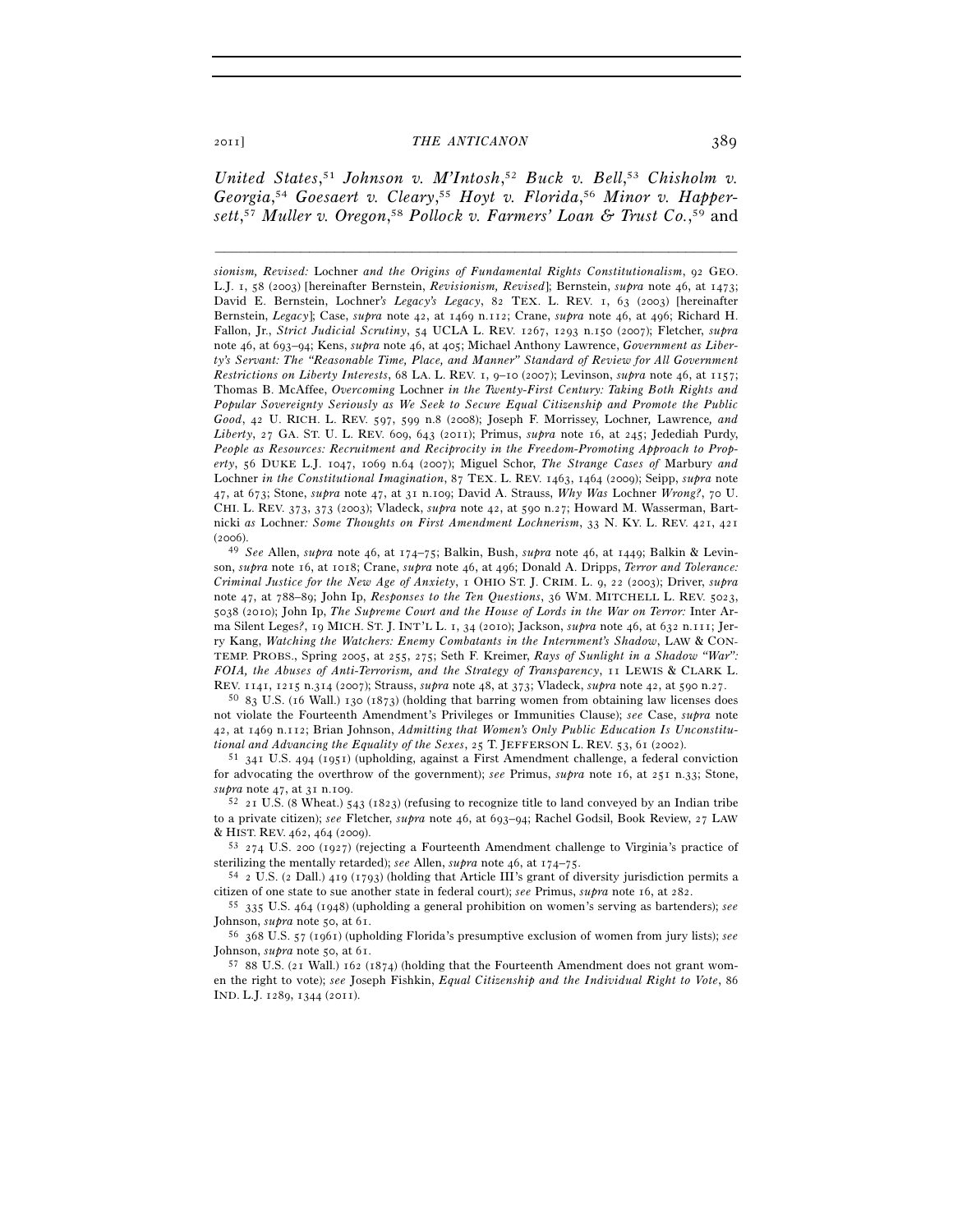United States,<sup>51</sup> Johnson v. M'Intosh,<sup>52</sup> Buck v. Bell,<sup>53</sup> Chisholm v. *Georgia*, <sup>54</sup> *Goesaert v. Cleary*, <sup>55</sup> *Hoyt v. Florida*, <sup>56</sup> *Minor v. Happersett*, <sup>57</sup> *Muller v. Oregon*, <sup>58</sup> *Pollock v. Farmers' Loan & Trust Co.*, 59 and

–––––––––––––––––––––––––––––––––––––––––––––––––––––––––––––

*sionism, Revised:* Lochner *and the Origins of Fundamental Rights Constitutionalism*, 92 GEO. L.J. 1, 58 (2003) [hereinafter Bernstein, *Revisionism, Revised*]; Bernstein, *supra* note 46, at 1473; David E. Bernstein, Lochner*'s Legacy's Legacy*, 82 TEX. L. REV. 1, 63 (2003) [hereinafter Bernstein, *Legacy*]; Case, *supra* note 42, at 1469 n.112; Crane, *supra* note 46, at 496; Richard H. Fallon, Jr., *Strict Judicial Scrutiny*, 54 UCLA L. REV. 1267, 1293 n.150 (2007); Fletcher, *supra* note 46, at 693–94; Kens, *supra* note 46, at 405; Michael Anthony Lawrence, *Government as Liberty's Servant: The "Reasonable Time, Place, and Manner" Standard of Review for All Government Restrictions on Liberty Interests*, 68 LA. L. REV. 1, 9–10 (2007); Levinson, *supra* note 46, at 1157; Thomas B. McAffee, *Overcoming* Lochner *in the Twenty-First Century: Taking Both Rights and Popular Sovereignty Seriously as We Seek to Secure Equal Citizenship and Promote the Public Good*, 42 U. RICH. L. REV. 597, 599 n.8 (2008); Joseph F. Morrissey, Lochner*,* Lawrence*, and Liberty*, 27 GA. ST. U. L. REV. 609, 643 (2011); Primus, *supra* note 16, at 245; Jedediah Purdy, *People as Resources: Recruitment and Reciprocity in the Freedom-Promoting Approach to Property*, 56 DUKE L.J. 1047, 1069 n.64 (2007); Miguel Schor, *The Strange Cases of* Marbury *and*  Lochner *in the Constitutional Imagination*, 87 TEX. L. REV. 1463, 1464 (2009); Seipp, *supra* note 47, at 673; Stone, *supra* note 47, at 31 n.109; David A. Strauss, *Why Was* Lochner *Wrong?*, 70 U. CHI. L. REV. 373, 373 (2003); Vladeck, *supra* note 42, at 590 n.27; Howard M. Wasserman, Bartnicki *as* Lochner*: Some Thoughts on First Amendment Lochnerism*, 33 N. KY. L. REV. 421, 421

(2006). 49 *See* Allen, *supra* note 46, at 174–75; Balkin, Bush, *supra* note 46, at 1449; Balkin & Levinson, *supra* note 16, at 1018; Crane, *supra* note 46, at 496; Donald A. Dripps, *Terror and Tolerance: Criminal Justice for the New Age of Anxiety*, 1 OHIO ST. J. CRIM. L. 9, 22 (2003); Driver, *supra* note 47, at 788–89; John Ip, *Responses to the Ten Questions*, 36 WM. MITCHELL L. REV. 5023, 5038 (2010); John Ip, *The Supreme Court and the House of Lords in the War on Terror:* Inter Arma Silent Leges*?*, 19 MICH. ST. J. INT'L L. 1, 34 (2010); Jackson, *supra* note 46, at 632 n.111; Jerry Kang, *Watching the Watchers: Enemy Combatants in the Internment's Shadow*, LAW & CON-TEMP. PROBS., Spring 2005, at 255, 275; Seth F. Kreimer, *Rays of Sunlight in a Shadow "War": FOIA, the Abuses of Anti-Terrorism, and the Strategy of Transparency*, 11 LEWIS & CLARK L. REV. 1141, 1215 n.314 (2007); Strauss, *supra* note 48, at 373; Vladeck, *supra* note 42, at 590 n.27. 50 <sup>83</sup> U.S. (16 Wall.) 130 (1873) (holding that barring women from obtaining law licenses does

not violate the Fourteenth Amendment's Privileges or Immunities Clause); *see* Case, *supra* note 42, at 1469 n.112; Brian Johnson, *Admitting that Women's Only Public Education Is Unconstitu-*

<sup>51</sup> 341 U.S. 494 (1951) (upholding, against a First Amendment challenge, a federal conviction for advocating the overthrow of the government); *see* Primus, *supra* note 16, at 251 n.33; Stone, *supra* note 47, at 31 n.109. 52 <sup>21</sup> U.S. (8 Wheat.) 543 (1823) (refusing to recognize title to land conveyed by an Indian tribe

to a private citizen); *see* Fletcher, *supra* note 46, at 693–94; Rachel Godsil, Book Review, 27 LAW & HIST. REV. 462, 464 (2009).<br><sup>53</sup> 274 U.S. 200 (1927) (rejecting a Fourteenth Amendment challenge to Virginia's practice of

sterilizing the mentally retarded); *see* Allen, *supra* note 46, at 174–75.<br><sup>54</sup> 2 U.S. (2 Dall.) 419 (1793) (holding that Article III's grant of diversity jurisdiction permits a

citizen of one state to sue another state in federal court); *see* Primus, *supra* note 16, at 282. 55 <sup>335</sup> U.S. 464 (1948) (upholding a general prohibition on women's serving as bartenders); *see* Johnson, *supra* note 50, at 61.<br><sup>56</sup> 368 U.S. 57 (1961) (upholding Florida's presumptive exclusion of women from jury lists); *see* 

Johnson, *supra* note 50, at 61.<br><sup>57</sup> 88 U.S. (21 Wall.) 162 (1874) (holding that the Fourteenth Amendment does not grant wom-

en the right to vote); *see* Joseph Fishkin, *Equal Citizenship and the Individual Right to Vote*, 86 IND. L.J. 1289, 1344 (2011).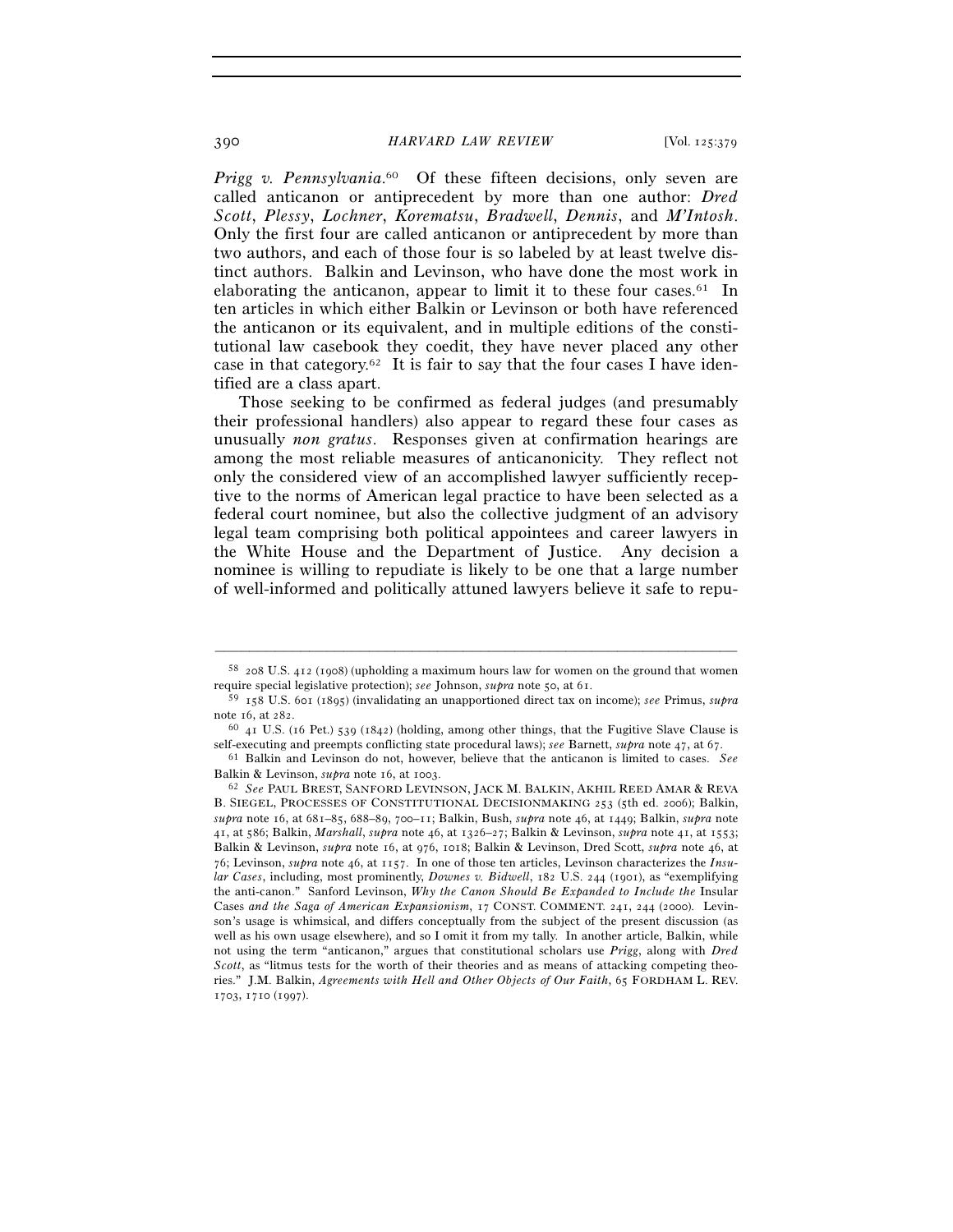*Prigg v. Pennsylvania*. 60 Of these fifteen decisions, only seven are called anticanon or antiprecedent by more than one author: *Dred Scott*, *Plessy*, *Lochner*, *Korematsu*, *Bradwell*, *Dennis*, and *M'Intosh*. Only the first four are called anticanon or antiprecedent by more than two authors, and each of those four is so labeled by at least twelve distinct authors. Balkin and Levinson, who have done the most work in elaborating the anticanon, appear to limit it to these four cases. $61$  In ten articles in which either Balkin or Levinson or both have referenced the anticanon or its equivalent, and in multiple editions of the constitutional law casebook they coedit, they have never placed any other case in that category.<sup>62</sup> It is fair to say that the four cases I have identified are a class apart.

 Those seeking to be confirmed as federal judges (and presumably their professional handlers) also appear to regard these four cases as unusually *non gratus*. Responses given at confirmation hearings are among the most reliable measures of anticanonicity. They reflect not only the considered view of an accomplished lawyer sufficiently receptive to the norms of American legal practice to have been selected as a federal court nominee, but also the collective judgment of an advisory legal team comprising both political appointees and career lawyers in the White House and the Department of Justice. Any decision a nominee is willing to repudiate is likely to be one that a large number of well-informed and politically attuned lawyers believe it safe to repu-

<sup>–––––––––––––––––––––––––––––––––––––––––––––––––––––––––––––</sup> 58 208 U.S. 412 (1908) (upholding a maximum hours law for women on the ground that women require special legislative protection); *see* Johnson, *supra* note 50, at 61. 59 <sup>158</sup> U.S. 601 (1895) (invalidating an unapportioned direct tax on income); *see* Primus, *supra*

note 16, at 282. 60 41 U.S. (16 Pet.) 539 (1842) (holding, among other things, that the Fugitive Slave Clause is self-executing and preempts conflicting state procedural laws); *see* Barnett, *subra* note 47, at 67.

<sup>&</sup>lt;sup>61</sup> Balkin and Levinson do not, however, believe that the anticanon is limited to cases. *See* Balkin & Levinson, *supra* note 16, at 1003.<br><sup>62</sup> *See* PAUL BREST, SANFORD LEVINSON, JACK M. BALKIN, AKHIL REED AMAR & REVA

B. SIEGEL, PROCESSES OF CONSTITUTIONAL DECISIONMAKING 253 (5th ed. 2006); Balkin, *supra* note 16, at 681–85, 688–89, 700–11; Balkin, Bush, *supra* note 46, at 1449; Balkin, *supra* note 41, at 586; Balkin, *Marshall*, *supra* note 46, at 1326–27; Balkin & Levinson, *supra* note 41, at 1553; Balkin & Levinson, *supra* note 16, at 976, 1018; Balkin & Levinson, Dred Scott, *supra* note 46, at 76; Levinson, *supra* note 46, at 1157. In one of those ten articles, Levinson characterizes the *Insular Cases*, including, most prominently, *Downes v. Bidwell*, 182 U.S. 244 (1901), as "exemplifying the anti-canon." Sanford Levinson, *Why the Canon Should Be Expanded to Include the* Insular Cases *and the Saga of American Expansionism*, 17 CONST. COMMENT. 241, 244 (2000). Levinson's usage is whimsical, and differs conceptually from the subject of the present discussion (as well as his own usage elsewhere), and so I omit it from my tally. In another article, Balkin, while not using the term "anticanon," argues that constitutional scholars use *Prigg*, along with *Dred Scott*, as "litmus tests for the worth of their theories and as means of attacking competing theories." J.M. Balkin, *Agreements with Hell and Other Objects of Our Faith*, 65 FORDHAM L. REV. 1703, 1710 (1997).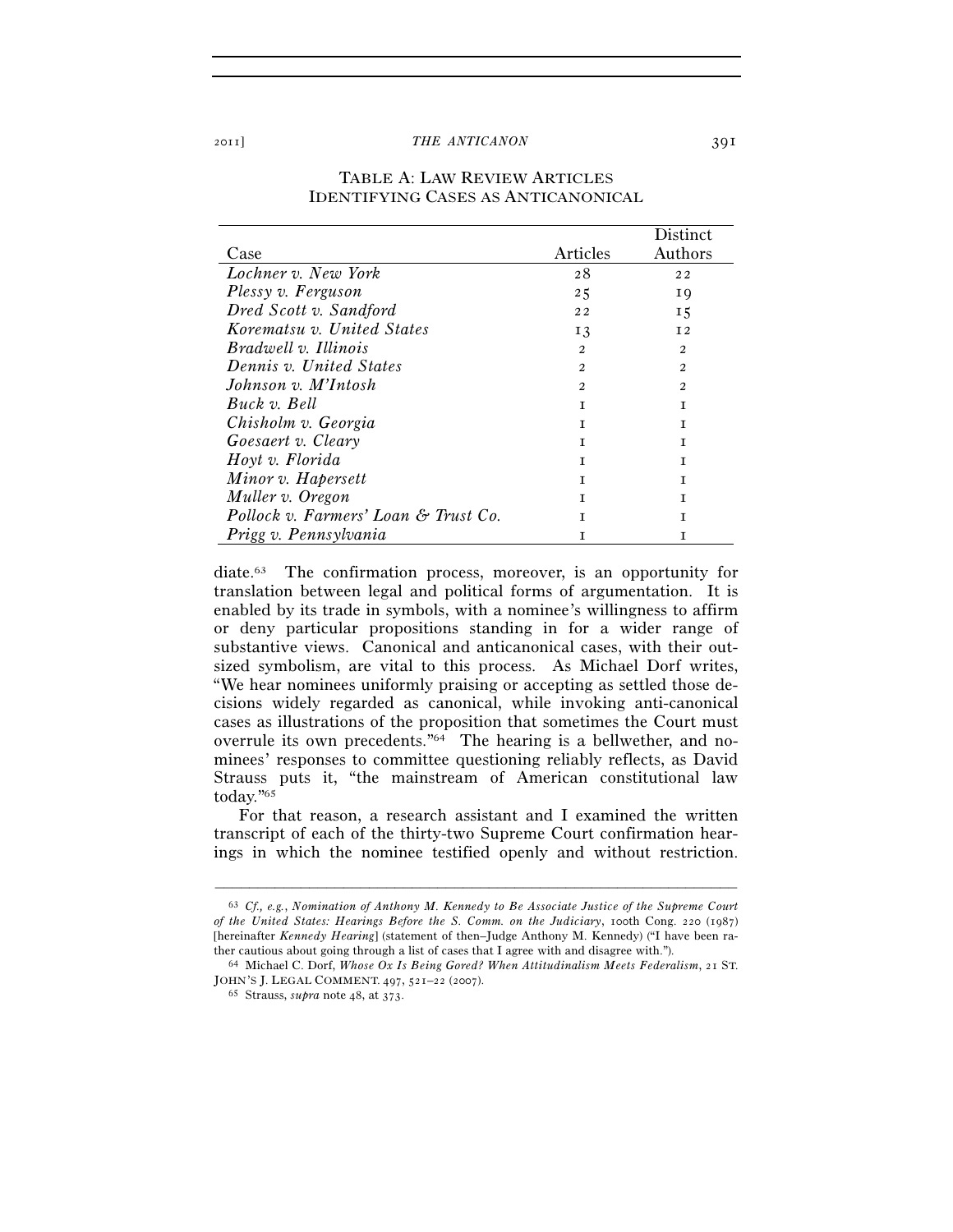|                                      |          | <b>Distinct</b> |
|--------------------------------------|----------|-----------------|
| Case                                 | Articles | Authors         |
| Lochner v. New York                  | 28       | 22              |
| Plessy v. Ferguson                   | 25       | 19              |
| Dred Scott v. Sandford               | 22       | 15              |
| Korematsu v. United States           | 13       | I <sub>2</sub>  |
| Bradwell v. Illinois                 | 2        | $\mathfrak{D}$  |
| Dennis v. United States              | 2        | 2               |
| Johnson v. M'Intosh                  | 2        | $\mathfrak{D}$  |
| Buck v. Bell                         | T        | T               |
| Chisholm v. Georgia                  | T        | T               |
| Goesaert v. Cleary                   | T        | Т               |
| Hoyt v. Florida                      | T        | Т               |
| Minor v. Hapersett                   | T        | T               |
| Muller v. Oregon                     | T        | T               |
| Pollock v. Farmers' Loan & Trust Co. | Т        | T               |
| Prigg v. Pennsylvania                | Т        | T               |

## TABLE A: LAW REVIEW ARTICLES IDENTIFYING CASES AS ANTICANONICAL

diate.63 The confirmation process, moreover, is an opportunity for translation between legal and political forms of argumentation. It is enabled by its trade in symbols, with a nominee's willingness to affirm or deny particular propositions standing in for a wider range of substantive views. Canonical and anticanonical cases, with their outsized symbolism, are vital to this process. As Michael Dorf writes, "We hear nominees uniformly praising or accepting as settled those decisions widely regarded as canonical, while invoking anti-canonical cases as illustrations of the proposition that sometimes the Court must overrule its own precedents."64 The hearing is a bellwether, and nominees' responses to committee questioning reliably reflects, as David Strauss puts it, "the mainstream of American constitutional law today."65

For that reason, a research assistant and I examined the written transcript of each of the thirty-two Supreme Court confirmation hearings in which the nominee testified openly and without restriction.

<sup>63</sup> *Cf., e.g.*, *Nomination of Anthony M. Kennedy to Be Associate Justice of the Supreme Court of the United States: Hearings Before the S. Comm. on the Judiciary*, 100th Cong. 220 (1987) [hereinafter *Kennedy Hearing*] (statement of then–Judge Anthony M. Kennedy) ("I have been rather cautious about going through a list of cases that I agree with and disagree with."). 64 Michael C. Dorf, *Whose Ox Is Being Gored? When Attitudinalism Meets Federalism*, 21 ST.

JOHN'S J. LEGAL COMMENT. <sup>497</sup>, 521–22 (2007). 65 Strauss, *supra* note 48, at 373.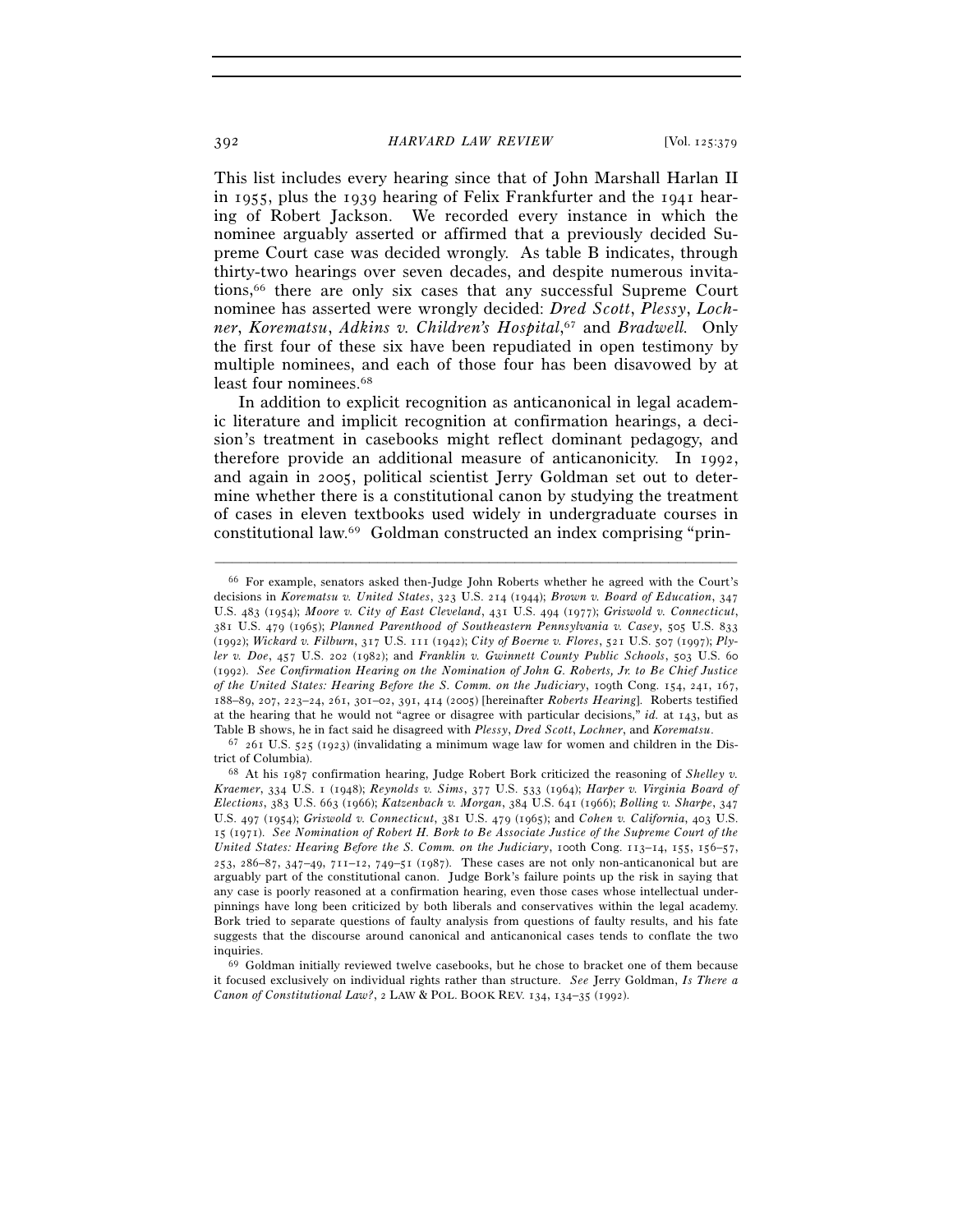This list includes every hearing since that of John Marshall Harlan II in 1955, plus the 1939 hearing of Felix Frankfurter and the 1941 hearing of Robert Jackson. We recorded every instance in which the nominee arguably asserted or affirmed that a previously decided Supreme Court case was decided wrongly. As table B indicates, through thirty-two hearings over seven decades, and despite numerous invitations,66 there are only six cases that any successful Supreme Court nominee has asserted were wrongly decided: *Dred Scott*, *Plessy*, *Lochner*, *Korematsu*, *Adkins v. Children's Hospital*, 67 and *Bradwell.* Only the first four of these six have been repudiated in open testimony by multiple nominees, and each of those four has been disavowed by at least four nominees.<sup>68</sup>

In addition to explicit recognition as anticanonical in legal academic literature and implicit recognition at confirmation hearings, a decision's treatment in casebooks might reflect dominant pedagogy, and therefore provide an additional measure of anticanonicity. In 1992, and again in 2005, political scientist Jerry Goldman set out to determine whether there is a constitutional canon by studying the treatment of cases in eleven textbooks used widely in undergraduate courses in constitutional law.69 Goldman constructed an index comprising "prin-

<sup>66</sup> For example, senators asked then-Judge John Roberts whether he agreed with the Court's decisions in *Korematsu v. United States*, 323 U.S. 214 (1944); *Brown v. Board of Education*, 347 U.S. 483 (1954); *Moore v. City of East Cleveland*, 431 U.S. 494 (1977); *Griswold v. Connecticut*, 381 U.S. 479 (1965); *Planned Parenthood of Southeastern Pennsylvania v. Casey*, 505 U.S. 833 (1992); *Wickard v. Filburn*, 317 U.S. 111 (1942); *City of Boerne v. Flores*, 521 U.S. 507 (1997); *Plyler v. Doe*, 457 U.S. 202 (1982); and *Franklin v. Gwinnett County Public Schools*, 503 U.S. 60 (1992). *See Confirmation Hearing on the Nomination of John G. Roberts, Jr. to Be Chief Justice of the United States: Hearing Before the S. Comm. on the Judiciary*, 109th Cong. 154, 241, 167, 188–89, 207, 223–24, 261, 301–02, 391, 414 (2005) [hereinafter *Roberts Hearing*]. Roberts testified at the hearing that he would not "agree or disagree with particular decisions," *id.* at 143, but as Table B shows, he in fact said he disagreed with *Plessy*, *Dred Scott*, *Lochner*, and *Korematsu*. <sup>67</sup> 261 U.S. 525 (1923) (invalidating a minimum wage law for women and children in the Dis-

trict of Columbia). 68 At his 1987 confirmation hearing, Judge Robert Bork criticized the reasoning of *Shelley v.* 

*Kraemer*, 334 U.S. 1 (1948); *Reynolds v. Sims*, 377 U.S. 533 (1964); *Harper v. Virginia Board of Elections*, 383 U.S. 663 (1966); *Katzenbach v. Morgan*, 384 U.S. 641 (1966); *Bolling v. Sharpe*, 347 U.S. 497 (1954); *Griswold v. Connecticut*, 381 U.S. 479 (1965); and *Cohen v. California*, 403 U.S. 15 (1971). *See Nomination of Robert H. Bork to Be Associate Justice of the Supreme Court of the United States: Hearing Before the S. Comm. on the Judiciary*, 100th Cong. 113-14, 155, 156-57, 253, 286–87, 347–49, 711–12, 749–51 (1987). These cases are not only non-anticanonical but are arguably part of the constitutional canon. Judge Bork's failure points up the risk in saying that any case is poorly reasoned at a confirmation hearing, even those cases whose intellectual underpinnings have long been criticized by both liberals and conservatives within the legal academy. Bork tried to separate questions of faulty analysis from questions of faulty results, and his fate suggests that the discourse around canonical and anticanonical cases tends to conflate the two inquiries. 69 Goldman initially reviewed twelve casebooks, but he chose to bracket one of them because

it focused exclusively on individual rights rather than structure. *See* Jerry Goldman, *Is There a Canon of Constitutional Law?*, 2 LAW & POL. BOOK REV. 134, 134–35 (1992).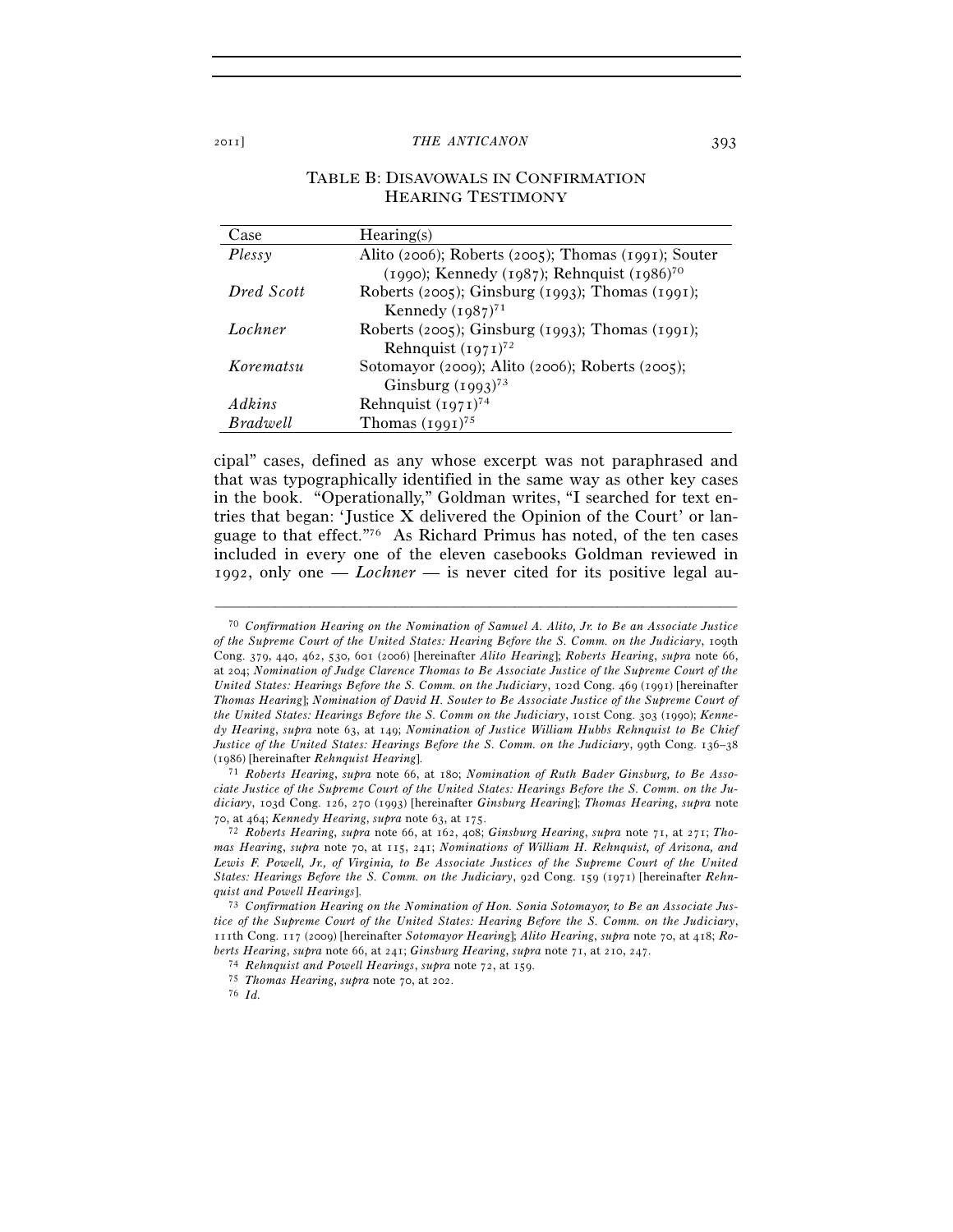## TABLE B: DISAVOWALS IN CONFIRMATION HEARING TESTIMONY

| Case       | Hearing(s)                                             |
|------------|--------------------------------------------------------|
| Plessv     | Alito (2006); Roberts (2005); Thomas (1991); Souter    |
|            | (1990); Kennedy (1987); Rehnquist (1986) <sup>70</sup> |
| Dred Scott | Roberts (2005); Ginsburg (1993); Thomas (1991);        |
|            | Kennedy $(1987)^{71}$                                  |
| Lochner    | Roberts (2005); Ginsburg (1993); Thomas (1991);        |
|            | Rehnquist $(1971)^{72}$                                |
| Korematsu  | Sotomayor (2009); Alito (2006); Roberts (2005);        |
|            | Ginsburg $(1993)^{73}$                                 |
| Adkins     | Rehnquist $(1971)^{74}$                                |
| Bradwell   | Thomas $(1991)^{75}$                                   |

cipal" cases, defined as any whose excerpt was not paraphrased and that was typographically identified in the same way as other key cases in the book. "Operationally," Goldman writes, "I searched for text entries that began: 'Justice X delivered the Opinion of the Court' or language to that effect."76 As Richard Primus has noted, of the ten cases included in every one of the eleven casebooks Goldman reviewed in 1992, only one — *Lochner* — is never cited for its positive legal au-

<sup>70</sup> *Confirmation Hearing on the Nomination of Samuel A. Alito, Jr. to Be an Associate Justice of the Supreme Court of the United States: Hearing Before the S. Comm. on the Judiciary*, 109th Cong. 379, 440, 462, 530, 601 (2006) [hereinafter *Alito Hearing*]; *Roberts Hearing*, *supra* note 66, at 204; *Nomination of Judge Clarence Thomas to Be Associate Justice of the Supreme Court of the United States: Hearings Before the S. Comm. on the Judiciary*, 102d Cong. 469 (1991) [hereinafter *Thomas Hearing*]; *Nomination of David H. Souter to Be Associate Justice of the Supreme Court of the United States: Hearings Before the S. Comm on the Judiciary*, 101st Cong. 303 (1990); *Kennedy Hearing*, *supra* note 63, at 149; *Nomination of Justice William Hubbs Rehnquist to Be Chief Justice of the United States: Hearings Before the S. Comm. on the Judiciary*, 99th Cong. 136–38

<sup>(</sup>1986) [hereinafter *Rehnquist Hearing*]. 71 *Roberts Hearing*, *supra* note 66, at 180; *Nomination of Ruth Bader Ginsburg, to Be Associate Justice of the Supreme Court of the United States: Hearings Before the S. Comm. on the Judiciary*, 103d Cong. 126, 270 (1993) [hereinafter *Ginsburg Hearing*]; *Thomas Hearing*, *supra* note <sup>70</sup>, at 464; *Kennedy Hearing*, *supra* note 63, at 175. 72 *Roberts Hearing*, *supra* note 66, at 162, 408; *Ginsburg Hearing*, *supra* note 71, at 271; *Tho-*

*mas Hearing*, *supra* note 70, at 115, 241; *Nominations of William H. Rehnquist, of Arizona, and Lewis F. Powell, Jr., of Virginia, to Be Associate Justices of the Supreme Court of the United States: Hearings Before the S. Comm. on the Judiciary*, 92d Cong. 159 (1971) [hereinafter *Rehn-*

<sup>&</sup>lt;sup>73</sup> Confirmation Hearing on the Nomination of Hon. Sonia Sotomayor, to Be an Associate Jus*tice of the Supreme Court of the United States: Hearing Before the S. Comm. on the Judiciary*, 111th Cong. 117 (2009) [hereinafter *Sotomayor Hearing*]; *Alito Hearing*, *supra* note 70, at 418; *Ro*berts Hearing, supra note 66, at 241; Ginsburg Hearing, supra note 71, at 210, 247.<br><sup>74</sup> Rehnquist and Powell Hearings, supra note 72, at 159.<br><sup>75</sup> Thomas Hearing, supra note 70, at 202.<br><sup>76</sup> Id.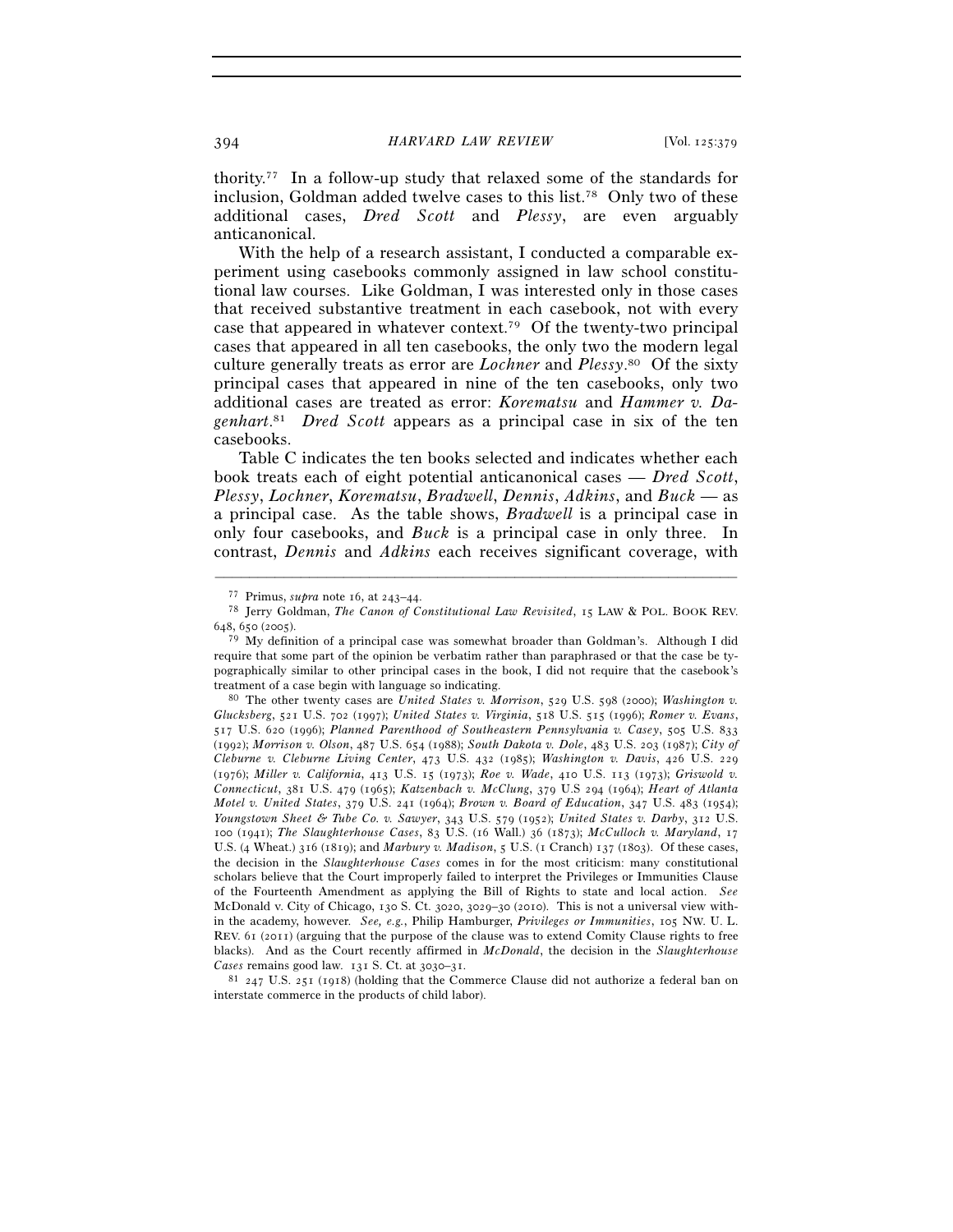thority.77 In a follow-up study that relaxed some of the standards for inclusion, Goldman added twelve cases to this list.78 Only two of these additional cases, *Dred Scott* and *Plessy*, are even arguably anticanonical.

With the help of a research assistant, I conducted a comparable experiment using casebooks commonly assigned in law school constitutional law courses. Like Goldman, I was interested only in those cases that received substantive treatment in each casebook, not with every case that appeared in whatever context.79 Of the twenty-two principal cases that appeared in all ten casebooks, the only two the modern legal culture generally treats as error are *Lochner* and *Plessy*. 80 Of the sixty principal cases that appeared in nine of the ten casebooks, only two additional cases are treated as error: *Korematsu* and *Hammer v. Dagenhart*. 81 *Dred Scott* appears as a principal case in six of the ten casebooks.

 Table C indicates the ten books selected and indicates whether each book treats each of eight potential anticanonical cases — *Dred Scott*, *Plessy*, *Lochner*, *Korematsu*, *Bradwell*, *Dennis*, *Adkins*, and *Buck* — as a principal case. As the table shows, *Bradwell* is a principal case in only four casebooks, and *Buck* is a principal case in only three. In contrast, *Dennis* and *Adkins* each receives significant coverage, with

–––––––––––––––––––––––––––––––––––––––––––––––––––––––––––––

<sup>81</sup> 247 U.S. 251 (1918) (holding that the Commerce Clause did not authorize a federal ban on interstate commerce in the products of child labor).

<sup>77</sup> Primus, *supra* note 16, at 243–44.<br><sup>78</sup> Jerry Goldman, *The Canon of Constitutional Law Revisited*, 15 LAW & POL. BOOK REV. 648, 650 (2005).

<sup>79</sup> My definition of a principal case was somewhat broader than Goldman's. Although I did require that some part of the opinion be verbatim rather than paraphrased or that the case be typographically similar to other principal cases in the book, I did not require that the casebook's treatment of a case begin with language so indicating.<br><sup>80</sup> The other twenty cases are *United States v. Morrison*, 529 U.S. 598 (2000); *Washington v.* 

*Glucksberg*, 521 U.S. 702 (1997); *United States v. Virginia*, 518 U.S. 515 (1996); *Romer v. Evans*, 517 U.S. 620 (1996); *Planned Parenthood of Southeastern Pennsylvania v. Casey*, 505 U.S. 833 (1992); *Morrison v. Olson*, 487 U.S. 654 (1988); *South Dakota v. Dole*, 483 U.S. 203 (1987); *City of Cleburne v. Cleburne Living Center*, 473 U.S. 432 (1985); *Washington v. Davis*, 426 U.S. 229 (1976); *Miller v. California*, 413 U.S. 15 (1973); *Roe v. Wade*, 410 U.S. 113 (1973); *Griswold v. Connecticut*, 381 U.S. 479 (1965); *Katzenbach v. McClung*, 379 U.S 294 (1964); *Heart of Atlanta Motel v. United States*, 379 U.S. 241 (1964); *Brown v. Board of Education*, 347 U.S. 483 (1954); *Youngstown Sheet & Tube Co. v. Sawyer*, 343 U.S. 579 (1952); *United States v. Darby*, 312 U.S. 100 (1941); *The Slaughterhouse Cases*, 83 U.S. (16 Wall.) 36 (1873); *McCulloch v. Maryland*, 17 U.S. (4 Wheat.) 316 (1819); and *Marbury v. Madison*, 5 U.S. (1 Cranch) 137 (1803). Of these cases, the decision in the *Slaughterhouse Cases* comes in for the most criticism: many constitutional scholars believe that the Court improperly failed to interpret the Privileges or Immunities Clause of the Fourteenth Amendment as applying the Bill of Rights to state and local action. *See* McDonald v. City of Chicago, 130 S. Ct. 3020, 3029–30 (2010). This is not a universal view within the academy, however. *See, e.g.*, Philip Hamburger, *Privileges or Immunities*, 105 NW. U. L. REV. 61 (2011) (arguing that the purpose of the clause was to extend Comity Clause rights to free blacks). And as the Court recently affirmed in *McDonald*, the decision in the *Slaughterhouse*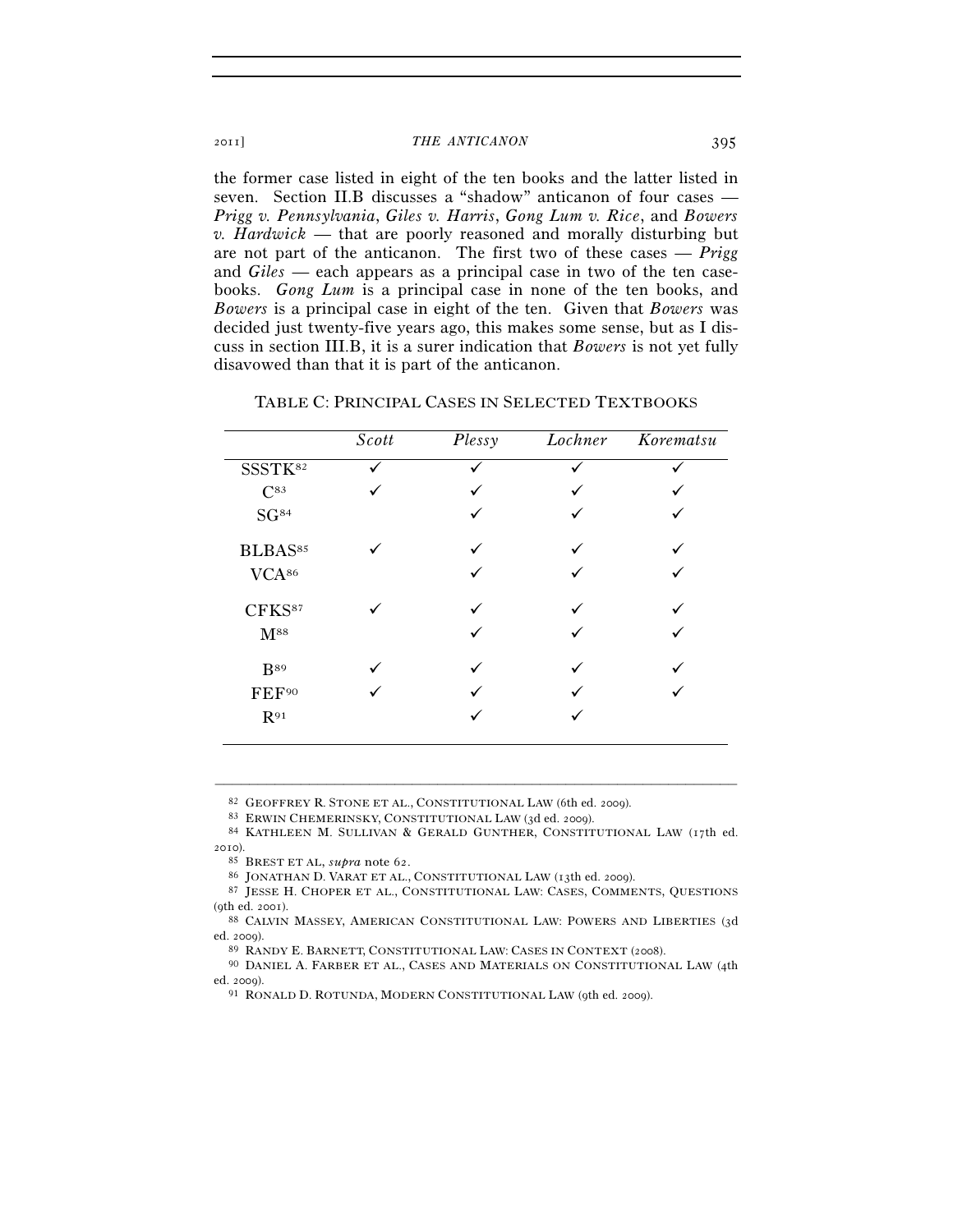the former case listed in eight of the ten books and the latter listed in seven. Section II.B discusses a "shadow" anticanon of four cases — *Prigg v. Pennsylvania*, *Giles v. Harris*, *Gong Lum v. Rice*, and *Bowers v. Hardwick* — that are poorly reasoned and morally disturbing but are not part of the anticanon. The first two of these cases — *Prigg* and *Giles* — each appears as a principal case in two of the ten casebooks. *Gong Lum* is a principal case in none of the ten books, and *Bowers* is a principal case in eight of the ten. Given that *Bowers* was decided just twenty-five years ago, this makes some sense, but as I discuss in section III.B, it is a surer indication that *Bowers* is not yet fully disavowed than that it is part of the anticanon.

|                     | Scott | Plessy | Lochner | Korematsu |
|---------------------|-------|--------|---------|-----------|
| SSSTK <sup>82</sup> |       |        |         |           |
| $C^{83}$            |       |        |         |           |
| SG <sup>84</sup>    |       | ✓      |         |           |
| BLBAS <sup>85</sup> |       | ◡      |         |           |
| VCA <sup>86</sup>   |       |        |         |           |
| CFKS87              |       |        |         |           |
| $M^{88}$            |       |        |         |           |
| <b>B</b> 89         |       |        |         |           |
| FEF <sup>90</sup>   |       |        |         |           |
| $R^{91}$            |       |        |         |           |

TABLE C: PRINCIPAL CASES IN SELECTED TEXTBOOKS

–––––––––––––––––––––––––––––––––––––––––––––––––––––––––––––

ed. 2009).<br><sup>89</sup> RANDY E. BARNETT, CONSTITUTIONAL LAW: CASES IN CONTEXT (2008).<br><sup>90</sup> DANIEL A. FARBER ET AL., CASES AND MATERIALS ON CONSTITUTIONAL LAW (4th

ed. 2009). 91 RONALD D. ROTUNDA, MODERN CONSTITUTIONAL LAW (9th ed. 2009).

<sup>82</sup> GEOFFREY R. STONE ET AL., CONSTITUTIONAL LAW (6th ed. 2009).<br>83 ERWIN CHEMERINSKY, CONSTITUTIONAL LAW (3d ed. 2009).<br>84 KATHLEEN M. SULLIVAN & GERALD GUNTHER, CONSTITUTIONAL LAW (17th ed. 2010).

<sup>85</sup> BREST ET AL, *supra* note 62.

<sup>87</sup> JESSE H. CHOPER ET AL., CONSTITUTIONAL LAW: CASES, COMMENTS, QUESTIONS (9th ed. 2001). 88 CALVIN MASSEY, AMERICAN CONSTITUTIONAL LAW: POWERS AND LIBERTIES (3<sup>d</sup>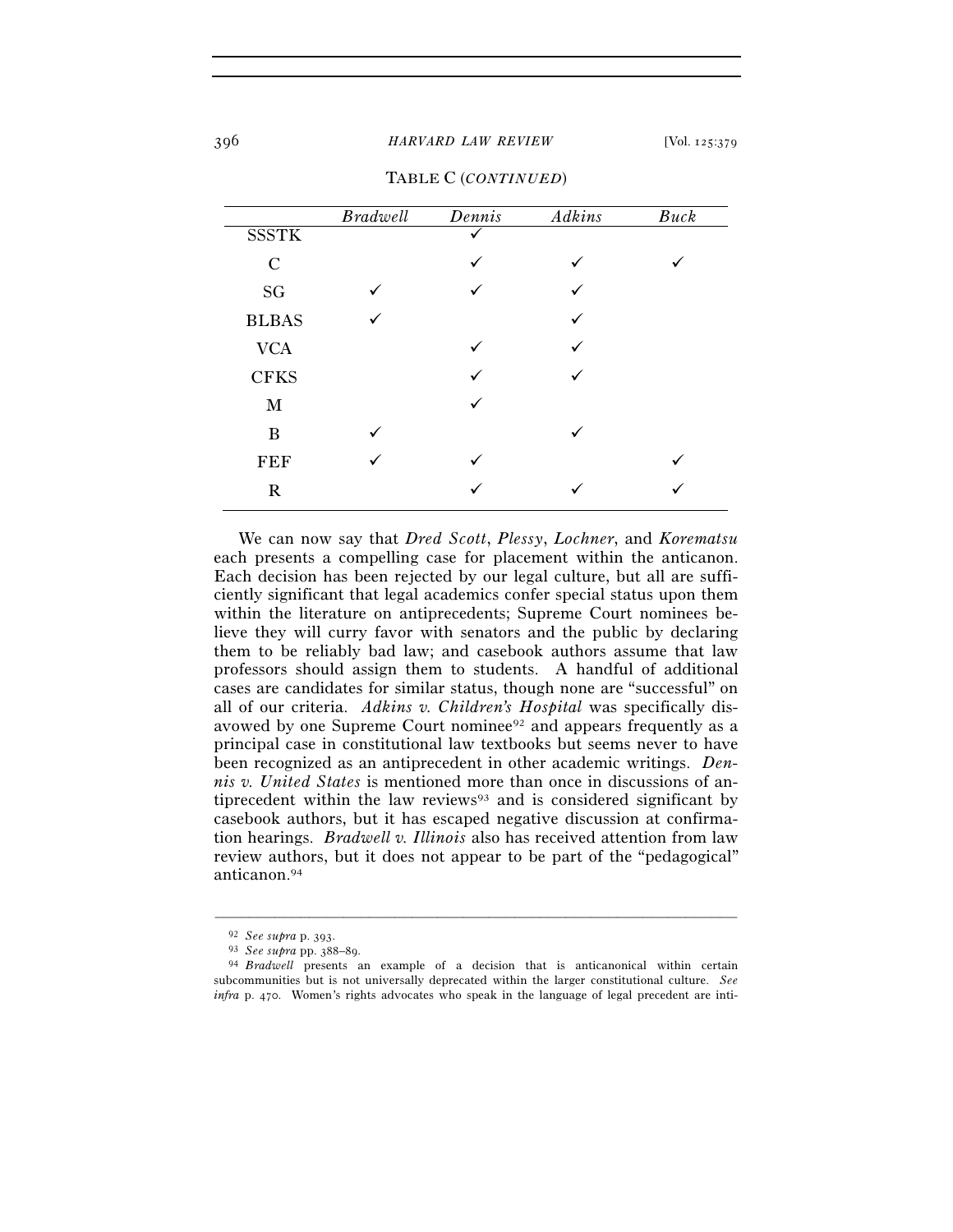## 396 *HARVARD LAW REVIEW* [Vol. 125:379

|                     | <b>Bradwell</b> | Dennis | Adkins | Buck |
|---------------------|-----------------|--------|--------|------|
| <b>SSSTK</b>        |                 |        |        |      |
| $\mathbf C$         |                 | ✓      |        |      |
| $\operatorname{SG}$ |                 |        |        |      |
| <b>BLBAS</b>        |                 |        | ✓      |      |
| <b>VCA</b>          |                 |        |        |      |
| <b>CFKS</b>         |                 |        | ✓      |      |
| $\mathbf{M}$        |                 |        |        |      |
| B                   | ✓               |        | ✓      |      |
| <b>FEF</b>          | ✓               |        |        |      |
| $\mathbf R$         |                 |        |        |      |
|                     |                 |        |        |      |

TABLE C (*CONTINUED*)

 We can now say that *Dred Scott*, *Plessy*, *Lochner*, and *Korematsu* each presents a compelling case for placement within the anticanon. Each decision has been rejected by our legal culture, but all are sufficiently significant that legal academics confer special status upon them within the literature on antiprecedents; Supreme Court nominees believe they will curry favor with senators and the public by declaring them to be reliably bad law; and casebook authors assume that law professors should assign them to students. A handful of additional cases are candidates for similar status, though none are "successful" on all of our criteria. *Adkins v. Children's Hospital* was specifically disavowed by one Supreme Court nominee<sup>92</sup> and appears frequently as a principal case in constitutional law textbooks but seems never to have been recognized as an antiprecedent in other academic writings. *Dennis v. United States* is mentioned more than once in discussions of antiprecedent within the law reviews $93$  and is considered significant by casebook authors, but it has escaped negative discussion at confirmation hearings. *Bradwell v. Illinois* also has received attention from law review authors, but it does not appear to be part of the "pedagogical" anticanon.94

<sup>92</sup> *See supra* p. 393. 93 *See supra* pp. 388–89. 94 *Bradwell* presents an example of a decision that is anticanonical within certain subcommunities but is not universally deprecated within the larger constitutional culture. *See infra* p. 470. Women's rights advocates who speak in the language of legal precedent are inti-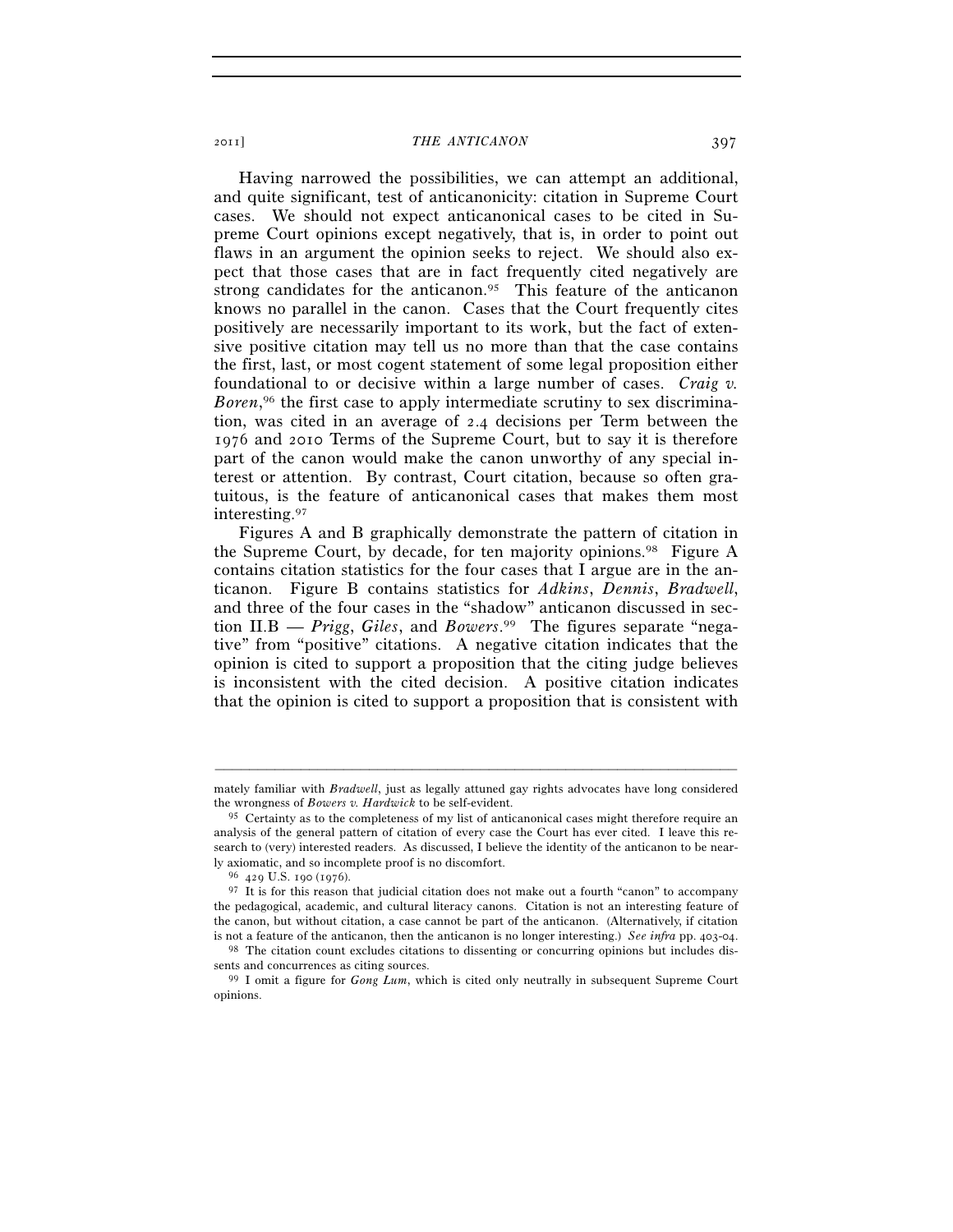Having narrowed the possibilities, we can attempt an additional, and quite significant, test of anticanonicity: citation in Supreme Court cases. We should not expect anticanonical cases to be cited in Supreme Court opinions except negatively, that is, in order to point out flaws in an argument the opinion seeks to reject. We should also expect that those cases that are in fact frequently cited negatively are strong candidates for the anticanon.<sup>95</sup> This feature of the anticanon knows no parallel in the canon. Cases that the Court frequently cites positively are necessarily important to its work, but the fact of extensive positive citation may tell us no more than that the case contains the first, last, or most cogent statement of some legal proposition either foundational to or decisive within a large number of cases. *Craig v.*  Boren,<sup>96</sup> the first case to apply intermediate scrutiny to sex discrimination, was cited in an average of 2.4 decisions per Term between the 1976 and 2010 Terms of the Supreme Court, but to say it is therefore part of the canon would make the canon unworthy of any special interest or attention. By contrast, Court citation, because so often gratuitous, is the feature of anticanonical cases that makes them most interesting.97

Figures A and B graphically demonstrate the pattern of citation in the Supreme Court, by decade, for ten majority opinions.98 Figure A contains citation statistics for the four cases that I argue are in the anticanon. Figure B contains statistics for *Adkins*, *Dennis*, *Bradwell*, and three of the four cases in the "shadow" anticanon discussed in section II.B — *Prigg*, *Giles*, and *Bowers*. 99 The figures separate "negative" from "positive" citations. A negative citation indicates that the opinion is cited to support a proposition that the citing judge believes is inconsistent with the cited decision. A positive citation indicates that the opinion is cited to support a proposition that is consistent with

<sup>–––––––––––––––––––––––––––––––––––––––––––––––––––––––––––––</sup> mately familiar with *Bradwell*, just as legally attuned gay rights advocates have long considered the wrongness of *Bowers v. Hardwick* to be self-evident.

<sup>95</sup> Certainty as to the completeness of my list of anticanonical cases might therefore require an analysis of the general pattern of citation of every case the Court has ever cited. I leave this research to (very) interested readers. As discussed, I believe the identity of the anticanon to be nearly axiomatic, and so incomplete proof is no discomfort. 96 <sup>429</sup> U.S. 190 (1976).

<sup>&</sup>lt;sup>97</sup> It is for this reason that judicial citation does not make out a fourth "canon" to accompany the pedagogical, academic, and cultural literacy canons. Citation is not an interesting feature of the canon, but without citation, a case cannot be part of the anticanon. (Alternatively, if citation

is not a feature of the anticanon, then the anticanon is no longer interesting.) *See infra* pp. 403-04. <sup>98</sup> The citation count excludes citations to dissenting or concurring opinions but includes dissents and concurrence

<sup>&</sup>lt;sup>99</sup> I omit a figure for *Gong Lum*, which is cited only neutrally in subsequent Supreme Court opinions.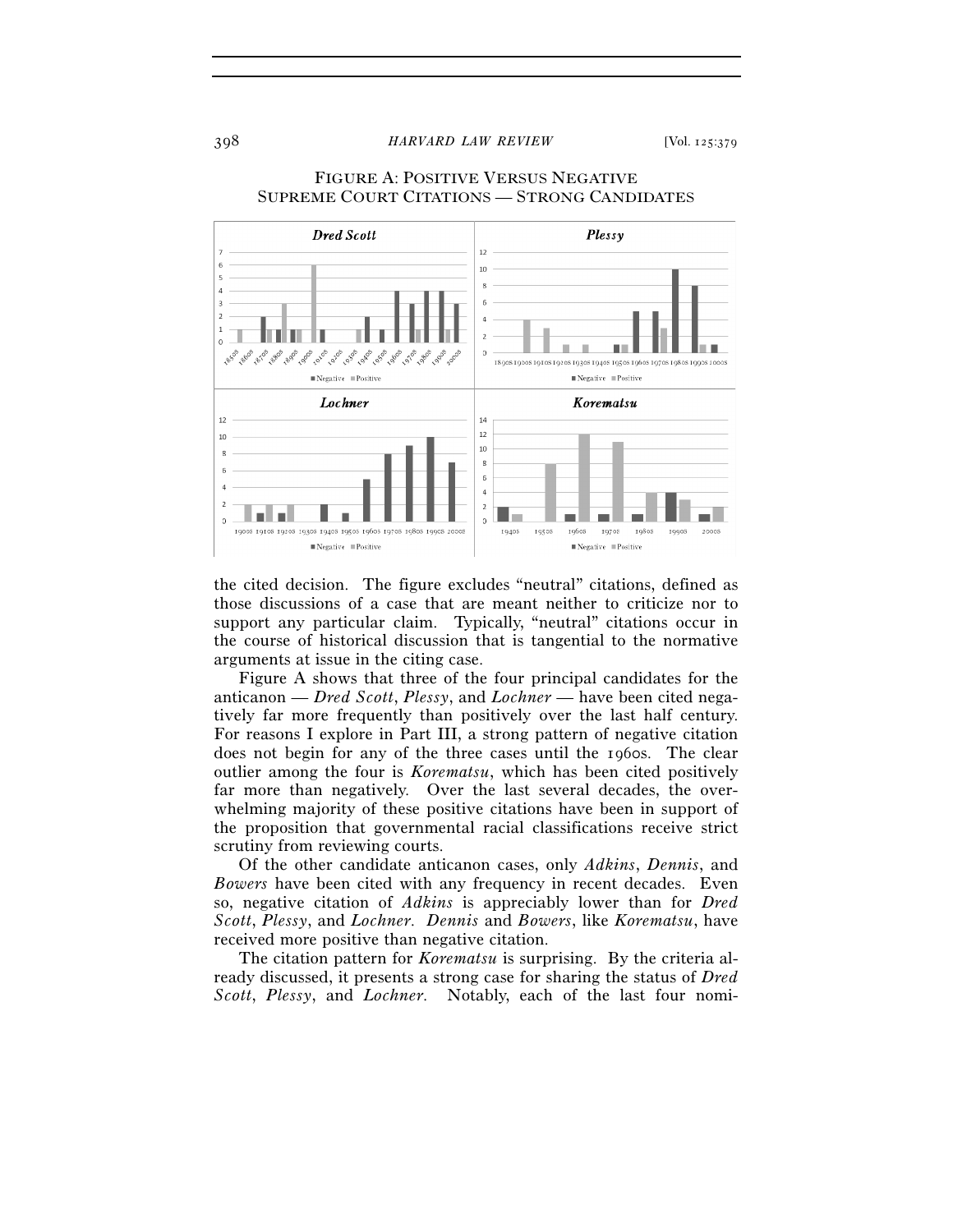398 *HARVARD LAW REVIEW* [Vol. 125:379



## FIGURE A: POSITIVE VERSUS NEGATIVE SUPREME COURT CITATIONS — STRONG CANDIDATES

the cited decision. The figure excludes "neutral" citations, defined as those discussions of a case that are meant neither to criticize nor to support any particular claim. Typically, "neutral" citations occur in the course of historical discussion that is tangential to the normative arguments at issue in the citing case.

 Figure A shows that three of the four principal candidates for the anticanon — *Dred Scott*, *Plessy*, and *Lochner* — have been cited negatively far more frequently than positively over the last half century. For reasons I explore in Part III, a strong pattern of negative citation does not begin for any of the three cases until the 1960s. The clear outlier among the four is *Korematsu*, which has been cited positively far more than negatively. Over the last several decades, the overwhelming majority of these positive citations have been in support of the proposition that governmental racial classifications receive strict scrutiny from reviewing courts.

 Of the other candidate anticanon cases, only *Adkins*, *Dennis*, and *Bowers* have been cited with any frequency in recent decades. Even so, negative citation of *Adkins* is appreciably lower than for *Dred Scott*, *Plessy*, and *Lochner*. *Dennis* and *Bowers*, like *Korematsu*, have received more positive than negative citation.

The citation pattern for *Korematsu* is surprising. By the criteria already discussed, it presents a strong case for sharing the status of *Dred Scott*, *Plessy*, and *Lochner*. Notably, each of the last four nomi-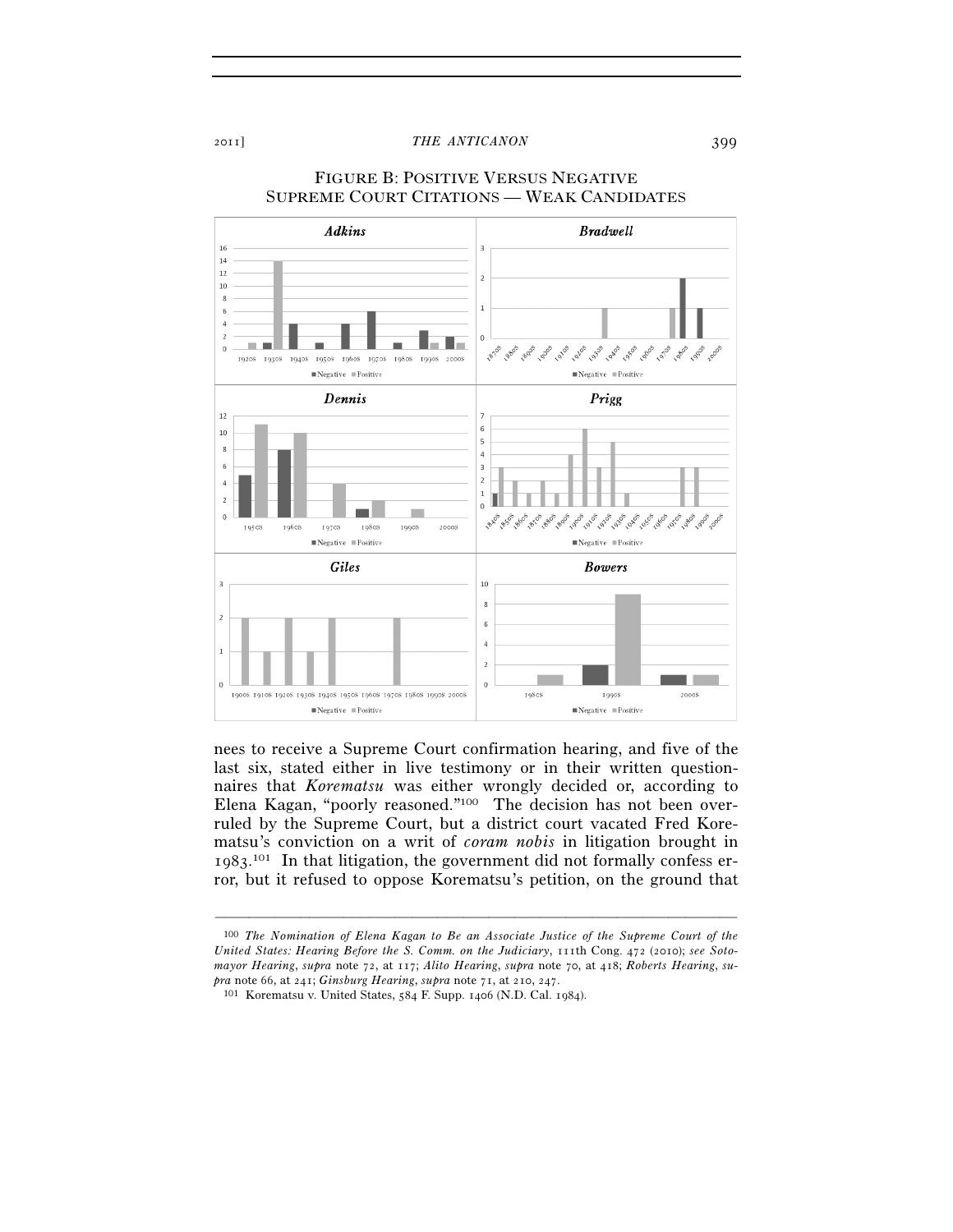

## FIGURE B: POSITIVE VERSUS NEGATIVE SUPREME COURT CITATIONS — WEAK CANDIDATES

nees to receive a Supreme Court confirmation hearing, and five of the last six, stated either in live testimony or in their written questionnaires that *Korematsu* was either wrongly decided or, according to Elena Kagan, "poorly reasoned."100 The decision has not been overruled by the Supreme Court, but a district court vacated Fred Korematsu's conviction on a writ of *coram nobis* in litigation brought in 1983. 101 In that litigation, the government did not formally confess error, but it refused to oppose Korematsu's petition, on the ground that

<sup>100</sup> *The Nomination of Elena Kagan to Be an Associate Justice of the Supreme Court of the United States: Hearing Before the S. Comm. on the Judiciary*, 111th Cong. 472 (2010); *see Sotomayor Hearing*, *supra* note 72, at 117; *Alito Hearing*, *supra* note 70, at 418; *Roberts Hearing*, *supra* note 66, at 241; *Ginsburg Hearing*, *supra* note 71, at 210, 247. 101 Korematsu v. United States, 584 F. Supp. 1406 (N.D. Cal. 1984).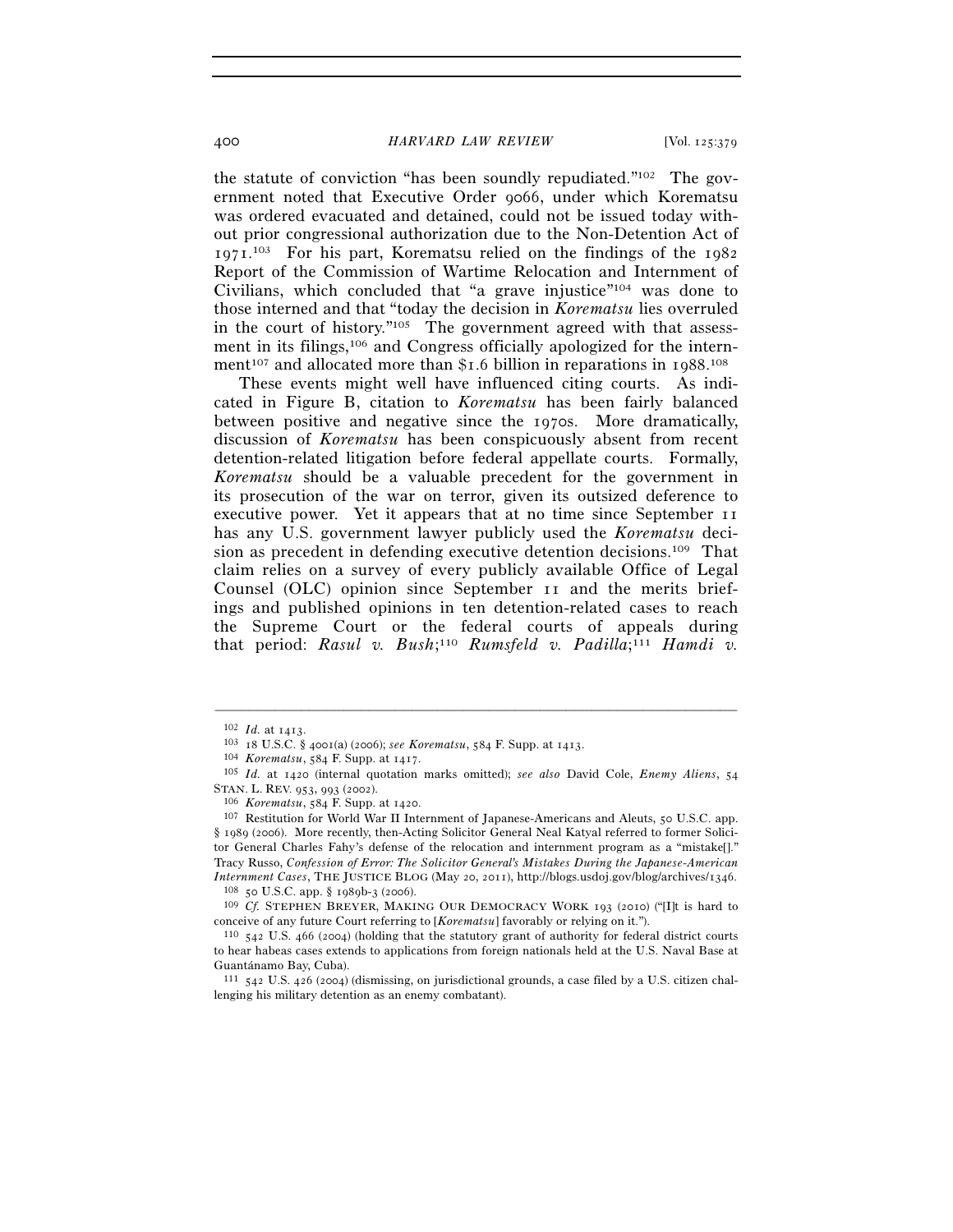## 400 *HARVARD LAW REVIEW* [Vol. 125:379

the statute of conviction "has been soundly repudiated."102 The government noted that Executive Order 9066, under which Korematsu was ordered evacuated and detained, could not be issued today without prior congressional authorization due to the Non-Detention Act of 1971. 103 For his part, Korematsu relied on the findings of the 1982 Report of the Commission of Wartime Relocation and Internment of Civilians, which concluded that "a grave injustice"104 was done to those interned and that "today the decision in *Korematsu* lies overruled in the court of history."105 The government agreed with that assessment in its filings,106 and Congress officially apologized for the internment<sup>107</sup> and allocated more than \$1.6 billion in reparations in 1988.<sup>108</sup>

These events might well have influenced citing courts. As indicated in Figure B, citation to *Korematsu* has been fairly balanced between positive and negative since the 1970s. More dramatically, discussion of *Korematsu* has been conspicuously absent from recent detention-related litigation before federal appellate courts. Formally, *Korematsu* should be a valuable precedent for the government in its prosecution of the war on terror, given its outsized deference to executive power. Yet it appears that at no time since September 11 has any U.S. government lawyer publicly used the *Korematsu* decision as precedent in defending executive detention decisions.109 That claim relies on a survey of every publicly available Office of Legal Counsel (OLC) opinion since September 11 and the merits briefings and published opinions in ten detention-related cases to reach the Supreme Court or the federal courts of appeals during that period: Rasul v. Bush;<sup>110</sup> Rumsfeld v. Padilla;<sup>111</sup> Hamdi v.

<sup>102</sup> *Id.* at 1413.<br>
<sup>103</sup> 18 U.S.C. § 4001(a) (2006); *see Korematsu*, 584 F. Supp. at 1413.<br>
<sup>104</sup> *Korematsu*, 584 F. Supp. at 1417.<br>
<sup>105</sup> *Id.* at 1420 (internal quotation marks omitted); *see also* David Cole, *Enemy* STAN. L. REV. 953, 993 (2002). 106 *Korematsu*, 584 F. Supp. at 1420. 107 Restitution for World War II Internment of Japanese-Americans and Aleuts, 50 U.S.C. app.

<sup>§</sup> 1989 (2006). More recently, then-Acting Solicitor General Neal Katyal referred to former Solicitor General Charles Fahy's defense of the relocation and internment program as a "mistake[]." Tracy Russo, *Confession of Error: The Solicitor General's Mistakes During the Japanese-American* 

*Internment Cases*, THE JUSTICE BLOG (May 20, 2011), http://blogs.usdoj.gov/blog/archives/1346.<br><sup>108</sup> 50 U.S.C. app. § 1989b-3 (2006).<br><sup>109</sup> *Cf.* STEPHEN BREYER, MAKING OUR DEMOCRACY WORK 193 (2010) ("[I]t is hard to<br>conc

<sup>&</sup>lt;sup>110</sup> 542 U.S. 466 (2004) (holding that the statutory grant of authority for federal district courts to hear habeas cases extends to applications from foreign nationals held at the U.S. Naval Base at Guantánamo Bay, Cuba).

<sup>111</sup> 542 U.S. 426 (2004) (dismissing, on jurisdictional grounds, a case filed by a U.S. citizen challenging his military detention as an enemy combatant).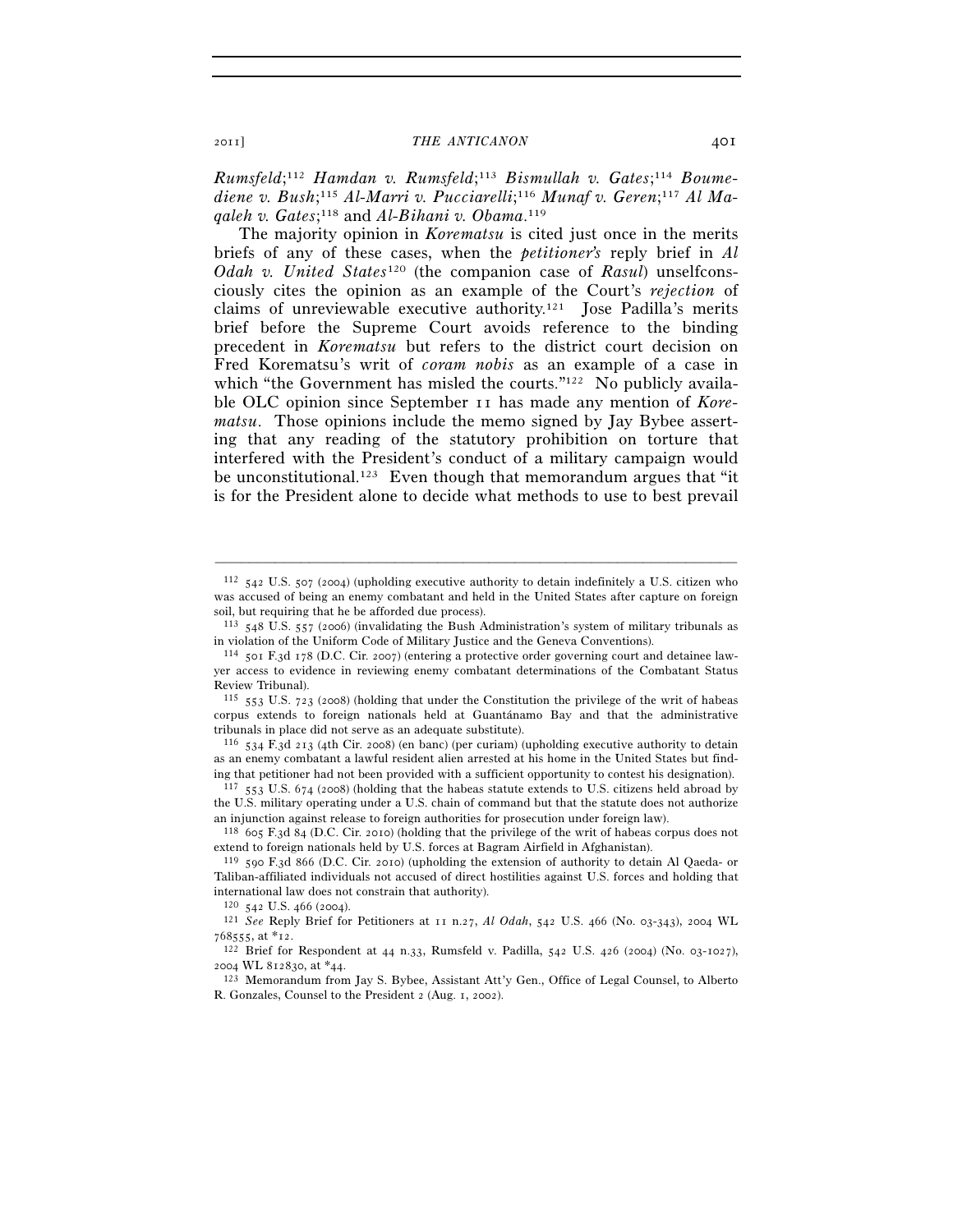*Rumsfeld*; <sup>112</sup> *Hamdan v. Rumsfeld*; <sup>113</sup> *Bismullah v. Gates*; <sup>114</sup> *Boume*diene v. Bush;<sup>115</sup> Al-Marri v. Pucciarelli;<sup>116</sup> Munaf v. Geren;<sup>117</sup> Al Ma*qaleh v. Gates*; 118 and *Al-Bihani v. Obama*. 119

The majority opinion in *Korematsu* is cited just once in the merits briefs of any of these cases, when the *petitioner's* reply brief in *Al Odah v. United States*120 (the companion case of *Rasul*) unselfconsciously cites the opinion as an example of the Court's *rejection* of claims of unreviewable executive authority.121 Jose Padilla's merits brief before the Supreme Court avoids reference to the binding precedent in *Korematsu* but refers to the district court decision on Fred Korematsu's writ of *coram nobis* as an example of a case in which "the Government has misled the courts."<sup>122</sup> No publicly available OLC opinion since September 11 has made any mention of *Korematsu*. Those opinions include the memo signed by Jay Bybee asserting that any reading of the statutory prohibition on torture that interfered with the President's conduct of a military campaign would be unconstitutional.123 Even though that memorandum argues that "it is for the President alone to decide what methods to use to best prevail

–––––––––––––––––––––––––––––––––––––––––––––––––––––––––––––

 $116$  534 F.3d 213 (4th Cir. 2008) (en banc) (per curiam) (upholding executive authority to detain as an enemy combatant a lawful resident alien arrested at his home in the United States but finding that petitioner had not been provided with a sufficient opportunity to contest his designation).  $117\,553\,$  U.S. 674 (2008) (holding that the habeas statute extends to U.S. citizens held abroad by

the U.S. military operating under a U.S. chain of command but that the statute does not authorize an injunction against release to foreign authorities for prosecution under foreign law).

118 605 F.3d 84 (D.C. Cir. 2010) (holding that the privilege of the writ of habeas corpus does not extend to foreign nationals held by U.S. forces at Bagram Airfield in Afghanistan).

<sup>112</sup> 542 U.S. 507 (2004) (upholding executive authority to detain indefinitely a U.S. citizen who was accused of being an enemy combatant and held in the United States after capture on foreign soil, but requiring that he be afforded due process).

<sup>113</sup> 548 U.S. 557 (2006) (invalidating the Bush Administration's system of military tribunals as in violation of the Uniform Code of Military Justice and the Geneva Conventions).

<sup>114</sup> 501 F.3d 178 (D.C. Cir. 2007) (entering a protective order governing court and detainee lawyer access to evidence in reviewing enemy combatant determinations of the Combatant Status Review Tribunal).

<sup>115</sup> 553 U.S. 723 (2008) (holding that under the Constitution the privilege of the writ of habeas corpus extends to foreign nationals held at Guantánamo Bay and that the administrative tribunals in place did not serve as an adequate substitute).

<sup>119</sup> 590 F.3d 866 (D.C. Cir. 2010) (upholding the extension of authority to detain Al Qaeda- or Taliban-affiliated individuals not accused of direct hostilities against U.S. forces and holding that international law does not constrain that authority).<br> $120\,$   $542$  U.S. 466 (2004).

<sup>120</sup> <sup>542</sup> U.S. 466 (2004). 121 *See* Reply Brief for Petitioners at 11 n.27, *Al Odah*, 542 U.S. 466 (No. 03-343), 2004 WL

<sup>768555</sup>, at \*12. 122 Brief for Respondent at 44 n.33, Rumsfeld v. Padilla, 542 U.S. 426 (2004) (No. 03-1027),

<sup>&</sup>lt;sup>123</sup> Memorandum from Jay S. Bybee, Assistant Att'y Gen., Office of Legal Counsel, to Alberto R. Gonzales, Counsel to the President 2 (Aug. 1, 2002).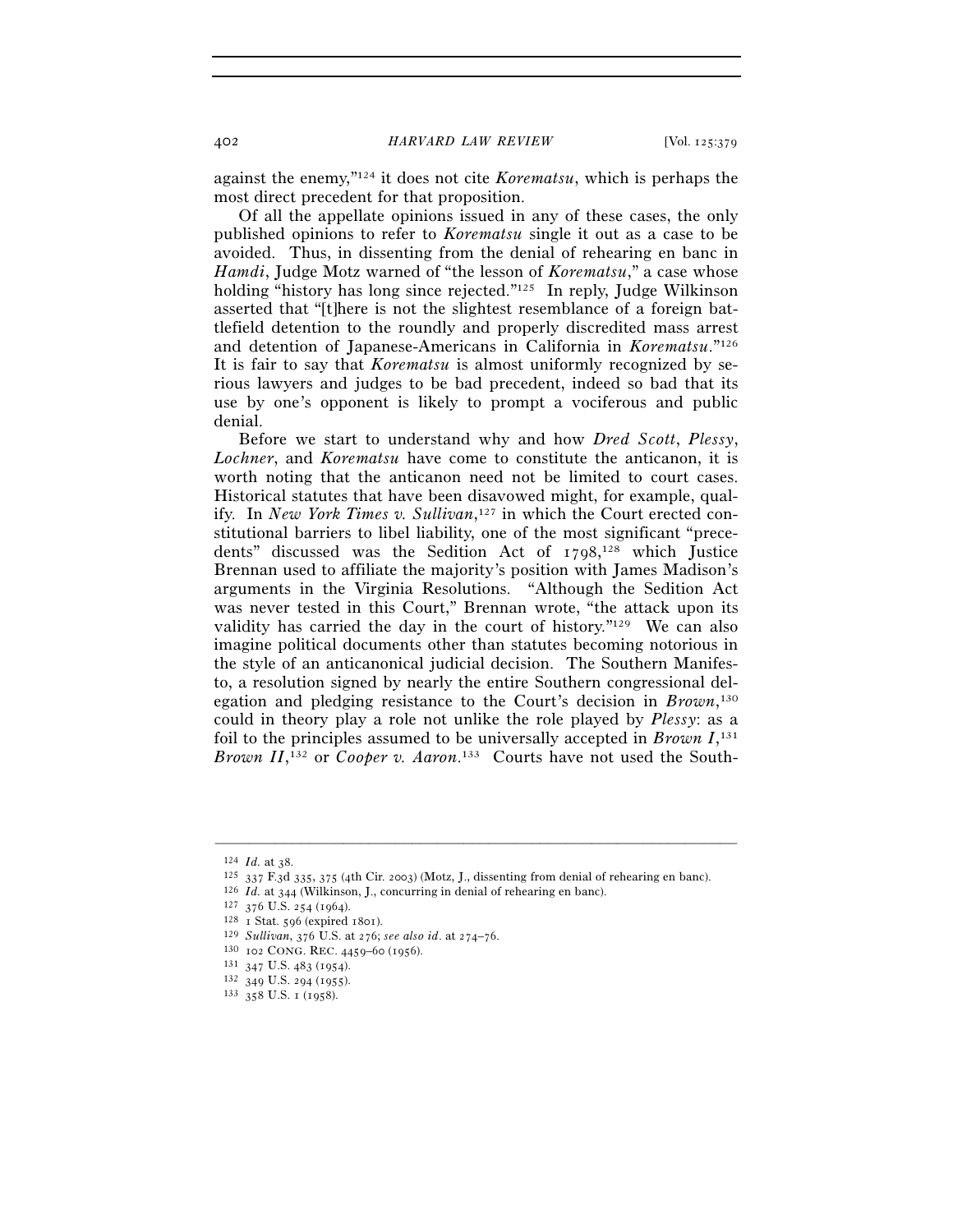against the enemy,"124 it does not cite *Korematsu*, which is perhaps the most direct precedent for that proposition.

Of all the appellate opinions issued in any of these cases, the only published opinions to refer to *Korematsu* single it out as a case to be avoided. Thus, in dissenting from the denial of rehearing en banc in *Hamdi*, Judge Motz warned of "the lesson of *Korematsu*," a case whose holding "history has long since rejected."125 In reply, Judge Wilkinson asserted that "[t]here is not the slightest resemblance of a foreign battlefield detention to the roundly and properly discredited mass arrest and detention of Japanese-Americans in California in *Korematsu*."126 It is fair to say that *Korematsu* is almost uniformly recognized by serious lawyers and judges to be bad precedent, indeed so bad that its use by one's opponent is likely to prompt a vociferous and public denial.

Before we start to understand why and how *Dred Scott*, *Plessy*, *Lochner*, and *Korematsu* have come to constitute the anticanon, it is worth noting that the anticanon need not be limited to court cases. Historical statutes that have been disavowed might, for example, qualify. In *New York Times v. Sullivan*, 127 in which the Court erected constitutional barriers to libel liability, one of the most significant "precedents" discussed was the Sedition Act of 1798, 128 which Justice Brennan used to affiliate the majority's position with James Madison's arguments in the Virginia Resolutions. "Although the Sedition Act was never tested in this Court," Brennan wrote, "the attack upon its validity has carried the day in the court of history."129 We can also imagine political documents other than statutes becoming notorious in the style of an anticanonical judicial decision. The Southern Manifesto, a resolution signed by nearly the entire Southern congressional delegation and pledging resistance to the Court's decision in *Brown*, 130 could in theory play a role not unlike the role played by *Plessy*: as a foil to the principles assumed to be universally accepted in *Brown I*, 131 Brown II,<sup>132</sup> or *Cooper v. Aaron*.<sup>133</sup> Courts have not used the South-

<sup>&</sup>lt;sup>124</sup> *Id.* at 38.<br>
<sup>125</sup> 337 F.3d 335, 375 (4th Cir. 2003) (Motz, J., dissenting from denial of rehearing en banc).<br>
<sup>126</sup> *Id.* at 344 (Wilkinson, J., concurring in denial of rehearing en banc).<br>
<sup>127</sup> 376 U.S. 254 (196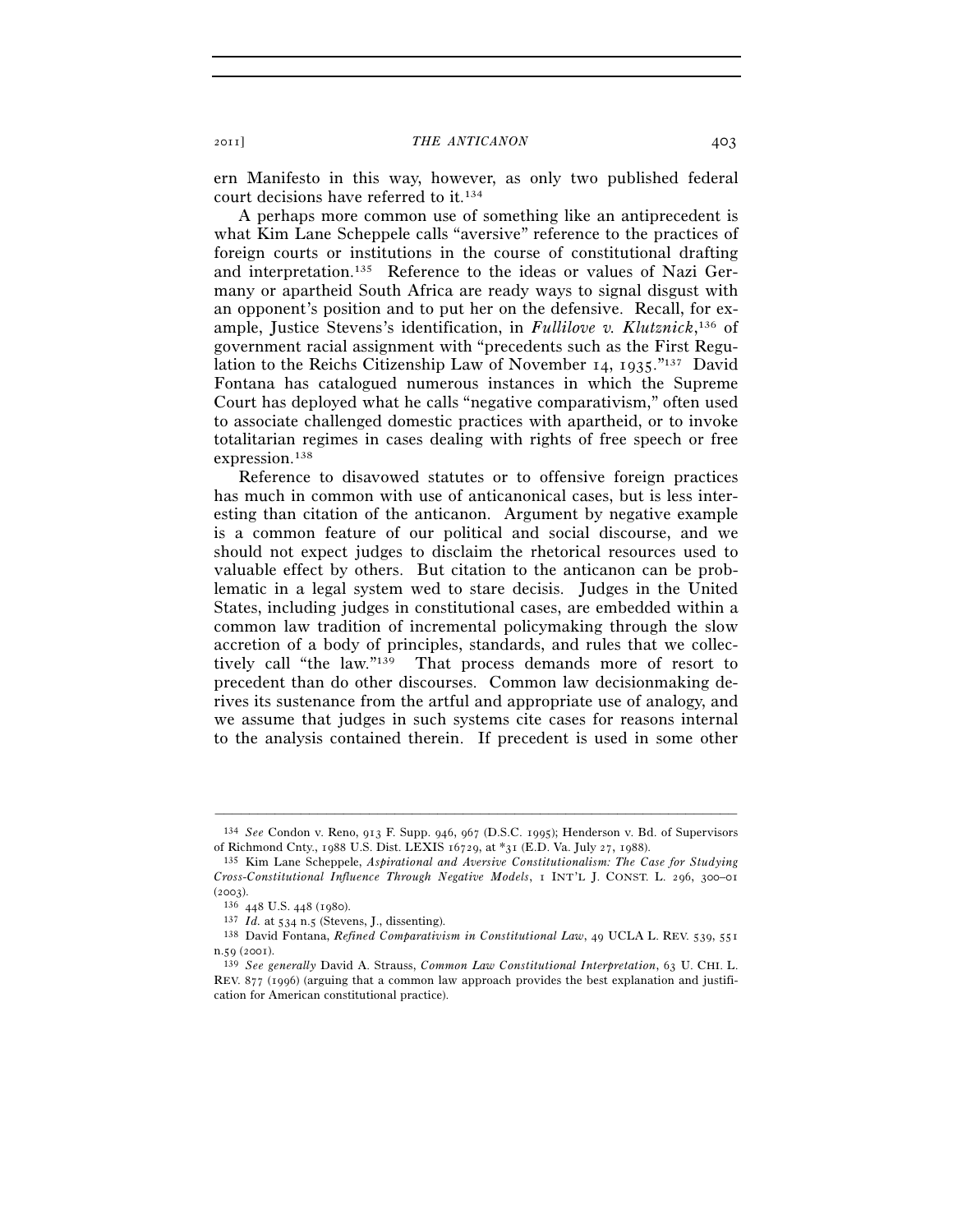ern Manifesto in this way, however, as only two published federal court decisions have referred to it.134

A perhaps more common use of something like an antiprecedent is what Kim Lane Scheppele calls "aversive" reference to the practices of foreign courts or institutions in the course of constitutional drafting and interpretation.135 Reference to the ideas or values of Nazi Germany or apartheid South Africa are ready ways to signal disgust with an opponent's position and to put her on the defensive. Recall, for example, Justice Stevens's identification, in *Fullilove v. Klutznick*, 136 of government racial assignment with "precedents such as the First Regulation to the Reichs Citizenship Law of November 14, 1935."137 David Fontana has catalogued numerous instances in which the Supreme Court has deployed what he calls "negative comparativism," often used to associate challenged domestic practices with apartheid, or to invoke totalitarian regimes in cases dealing with rights of free speech or free expression.<sup>138</sup>

Reference to disavowed statutes or to offensive foreign practices has much in common with use of anticanonical cases, but is less interesting than citation of the anticanon. Argument by negative example is a common feature of our political and social discourse, and we should not expect judges to disclaim the rhetorical resources used to valuable effect by others. But citation to the anticanon can be problematic in a legal system wed to stare decisis. Judges in the United States, including judges in constitutional cases, are embedded within a common law tradition of incremental policymaking through the slow accretion of a body of principles, standards, and rules that we collectively call "the law."139 That process demands more of resort to precedent than do other discourses. Common law decisionmaking derives its sustenance from the artful and appropriate use of analogy, and we assume that judges in such systems cite cases for reasons internal to the analysis contained therein. If precedent is used in some other

<sup>–––––––––––––––––––––––––––––––––––––––––––––––––––––––––––––</sup> 134 *See* Condon v. Reno, 913 F. Supp. 946, 967 (D.S.C. 1995); Henderson v. Bd. of Supervisors of Richmond Cnty., 1988 U.S. Dist. LEXIS 16729, at \*31 (E.D. Va. July 27, 1988). 135 Kim Lane Scheppele, *Aspirational and Aversive Constitutionalism: The Case for Studying* 

*Cross-Constitutional Influence Through Negative Models*, 1 INT'L J. CONST. L. 296, 300–01 (2003). 136 <sup>448</sup> U.S. 448 (1980). 137 *Id.* at 534 n.5 (Stevens, J., dissenting). 138 David Fontana, *Refined Comparativism in Constitutional Law*, 49 UCLA L. REV. 539, <sup>551</sup>

n.59 (2001). 139 *See generally* David A. Strauss, *Common Law Constitutional Interpretation*, 63 U. CHI. L.

REV. 877 (1996) (arguing that a common law approach provides the best explanation and justification for American constitutional practice).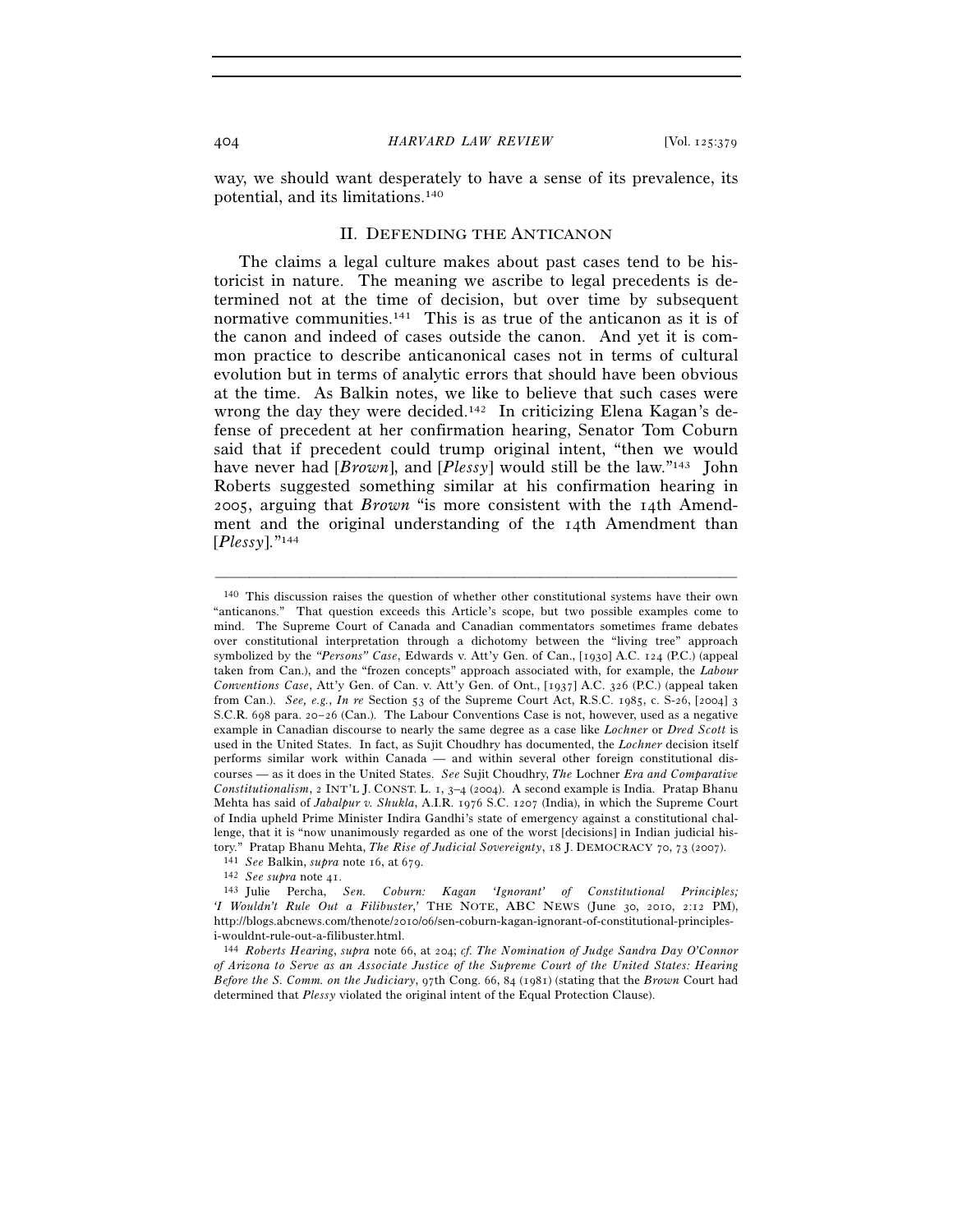way, we should want desperately to have a sense of its prevalence, its potential, and its limitations.140

## II. DEFENDING THE ANTICANON

The claims a legal culture makes about past cases tend to be historicist in nature. The meaning we ascribe to legal precedents is determined not at the time of decision, but over time by subsequent normative communities.141 This is as true of the anticanon as it is of the canon and indeed of cases outside the canon. And yet it is common practice to describe anticanonical cases not in terms of cultural evolution but in terms of analytic errors that should have been obvious at the time. As Balkin notes, we like to believe that such cases were wrong the day they were decided.142 In criticizing Elena Kagan's defense of precedent at her confirmation hearing, Senator Tom Coburn said that if precedent could trump original intent, "then we would have never had [*Brown*], and [*Plessy*] would still be the law."143 John Roberts suggested something similar at his confirmation hearing in 2005, arguing that *Brown* "is more consistent with the 14th Amendment and the original understanding of the 14th Amendment than [*Plessy*]."144

<sup>140</sup> This discussion raises the question of whether other constitutional systems have their own "anticanons." That question exceeds this Article's scope, but two possible examples come to mind. The Supreme Court of Canada and Canadian commentators sometimes frame debates over constitutional interpretation through a dichotomy between the "living tree" approach symbolized by the *"Persons" Case*, Edwards v. Att'y Gen. of Can., [1930] A.C. 124 (P.C.) (appeal taken from Can.), and the "frozen concepts" approach associated with, for example, the *Labour Conventions Case*, Att'y Gen. of Can. v. Att'y Gen. of Ont., [1937] A.C. 326 (P.C.) (appeal taken from Can.). *See, e.g.*, *In re* Section 53 of the Supreme Court Act, R.S.C. 1985, c. S-26, [2004] 3 S.C.R. 698 para. 20–26 (Can.). The Labour Conventions Case is not, however, used as a negative example in Canadian discourse to nearly the same degree as a case like *Lochner* or *Dred Scott* is used in the United States. In fact, as Sujit Choudhry has documented, the *Lochner* decision itself performs similar work within Canada — and within several other foreign constitutional discourses — as it does in the United States. *See* Sujit Choudhry, *The* Lochner *Era and Comparative Constitutionalism*, 2 INT'L J. CONST. L. 1, 3–4 (2004). A second example is India. Pratap Bhanu Mehta has said of *Jabalpur v. Shukla*, A.I.R. 1976 S.C. 1207 (India), in which the Supreme Court of India upheld Prime Minister Indira Gandhi's state of emergency against a constitutional challenge, that it is "now unanimously regarded as one of the worst [decisions] in Indian judicial history." Pratap Bhanu Mehta, *The Rise of Judicial Sovereignty*, 18 J. DEMOCRACY 70, 73 (2007).<br>
<sup>141</sup> See Balkin, *supra* note 16, at 679.<br>
<sup>142</sup> See supra note 41.<br>
<sup>142</sup> Julie Percha, *Sen.* Coburn: Kagan 'Ignorant' of Co

*<sup>&#</sup>x27;I Wouldn't Rule Out a Filibuster*,*'* THE NOTE, ABC NEWS (June 30, 2010, 2:12 PM), http://blogs.abcnews.com/thenote/2010/06/sen-coburn-kagan-ignorant-of-constitutional-principlesi-wouldnt-rule-out-a-filibuster.html.

<sup>144</sup> *Roberts Hearing*, *supra* note 66, at 204; *cf. The Nomination of Judge Sandra Day O'Connor of Arizona to Serve as an Associate Justice of the Supreme Court of the United States: Hearing Before the S. Comm. on the Judiciary*, 97th Cong. 66, 84 (1981) (stating that the *Brown* Court had determined that *Plessy* violated the original intent of the Equal Protection Clause).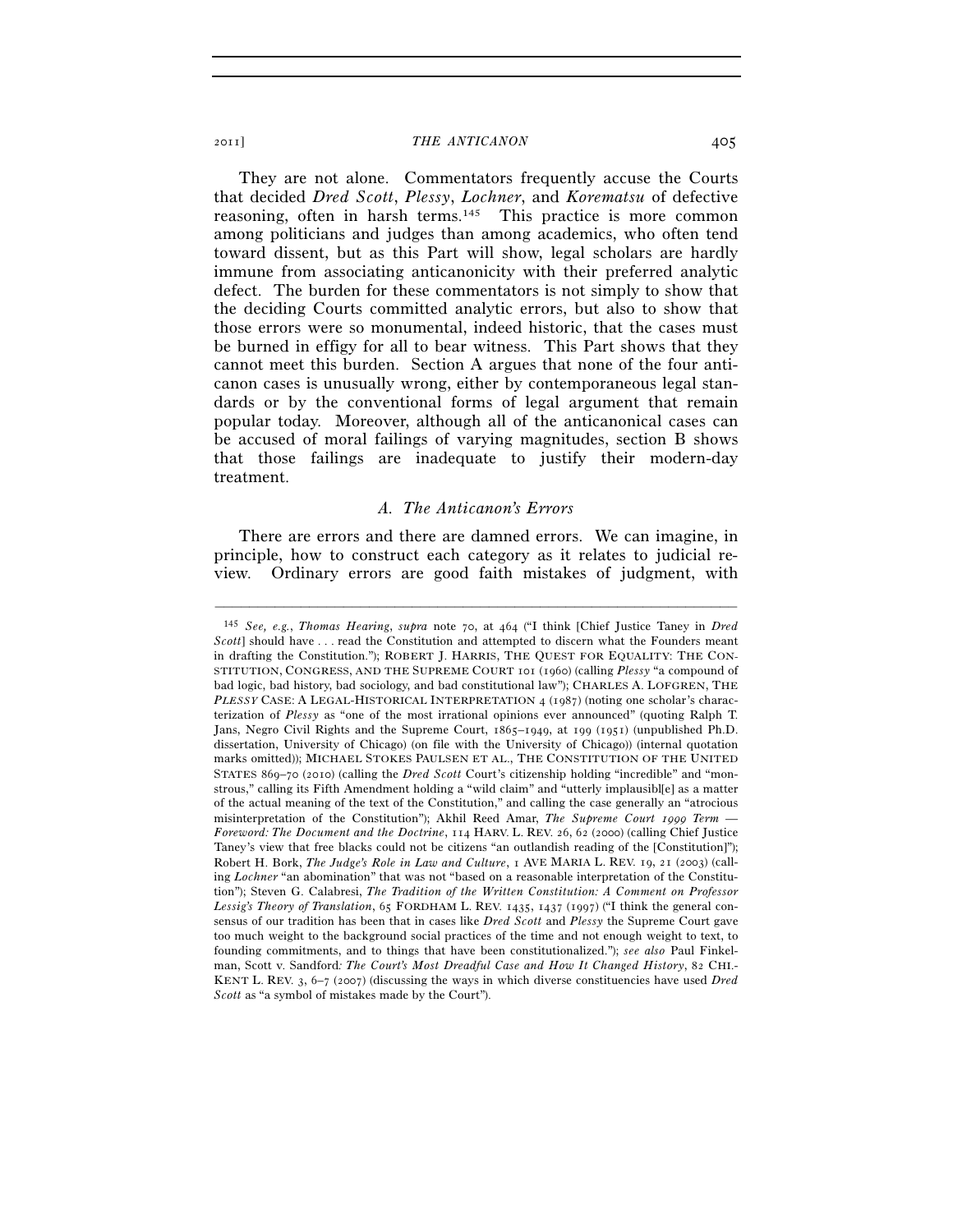They are not alone. Commentators frequently accuse the Courts that decided *Dred Scott*, *Plessy*, *Lochner*, and *Korematsu* of defective reasoning, often in harsh terms.<sup>145</sup> This practice is more common among politicians and judges than among academics, who often tend toward dissent, but as this Part will show, legal scholars are hardly immune from associating anticanonicity with their preferred analytic defect. The burden for these commentators is not simply to show that the deciding Courts committed analytic errors, but also to show that those errors were so monumental, indeed historic, that the cases must be burned in effigy for all to bear witness. This Part shows that they cannot meet this burden. Section A argues that none of the four anticanon cases is unusually wrong, either by contemporaneous legal standards or by the conventional forms of legal argument that remain popular today. Moreover, although all of the anticanonical cases can be accused of moral failings of varying magnitudes, section B shows that those failings are inadequate to justify their modern-day treatment.

## *A. The Anticanon's Errors*

There are errors and there are damned errors. We can imagine, in principle, how to construct each category as it relates to judicial review. Ordinary errors are good faith mistakes of judgment, with

<sup>145</sup> *See, e.g.*, *Thomas Hearing*, *supra* note 70, at 464 ("I think [Chief Justice Taney in *Dred Scott*] should have . . . read the Constitution and attempted to discern what the Founders meant in drafting the Constitution."); ROBERT J. HARRIS, THE QUEST FOR EQUALITY: THE CON-STITUTION, CONGRESS, AND THE SUPREME COURT 101 (1960) (calling *Plessy* "a compound of bad logic, bad history, bad sociology, and bad constitutional law"); CHARLES A. LOFGREN, THE *PLESSY* CASE: A LEGAL-HISTORICAL INTERPRETATION 4 (1987) (noting one scholar's characterization of *Plessy* as "one of the most irrational opinions ever announced" (quoting Ralph T. Jans, Negro Civil Rights and the Supreme Court, 1865–1949, at 199 (1951) (unpublished Ph.D. dissertation, University of Chicago) (on file with the University of Chicago)) (internal quotation marks omitted)); MICHAEL STOKES PAULSEN ET AL., THE CONSTITUTION OF THE UNITED STATES 869–70 (2010) (calling the *Dred Scott* Court's citizenship holding "incredible" and "monstrous," calling its Fifth Amendment holding a "wild claim" and "utterly implausibl[e] as a matter of the actual meaning of the text of the Constitution," and calling the case generally an "atrocious misinterpretation of the Constitution"); Akhil Reed Amar, *The Supreme Court 1999 Term — Foreword: The Document and the Doctrine*, 114 HARV. L. REV. 26, 62 (2000) (calling Chief Justice Taney's view that free blacks could not be citizens "an outlandish reading of the [Constitution]"); Robert H. Bork, *The Judge's Role in Law and Culture*, 1 AVE MARIA L. REV. 19, 21 (2003) (calling *Lochner* "an abomination" that was not "based on a reasonable interpretation of the Constitution"); Steven G. Calabresi, *The Tradition of the Written Constitution: A Comment on Professor Lessig's Theory of Translation*, 65 FORDHAM L. REV. 1435, 1437 (1997) ("I think the general consensus of our tradition has been that in cases like *Dred Scott* and *Plessy* the Supreme Court gave too much weight to the background social practices of the time and not enough weight to text, to founding commitments, and to things that have been constitutionalized."); *see also* Paul Finkelman, Scott v. Sandford*: The Court's Most Dreadful Case and How It Changed History*, 82 CHI.- KENT L. REV. 3, 6–7 (2007) (discussing the ways in which diverse constituencies have used *Dred Scott* as "a symbol of mistakes made by the Court").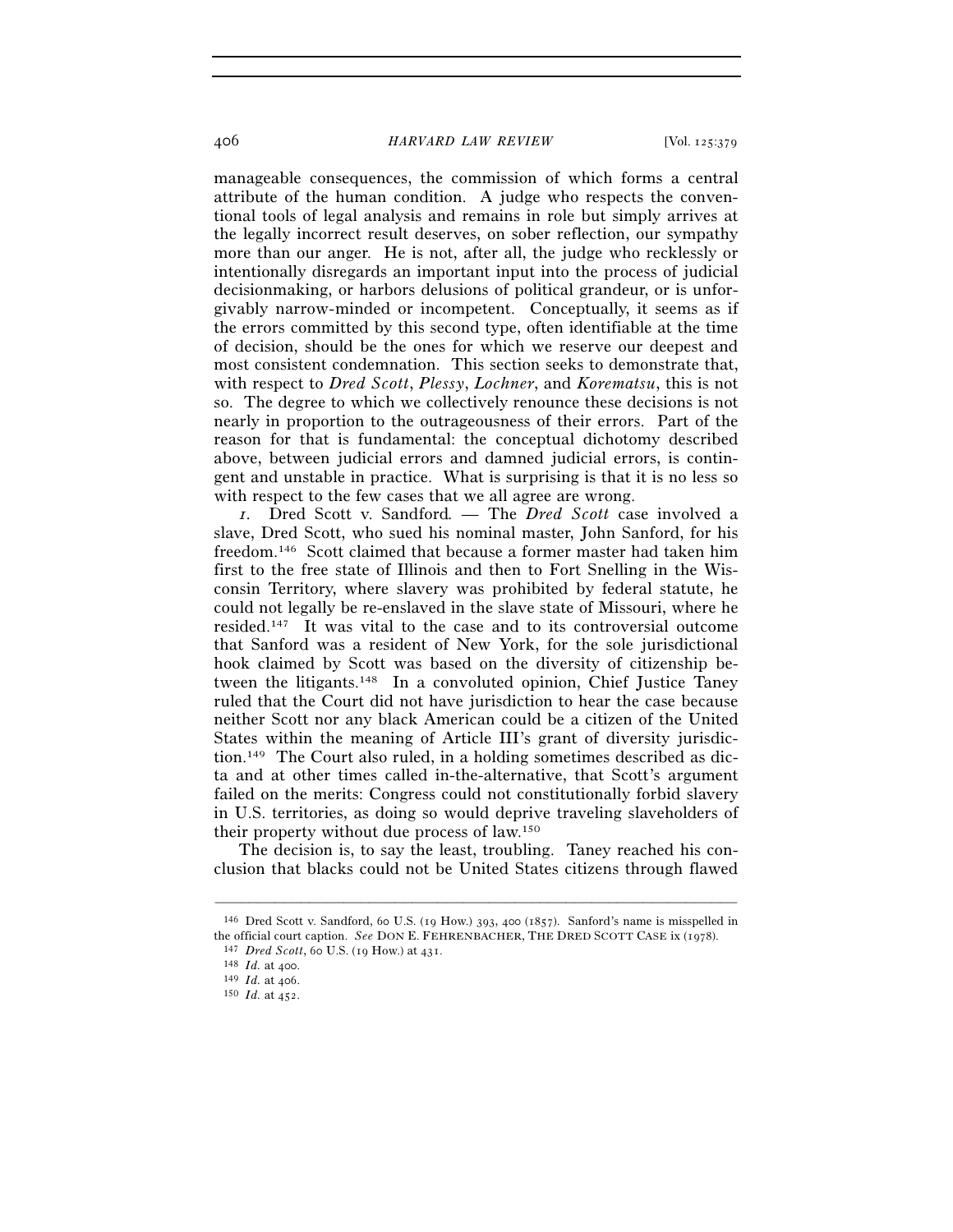#### 406 *HARVARD LAW REVIEW* [Vol. 125:379

manageable consequences, the commission of which forms a central attribute of the human condition. A judge who respects the conventional tools of legal analysis and remains in role but simply arrives at the legally incorrect result deserves, on sober reflection, our sympathy more than our anger. He is not, after all, the judge who recklessly or intentionally disregards an important input into the process of judicial decisionmaking, or harbors delusions of political grandeur, or is unforgivably narrow-minded or incompetent. Conceptually, it seems as if the errors committed by this second type, often identifiable at the time of decision, should be the ones for which we reserve our deepest and most consistent condemnation. This section seeks to demonstrate that, with respect to *Dred Scott*, *Plessy*, *Lochner*, and *Korematsu*, this is not so. The degree to which we collectively renounce these decisions is not nearly in proportion to the outrageousness of their errors. Part of the reason for that is fundamental: the conceptual dichotomy described above, between judicial errors and damned judicial errors, is contingent and unstable in practice. What is surprising is that it is no less so with respect to the few cases that we all agree are wrong.

*1.* Dred Scott v. Sandford*. —* The *Dred Scott* case involved a slave, Dred Scott, who sued his nominal master, John Sanford, for his freedom.146 Scott claimed that because a former master had taken him first to the free state of Illinois and then to Fort Snelling in the Wisconsin Territory, where slavery was prohibited by federal statute, he could not legally be re-enslaved in the slave state of Missouri, where he resided.147 It was vital to the case and to its controversial outcome that Sanford was a resident of New York, for the sole jurisdictional hook claimed by Scott was based on the diversity of citizenship between the litigants.148 In a convoluted opinion, Chief Justice Taney ruled that the Court did not have jurisdiction to hear the case because neither Scott nor any black American could be a citizen of the United States within the meaning of Article III's grant of diversity jurisdiction.149 The Court also ruled, in a holding sometimes described as dicta and at other times called in-the-alternative, that Scott's argument failed on the merits: Congress could not constitutionally forbid slavery in U.S. territories, as doing so would deprive traveling slaveholders of their property without due process of law.150

The decision is, to say the least, troubling. Taney reached his conclusion that blacks could not be United States citizens through flawed

<sup>–––––––––––––––––––––––––––––––––––––––––––––––––––––––––––––</sup> 146 Dred Scott v. Sandford, 60 U.S. (19 How.) 393, 400 (1857). Sanford's name is misspelled in the official court caption. *See* DON E. FEHRENBACHER, THE DRED SCOTT CASE ix (1978).<br><sup>147</sup> *Dred Scott*, 60 U.S. (19 How.) at 431.<br><sup>148</sup> *Id.* at 400.<br><sup>149</sup> *Id.* at 406.<br><sup>150</sup> *Id.* at 452.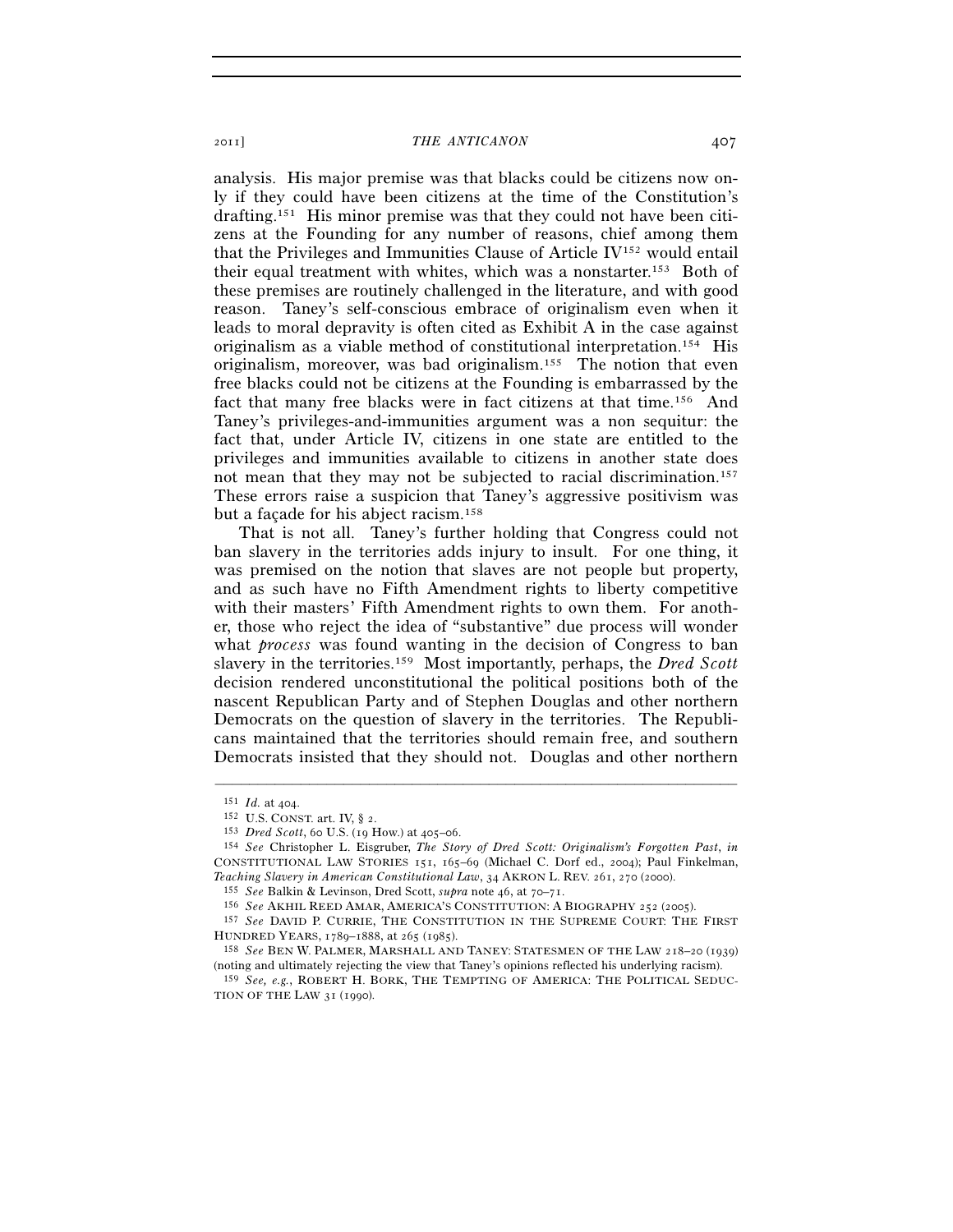analysis. His major premise was that blacks could be citizens now only if they could have been citizens at the time of the Constitution's drafting.151 His minor premise was that they could not have been citizens at the Founding for any number of reasons, chief among them that the Privileges and Immunities Clause of Article IV152 would entail their equal treatment with whites, which was a nonstarter.153 Both of these premises are routinely challenged in the literature, and with good reason. Taney's self-conscious embrace of originalism even when it leads to moral depravity is often cited as Exhibit A in the case against originalism as a viable method of constitutional interpretation.154 His originalism, moreover, was bad originalism.155 The notion that even free blacks could not be citizens at the Founding is embarrassed by the fact that many free blacks were in fact citizens at that time.156 And Taney's privileges-and-immunities argument was a non sequitur: the fact that, under Article IV, citizens in one state are entitled to the privileges and immunities available to citizens in another state does not mean that they may not be subjected to racial discrimination.157 These errors raise a suspicion that Taney's aggressive positivism was but a façade for his abject racism.158

That is not all. Taney's further holding that Congress could not ban slavery in the territories adds injury to insult. For one thing, it was premised on the notion that slaves are not people but property, and as such have no Fifth Amendment rights to liberty competitive with their masters' Fifth Amendment rights to own them. For another, those who reject the idea of "substantive" due process will wonder what *process* was found wanting in the decision of Congress to ban slavery in the territories.159 Most importantly, perhaps, the *Dred Scott* decision rendered unconstitutional the political positions both of the nascent Republican Party and of Stephen Douglas and other northern Democrats on the question of slavery in the territories. The Republicans maintained that the territories should remain free, and southern Democrats insisted that they should not. Douglas and other northern

<sup>151</sup> *Id.* at 404. 152 U.S. CONST. art. IV, § 2. 153 *Dred Scott*, 60 U.S. (19 How.) at 405–06. 154 *See* Christopher L. Eisgruber, *The Story of Dred Scott: Originalism's Forgotten Past*, *in* CONSTITUTIONAL LAW STORIES 151, 165–69 (Michael C. Dorf ed., 2004); Paul Finkelman, Teaching Slavery in American Constitutional Law, 34 AKRON L. REV. 261, 270 (2000).<br><sup>155</sup> See Balkin & Levinson, Dred Scott, *supra* note 46, at 70–71.<br><sup>156</sup> See AKHIL REED AMAR, AMERICA'S CONSTITUTION: A BIOGRAPHY 252 (200

HUNDRED YEARS, <sup>1789</sup>–1888, at 265 (1985). 158 *See* BEN W. PALMER, MARSHALL AND TANEY: STATESMEN OF THE LAW <sup>218</sup>–20 (1939)

<sup>(</sup>noting and ultimately rejecting the view that Taney's opinions reflected his underlying racism).

<sup>159</sup> *See, e.g.*, ROBERT H. BORK, THE TEMPTING OF AMERICA: THE POLITICAL SEDUC-TION OF THE LAW 31 (1990).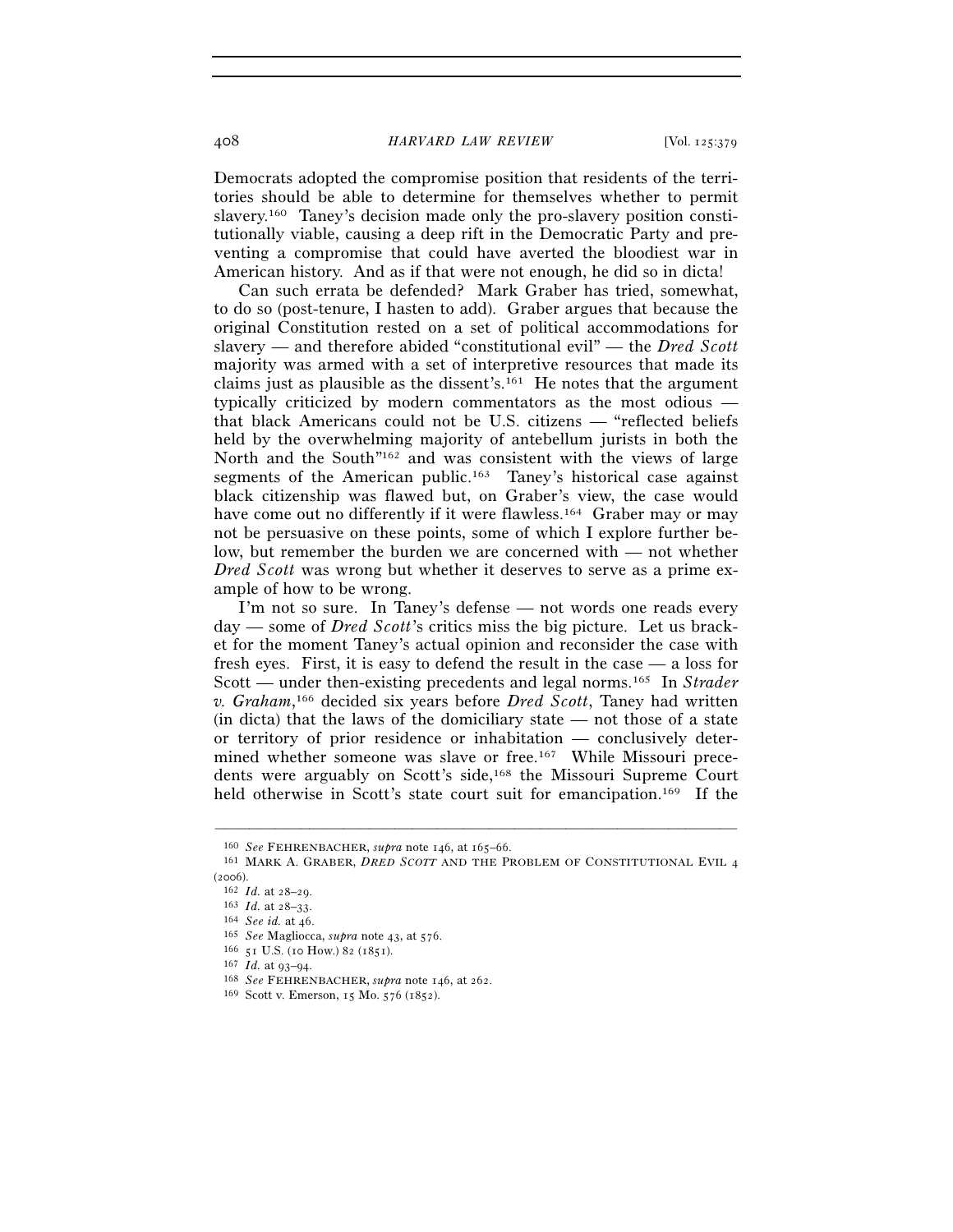408 *HARVARD LAW REVIEW* [Vol. 125:379

Democrats adopted the compromise position that residents of the territories should be able to determine for themselves whether to permit slavery.160 Taney's decision made only the pro-slavery position constitutionally viable, causing a deep rift in the Democratic Party and preventing a compromise that could have averted the bloodiest war in American history. And as if that were not enough, he did so in dicta!

Can such errata be defended? Mark Graber has tried, somewhat, to do so (post-tenure, I hasten to add). Graber argues that because the original Constitution rested on a set of political accommodations for slavery — and therefore abided "constitutional evil" — the *Dred Scott* majority was armed with a set of interpretive resources that made its claims just as plausible as the dissent's.161 He notes that the argument typically criticized by modern commentators as the most odious that black Americans could not be U.S. citizens — "reflected beliefs held by the overwhelming majority of antebellum jurists in both the North and the South"162 and was consistent with the views of large segments of the American public.<sup>163</sup> Taney's historical case against black citizenship was flawed but, on Graber's view, the case would have come out no differently if it were flawless.<sup>164</sup> Graber may or may not be persuasive on these points, some of which I explore further below, but remember the burden we are concerned with — not whether *Dred Scott* was wrong but whether it deserves to serve as a prime example of how to be wrong.

I'm not so sure. In Taney's defense — not words one reads every day — some of *Dred Scott*'s critics miss the big picture. Let us bracket for the moment Taney's actual opinion and reconsider the case with fresh eyes. First, it is easy to defend the result in the case — a loss for Scott — under then-existing precedents and legal norms.165 In *Strader v. Graham*, 166 decided six years before *Dred Scott*, Taney had written (in dicta) that the laws of the domiciliary state — not those of a state or territory of prior residence or inhabitation — conclusively determined whether someone was slave or free.167 While Missouri precedents were arguably on Scott's side,168 the Missouri Supreme Court held otherwise in Scott's state court suit for emancipation.<sup>169</sup> If the

<sup>&</sup>lt;sup>160</sup> See FEHRENBACHER, *supra* note 146, at 165–66.<br><sup>161</sup> MARK A. GRABER, *DRED SCOTT* AND THE PROBLEM OF CONSTITUTIONAL EVIL 4

<sup>(2006).&</sup>lt;br>
<sup>162</sup> *Id.* at 28–29.<br>
<sup>163</sup> *Id.* at 28–33.<br>
<sup>164</sup> *See Magliocca, supra* note 43, at 576.<br>
<sup>165</sup> *See Magliocca, supra* note 43, at 576.<br>
<sup>165</sup> *Id.* at 93–94.<br>
<sup>167</sup> *Id.* at 93–94.<br>
<sup>168</sup> *See FEHRENBACHER, s*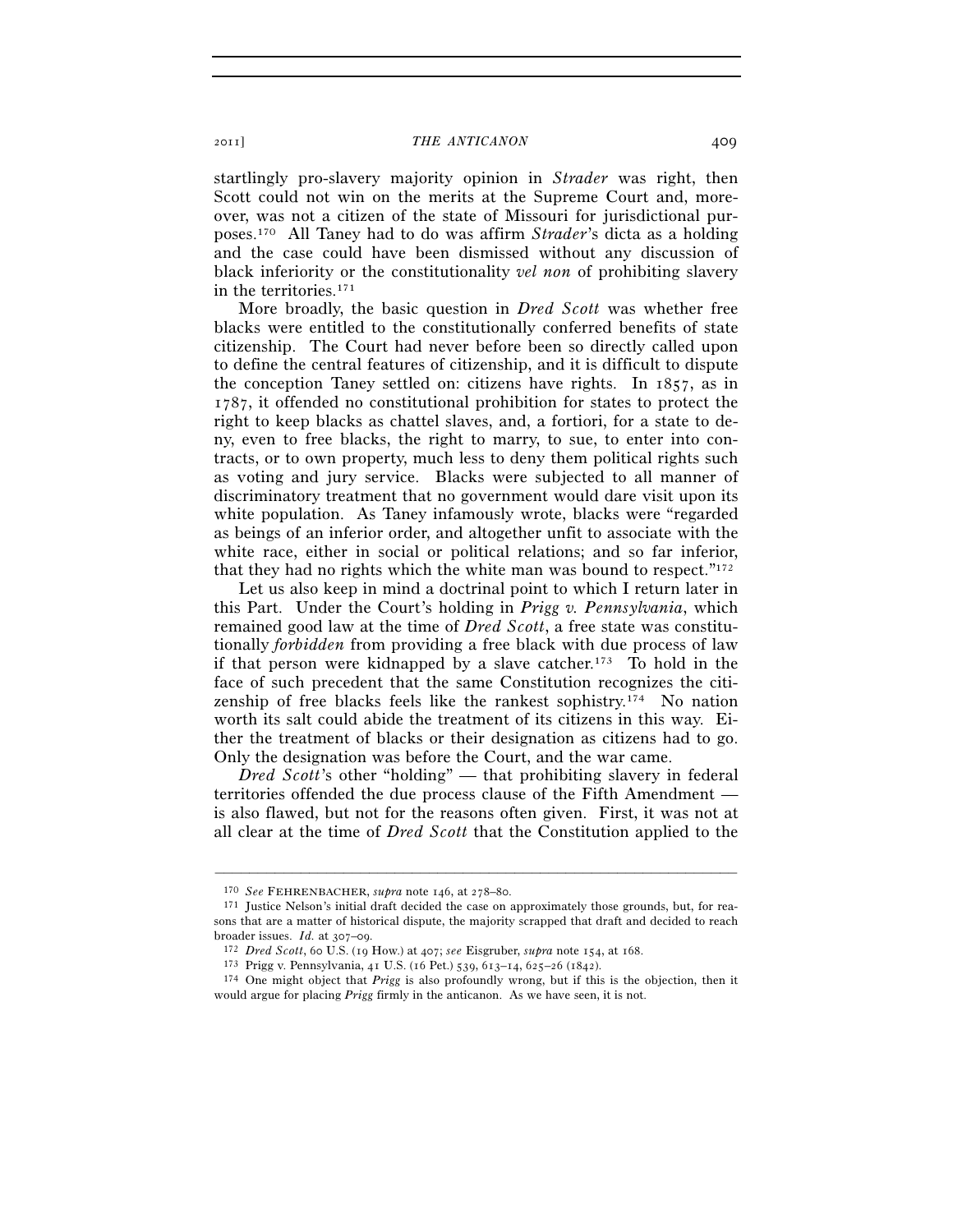startlingly pro-slavery majority opinion in *Strader* was right, then Scott could not win on the merits at the Supreme Court and, moreover, was not a citizen of the state of Missouri for jurisdictional purposes.170 All Taney had to do was affirm *Strader*'s dicta as a holding and the case could have been dismissed without any discussion of black inferiority or the constitutionality *vel non* of prohibiting slavery in the territories.171

More broadly, the basic question in *Dred Scott* was whether free blacks were entitled to the constitutionally conferred benefits of state citizenship. The Court had never before been so directly called upon to define the central features of citizenship, and it is difficult to dispute the conception Taney settled on: citizens have rights. In 1857, as in 1787, it offended no constitutional prohibition for states to protect the right to keep blacks as chattel slaves, and, a fortiori, for a state to deny, even to free blacks, the right to marry, to sue, to enter into contracts, or to own property, much less to deny them political rights such as voting and jury service. Blacks were subjected to all manner of discriminatory treatment that no government would dare visit upon its white population. As Taney infamously wrote, blacks were "regarded as beings of an inferior order, and altogether unfit to associate with the white race, either in social or political relations; and so far inferior, that they had no rights which the white man was bound to respect." $172$ 

Let us also keep in mind a doctrinal point to which I return later in this Part. Under the Court's holding in *Prigg v. Pennsylvania*, which remained good law at the time of *Dred Scott*, a free state was constitutionally *forbidden* from providing a free black with due process of law if that person were kidnapped by a slave catcher.173 To hold in the face of such precedent that the same Constitution recognizes the citizenship of free blacks feels like the rankest sophistry.174 No nation worth its salt could abide the treatment of its citizens in this way. Either the treatment of blacks or their designation as citizens had to go. Only the designation was before the Court, and the war came.

*Dred Scott*'s other "holding" — that prohibiting slavery in federal territories offended the due process clause of the Fifth Amendment is also flawed, but not for the reasons often given. First, it was not at all clear at the time of *Dred Scott* that the Constitution applied to the

<sup>&</sup>lt;sup>170</sup> *See* FEHRENBACHER, *supra* note 146, at 278–80.<br><sup>171</sup> Justice Nelson's initial draft decided the case on approximately those grounds, but, for reasons that are a matter of historical dispute, the majority scrapped that draft and decided to reach broader issues. *Id.* at 307–09.<br><sup>172</sup> *Dred Scott*, 60 U.S. (19 How.) at 407; see Eisgruber, *supra* note 154, at 168.<br><sup>173</sup> Prigg v. Pennsylvania, 41 U.S. (16 Pet.) 539, 613–14, 625–26 (1842).<br><sup>174</sup> One might object tha

would argue for placing *Prigg* firmly in the anticanon. As we have seen, it is not.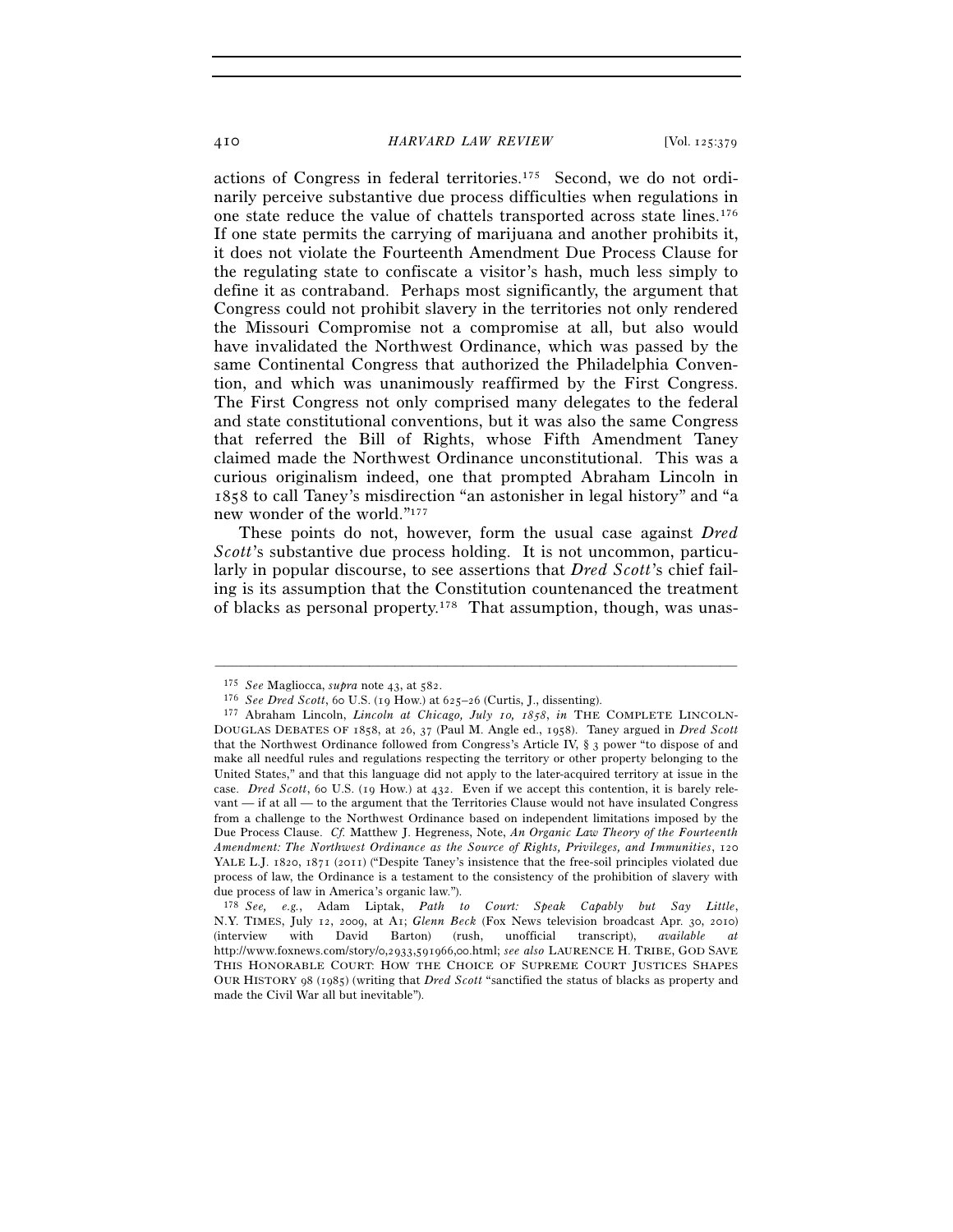410 *HARVARD LAW REVIEW* [Vol. 125:379

actions of Congress in federal territories.175 Second, we do not ordinarily perceive substantive due process difficulties when regulations in one state reduce the value of chattels transported across state lines.176 If one state permits the carrying of marijuana and another prohibits it, it does not violate the Fourteenth Amendment Due Process Clause for the regulating state to confiscate a visitor's hash, much less simply to define it as contraband. Perhaps most significantly, the argument that Congress could not prohibit slavery in the territories not only rendered the Missouri Compromise not a compromise at all, but also would have invalidated the Northwest Ordinance, which was passed by the same Continental Congress that authorized the Philadelphia Convention, and which was unanimously reaffirmed by the First Congress. The First Congress not only comprised many delegates to the federal and state constitutional conventions, but it was also the same Congress that referred the Bill of Rights, whose Fifth Amendment Taney claimed made the Northwest Ordinance unconstitutional. This was a curious originalism indeed, one that prompted Abraham Lincoln in 1858 to call Taney's misdirection "an astonisher in legal history" and "a new wonder of the world."177

These points do not, however, form the usual case against *Dred Scott*'s substantive due process holding. It is not uncommon, particularly in popular discourse, to see assertions that *Dred Scott*'s chief failing is its assumption that the Constitution countenanced the treatment of blacks as personal property.178 That assumption, though, was unas-

<sup>&</sup>lt;sup>175</sup> See Magliocca, supra note 43, at 582.<br><sup>176</sup> See Dred Scott, 60 U.S. (19 How.) at 625–26 (Curtis, J., dissenting).<br><sup>177</sup> Abraham Lincoln, *Lincoln at Chicago, July 10, 1858*, *in* THE COMPLETE LINCOLN-DOUGLAS DEBATES OF 1858, at 26, 37 (Paul M. Angle ed., 1958). Taney argued in *Dred Scott* that the Northwest Ordinance followed from Congress's Article IV, § 3 power "to dispose of and make all needful rules and regulations respecting the territory or other property belonging to the United States," and that this language did not apply to the later-acquired territory at issue in the case. *Dred Scott*, 60 U.S. (19 How.) at 432. Even if we accept this contention, it is barely relevant — if at all — to the argument that the Territories Clause would not have insulated Congress from a challenge to the Northwest Ordinance based on independent limitations imposed by the Due Process Clause. *Cf.* Matthew J. Hegreness, Note, *An Organic Law Theory of the Fourteenth Amendment: The Northwest Ordinance as the Source of Rights, Privileges, and Immunities*, 120 YALE L.J. 1820, 1871 (2011) ("Despite Taney's insistence that the free-soil principles violated due process of law, the Ordinance is a testament to the consistency of the prohibition of slavery with due process of law in America's organic law.").

<sup>178</sup> *See, e.g.*, Adam Liptak, *Path to Court: Speak Capably but Say Little*, N.Y. TIMES, July 12, 2009, at A1; *Glenn Beck* (Fox News television broadcast Apr. 30, 2010) (interview with David Barton) (rush, unofficial transcript), *available at* http://www.foxnews.com/story/0,2933,591966,00.html; *see also* LAURENCE H. TRIBE, GOD SAVE THIS HONORABLE COURT: HOW THE CHOICE OF SUPREME COURT JUSTICES SHAPES OUR HISTORY 98 (1985) (writing that *Dred Scott* "sanctified the status of blacks as property and made the Civil War all but inevitable").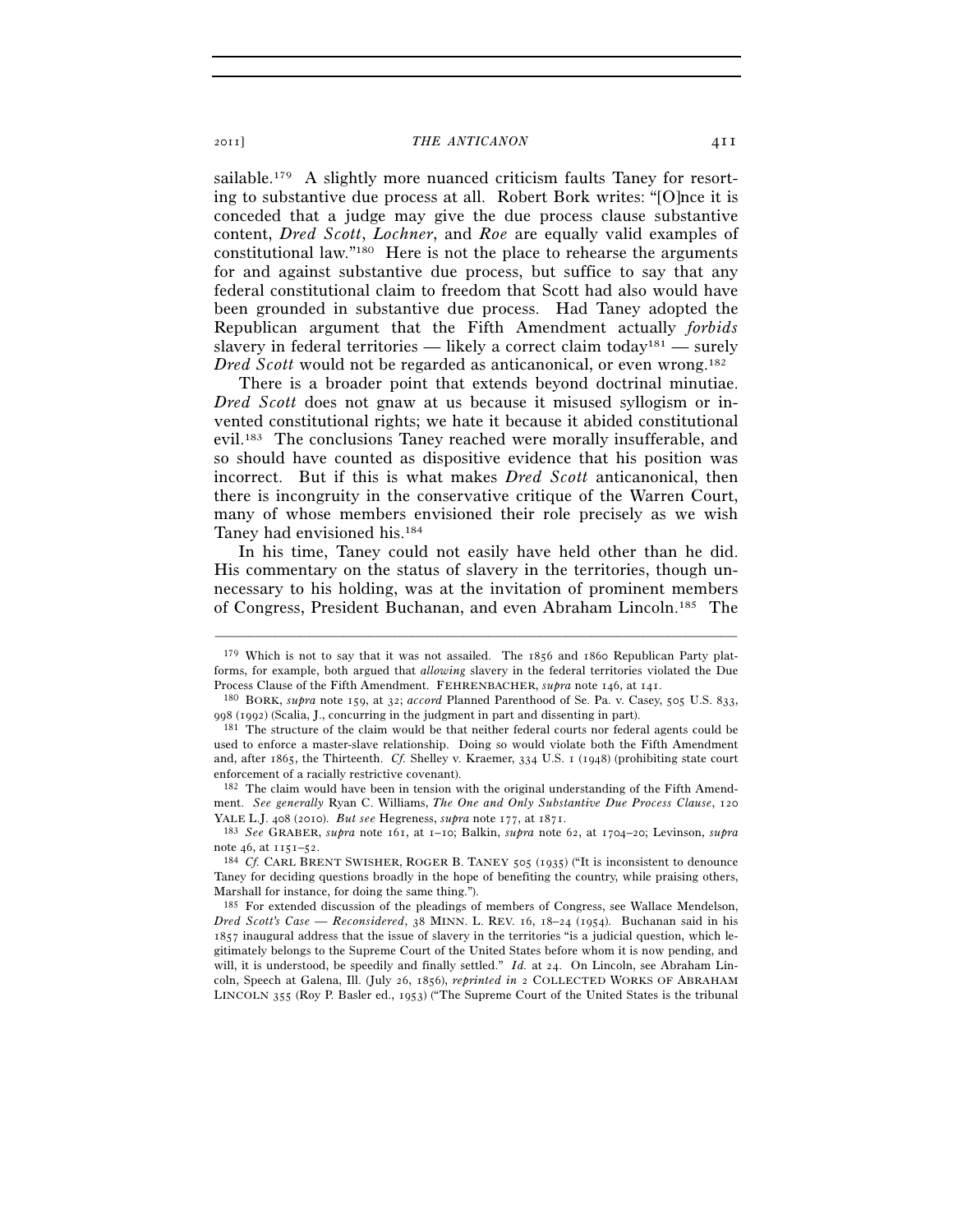sailable.<sup>179</sup> A slightly more nuanced criticism faults Taney for resorting to substantive due process at all. Robert Bork writes: "[O]nce it is conceded that a judge may give the due process clause substantive content, *Dred Scott*, *Lochner*, and *Roe* are equally valid examples of constitutional law."180 Here is not the place to rehearse the arguments for and against substantive due process, but suffice to say that any federal constitutional claim to freedom that Scott had also would have been grounded in substantive due process. Had Taney adopted the Republican argument that the Fifth Amendment actually *forbids* slavery in federal territories — likely a correct claim today<sup>181</sup> — surely *Dred Scott* would not be regarded as anticanonical, or even wrong.<sup>182</sup>

There is a broader point that extends beyond doctrinal minutiae. *Dred Scott* does not gnaw at us because it misused syllogism or invented constitutional rights; we hate it because it abided constitutional evil.183 The conclusions Taney reached were morally insufferable, and so should have counted as dispositive evidence that his position was incorrect. But if this is what makes *Dred Scott* anticanonical, then there is incongruity in the conservative critique of the Warren Court, many of whose members envisioned their role precisely as we wish Taney had envisioned his.184

In his time, Taney could not easily have held other than he did. His commentary on the status of slavery in the territories, though unnecessary to his holding, was at the invitation of prominent members of Congress, President Buchanan, and even Abraham Lincoln.185 The

–––––––––––––––––––––––––––––––––––––––––––––––––––––––––––––

182 The claim would have been in tension with the original understanding of the Fifth Amendment. *See generally* Ryan C. Williams, *The One and Only Substantive Due Process Clause*, 120 YALE L.J. 408 (2010). *But see* Hegreness, *supra* note 177, at 1871. 183 *See* GRABER, *supra* note 161, at 1–10; Balkin, *supra* note 62, at 1704–20; Levinson, *supra*

note 46, at 1151–52.<br><sup>184</sup> *Cf.* CARL BRENT SWISHER, ROGER B. TANEY 505 (1935) ("It is inconsistent to denounce

Taney for deciding questions broadly in the hope of benefiting the country, while praising others, Marshall for instance, for doing the same thing.").

185 For extended discussion of the pleadings of members of Congress, see Wallace Mendelson, *Dred Scott's Case — Reconsidered*, 38 MINN. L. REV. 16, 18–24 (1954). Buchanan said in his 1857 inaugural address that the issue of slavery in the territories "is a judicial question, which legitimately belongs to the Supreme Court of the United States before whom it is now pending, and will, it is understood, be speedily and finally settled." *Id.* at 24. On Lincoln, see Abraham Lincoln, Speech at Galena, Ill. (July 26, 1856), *reprinted in* 2 COLLECTED WORKS OF ABRAHAM LINCOLN 355 (Roy P. Basler ed., 1953) ("The Supreme Court of the United States is the tribunal

<sup>179</sup> Which is not to say that it was not assailed. The 1856 and 1860 Republican Party platforms, for example, both argued that *allowing* slavery in the federal territories violated the Due Process Clause of the Fifth Amendment. FEHRENBACHER, *supra* note 146, at 141. 180 BORK, *supra* note 159, at 32; *accord* Planned Parenthood of Se. Pa. v. Casey, 505 U.S. 833,

<sup>998 (1992) (</sup>Scalia, J., concurring in the judgment in part and dissenting in part).<br><sup>181</sup> The structure of the claim would be that neither federal courts nor federal agents could be

used to enforce a master-slave relationship. Doing so would violate both the Fifth Amendment and, after 1865, the Thirteenth. *Cf.* Shelley v. Kraemer, 334 U.S. 1 (1948) (prohibiting state court enforcement of a racially restrictive covenant).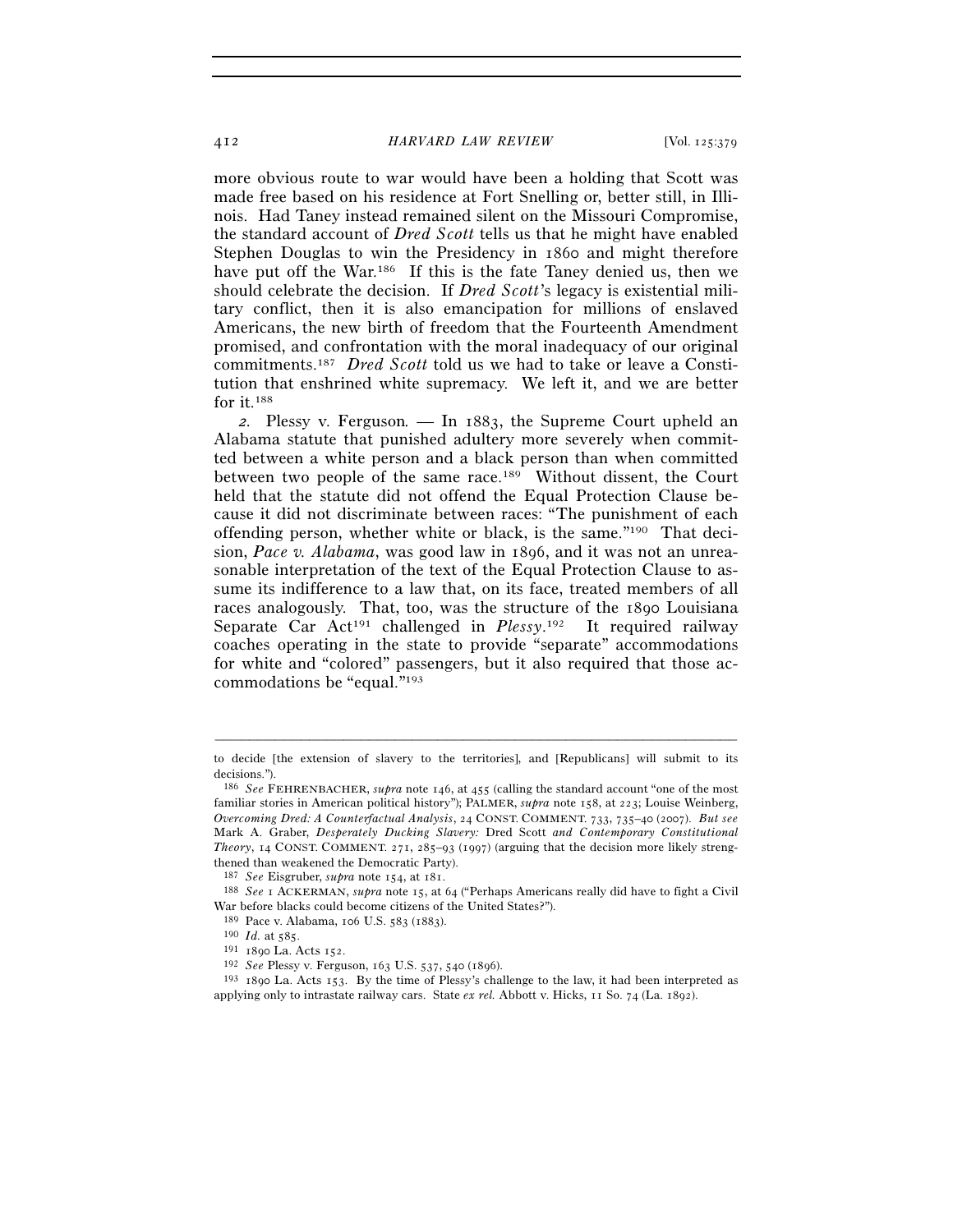#### 412 *HARVARD LAW REVIEW* [Vol. 125:379

more obvious route to war would have been a holding that Scott was made free based on his residence at Fort Snelling or, better still, in Illinois. Had Taney instead remained silent on the Missouri Compromise, the standard account of *Dred Scott* tells us that he might have enabled Stephen Douglas to win the Presidency in 1860 and might therefore have put off the War.<sup>186</sup> If this is the fate Taney denied us, then we should celebrate the decision. If *Dred Scott*'s legacy is existential military conflict, then it is also emancipation for millions of enslaved Americans, the new birth of freedom that the Fourteenth Amendment promised, and confrontation with the moral inadequacy of our original commitments.187 *Dred Scott* told us we had to take or leave a Constitution that enshrined white supremacy. We left it, and we are better for it.188

*2.* Plessy v. Ferguson*. —* In 1883, the Supreme Court upheld an Alabama statute that punished adultery more severely when committed between a white person and a black person than when committed between two people of the same race.189 Without dissent, the Court held that the statute did not offend the Equal Protection Clause because it did not discriminate between races: "The punishment of each offending person, whether white or black, is the same."190 That decision, *Pace v. Alabama*, was good law in 1896, and it was not an unreasonable interpretation of the text of the Equal Protection Clause to assume its indifference to a law that, on its face, treated members of all races analogously. That, too, was the structure of the 1890 Louisiana Separate Car Act<sup>191</sup> challenged in *Plessy*.<sup>192</sup> It required railway coaches operating in the state to provide "separate" accommodations for white and "colored" passengers, but it also required that those accommodations be "equal."193

<sup>–––––––––––––––––––––––––––––––––––––––––––––––––––––––––––––</sup> to decide [the extension of slavery to the territories], and [Republicans] will submit to its decisions.").

<sup>186</sup> *See* FEHRENBACHER, *supra* note 146, at 455 (calling the standard account "one of the most familiar stories in American political history"); PALMER, *supra* note 158, at 223; Louise Weinberg, *Overcoming Dred: A Counterfactual Analysis*, 24 CONST. COMMENT. 733, 735–40 (2007). *But see* Mark A. Graber, *Desperately Ducking Slavery:* Dred Scott *and Contemporary Constitutional Theory*, 14 CONST. COMMENT. 271, 285–93 (1997) (arguing that the decision more likely strengthened than weakened the Democratic Party).

<sup>187</sup> *See* Eisgruber, *supra* note 154, at 181. 188 *See* <sup>1</sup> ACKERMAN, *supra* note 15, at 64 ("Perhaps Americans really did have to fight a Civil War before blacks could become citizens of the United States?").<br><sup>189</sup> Pace v. Alabama, 106 U.S. 583 (1883).

<sup>&</sup>lt;sup>190</sup> *Id.* at 585.<br><sup>191</sup> 1890 La. Acts 152.<br><sup>192</sup> *See* Plessy v. Ferguson, 163 U.S. 537, 540 (1896).<br><sup>193</sup> 1890 La. Acts 153. By the time of Plessy's challenge to the law, it had been interpreted as applying only to intrastate railway cars. State *ex rel.* Abbott v. Hicks, 11 So. 74 (La. 1892).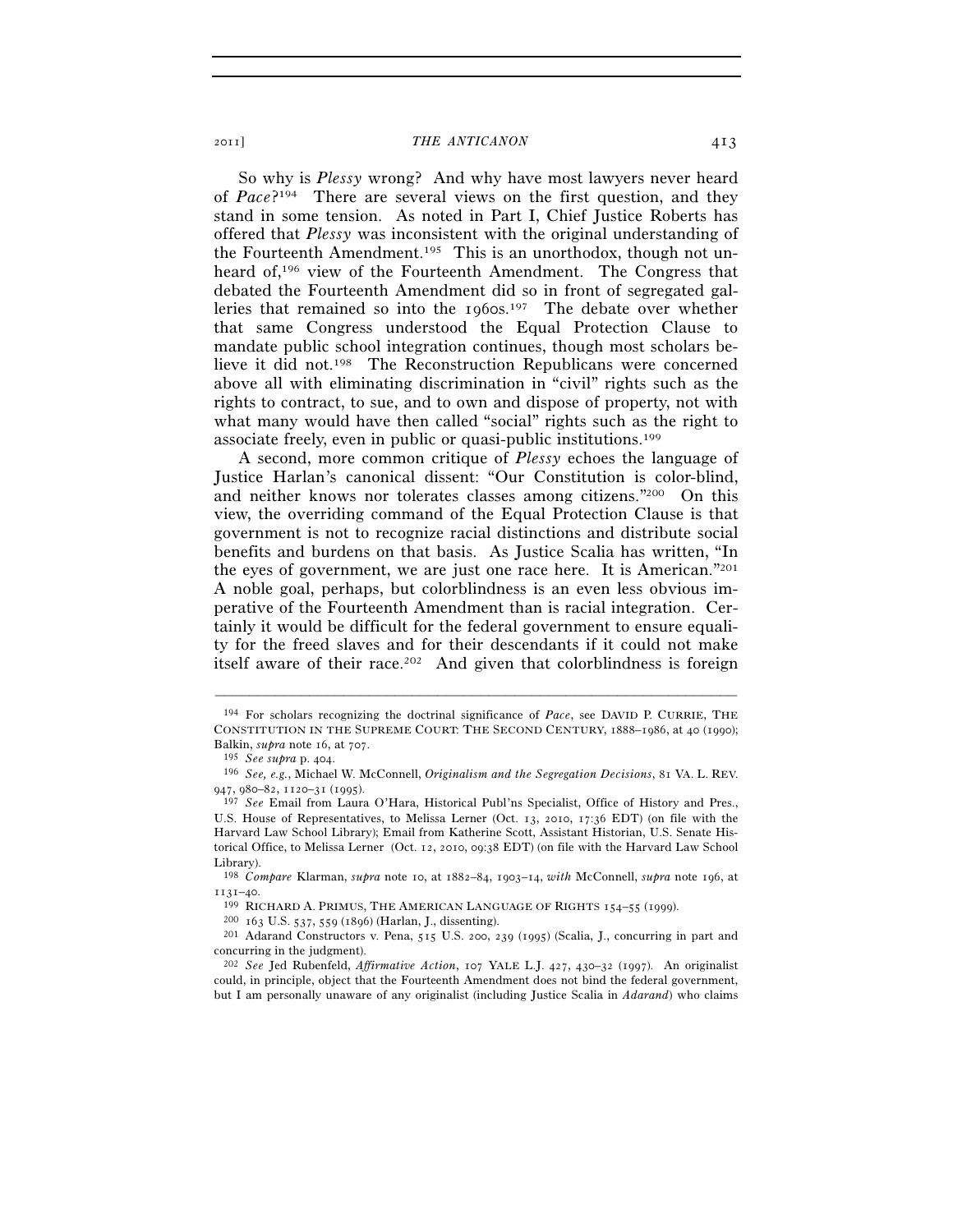So why is *Plessy* wrong? And why have most lawyers never heard of *Pace*?194 There are several views on the first question, and they stand in some tension. As noted in Part I, Chief Justice Roberts has offered that *Plessy* was inconsistent with the original understanding of the Fourteenth Amendment.195 This is an unorthodox, though not unheard of,<sup>196</sup> view of the Fourteenth Amendment. The Congress that debated the Fourteenth Amendment did so in front of segregated galleries that remained so into the 1960s.197 The debate over whether that same Congress understood the Equal Protection Clause to mandate public school integration continues, though most scholars believe it did not.198 The Reconstruction Republicans were concerned above all with eliminating discrimination in "civil" rights such as the rights to contract, to sue, and to own and dispose of property, not with what many would have then called "social" rights such as the right to associate freely, even in public or quasi-public institutions.199

A second, more common critique of *Plessy* echoes the language of Justice Harlan's canonical dissent: "Our Constitution is color-blind, and neither knows nor tolerates classes among citizens."200 On this view, the overriding command of the Equal Protection Clause is that government is not to recognize racial distinctions and distribute social benefits and burdens on that basis. As Justice Scalia has written, "In the eyes of government, we are just one race here. It is American."201 A noble goal, perhaps, but colorblindness is an even less obvious imperative of the Fourteenth Amendment than is racial integration. Certainly it would be difficult for the federal government to ensure equality for the freed slaves and for their descendants if it could not make itself aware of their race.<sup>202</sup> And given that colorblindness is foreign

<sup>194</sup> For scholars recognizing the doctrinal significance of *Pace*, see DAVID P. CURRIE, THE CONSTITUTION IN THE SUPREME COURT: THE SECOND CENTURY, 1888–1986, at 40 (1990);

Balkin, *supra* note 16, at 707. 195 *See supra* p. 404. 196 *See, e.g.*, Michael W. McConnell, *Originalism and the Segregation Decisions*, 81 VA. L. REV. 947, 980–82, 1120–31 (1995).

<sup>197</sup> *See* Email from Laura O'Hara, Historical Publ'ns Specialist, Office of History and Pres., U.S. House of Representatives, to Melissa Lerner (Oct. 13, 2010, 17:36 EDT) (on file with the Harvard Law School Library); Email from Katherine Scott, Assistant Historian, U.S. Senate Historical Office, to Melissa Lerner (Oct. 12, 2010, 09:38 EDT) (on file with the Harvard Law School Library).

<sup>198</sup> *Compare* Klarman, *supra* note 10, at 1882–84, 1903–14, *with* McConnell, *supra* note 196, at

<sup>1131–40.&</sup>lt;br>
<sup>199</sup> RICHARD A. PRIMUS, THE AMERICAN LANGUAGE OF RIGHTS 154–55 (1999).<br>
<sup>200</sup> 163 U.S. 537, 559 (1896) (Harlan, J., dissenting).<br>
<sup>201</sup> Adarand Constructors v. Pena, 515 U.S. 200, 239 (1995) (Scalia, J., concur concurring in the judgment).

<sup>202</sup> *See* Jed Rubenfeld, *Affirmative Action*, 107 YALE L.J. 427, 430–32 (1997). An originalist could, in principle, object that the Fourteenth Amendment does not bind the federal government, but I am personally unaware of any originalist (including Justice Scalia in *Adarand*) who claims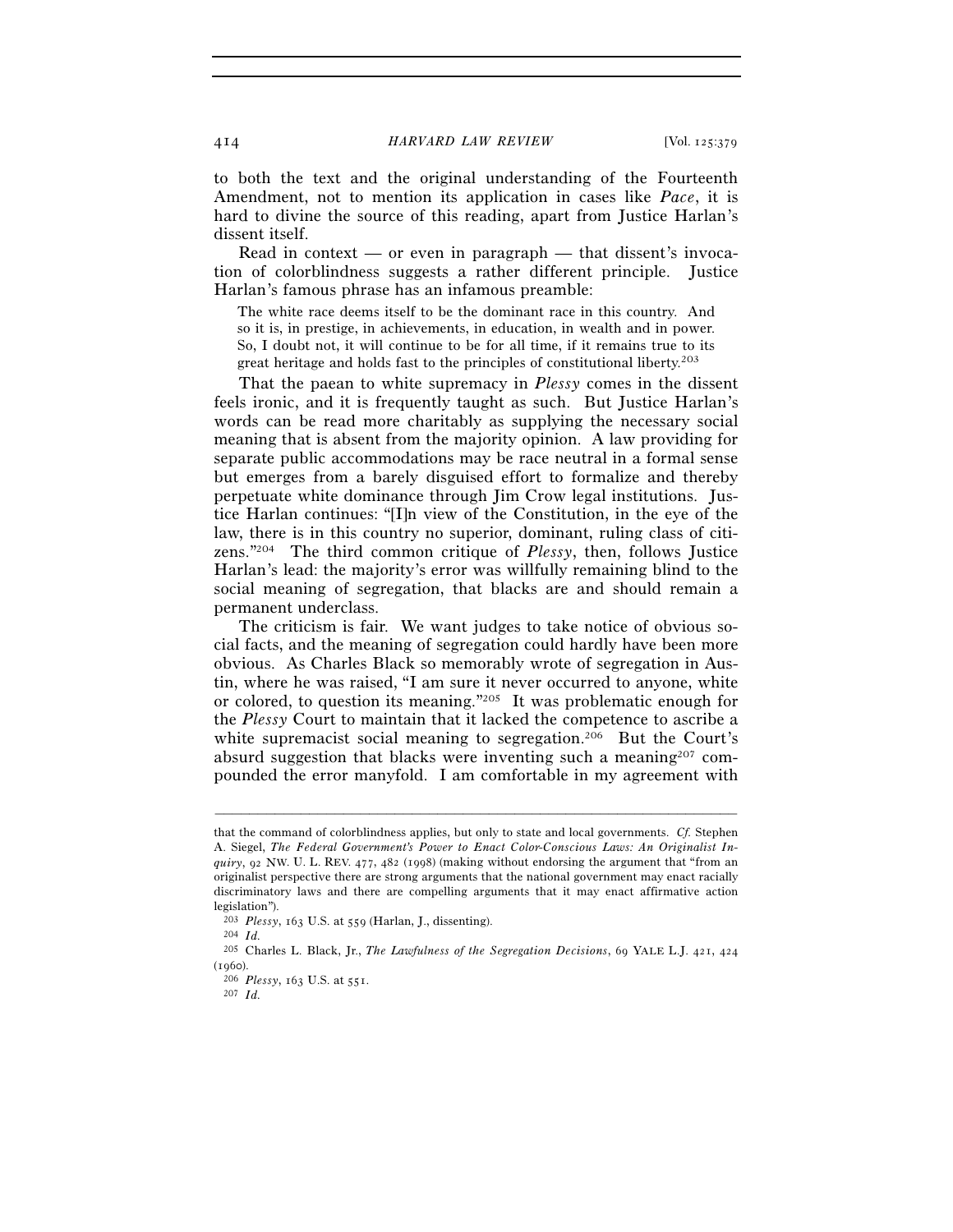to both the text and the original understanding of the Fourteenth Amendment, not to mention its application in cases like *Pace*, it is hard to divine the source of this reading, apart from Justice Harlan's dissent itself.

Read in context — or even in paragraph — that dissent's invocation of colorblindness suggests a rather different principle. Justice Harlan's famous phrase has an infamous preamble:

The white race deems itself to be the dominant race in this country. And so it is, in prestige, in achievements, in education, in wealth and in power. So, I doubt not, it will continue to be for all time, if it remains true to its great heritage and holds fast to the principles of constitutional liberty.203

That the paean to white supremacy in *Plessy* comes in the dissent feels ironic, and it is frequently taught as such. But Justice Harlan's words can be read more charitably as supplying the necessary social meaning that is absent from the majority opinion. A law providing for separate public accommodations may be race neutral in a formal sense but emerges from a barely disguised effort to formalize and thereby perpetuate white dominance through Jim Crow legal institutions. Justice Harlan continues: "[I]n view of the Constitution, in the eye of the law, there is in this country no superior, dominant, ruling class of citizens."204 The third common critique of *Plessy*, then, follows Justice Harlan's lead: the majority's error was willfully remaining blind to the social meaning of segregation, that blacks are and should remain a permanent underclass.

The criticism is fair. We want judges to take notice of obvious social facts, and the meaning of segregation could hardly have been more obvious. As Charles Black so memorably wrote of segregation in Austin, where he was raised, "I am sure it never occurred to anyone, white or colored, to question its meaning."205 It was problematic enough for the *Plessy* Court to maintain that it lacked the competence to ascribe a white supremacist social meaning to segregation.<sup>206</sup> But the Court's absurd suggestion that blacks were inventing such a meaning207 compounded the error manyfold. I am comfortable in my agreement with

that the command of colorblindness applies, but only to state and local governments. *Cf.* Stephen A. Siegel, *The Federal Government's Power to Enact Color-Conscious Laws: An Originalist Inquiry*, 92 NW. U. L. REV. 477, 482 (1998) (making without endorsing the argument that "from an originalist perspective there are strong arguments that the national government may enact racially discriminatory laws and there are compelling arguments that it may enact affirmative action legislation").

<sup>203</sup> *Plessy*, 163 U.S. at 559 (Harlan, J., dissenting). 204 *Id.*

<sup>205</sup> Charles L. Black, Jr., *The Lawfulness of the Segregation Decisions*, 69 YALE L.J. 421, 424 (1960). 206 *Plessy*, 163 U.S. at 551. 207 *Id.*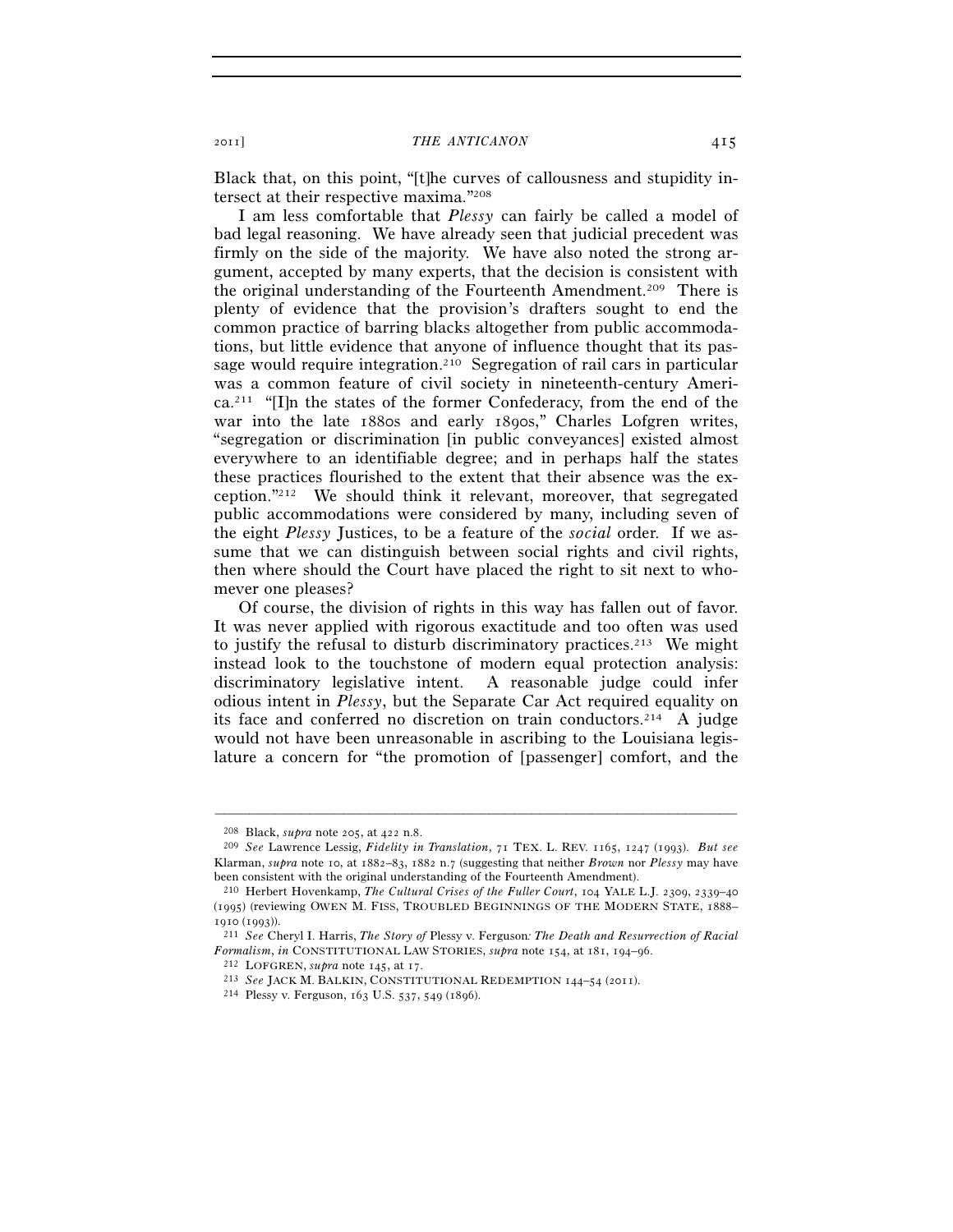Black that, on this point, "[t]he curves of callousness and stupidity intersect at their respective maxima."208

I am less comfortable that *Plessy* can fairly be called a model of bad legal reasoning. We have already seen that judicial precedent was firmly on the side of the majority. We have also noted the strong argument, accepted by many experts, that the decision is consistent with the original understanding of the Fourteenth Amendment.209 There is plenty of evidence that the provision's drafters sought to end the common practice of barring blacks altogether from public accommodations, but little evidence that anyone of influence thought that its passage would require integration.210 Segregation of rail cars in particular was a common feature of civil society in nineteenth-century America.211 "[I]n the states of the former Confederacy, from the end of the war into the late 1880s and early 1890s," Charles Lofgren writes, "segregation or discrimination [in public conveyances] existed almost everywhere to an identifiable degree; and in perhaps half the states these practices flourished to the extent that their absence was the exception."212 We should think it relevant, moreover, that segregated public accommodations were considered by many, including seven of the eight *Plessy* Justices, to be a feature of the *social* order. If we assume that we can distinguish between social rights and civil rights, then where should the Court have placed the right to sit next to whomever one pleases?

Of course, the division of rights in this way has fallen out of favor. It was never applied with rigorous exactitude and too often was used to justify the refusal to disturb discriminatory practices.<sup>213</sup> We might instead look to the touchstone of modern equal protection analysis: discriminatory legislative intent. A reasonable judge could infer odious intent in *Plessy*, but the Separate Car Act required equality on its face and conferred no discretion on train conductors.214 A judge would not have been unreasonable in ascribing to the Louisiana legislature a concern for "the promotion of [passenger] comfort, and the

<sup>208</sup> Black, *supra* note 205, at 422 n.8. 209 *See* Lawrence Lessig, *Fidelity in Translation*, 71 TEX. L. REV. 1165, 1247 (1993). *But see* Klarman, *supra* note 10, at 1882–83, 1882 n.7 (suggesting that neither *Brown* nor *Plessy* may have been consistent with the original understanding of the Fourteenth Amendment).

<sup>210</sup> Herbert Hovenkamp, *The Cultural Crises of the Fuller Court*, 104 YALE L.J. 2309, 2339–40 (1995) (reviewing OWEN M. FISS, TROUBLED BEGINNINGS OF THE MODERN STATE, 1888– <sup>1910</sup> (1993)). 211 *See* Cheryl I. Harris, *The Story of* Plessy v. Ferguson*: The Death and Resurrection of Racial* 

Formalism, in CONSTITUTIONAL LAW STORIES, supra note 154, at 181, 194–96.<br>
<sup>212</sup> LOFGREN, supra note 145, at 17.<br>
<sup>213</sup> See JACK M. BALKIN, CONSTITUTIONAL REDEMPTION 144–54 (2011).<br>
<sup>214</sup> Plessy v. Ferguson, 163 U.S. 537,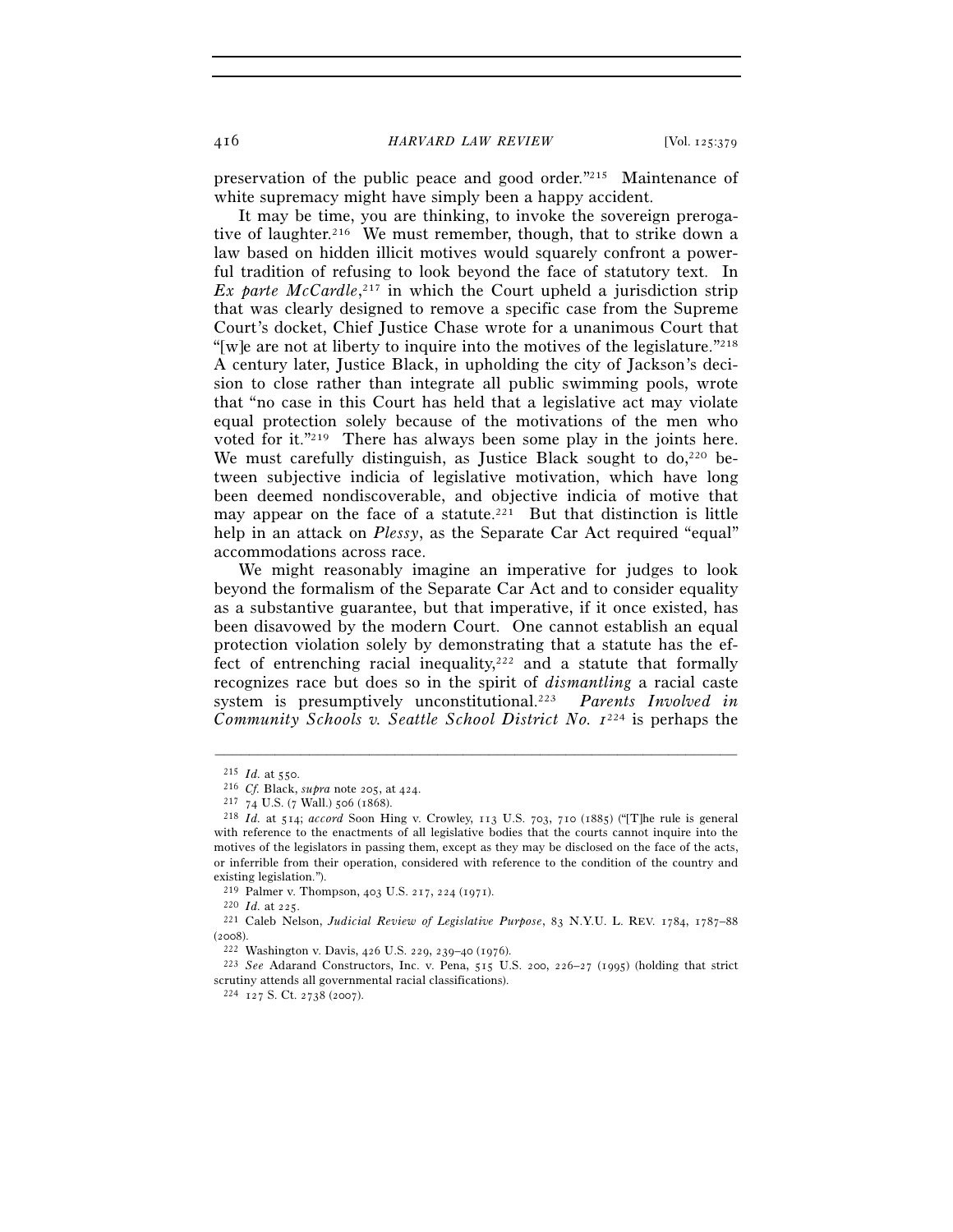416 *HARVARD LAW REVIEW* [Vol. 125:379

preservation of the public peace and good order."215 Maintenance of white supremacy might have simply been a happy accident.

It may be time, you are thinking, to invoke the sovereign prerogative of laughter.<sup>216</sup> We must remember, though, that to strike down a law based on hidden illicit motives would squarely confront a powerful tradition of refusing to look beyond the face of statutory text. In Ex parte McCardle,<sup>217</sup> in which the Court upheld a jurisdiction strip that was clearly designed to remove a specific case from the Supreme Court's docket, Chief Justice Chase wrote for a unanimous Court that "[w]e are not at liberty to inquire into the motives of the legislature."218 A century later, Justice Black, in upholding the city of Jackson's decision to close rather than integrate all public swimming pools, wrote that "no case in this Court has held that a legislative act may violate equal protection solely because of the motivations of the men who voted for it."219 There has always been some play in the joints here. We must carefully distinguish, as Justice Black sought to do,<sup>220</sup> between subjective indicia of legislative motivation, which have long been deemed nondiscoverable, and objective indicia of motive that may appear on the face of a statute.<sup>221</sup> But that distinction is little help in an attack on *Plessy*, as the Separate Car Act required "equal" accommodations across race.

We might reasonably imagine an imperative for judges to look beyond the formalism of the Separate Car Act and to consider equality as a substantive guarantee, but that imperative, if it once existed, has been disavowed by the modern Court. One cannot establish an equal protection violation solely by demonstrating that a statute has the effect of entrenching racial inequality, $222$  and a statute that formally recognizes race but does so in the spirit of *dismantling* a racial caste system is presumptively unconstitutional.223 *Parents Involved in Community Schools v. Seattle School District No.*  $I^{224}$  is perhaps the

<sup>215</sup> *Id.* at 550. 216 *Cf.* Black, *supra* note 205, at 424. 217 <sup>74</sup> U.S. (7 Wall.) 506 (1868). 218 *Id.* at 514; *accord* Soon Hing v. Crowley, 113 U.S. 703, 710 (1885) ("[T]he rule is general with reference to the enactments of all legislative bodies that the courts cannot inquire into the motives of the legislators in passing them, except as they may be disclosed on the face of the acts, or inferrible from their operation, considered with reference to the condition of the country and existing legislation.").<br>
<sup>219</sup> Palmer v. Thompson, 403 U.S. 217, 224 (1971).

<sup>&</sup>lt;sup>220</sup> Id. at 225.<br><sup>221</sup> Caleb Nelson, *Judicial Review of Legislative Purpose*, 83 N.Y.U. L. REV. 1784, 1787–88 (2008). 222 Washington v. Davis, 426 U.S. 229, 239–40 (1976). 223 *See* Adarand Constructors, Inc. v. Pena, 515 U.S. 200, 226–27 (1995) (holding that strict

scrutiny attends all governmental racial classifications).<br> $^{224}$  127 S. Ct. 2738 (2007).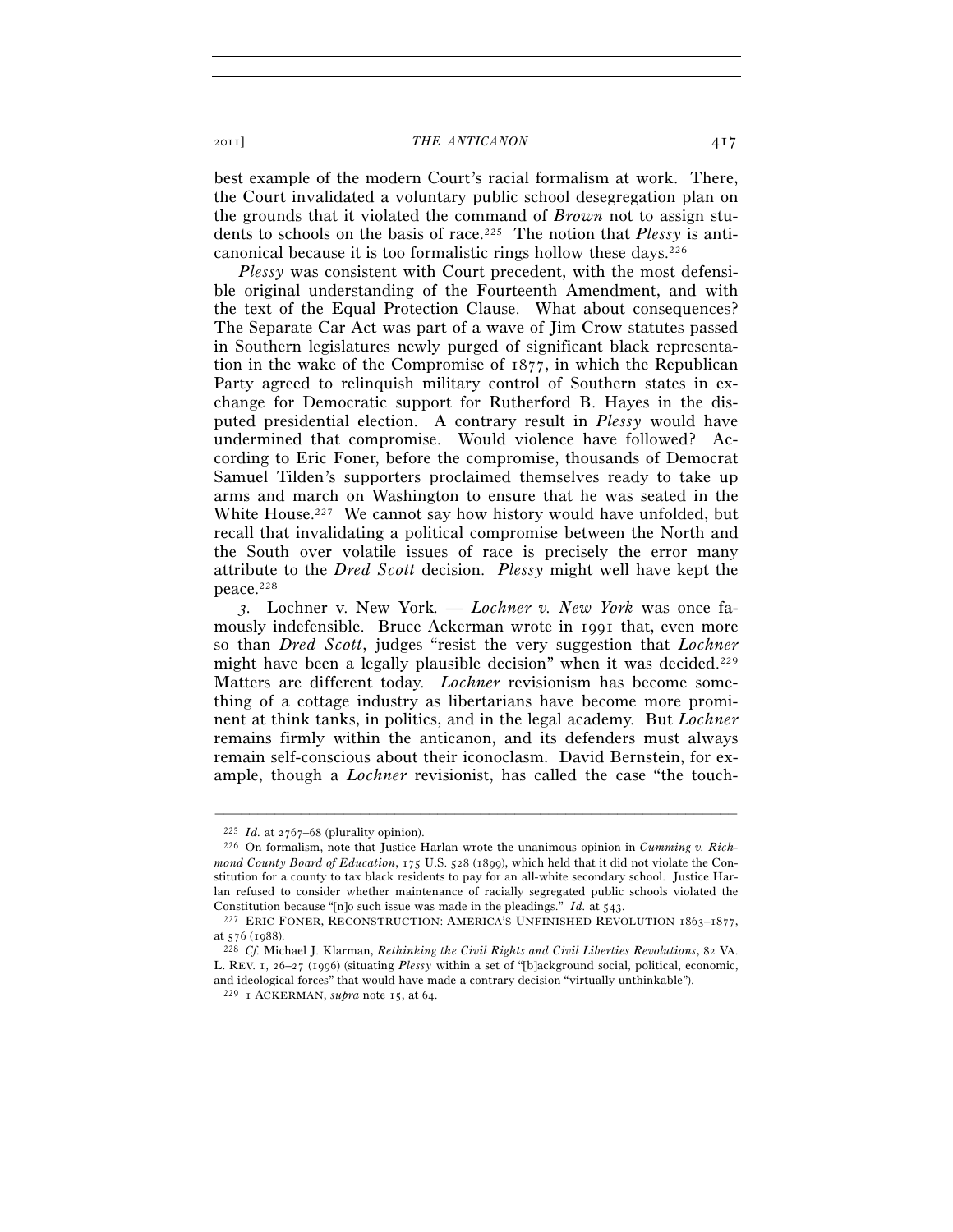best example of the modern Court's racial formalism at work. There, the Court invalidated a voluntary public school desegregation plan on the grounds that it violated the command of *Brown* not to assign students to schools on the basis of race.225 The notion that *Plessy* is anticanonical because it is too formalistic rings hollow these days.226

*Plessy* was consistent with Court precedent, with the most defensible original understanding of the Fourteenth Amendment, and with the text of the Equal Protection Clause. What about consequences? The Separate Car Act was part of a wave of Jim Crow statutes passed in Southern legislatures newly purged of significant black representation in the wake of the Compromise of 1877, in which the Republican Party agreed to relinquish military control of Southern states in exchange for Democratic support for Rutherford B. Hayes in the disputed presidential election. A contrary result in *Plessy* would have undermined that compromise. Would violence have followed? According to Eric Foner, before the compromise, thousands of Democrat Samuel Tilden's supporters proclaimed themselves ready to take up arms and march on Washington to ensure that he was seated in the White House.<sup>227</sup> We cannot say how history would have unfolded, but recall that invalidating a political compromise between the North and the South over volatile issues of race is precisely the error many attribute to the *Dred Scott* decision. *Plessy* might well have kept the peace.228

*3.* Lochner v. New York*. — Lochner v. New York* was once famously indefensible. Bruce Ackerman wrote in 1991 that, even more so than *Dred Scott*, judges "resist the very suggestion that *Lochner* might have been a legally plausible decision" when it was decided.<sup>229</sup> Matters are different today. *Lochner* revisionism has become something of a cottage industry as libertarians have become more prominent at think tanks, in politics, and in the legal academy. But *Lochner* remains firmly within the anticanon, and its defenders must always remain self-conscious about their iconoclasm. David Bernstein, for example, though a *Lochner* revisionist, has called the case "the touch-

<sup>225</sup> *Id.* at 2767–68 (plurality opinion). 226 On formalism, note that Justice Harlan wrote the unanimous opinion in *Cumming v. Richmond County Board of Education*, 175 U.S. 528 (1899), which held that it did not violate the Constitution for a county to tax black residents to pay for an all-white secondary school. Justice Harlan refused to consider whether maintenance of racially segregated public schools violated the

Constitution because "[n]o such issue was made in the pleadings." *Id.* at 543.<br><sup>227</sup> ERIC FONER, RECONSTRUCTION: AMERICA'S UNFINISHED REVOLUTION 1863–1877, at 576 (1988). 228 *Cf.* Michael J. Klarman, *Rethinking the Civil Rights and Civil Liberties Revolutions*, 82 VA.

L. REV. 1, 26–27 (1996) (situating *Plessy* within a set of "[b]ackground social, political, economic, and ideological forces" that would have made a contrary decision "virtually unthinkable"). <sup>229</sup> 1 ACKERMAN, *supra* note 15, at 64.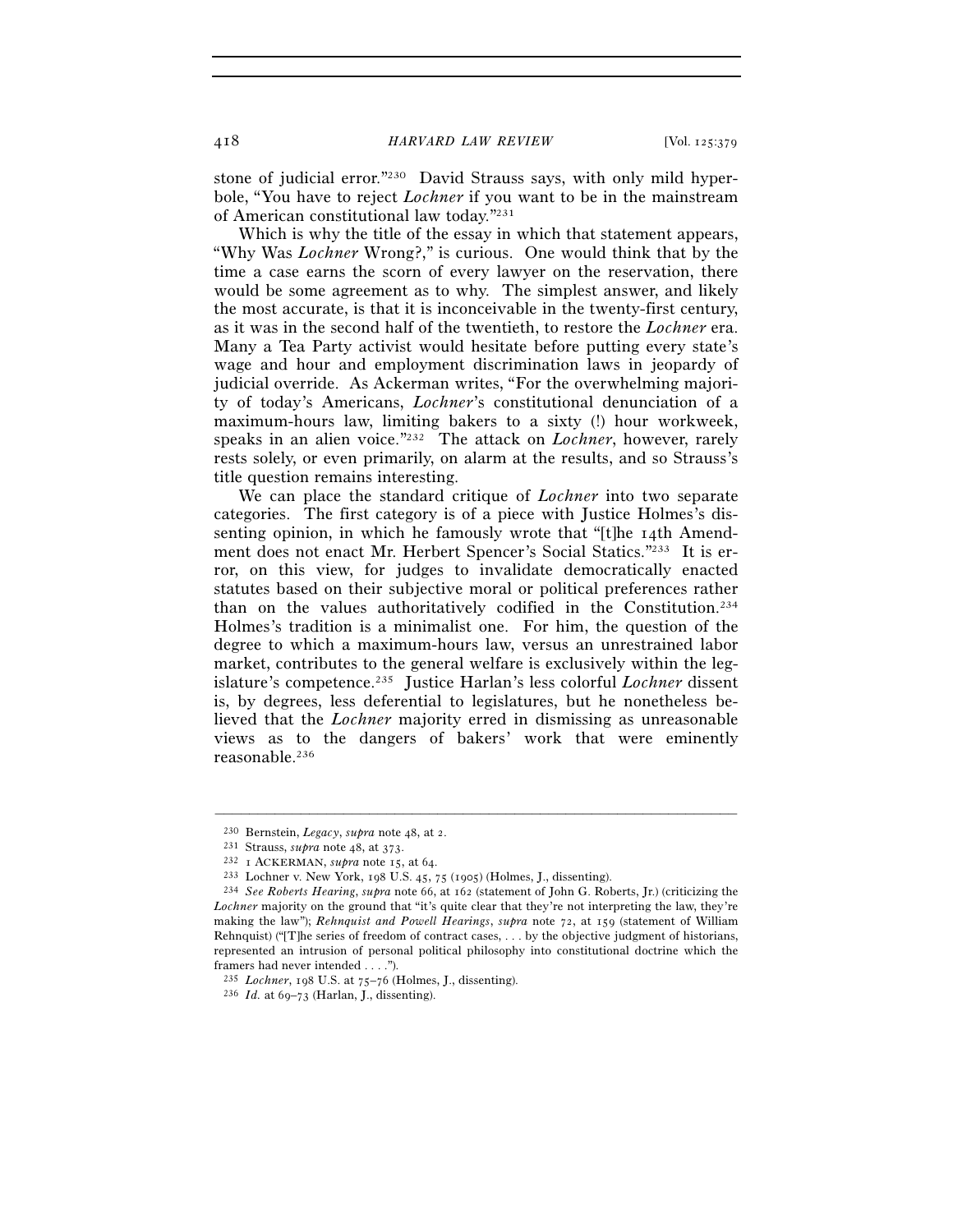stone of judicial error."230 David Strauss says, with only mild hyperbole, "You have to reject *Lochner* if you want to be in the mainstream of American constitutional law today."231

Which is why the title of the essay in which that statement appears, "Why Was *Lochner* Wrong?," is curious. One would think that by the time a case earns the scorn of every lawyer on the reservation, there would be some agreement as to why. The simplest answer, and likely the most accurate, is that it is inconceivable in the twenty-first century, as it was in the second half of the twentieth, to restore the *Lochner* era. Many a Tea Party activist would hesitate before putting every state's wage and hour and employment discrimination laws in jeopardy of judicial override. As Ackerman writes, "For the overwhelming majority of today's Americans, *Lochner*'s constitutional denunciation of a maximum-hours law, limiting bakers to a sixty (!) hour workweek, speaks in an alien voice."232 The attack on *Lochner*, however, rarely rests solely, or even primarily, on alarm at the results, and so Strauss's title question remains interesting.

We can place the standard critique of *Lochner* into two separate categories. The first category is of a piece with Justice Holmes's dissenting opinion, in which he famously wrote that "[t]he 14th Amendment does not enact Mr. Herbert Spencer's Social Statics."233 It is error, on this view, for judges to invalidate democratically enacted statutes based on their subjective moral or political preferences rather than on the values authoritatively codified in the Constitution.234 Holmes's tradition is a minimalist one. For him, the question of the degree to which a maximum-hours law, versus an unrestrained labor market, contributes to the general welfare is exclusively within the legislature's competence.235 Justice Harlan's less colorful *Lochner* dissent is, by degrees, less deferential to legislatures, but he nonetheless believed that the *Lochner* majority erred in dismissing as unreasonable views as to the dangers of bakers' work that were eminently reasonable.236

<sup>&</sup>lt;sup>230</sup> Bernstein, *Legacy*, *supra* note 48, at 2.<br>
<sup>231</sup> Strauss, *supra* note 48, at 373.<br>
<sup>232</sup> 1 ACKERMAN, *supra* note 15, at 64.<br>
<sup>233</sup> Lochner v. New York, 198 U.S. 45, 75 (1905) (Holmes, J., dissenting).<br>
<sup>234</sup> See

*Lochner* majority on the ground that "it's quite clear that they're not interpreting the law, they're making the law"); *Rehnquist and Powell Hearings*, *supra* note 72, at 159 (statement of William Rehnquist) ("The series of freedom of contract cases,  $\dots$  by the objective judgment of historians, represented an intrusion of personal political philosophy into constitutional doctrine which the framers had never intended . . . .").

<sup>235</sup> *Lochner*, 198 U.S. at 75–76 (Holmes, J., dissenting). 236 *Id.* at 69–73 (Harlan, J., dissenting).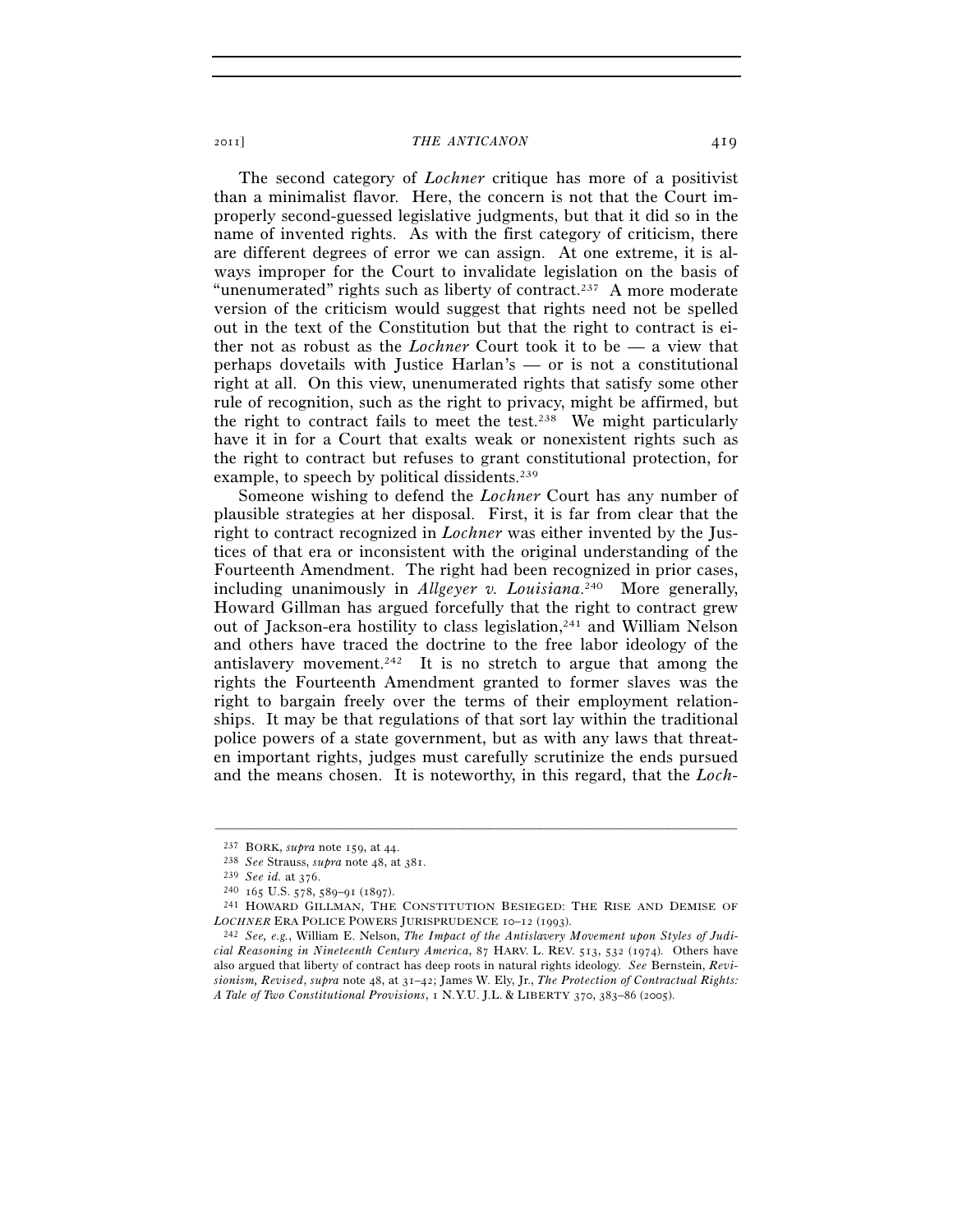The second category of *Lochner* critique has more of a positivist than a minimalist flavor. Here, the concern is not that the Court improperly second-guessed legislative judgments, but that it did so in the name of invented rights. As with the first category of criticism, there are different degrees of error we can assign. At one extreme, it is always improper for the Court to invalidate legislation on the basis of "unenumerated" rights such as liberty of contract.237 A more moderate version of the criticism would suggest that rights need not be spelled out in the text of the Constitution but that the right to contract is either not as robust as the *Lochner* Court took it to be — a view that perhaps dovetails with Justice Harlan's — or is not a constitutional right at all. On this view, unenumerated rights that satisfy some other rule of recognition, such as the right to privacy, might be affirmed, but the right to contract fails to meet the test.238 We might particularly have it in for a Court that exalts weak or nonexistent rights such as the right to contract but refuses to grant constitutional protection, for example, to speech by political dissidents.<sup>239</sup>

Someone wishing to defend the *Lochner* Court has any number of plausible strategies at her disposal. First, it is far from clear that the right to contract recognized in *Lochner* was either invented by the Justices of that era or inconsistent with the original understanding of the Fourteenth Amendment. The right had been recognized in prior cases, including unanimously in *Allgeyer v. Louisiana*. 240 More generally, Howard Gillman has argued forcefully that the right to contract grew out of Jackson-era hostility to class legislation,241 and William Nelson and others have traced the doctrine to the free labor ideology of the antislavery movement.<sup>242</sup> It is no stretch to argue that among the rights the Fourteenth Amendment granted to former slaves was the right to bargain freely over the terms of their employment relationships. It may be that regulations of that sort lay within the traditional police powers of a state government, but as with any laws that threaten important rights, judges must carefully scrutinize the ends pursued and the means chosen. It is noteworthy, in this regard, that the *Loch-*

<sup>&</sup>lt;sup>237</sup> BORK, *supra* note 159, at 44.<br>
<sup>238</sup> See Strauss, *supra* note 48, at 381.<br>
<sup>239</sup> See id. at 376.<br>
<sup>240</sup> 165 U.S. 578, 589-91 (1897).<br>
<sup>241</sup> HOWARD GILLMAN, THE CONSTITUTION BESIEGED: THE RISE AND DEMISE OF<br> *LOCHN* 

<sup>&</sup>lt;sup>242</sup> See, e.g., William E. Nelson, *The Impact of the Antislavery Movement upon Styles of Judicial Reasoning in Nineteenth Century America*, 87 HARV. L. REV. 513, 532 (1974). Others have also argued that liberty of contract has deep roots in natural rights ideology. *See* Bernstein, *Revisionism, Revised*, *supra* note 48, at 31–42; James W. Ely, Jr., *The Protection of Contractual Rights: A Tale of Two Constitutional Provisions*, 1 N.Y.U. J.L. & LIBERTY 370, 383–86 (2005).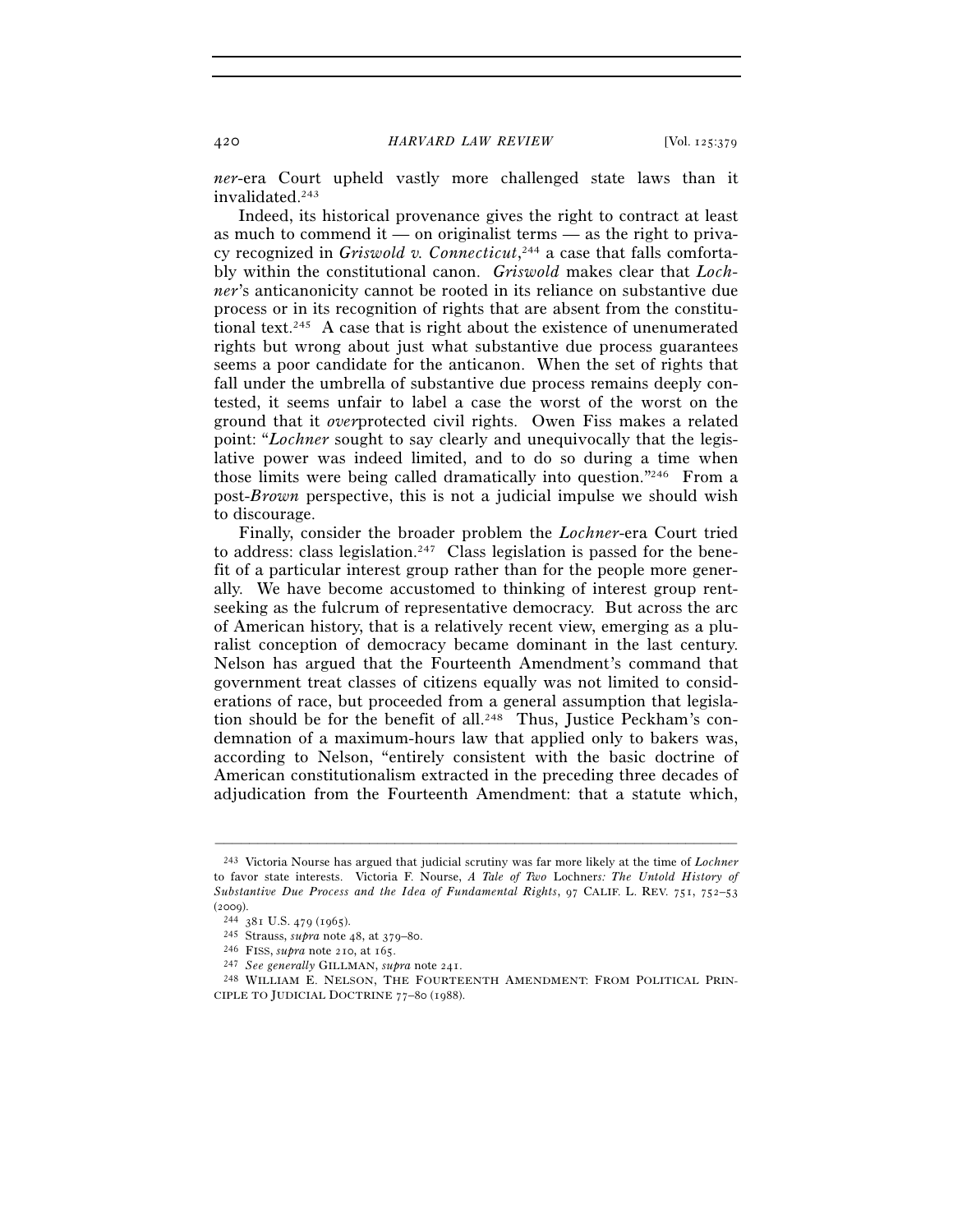*ner*-era Court upheld vastly more challenged state laws than it invalidated.243

Indeed, its historical provenance gives the right to contract at least as much to commend it — on originalist terms — as the right to privacy recognized in Griswold v. Connecticut,<sup>244</sup> a case that falls comfortably within the constitutional canon. *Griswold* makes clear that *Lochner*'s anticanonicity cannot be rooted in its reliance on substantive due process or in its recognition of rights that are absent from the constitutional text.245 A case that is right about the existence of unenumerated rights but wrong about just what substantive due process guarantees seems a poor candidate for the anticanon. When the set of rights that fall under the umbrella of substantive due process remains deeply contested, it seems unfair to label a case the worst of the worst on the ground that it *over*protected civil rights. Owen Fiss makes a related point: "*Lochner* sought to say clearly and unequivocally that the legislative power was indeed limited, and to do so during a time when those limits were being called dramatically into question."246 From a post-*Brown* perspective, this is not a judicial impulse we should wish to discourage.

Finally, consider the broader problem the *Lochner*-era Court tried to address: class legislation.<sup>247</sup> Class legislation is passed for the benefit of a particular interest group rather than for the people more generally. We have become accustomed to thinking of interest group rentseeking as the fulcrum of representative democracy. But across the arc of American history, that is a relatively recent view, emerging as a pluralist conception of democracy became dominant in the last century. Nelson has argued that the Fourteenth Amendment's command that government treat classes of citizens equally was not limited to considerations of race, but proceeded from a general assumption that legislation should be for the benefit of all.<sup>248</sup> Thus, Justice Peckham's condemnation of a maximum-hours law that applied only to bakers was, according to Nelson, "entirely consistent with the basic doctrine of American constitutionalism extracted in the preceding three decades of adjudication from the Fourteenth Amendment: that a statute which,

<sup>243</sup> Victoria Nourse has argued that judicial scrutiny was far more likely at the time of *Lochner* to favor state interests. Victoria F. Nourse, *A Tale of Two* Lochner*s: The Untold History of Substantive Due Process and the Idea of Fundamental Rights*, 97 CALIF. L. REV. 751, 752–53 (2009).<br>
<sup>244</sup> 381 U.S. 479 (1965).<br>
<sup>245</sup> Strauss, *supra* note 48, at 379–80.<br>
<sup>246</sup> FISS, *supra* note 210, at 165.<br>
<sup>247</sup> See generally GILLMAN, *supra* note 241.<br>
<sup>248</sup> WILLIAM E. NELSON, THE FOURTEENTH AMENDMENT: FR

CIPLE TO JUDICIAL DOCTRINE 77–80 (1988).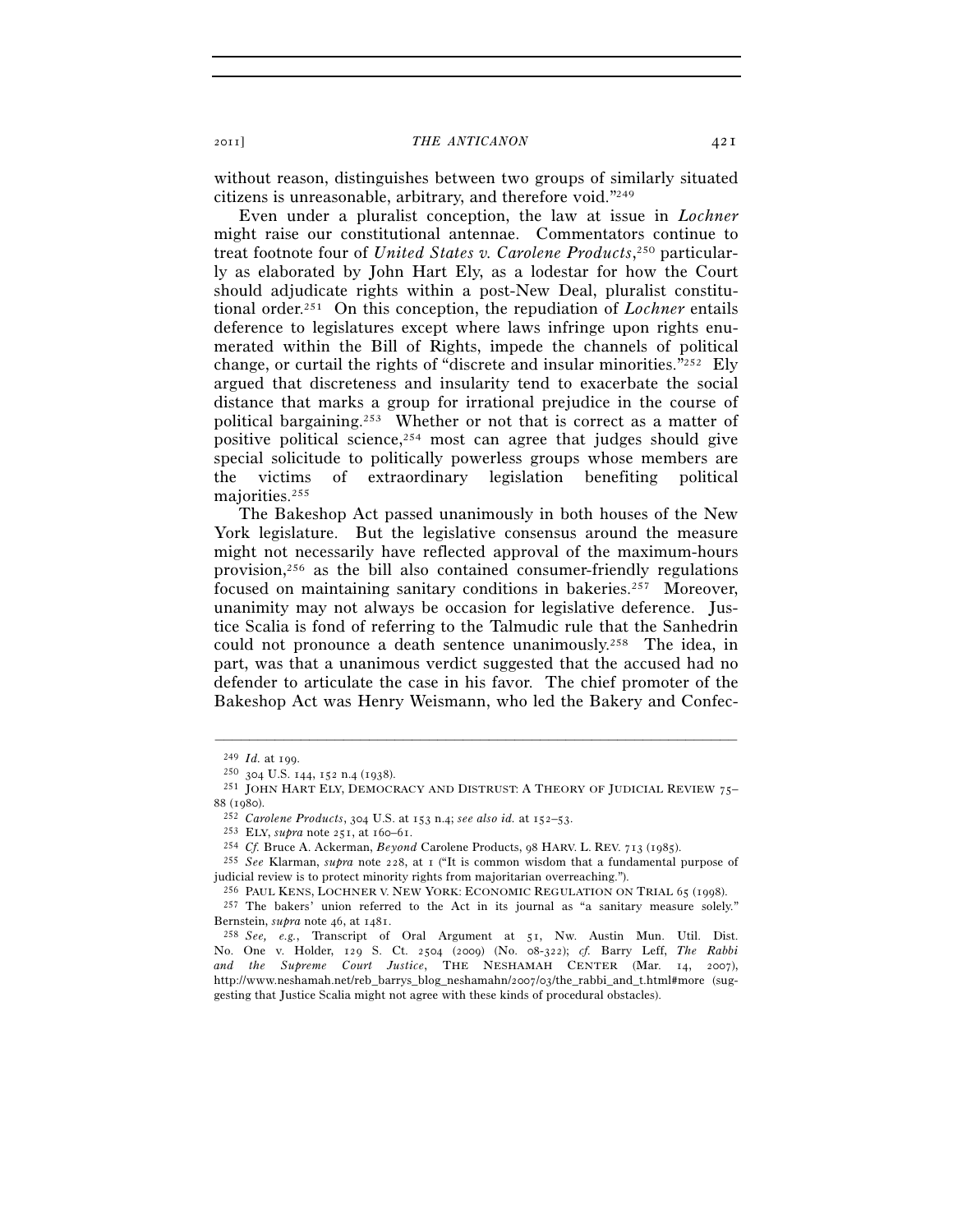without reason, distinguishes between two groups of similarly situated citizens is unreasonable, arbitrary, and therefore void."249

Even under a pluralist conception, the law at issue in *Lochner* might raise our constitutional antennae. Commentators continue to treat footnote four of *United States v. Carolene Products*, 250 particularly as elaborated by John Hart Ely, as a lodestar for how the Court should adjudicate rights within a post-New Deal, pluralist constitutional order.251 On this conception, the repudiation of *Lochner* entails deference to legislatures except where laws infringe upon rights enumerated within the Bill of Rights, impede the channels of political change, or curtail the rights of "discrete and insular minorities." $252$  Ely argued that discreteness and insularity tend to exacerbate the social distance that marks a group for irrational prejudice in the course of political bargaining.253 Whether or not that is correct as a matter of positive political science,  $254$  most can agree that judges should give special solicitude to politically powerless groups whose members are the victims of extraordinary legislation benefiting political majorities.255

The Bakeshop Act passed unanimously in both houses of the New York legislature. But the legislative consensus around the measure might not necessarily have reflected approval of the maximum-hours provision,256 as the bill also contained consumer-friendly regulations focused on maintaining sanitary conditions in bakeries.257 Moreover, unanimity may not always be occasion for legislative deference. Justice Scalia is fond of referring to the Talmudic rule that the Sanhedrin could not pronounce a death sentence unanimously.258 The idea, in part, was that a unanimous verdict suggested that the accused had no defender to articulate the case in his favor. The chief promoter of the Bakeshop Act was Henry Weismann, who led the Bakery and Confec-

<sup>&</sup>lt;sup>249</sup> *Id.* at 199.<br><sup>250</sup> 304 U.S. 144, 152 n.4 (1938).<br><sup>251</sup> JOHN HART ELY, DEMOCRACY AND DISTRUST: A THEORY OF JUDICIAL REVIEW 75– % (1980).<br>
<sup>252</sup> Carolene Products, 304 U.S. at 153 n.4; see also id. at 152–53.<br>
<sup>253</sup> ELY, *supra* note 251, at 160–61.<br>
<sup>254</sup> Cf. Bruce A. Ackerman, *Beyond* Carolene Products, 98 HARV. L. REV. 713 (1985).<br>
<sup>255</sup> See K

judicial review is to protect minority rights from majoritarian overreaching.").

<sup>&</sup>lt;sup>256</sup> PAUL KENS, LOCHNER V. NEW YORK: ECONOMIC REGULATION ON TRIAL 65 (1998).<br><sup>257</sup> The bakers' union referred to the Act in its journal as "a sanitary measure solely."<br>Bernstein, *subra* note 46, at 1481.

<sup>&</sup>lt;sup>258</sup> *See, e.g.*, Transcript of Oral Argument at 51, Nw. Austin Mun. Util. Dist. No. One v. Holder, 129 S. Ct. 2504 (2009) (No. 08-322); *cf.* Barry Leff, *The Rabbi and the Supreme Court Justice*, THE NESHAMAH CENTER (Mar. 14, 2007), http://www.neshamah.net/reb\_barrys\_blog\_neshamahn/2007/03/the\_rabbi\_and\_t.html#more (suggesting that Justice Scalia might not agree with these kinds of procedural obstacles).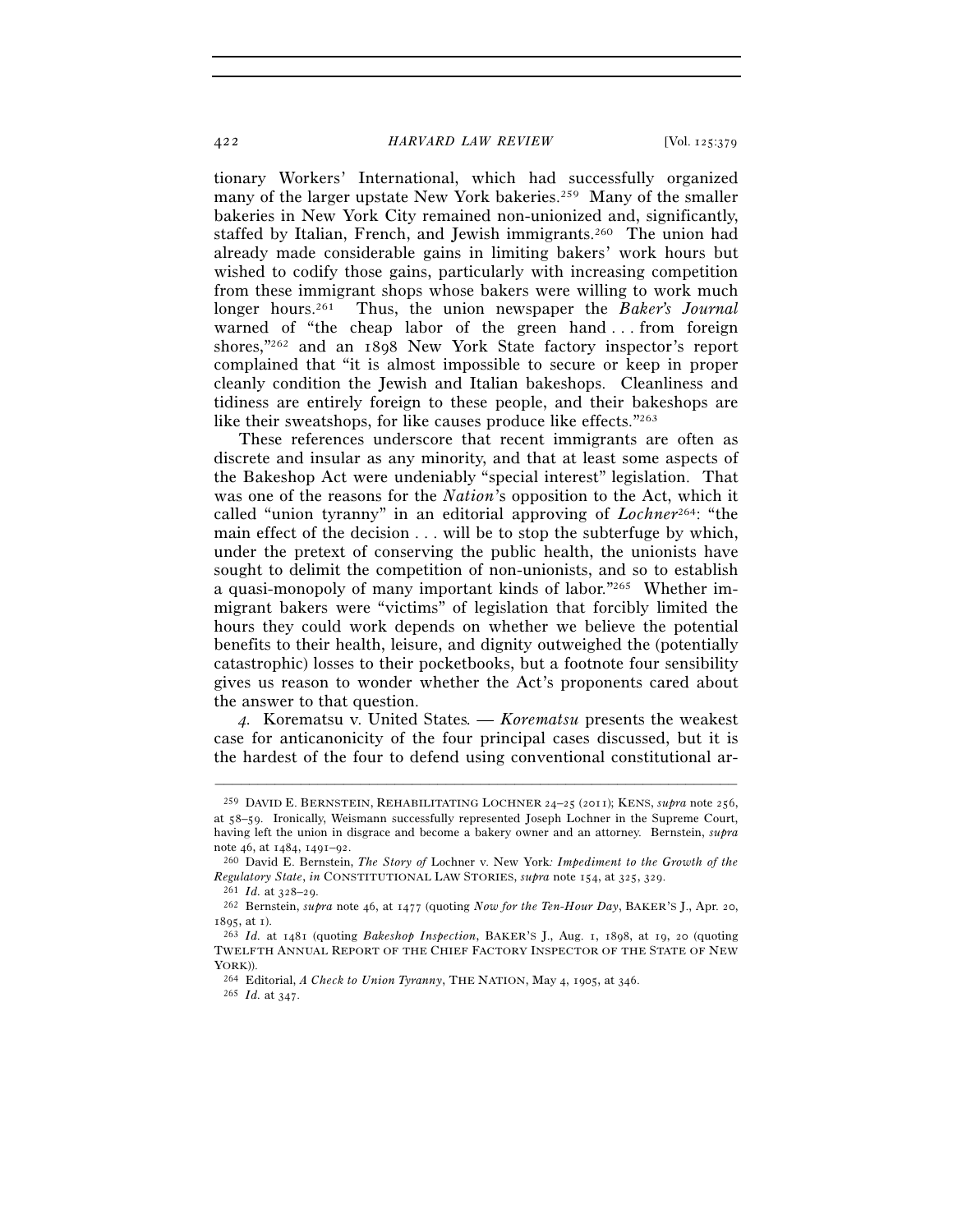tionary Workers' International, which had successfully organized many of the larger upstate New York bakeries.<sup>259</sup> Many of the smaller bakeries in New York City remained non-unionized and, significantly, staffed by Italian, French, and Jewish immigrants.<sup>260</sup> The union had already made considerable gains in limiting bakers' work hours but wished to codify those gains, particularly with increasing competition from these immigrant shops whose bakers were willing to work much longer hours.261 Thus, the union newspaper the *Baker's Journal* warned of "the cheap labor of the green hand . . . from foreign shores,"262 and an 1898 New York State factory inspector's report complained that "it is almost impossible to secure or keep in proper cleanly condition the Jewish and Italian bakeshops. Cleanliness and tidiness are entirely foreign to these people, and their bakeshops are like their sweatshops, for like causes produce like effects."263

These references underscore that recent immigrants are often as discrete and insular as any minority, and that at least some aspects of the Bakeshop Act were undeniably "special interest" legislation. That was one of the reasons for the *Nation*'s opposition to the Act, which it called "union tyranny" in an editorial approving of *Lochner*264: "the main effect of the decision . . . will be to stop the subterfuge by which, under the pretext of conserving the public health, the unionists have sought to delimit the competition of non-unionists, and so to establish a quasi-monopoly of many important kinds of labor."265 Whether immigrant bakers were "victims" of legislation that forcibly limited the hours they could work depends on whether we believe the potential benefits to their health, leisure, and dignity outweighed the (potentially catastrophic) losses to their pocketbooks, but a footnote four sensibility gives us reason to wonder whether the Act's proponents cared about the answer to that question.

*4.* Korematsu v. United States*. — Korematsu* presents the weakest case for anticanonicity of the four principal cases discussed, but it is the hardest of the four to defend using conventional constitutional ar-

<sup>259</sup> DAVID E. BERNSTEIN, REHABILITATING LOCHNER 24–25 (2011); KENS, *supra* note 256, at 58–59. Ironically, Weismann successfully represented Joseph Lochner in the Supreme Court, having left the union in disgrace and become a bakery owner and an attorney. Bernstein, *supra*

note 46, at 1484, 1491–92. 260 David E. Bernstein, *The Story of* Lochner v. New York*: Impediment to the Growth of the*  Regulatory State, in CONSTITUTIONAL LAW STORIES, supra note 154, at 325, 329.<br><sup>261</sup> *Id.* at 328–29.<br><sup>262</sup> Bernstein, supra note 46, at 1477 (quoting Now for the Ten-Hour Day, BAKER'S J., Apr. 20,

<sup>1895</sup>, at 1). 263 *Id.* at 1481 (quoting *Bakeshop Inspection*, BAKER'S J., Aug. 1, 1898, at 19, 20 (quoting

TWELFTH ANNUAL REPORT OF THE CHIEF FACTORY INSPECTOR OF THE STATE OF NEW YORK)). 264 Editorial, *A Check to Union Tyranny*, THE NATION, May 4, 1905, at 346. 265 *Id.* at 347.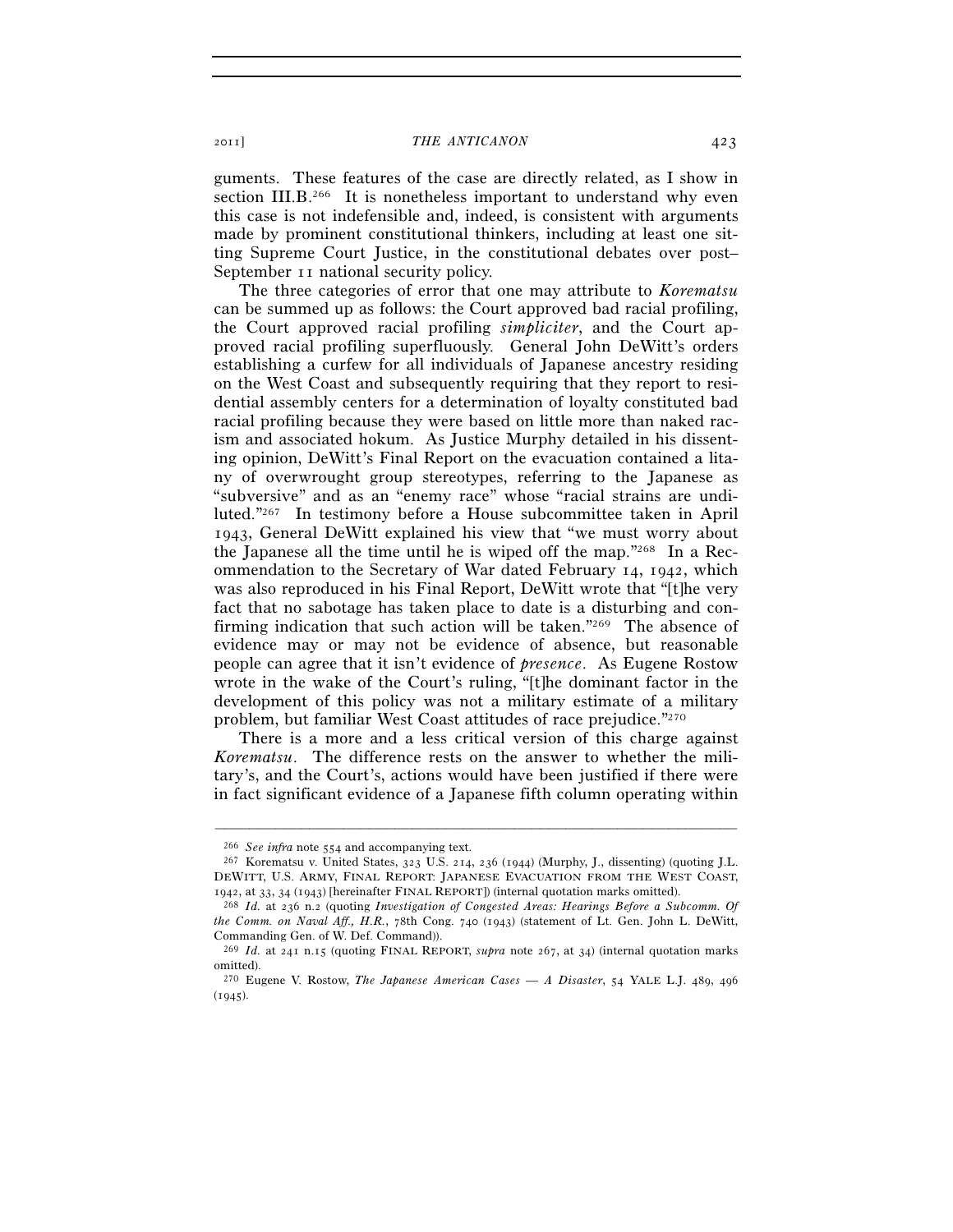guments. These features of the case are directly related, as I show in section  $III.B.<sup>266</sup>$  It is nonetheless important to understand why even this case is not indefensible and, indeed, is consistent with arguments made by prominent constitutional thinkers, including at least one sitting Supreme Court Justice, in the constitutional debates over post– September 11 national security policy.

The three categories of error that one may attribute to *Korematsu* can be summed up as follows: the Court approved bad racial profiling, the Court approved racial profiling *simpliciter*, and the Court approved racial profiling superfluously. General John DeWitt's orders establishing a curfew for all individuals of Japanese ancestry residing on the West Coast and subsequently requiring that they report to residential assembly centers for a determination of loyalty constituted bad racial profiling because they were based on little more than naked racism and associated hokum. As Justice Murphy detailed in his dissenting opinion, DeWitt's Final Report on the evacuation contained a litany of overwrought group stereotypes, referring to the Japanese as "subversive" and as an "enemy race" whose "racial strains are undiluted."267 In testimony before a House subcommittee taken in April 1943, General DeWitt explained his view that "we must worry about the Japanese all the time until he is wiped off the map."268 In a Recommendation to the Secretary of War dated February 14, 1942, which was also reproduced in his Final Report, DeWitt wrote that "[t]he very fact that no sabotage has taken place to date is a disturbing and confirming indication that such action will be taken."269 The absence of evidence may or may not be evidence of absence, but reasonable people can agree that it isn't evidence of *presence*. As Eugene Rostow wrote in the wake of the Court's ruling, "[t]he dominant factor in the development of this policy was not a military estimate of a military problem, but familiar West Coast attitudes of race prejudice."270

There is a more and a less critical version of this charge against *Korematsu*. The difference rests on the answer to whether the military's, and the Court's, actions would have been justified if there were in fact significant evidence of a Japanese fifth column operating within

<sup>266</sup> *See infra* note 554 and accompanying text. 267 Korematsu v. United States, 323 U.S. 214, 236 (1944) (Murphy, J., dissenting) (quoting J.L. DEWITT, U.S. ARMY, FINAL REPORT: JAPANESE EVACUATION FROM THE WEST COAST, 1942, at 33, 34 (1943) [hereinafter FINAL REPORT]) (internal quotation marks omitted).

<sup>&</sup>lt;sup>268</sup> Id. at 236 n.2 (quoting *Investigation of Congested Areas: Hearings Before a Subcomm. Of the Comm. on Naval Aff., H.R.*, 78th Cong. 740 (1943) (statement of Lt. Gen. John L. DeWitt, Commanding Gen. of W. Def. Command)).

<sup>269</sup> *Id.* at 241 n.15 (quoting FINAL REPORT, *supra* note 267, at 34) (internal quotation marks omitted).

<sup>270</sup> Eugene V. Rostow, *The Japanese American Cases — A Disaster*, 54 YALE L.J. 489, 496  $(1945).$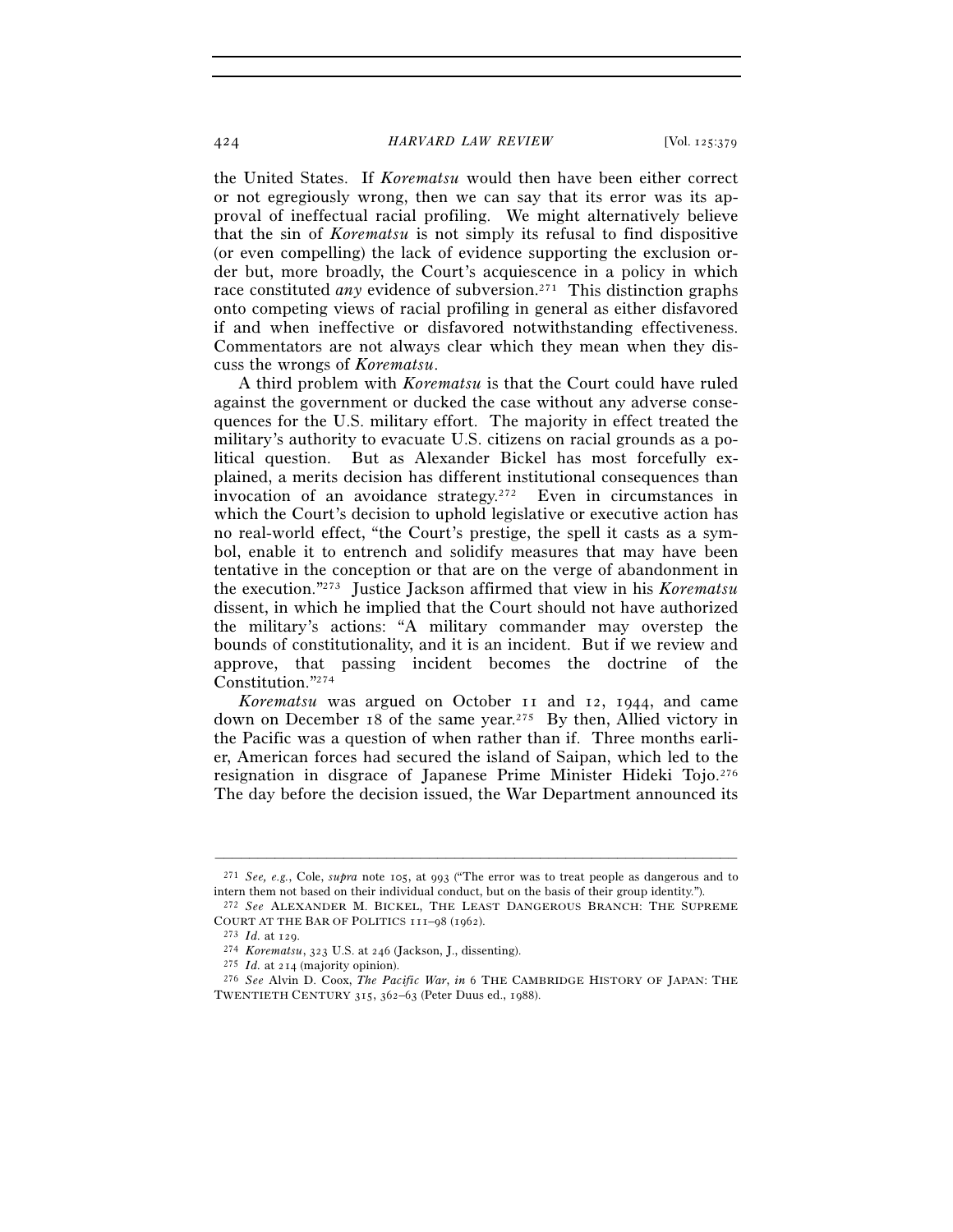the United States. If *Korematsu* would then have been either correct or not egregiously wrong, then we can say that its error was its approval of ineffectual racial profiling. We might alternatively believe that the sin of *Korematsu* is not simply its refusal to find dispositive (or even compelling) the lack of evidence supporting the exclusion order but, more broadly, the Court's acquiescence in a policy in which race constituted *any* evidence of subversion.271 This distinction graphs onto competing views of racial profiling in general as either disfavored if and when ineffective or disfavored notwithstanding effectiveness. Commentators are not always clear which they mean when they discuss the wrongs of *Korematsu*.

A third problem with *Korematsu* is that the Court could have ruled against the government or ducked the case without any adverse consequences for the U.S. military effort. The majority in effect treated the military's authority to evacuate U.S. citizens on racial grounds as a political question. But as Alexander Bickel has most forcefully explained, a merits decision has different institutional consequences than invocation of an avoidance strategy.272 Even in circumstances in which the Court's decision to uphold legislative or executive action has no real-world effect, "the Court's prestige, the spell it casts as a symbol, enable it to entrench and solidify measures that may have been tentative in the conception or that are on the verge of abandonment in the execution."273 Justice Jackson affirmed that view in his *Korematsu* dissent, in which he implied that the Court should not have authorized the military's actions: "A military commander may overstep the bounds of constitutionality, and it is an incident. But if we review and approve, that passing incident becomes the doctrine of the Constitution."274

*Korematsu* was argued on October 11 and 12, 1944, and came down on December 18 of the same year.275 By then, Allied victory in the Pacific was a question of when rather than if. Three months earlier, American forces had secured the island of Saipan, which led to the resignation in disgrace of Japanese Prime Minister Hideki Tojo.276 The day before the decision issued, the War Department announced its

<sup>–––––––––––––––––––––––––––––––––––––––––––––––––––––––––––––</sup> 271 *See, e.g.*, Cole, *supra* note 105, at 993 ("The error was to treat people as dangerous and to

intern them not based on their individual conduct, but on the basis of their group identity.").<br><sup>272</sup> *See* ALEXANDER M. BICKEL, THE LEAST DANGEROUS BRANCH: THE SUPREME<br>COURT AT THE BAR OF POLITICS 111–98 (1962).

<sup>&</sup>lt;sup>273</sup> *Id.* at 129.<br><sup>274</sup> *Korematsu*, 323 U.S. at 246 (Jackson, J., dissenting).<br><sup>275</sup> *Id.* at 214 (majority opinion).<br><sup>275</sup> *See* Alvin D. Coox, *The Pacific War*, *in* 6 THE CAMBRIDGE HISTORY OF JAPAN: THE TWENTIETH CENTURY 315, 362–63 (Peter Duus ed., 1988).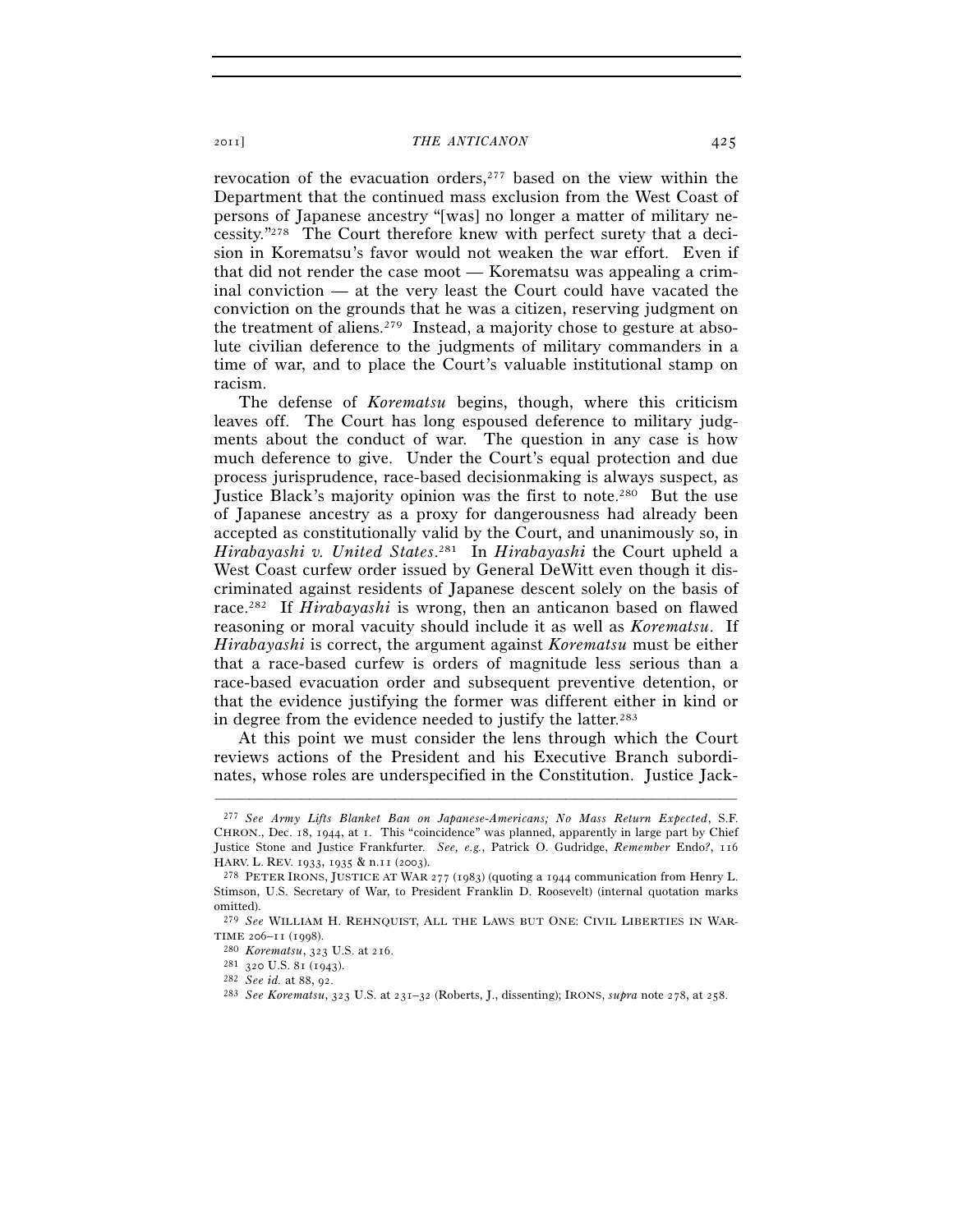revocation of the evacuation orders,<sup>277</sup> based on the view within the Department that the continued mass exclusion from the West Coast of persons of Japanese ancestry "[was] no longer a matter of military necessity."278 The Court therefore knew with perfect surety that a decision in Korematsu's favor would not weaken the war effort. Even if that did not render the case moot — Korematsu was appealing a criminal conviction — at the very least the Court could have vacated the conviction on the grounds that he was a citizen, reserving judgment on the treatment of aliens.279 Instead, a majority chose to gesture at absolute civilian deference to the judgments of military commanders in a time of war, and to place the Court's valuable institutional stamp on racism.

The defense of *Korematsu* begins, though, where this criticism leaves off. The Court has long espoused deference to military judgments about the conduct of war. The question in any case is how much deference to give. Under the Court's equal protection and due process jurisprudence, race-based decisionmaking is always suspect, as Justice Black's majority opinion was the first to note.280 But the use of Japanese ancestry as a proxy for dangerousness had already been accepted as constitutionally valid by the Court, and unanimously so, in *Hirabayashi v. United States*. 281 In *Hirabayashi* the Court upheld a West Coast curfew order issued by General DeWitt even though it discriminated against residents of Japanese descent solely on the basis of race.282 If *Hirabayashi* is wrong, then an anticanon based on flawed reasoning or moral vacuity should include it as well as *Korematsu*. If *Hirabayashi* is correct, the argument against *Korematsu* must be either that a race-based curfew is orders of magnitude less serious than a race-based evacuation order and subsequent preventive detention, or that the evidence justifying the former was different either in kind or in degree from the evidence needed to justify the latter.283

At this point we must consider the lens through which the Court reviews actions of the President and his Executive Branch subordinates, whose roles are underspecified in the Constitution. Justice Jack-

<sup>277</sup> *See Army Lifts Blanket Ban on Japanese-Americans; No Mass Return Expected*, S.F. CHRON., Dec. 18, 1944, at 1. This "coincidence" was planned, apparently in large part by Chief Justice Stone and Justice Frankfurter. *See, e.g.*, Patrick O. Gudridge, *Remember* Endo*?*, 116 HARV. L. REV. 1933, 1935 & n.11 (2003).<br><sup>278</sup> PETER IRONS, JUSTICE AT WAR 277 (1983) (quoting a 1944 communication from Henry L.

Stimson, U.S. Secretary of War, to President Franklin D. Roosevelt) (internal quotation marks omitted).

<sup>279</sup> *See* WILLIAM H. REHNQUIST, ALL THE LAWS BUT ONE: CIVIL LIBERTIES IN WAR-TIME 206-11 (1998).<br>
<sup>280</sup> Korematsu, 323 U.S. at 216.<br>
<sup>281</sup> 320 U.S. 81 (1943).<br>
<sup>282</sup> *See id.* at 88, 92.<br>
<sup>282</sup> *See id.* at 88, 92.<br>
<sup>283</sup> *See Korematsu*, 323 U.S. at 231–32 (Roberts, J., dissenting); IRONS, *supra*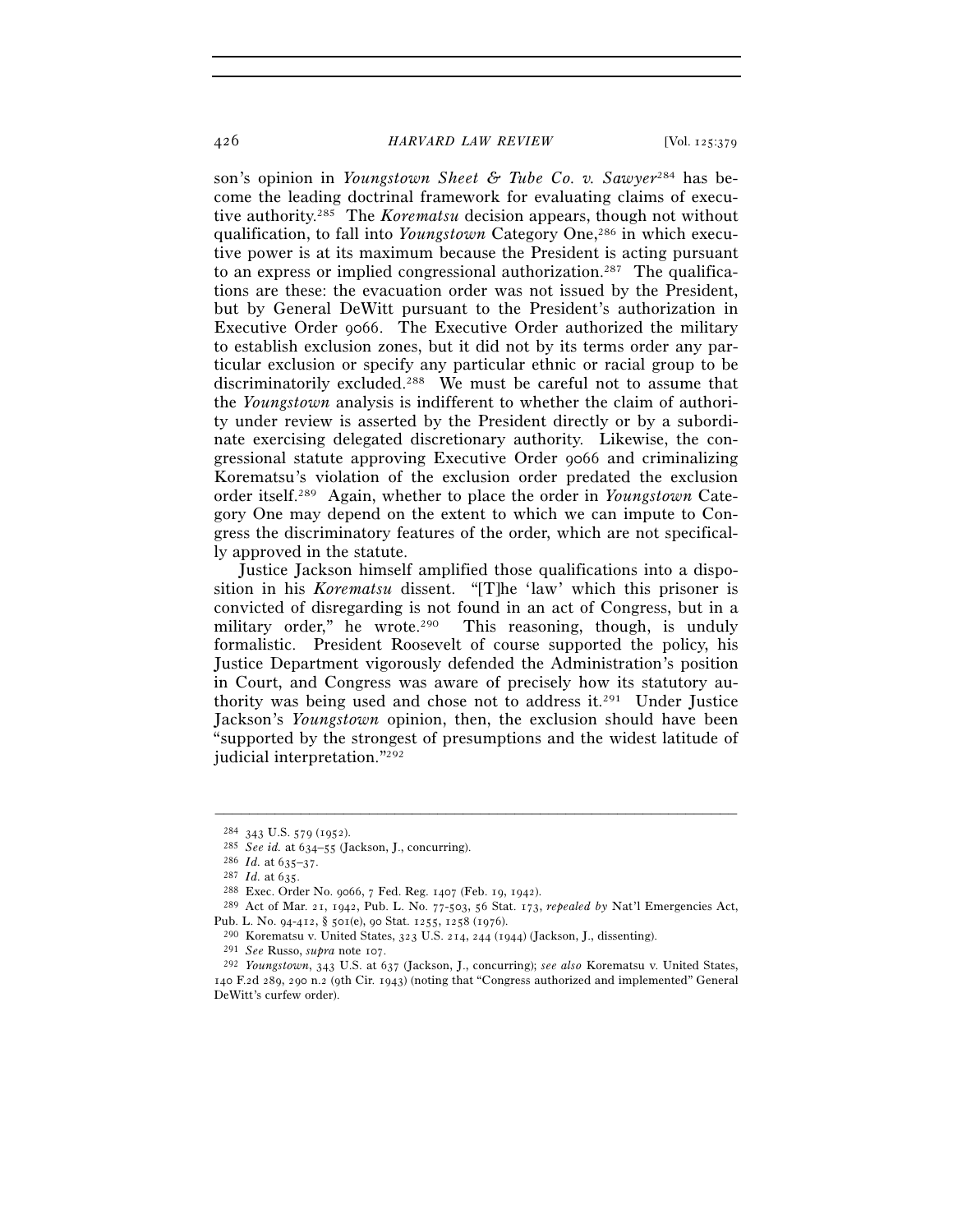son's opinion in *Youngstown Sheet & Tube Co. v. Sawyer*284 has become the leading doctrinal framework for evaluating claims of executive authority.285 The *Korematsu* decision appears, though not without qualification, to fall into *Youngstown* Category One,286 in which executive power is at its maximum because the President is acting pursuant to an express or implied congressional authorization.<sup>287</sup> The qualifications are these: the evacuation order was not issued by the President, but by General DeWitt pursuant to the President's authorization in Executive Order 9066. The Executive Order authorized the military to establish exclusion zones, but it did not by its terms order any particular exclusion or specify any particular ethnic or racial group to be discriminatorily excluded.288 We must be careful not to assume that the *Youngstown* analysis is indifferent to whether the claim of authority under review is asserted by the President directly or by a subordinate exercising delegated discretionary authority. Likewise, the congressional statute approving Executive Order 9066 and criminalizing Korematsu's violation of the exclusion order predated the exclusion order itself.289 Again, whether to place the order in *Youngstown* Category One may depend on the extent to which we can impute to Congress the discriminatory features of the order, which are not specifically approved in the statute.

Justice Jackson himself amplified those qualifications into a disposition in his *Korematsu* dissent. "[T]he 'law' which this prisoner is convicted of disregarding is not found in an act of Congress, but in a military order," he wrote.<sup>290</sup> This reasoning, though, is unduly formalistic. President Roosevelt of course supported the policy, his Justice Department vigorously defended the Administration's position in Court, and Congress was aware of precisely how its statutory authority was being used and chose not to address it.291 Under Justice Jackson's *Youngstown* opinion, then, the exclusion should have been "supported by the strongest of presumptions and the widest latitude of judicial interpretation."292

<sup>&</sup>lt;sup>284</sup> 343 U.S. 579 (1952).<br>
<sup>285</sup> *See id.* at 634–55 (Jackson, J., concurring).<br>
<sup>286</sup> *Id.* at 635–37.<br>
<sup>287</sup> *Id.* at 635.<br>
<sup>288</sup> Exec. Order No. 9066, 7 Fed. Reg. 1407 (Feb. 19, 1942).<br>
<sup>289</sup> Act of Mar. 21, 1942, Pub Pub. L. No. 94-412, § 501(e), 90 Stat. 1255, 1258 (1976).<br><sup>290</sup> Korematsu v. United States, 323 U.S. 214, 244 (1944) (Jackson, J., dissenting).<br><sup>291</sup> *See* Russo, *supra* note 107.<br><sup>292</sup> *Youngstown*, 343 U.S. at 637 (Jack

<sup>140</sup> F.2d 289, 290 n.2 (9th Cir. 1943) (noting that "Congress authorized and implemented" General DeWitt's curfew order).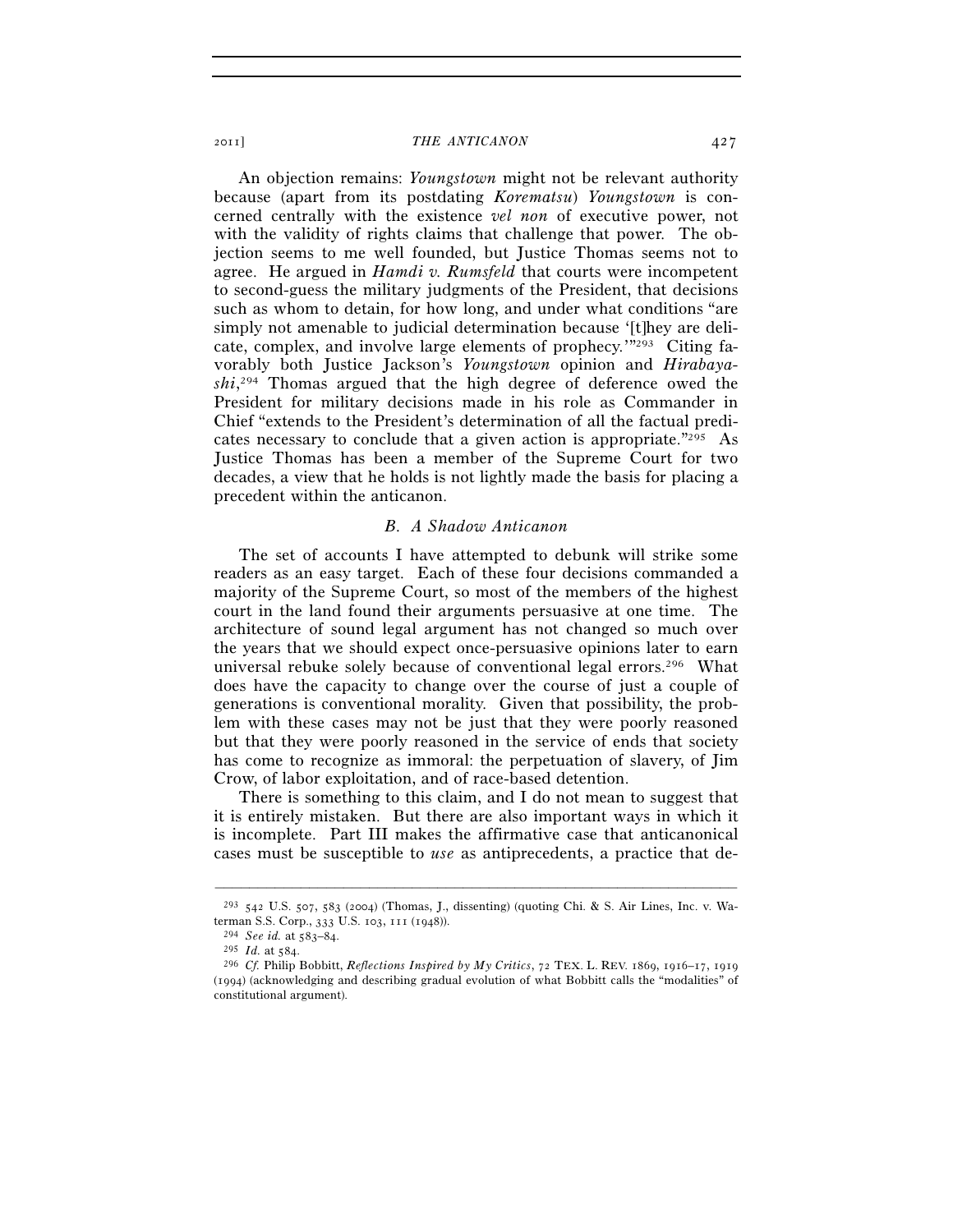An objection remains: *Youngstown* might not be relevant authority because (apart from its postdating *Korematsu*) *Youngstown* is concerned centrally with the existence *vel non* of executive power, not with the validity of rights claims that challenge that power. The objection seems to me well founded, but Justice Thomas seems not to agree. He argued in *Hamdi v. Rumsfeld* that courts were incompetent to second-guess the military judgments of the President, that decisions such as whom to detain, for how long, and under what conditions "are simply not amenable to judicial determination because '[t]hey are delicate, complex, and involve large elements of prophecy.'"293 Citing favorably both Justice Jackson's *Youngstown* opinion and *Hirabayashi*, 294 Thomas argued that the high degree of deference owed the President for military decisions made in his role as Commander in Chief "extends to the President's determination of all the factual predicates necessary to conclude that a given action is appropriate."<sup>295</sup> As Justice Thomas has been a member of the Supreme Court for two decades, a view that he holds is not lightly made the basis for placing a precedent within the anticanon.

# *B. A Shadow Anticanon*

The set of accounts I have attempted to debunk will strike some readers as an easy target. Each of these four decisions commanded a majority of the Supreme Court, so most of the members of the highest court in the land found their arguments persuasive at one time. The architecture of sound legal argument has not changed so much over the years that we should expect once-persuasive opinions later to earn universal rebuke solely because of conventional legal errors.<sup>296</sup> What does have the capacity to change over the course of just a couple of generations is conventional morality. Given that possibility, the problem with these cases may not be just that they were poorly reasoned but that they were poorly reasoned in the service of ends that society has come to recognize as immoral: the perpetuation of slavery, of Jim Crow, of labor exploitation, and of race-based detention.

There is something to this claim, and I do not mean to suggest that it is entirely mistaken. But there are also important ways in which it is incomplete. Part III makes the affirmative case that anticanonical cases must be susceptible to *use* as antiprecedents, a practice that de-

<sup>–––––––––––––––––––––––––––––––––––––––––––––––––––––––––––––</sup> 293 542 U.S. 507, 583 (2004) (Thomas, J., dissenting) (quoting Chi. & S. Air Lines, Inc. v. Waterman S.S. Corp., 333 U.S. 103, 111 (1948)).<br><sup>294</sup> *See id.* at 583–84.<br><sup>295</sup> *Id.* at 584.<br><sup>296</sup> *Cf.* Philip Bobbitt, *Reflections Inspired by My Critics*, 72 TEX. L. REV. 1869, 1916–17, 1919

<sup>(</sup>1994) (acknowledging and describing gradual evolution of what Bobbitt calls the "modalities" of constitutional argument).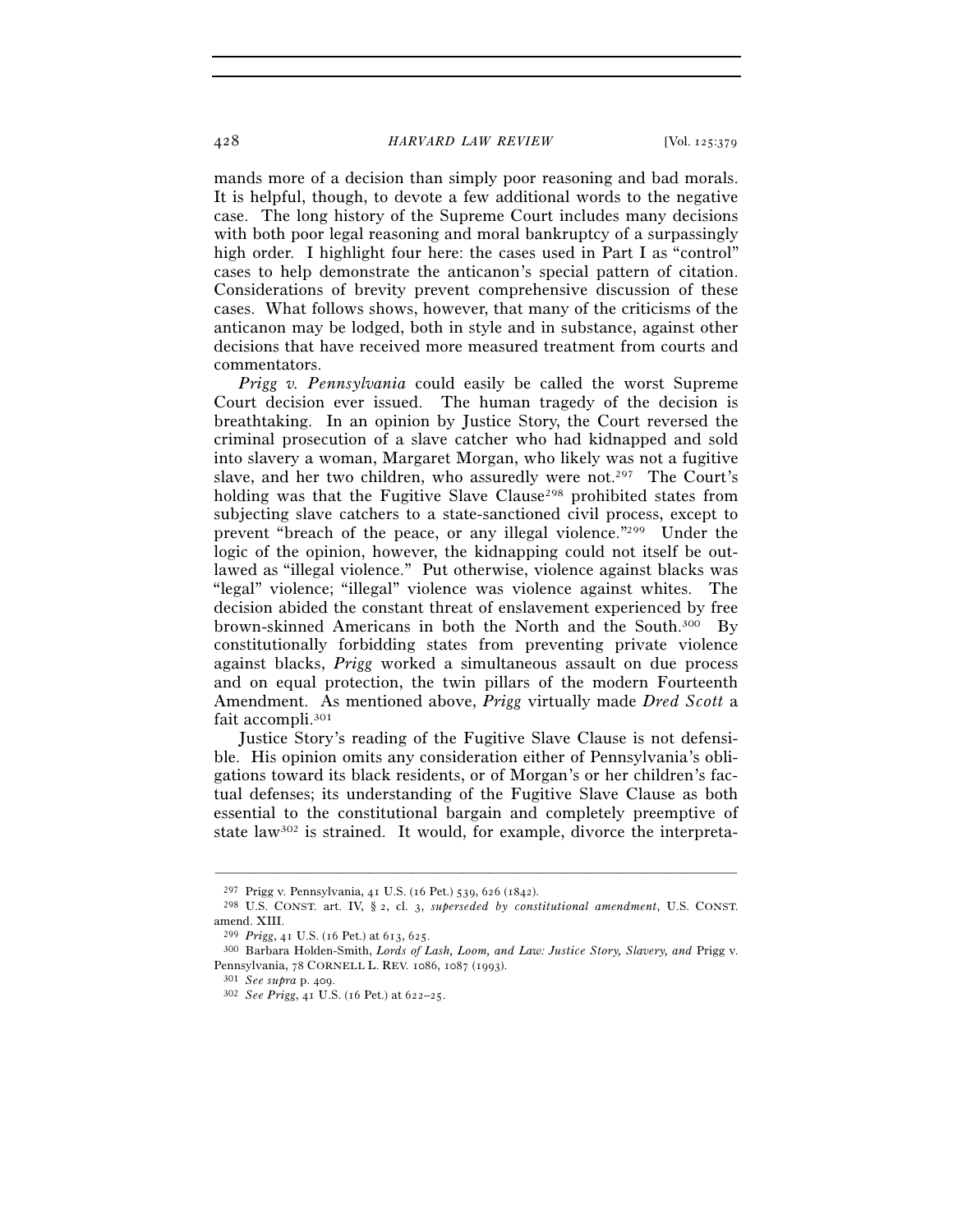mands more of a decision than simply poor reasoning and bad morals. It is helpful, though, to devote a few additional words to the negative case. The long history of the Supreme Court includes many decisions with both poor legal reasoning and moral bankruptcy of a surpassingly high order. I highlight four here: the cases used in Part I as "control" cases to help demonstrate the anticanon's special pattern of citation. Considerations of brevity prevent comprehensive discussion of these cases. What follows shows, however, that many of the criticisms of the anticanon may be lodged, both in style and in substance, against other decisions that have received more measured treatment from courts and commentators.

*Prigg v. Pennsylvania* could easily be called the worst Supreme Court decision ever issued. The human tragedy of the decision is breathtaking. In an opinion by Justice Story, the Court reversed the criminal prosecution of a slave catcher who had kidnapped and sold into slavery a woman, Margaret Morgan, who likely was not a fugitive slave, and her two children, who assuredly were not.<sup>297</sup> The Court's holding was that the Fugitive Slave Clause<sup>298</sup> prohibited states from subjecting slave catchers to a state-sanctioned civil process, except to prevent "breach of the peace, or any illegal violence."299 Under the logic of the opinion, however, the kidnapping could not itself be outlawed as "illegal violence." Put otherwise, violence against blacks was "legal" violence; "illegal" violence was violence against whites. The decision abided the constant threat of enslavement experienced by free brown-skinned Americans in both the North and the South.300 By constitutionally forbidding states from preventing private violence against blacks, *Prigg* worked a simultaneous assault on due process and on equal protection, the twin pillars of the modern Fourteenth Amendment. As mentioned above, *Prigg* virtually made *Dred Scott* a fait accompli.301

Justice Story's reading of the Fugitive Slave Clause is not defensible. His opinion omits any consideration either of Pennsylvania's obligations toward its black residents, or of Morgan's or her children's factual defenses; its understanding of the Fugitive Slave Clause as both essential to the constitutional bargain and completely preemptive of state law302 is strained. It would, for example, divorce the interpreta-

<sup>297</sup> Prigg v. Pennsylvania, 41 U.S. (16 Pet.) 539, 626 (1842). 298 U.S. CONST. art. IV, § 2, cl. 3, *superseded by constitutional amendment*, U.S. CONST. amend. XIII.

<sup>299</sup> *Prigg*, 41 U.S. (16 Pet.) at 613, 625. 300 Barbara Holden-Smith, *Lords of Lash, Loom, and Law: Justice Story, Slavery, and* Prigg v. Pennsylvania, <sup>78</sup> CORNELL L. REV. 1086, 1087 (1993). 301 *See supra* p. 409. 302 *See Prigg*, 41 U.S. (16 Pet.) at 622–25.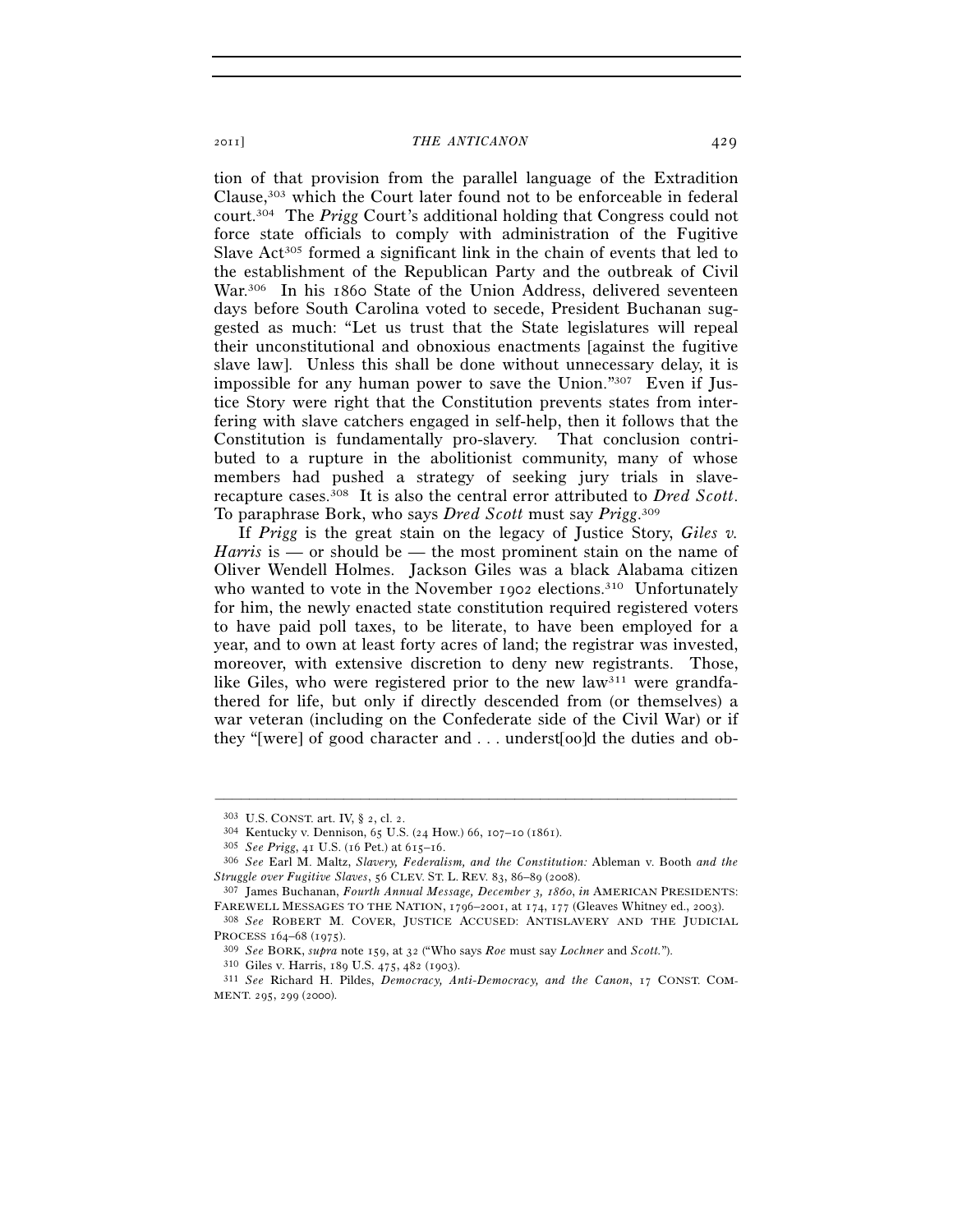tion of that provision from the parallel language of the Extradition Clause,303 which the Court later found not to be enforceable in federal court.304 The *Prigg* Court's additional holding that Congress could not force state officials to comply with administration of the Fugitive Slave  $Act^{305}$  formed a significant link in the chain of events that led to the establishment of the Republican Party and the outbreak of Civil War.306 In his 1860 State of the Union Address, delivered seventeen days before South Carolina voted to secede, President Buchanan suggested as much: "Let us trust that the State legislatures will repeal their unconstitutional and obnoxious enactments [against the fugitive slave law]. Unless this shall be done without unnecessary delay, it is impossible for any human power to save the Union."307 Even if Justice Story were right that the Constitution prevents states from interfering with slave catchers engaged in self-help, then it follows that the Constitution is fundamentally pro-slavery. That conclusion contributed to a rupture in the abolitionist community, many of whose members had pushed a strategy of seeking jury trials in slaverecapture cases.308 It is also the central error attributed to *Dred Scott*. To paraphrase Bork, who says *Dred Scott* must say *Prigg*. 309

If *Prigg* is the great stain on the legacy of Justice Story, *Giles v. Harris* is — or should be — the most prominent stain on the name of Oliver Wendell Holmes. Jackson Giles was a black Alabama citizen who wanted to vote in the November 1902 elections.<sup>310</sup> Unfortunately for him, the newly enacted state constitution required registered voters to have paid poll taxes, to be literate, to have been employed for a year, and to own at least forty acres of land; the registrar was invested, moreover, with extensive discretion to deny new registrants. Those, like Giles, who were registered prior to the new  $law<sup>311</sup>$  were grandfathered for life, but only if directly descended from (or themselves) a war veteran (including on the Confederate side of the Civil War) or if they "[were] of good character and . . . underst[oo]d the duties and ob-

<sup>303</sup> U.S. CONST. art. IV, § 2, cl. 2.<br>
304 Kentucky v. Dennison, 65 U.S. (24 How.) 66, 107–10 (1861).<br>
305 See Prigg, 41 U.S. (16 Pet.) at 615–16.<br>
306 See Earl M. Maltz, Slavery, Federalism, and the Constitution: Ableman *Struggle over Fugitive Slaves*, 56 CLEV. ST. L. REV. 83, 86–89 (2008). 307 James Buchanan, *Fourth Annual Message, December 3, 1860*, *in* AMERICAN PRESIDENTS:

FAREWELL MESSAGES TO THE NATION, <sup>1796</sup>–2001, at 174, 177 (Gleaves Whitney ed., 2003). 308 *See* ROBERT M. COVER, JUSTICE ACCUSED: ANTISLAVERY AND THE JUDICIAL

PROCESS 164–68 (1975).<br><sup>309</sup> See BORK, *supra* note 159, at 32 ("Who says *Roe* must say *Lochner* and *Scott."*).<br><sup>310</sup> Giles v. Harris, 189 U.S. 475, 482 (1903).<br><sup>311</sup> See Richard H. Pildes, *Democracy, Anti-Democracy, a* 

MENT. 295, 299 (2000).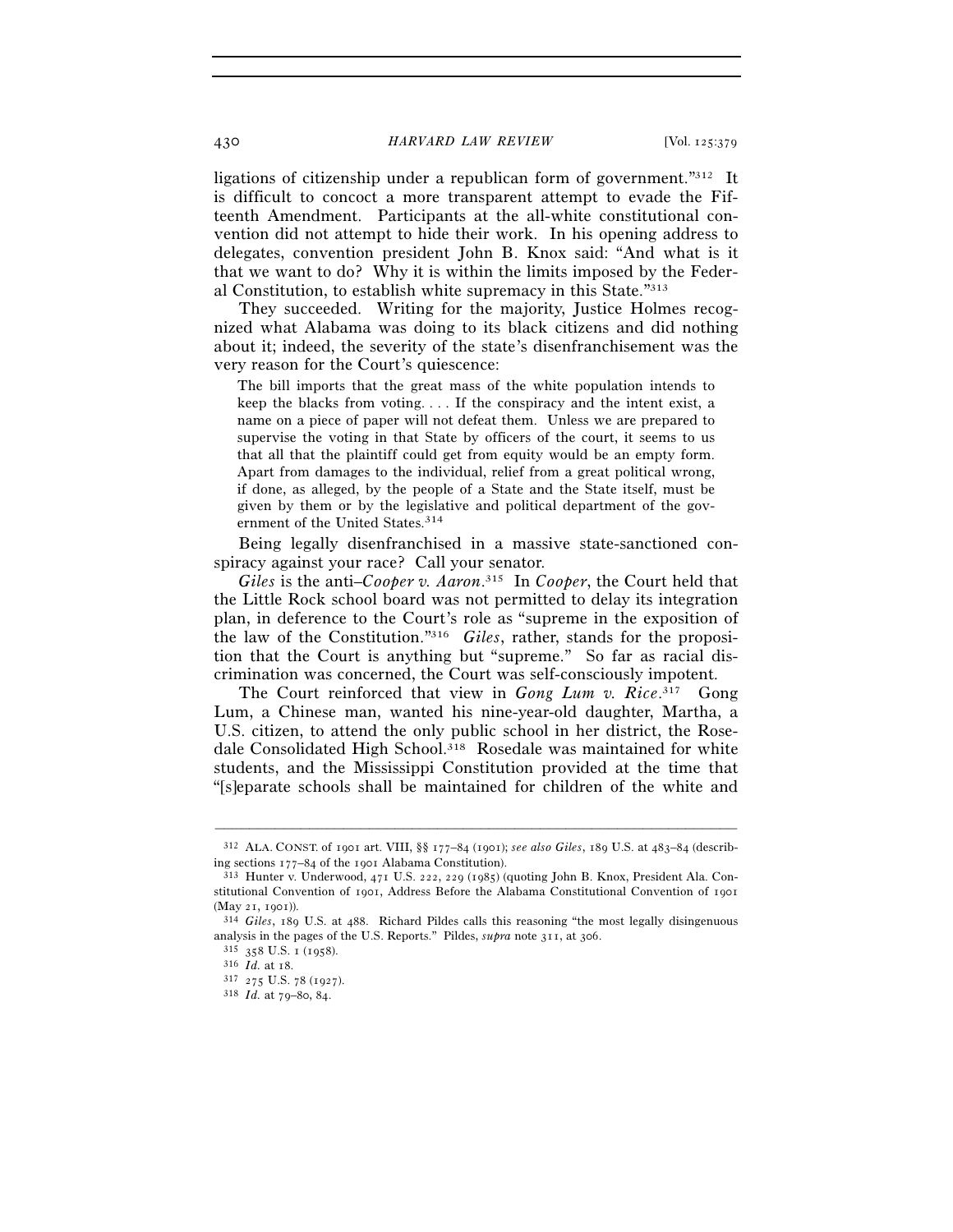430 *HARVARD LAW REVIEW* [Vol. 125:379

ligations of citizenship under a republican form of government."312 It is difficult to concoct a more transparent attempt to evade the Fifteenth Amendment. Participants at the all-white constitutional convention did not attempt to hide their work. In his opening address to delegates, convention president John B. Knox said: "And what is it that we want to do? Why it is within the limits imposed by the Federal Constitution, to establish white supremacy in this State."313

They succeeded. Writing for the majority, Justice Holmes recognized what Alabama was doing to its black citizens and did nothing about it; indeed, the severity of the state's disenfranchisement was the very reason for the Court's quiescence:

The bill imports that the great mass of the white population intends to keep the blacks from voting. . . . If the conspiracy and the intent exist, a name on a piece of paper will not defeat them. Unless we are prepared to supervise the voting in that State by officers of the court, it seems to us that all that the plaintiff could get from equity would be an empty form. Apart from damages to the individual, relief from a great political wrong, if done, as alleged, by the people of a State and the State itself, must be given by them or by the legislative and political department of the government of the United States.<sup>314</sup>

Being legally disenfranchised in a massive state-sanctioned conspiracy against your race? Call your senator.

*Giles* is the anti–*Cooper v. Aaron*. 315 In *Cooper*, the Court held that the Little Rock school board was not permitted to delay its integration plan, in deference to the Court's role as "supreme in the exposition of the law of the Constitution."316 *Giles*, rather, stands for the proposition that the Court is anything but "supreme." So far as racial discrimination was concerned, the Court was self-consciously impotent.

The Court reinforced that view in *Gong Lum v. Rice*. 317 Gong Lum, a Chinese man, wanted his nine-year-old daughter, Martha, a U.S. citizen, to attend the only public school in her district, the Rosedale Consolidated High School.<sup>318</sup> Rosedale was maintained for white students, and the Mississippi Constitution provided at the time that "[s]eparate schools shall be maintained for children of the white and

<sup>–––––––––––––––––––––––––––––––––––––––––––––––––––––––––––––</sup> 312 ALA. CONST. of 1901 art. VIII, §§ 177–84 (1901); *see also Giles*, 189 U.S. at 483–84 (describing sections 177–84 of the 1901 Alabama Constitution).<br><sup>313</sup> Hunter v. Underwood, 471 U.S. 222, 229 (1985) (quoting John B. Knox, President Ala. Con-

stitutional Convention of 1901, Address Before the Alabama Constitutional Convention of 1901 (May 21, 1901)). 314 *Giles*, 189 U.S. at 488. Richard Pildes calls this reasoning "the most legally disingenuous

analysis in the pages of the U.S. Reports." Pildes, *supra* note 311, at 306. <sup>315</sup> 358 U.S. 1 (1958). <sup>316</sup> *Id.* at 18. <sup>317</sup> 275 U.S. 78 (1927). <sup>318</sup> *Id.* at 79–80, 84.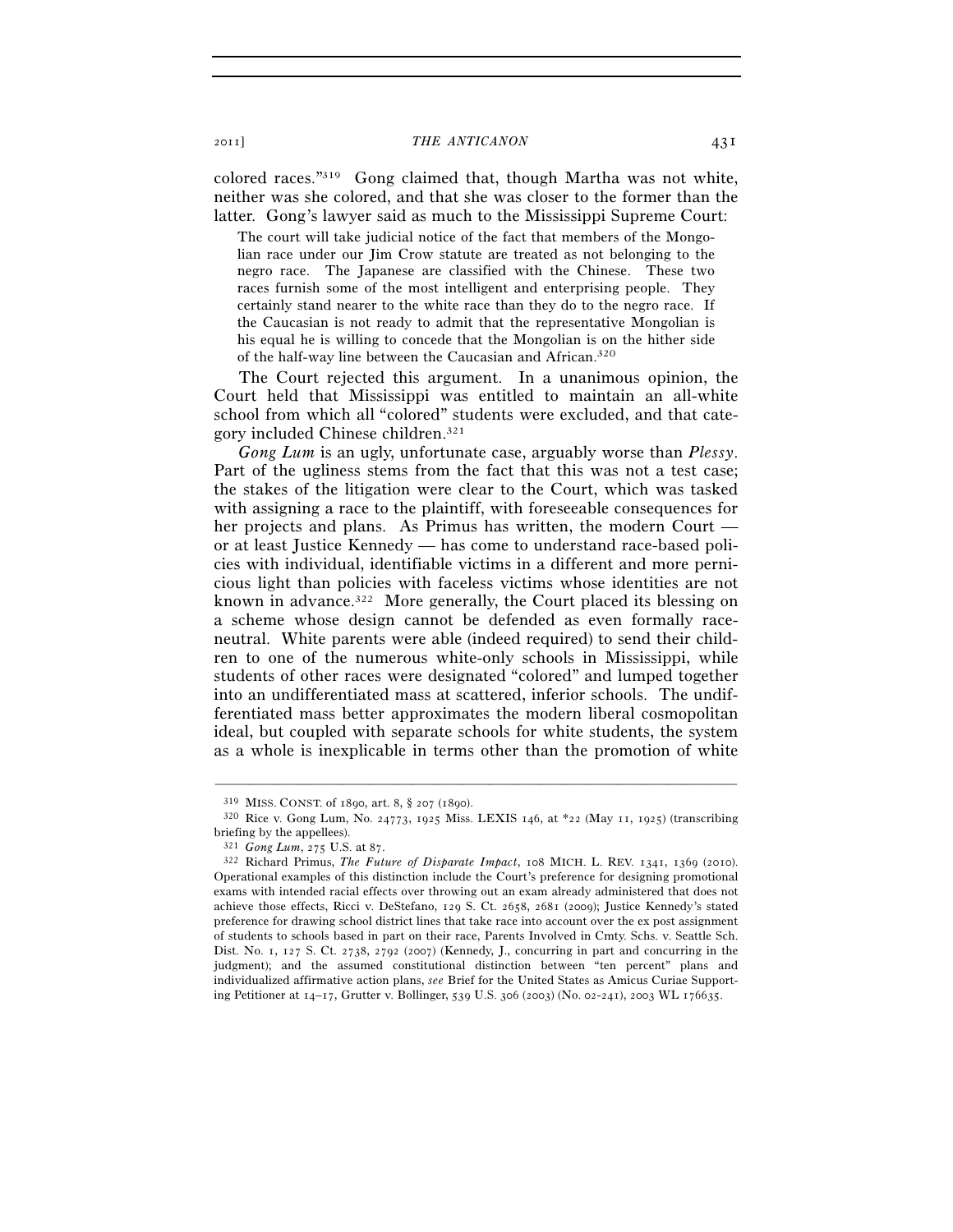colored races."319 Gong claimed that, though Martha was not white, neither was she colored, and that she was closer to the former than the latter. Gong's lawyer said as much to the Mississippi Supreme Court:

The court will take judicial notice of the fact that members of the Mongolian race under our Jim Crow statute are treated as not belonging to the negro race. The Japanese are classified with the Chinese. These two races furnish some of the most intelligent and enterprising people. They certainly stand nearer to the white race than they do to the negro race. If the Caucasian is not ready to admit that the representative Mongolian is his equal he is willing to concede that the Mongolian is on the hither side of the half-way line between the Caucasian and African.320

The Court rejected this argument. In a unanimous opinion, the Court held that Mississippi was entitled to maintain an all-white school from which all "colored" students were excluded, and that category included Chinese children.321

*Gong Lum* is an ugly, unfortunate case, arguably worse than *Plessy*. Part of the ugliness stems from the fact that this was not a test case; the stakes of the litigation were clear to the Court, which was tasked with assigning a race to the plaintiff, with foreseeable consequences for her projects and plans. As Primus has written, the modern Court or at least Justice Kennedy — has come to understand race-based policies with individual, identifiable victims in a different and more pernicious light than policies with faceless victims whose identities are not known in advance.<sup>322</sup> More generally, the Court placed its blessing on a scheme whose design cannot be defended as even formally raceneutral. White parents were able (indeed required) to send their children to one of the numerous white-only schools in Mississippi, while students of other races were designated "colored" and lumped together into an undifferentiated mass at scattered, inferior schools. The undifferentiated mass better approximates the modern liberal cosmopolitan ideal, but coupled with separate schools for white students, the system as a whole is inexplicable in terms other than the promotion of white

<sup>319</sup> MISS. CONST. of 1890, art. 8, § 207 (1890). 320 Rice v. Gong Lum, No. 24773, 1925 Miss. LEXIS 146, at \*22 (May 11, 1925) (transcribing briefing by the appellees).

<sup>321</sup> *Gong Lum*, 275 U.S. at 87. 322 Richard Primus, *The Future of Disparate Impact*, 108 MICH. L. REV. 1341, 1369 (2010). Operational examples of this distinction include the Court's preference for designing promotional exams with intended racial effects over throwing out an exam already administered that does not achieve those effects, Ricci v. DeStefano, 129 S. Ct. 2658, 2681 (2009); Justice Kennedy's stated preference for drawing school district lines that take race into account over the ex post assignment of students to schools based in part on their race, Parents Involved in Cmty. Schs. v. Seattle Sch. Dist. No. 1, 127 S. Ct. 2738, 2792 (2007) (Kennedy, J., concurring in part and concurring in the judgment); and the assumed constitutional distinction between "ten percent" plans and individualized affirmative action plans, *see* Brief for the United States as Amicus Curiae Supporting Petitioner at 14–17, Grutter v. Bollinger, 539 U.S. 306 (2003) (No. 02-241), 2003 WL 176635.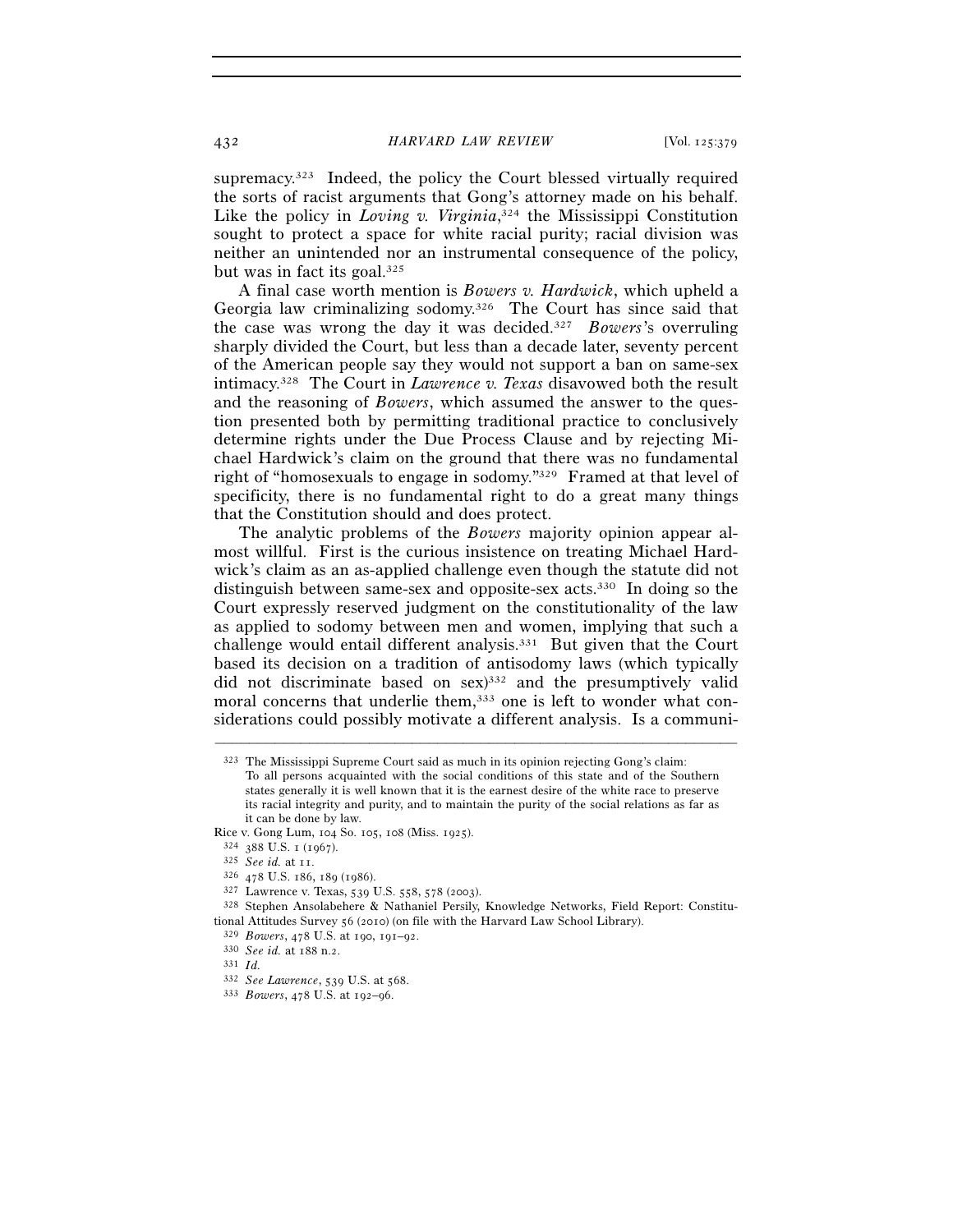supremacy.323 Indeed, the policy the Court blessed virtually required the sorts of racist arguments that Gong's attorney made on his behalf. Like the policy in *Loving v. Virginia*,<sup>324</sup> the Mississippi Constitution sought to protect a space for white racial purity; racial division was neither an unintended nor an instrumental consequence of the policy, but was in fact its goal.325

A final case worth mention is *Bowers v. Hardwick*, which upheld a Georgia law criminalizing sodomy.326 The Court has since said that the case was wrong the day it was decided.327 *Bowers*'s overruling sharply divided the Court, but less than a decade later, seventy percent of the American people say they would not support a ban on same-sex intimacy.328 The Court in *Lawrence v. Texas* disavowed both the result and the reasoning of *Bowers*, which assumed the answer to the question presented both by permitting traditional practice to conclusively determine rights under the Due Process Clause and by rejecting Michael Hardwick's claim on the ground that there was no fundamental right of "homosexuals to engage in sodomy."329 Framed at that level of specificity, there is no fundamental right to do a great many things that the Constitution should and does protect.

The analytic problems of the *Bowers* majority opinion appear almost willful. First is the curious insistence on treating Michael Hardwick's claim as an as-applied challenge even though the statute did not distinguish between same-sex and opposite-sex acts.330 In doing so the Court expressly reserved judgment on the constitutionality of the law as applied to sodomy between men and women, implying that such a challenge would entail different analysis.<sup>331</sup> But given that the Court based its decision on a tradition of antisodomy laws (which typically did not discriminate based on  $sex$ <sup>332</sup> and the presumptively valid moral concerns that underlie them,<sup>333</sup> one is left to wonder what considerations could possibly motivate a different analysis. Is a communi-

- 
- 

<sup>323</sup> The Mississippi Supreme Court said as much in its opinion rejecting Gong's claim: To all persons acquainted with the social conditions of this state and of the Southern states generally it is well known that it is the earnest desire of the white race to preserve its racial integrity and purity, and to maintain the purity of the social relations as far as it can be done by law.

Rice v. Gong Lum, 104 So. 105, 108 (Miss. 1925).<br>
<sup>324</sup> 388 U.S. 1 (1967).<br>
<sup>325</sup> *See id.* at 11.<br>
<sup>326</sup> 478 U.S. 186, 189 (1986).<br>
<sup>326</sup> 478 U.S. 186, 189 (1986).<br>
<sup>327</sup> Lawrence v. Texas, 539 U.S. 558, 578 (2003).<br>
<sup>327</sup> tional Attitudes Survey 56 (2010) (on file with the Harvard Law School Library).<br><sup>329</sup> *Bowers*, 478 U.S. at 190, 191–92.<br><sup>330</sup> *See id.* at 188 n.2.<br><sup>331</sup> *Id.* 

<sup>332</sup> *See Lawrence*, 539 U.S. at 568. 333 *Bowers*, 478 U.S. at 192–96.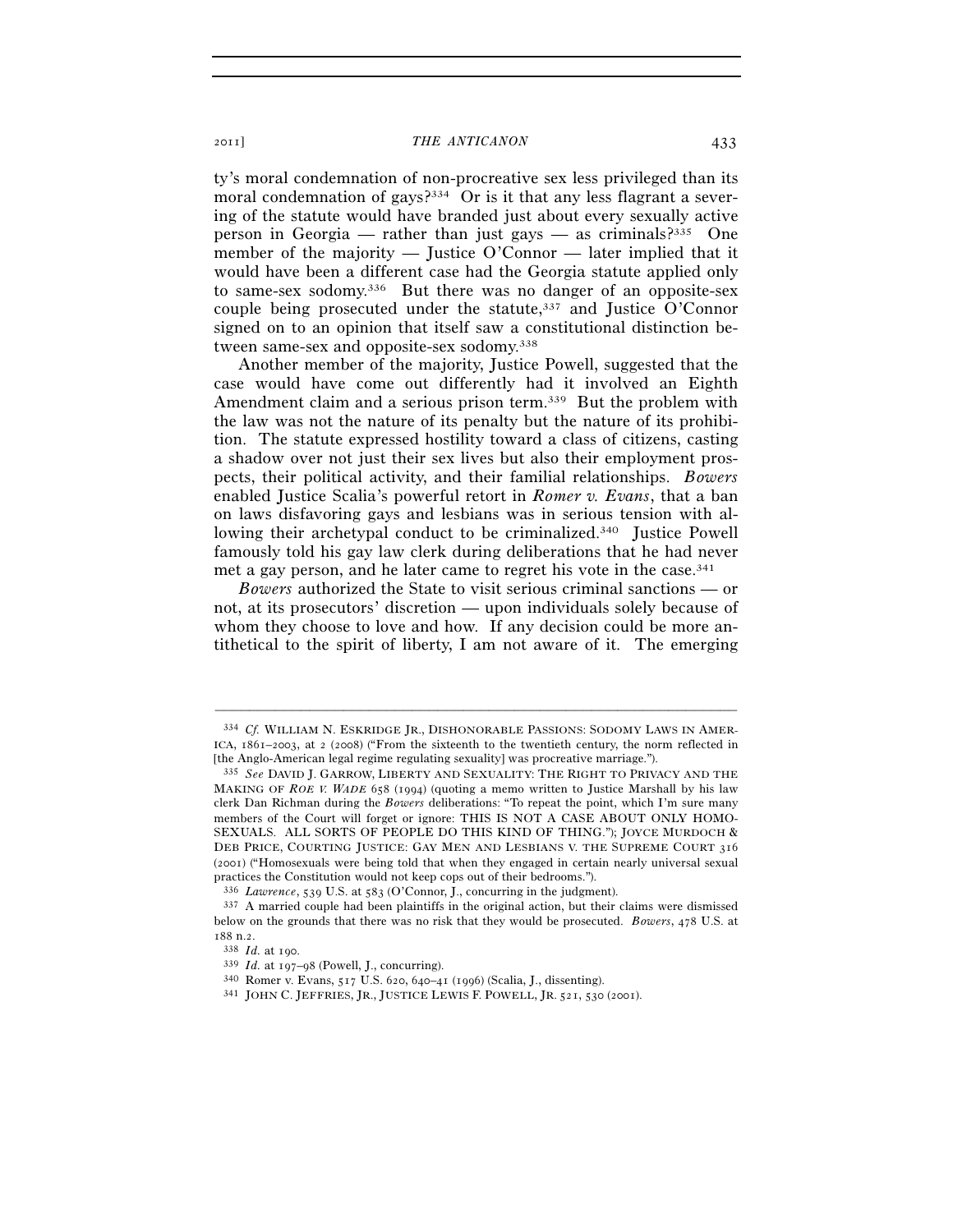ty's moral condemnation of non-procreative sex less privileged than its moral condemnation of gays?<sup>334</sup> Or is it that any less flagrant a severing of the statute would have branded just about every sexually active person in Georgia — rather than just gays — as criminals?<sup>335</sup> One member of the majority — Justice O'Connor — later implied that it would have been a different case had the Georgia statute applied only to same-sex sodomy.336 But there was no danger of an opposite-sex couple being prosecuted under the statute, $337$  and Justice O'Connor signed on to an opinion that itself saw a constitutional distinction between same-sex and opposite-sex sodomy.338

Another member of the majority, Justice Powell, suggested that the case would have come out differently had it involved an Eighth Amendment claim and a serious prison term.<sup>339</sup> But the problem with the law was not the nature of its penalty but the nature of its prohibition. The statute expressed hostility toward a class of citizens, casting a shadow over not just their sex lives but also their employment prospects, their political activity, and their familial relationships. *Bowers* enabled Justice Scalia's powerful retort in *Romer v. Evans*, that a ban on laws disfavoring gays and lesbians was in serious tension with allowing their archetypal conduct to be criminalized.<sup>340</sup> Justice Powell famously told his gay law clerk during deliberations that he had never met a gay person, and he later came to regret his vote in the case.341

*Bowers* authorized the State to visit serious criminal sanctions — or not, at its prosecutors' discretion — upon individuals solely because of whom they choose to love and how. If any decision could be more antithetical to the spirit of liberty, I am not aware of it. The emerging

<sup>334</sup> *Cf.* WILLIAM N. ESKRIDGE JR., DISHONORABLE PASSIONS: SODOMY LAWS IN AMER-ICA, 1861–2003, at 2 (2008) ("From the sixteenth to the twentieth century, the norm reflected in [the Anglo-American legal regime regulating sexuality] was procreative marriage.").

<sup>335</sup> *See* DAVID J. GARROW, LIBERTY AND SEXUALITY: THE RIGHT TO PRIVACY AND THE MAKING OF *ROE V. WADE* 658 (1994) (quoting a memo written to Justice Marshall by his law clerk Dan Richman during the *Bowers* deliberations: "To repeat the point, which I'm sure many members of the Court will forget or ignore: THIS IS NOT A CASE ABOUT ONLY HOMO-SEXUALS. ALL SORTS OF PEOPLE DO THIS KIND OF THING."); JOYCE MURDOCH & DEB PRICE, COURTING JUSTICE: GAY MEN AND LESBIANS V. THE SUPREME COURT 316 (2001) ("Homosexuals were being told that when they engaged in certain nearly universal sexual practices the Constitution would not keep cops out of their bedrooms.").

<sup>336</sup> *Lawrence*, 539 U.S. at 583 (O'Connor, J., concurring in the judgment). 337 A married couple had been plaintiffs in the original action, but their claims were dismissed below on the grounds that there was no risk that they would be prosecuted. *Bowers*, 478 U.S. at

<sup>188</sup> n.2.<br><sup>338</sup> *Id.* at 190.<br><sup>339</sup> *Id.* at 197–98 (Powell, J., concurring).<br><sup>340</sup> Romer v. Evans, 517 U.S. 620, 640–41 (1996) (Scalia, J., dissenting).<br><sup>341</sup> JOHN C. JEFFRIES, JR., JUSTICE LEWIS F. POWELL, JR. 521, 530 (2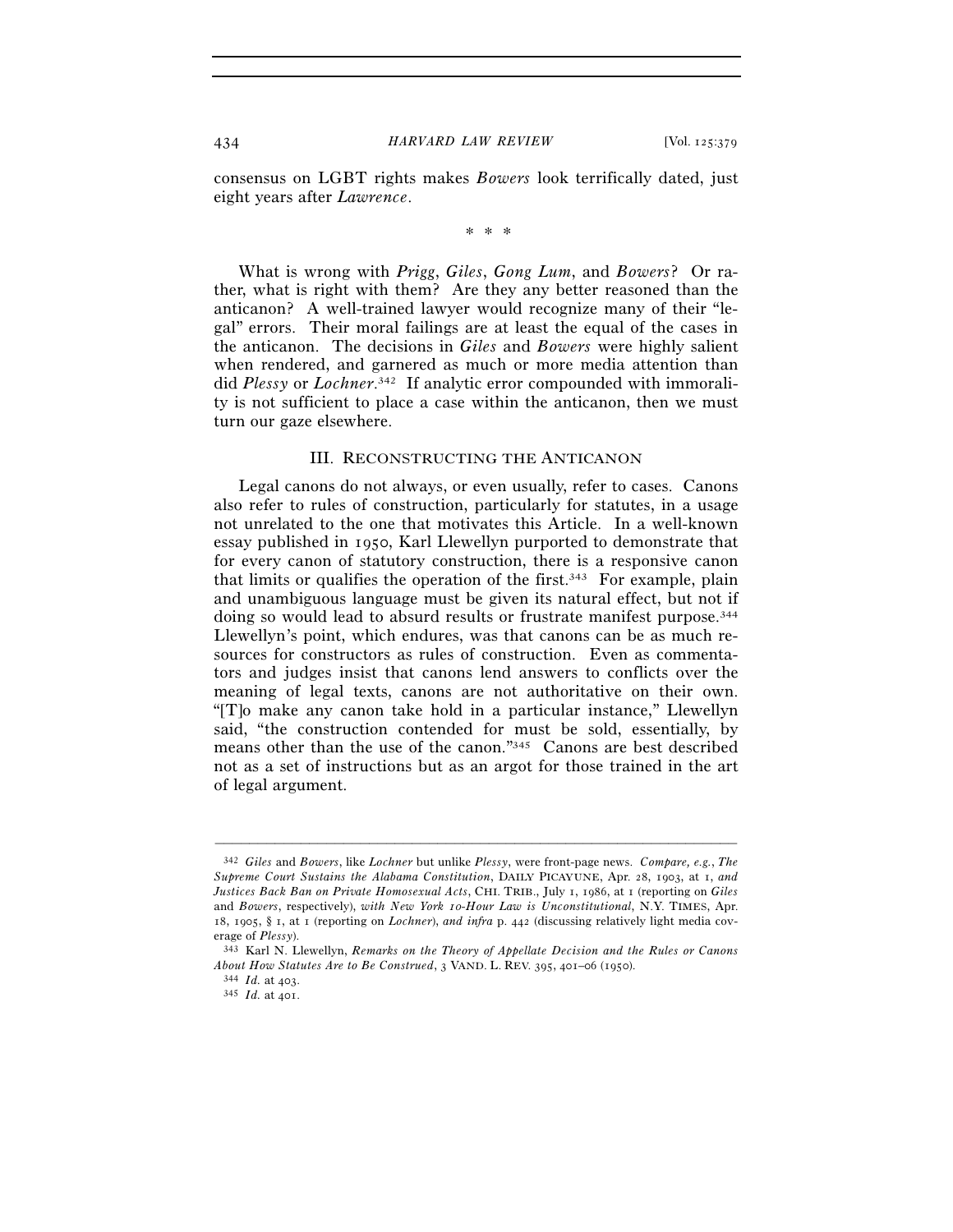consensus on LGBT rights makes *Bowers* look terrifically dated, just eight years after *Lawrence*.

\* \* \*

What is wrong with *Prigg*, *Giles*, *Gong Lum*, and *Bowers*? Or rather, what is right with them? Are they any better reasoned than the anticanon? A well-trained lawyer would recognize many of their "legal" errors. Their moral failings are at least the equal of the cases in the anticanon. The decisions in *Giles* and *Bowers* were highly salient when rendered, and garnered as much or more media attention than did *Plessy* or *Lochner*. 342 If analytic error compounded with immorality is not sufficient to place a case within the anticanon, then we must turn our gaze elsewhere.

# III. RECONSTRUCTING THE ANTICANON

Legal canons do not always, or even usually, refer to cases. Canons also refer to rules of construction, particularly for statutes, in a usage not unrelated to the one that motivates this Article. In a well-known essay published in 1950, Karl Llewellyn purported to demonstrate that for every canon of statutory construction, there is a responsive canon that limits or qualifies the operation of the first.<sup>343</sup> For example, plain and unambiguous language must be given its natural effect, but not if doing so would lead to absurd results or frustrate manifest purpose.<sup>344</sup> Llewellyn's point, which endures, was that canons can be as much resources for constructors as rules of construction. Even as commentators and judges insist that canons lend answers to conflicts over the meaning of legal texts, canons are not authoritative on their own. "[T]o make any canon take hold in a particular instance," Llewellyn said, "the construction contended for must be sold, essentially, by means other than the use of the canon."345 Canons are best described not as a set of instructions but as an argot for those trained in the art of legal argument.

<sup>342</sup> *Giles* and *Bowers*, like *Lochner* but unlike *Plessy*, were front-page news. *Compare, e.g.*, *The Supreme Court Sustains the Alabama Constitution*, DAILY PICAYUNE, Apr. 28, 1903, at 1, *and Justices Back Ban on Private Homosexual Acts*, CHI. TRIB., July 1, 1986, at 1 (reporting on *Giles* and *Bowers*, respectively), *with New York 10-Hour Law is Unconstitutional*, N.Y. TIMES, Apr. 18, 1905, § 1, at 1 (reporting on *Lochner*), *and infra* p. 442 (discussing relatively light media cov-

erage of *Plessy*).<br><sup>343</sup> Karl N. Llewellyn, *Remarks on the Theory of Appellate Decision and the Rules or Canons About How Statutes Are to Be Construed*, 3 VAND. L. REV. 395, 401–06 (1950). 344 *Id.* at 403. 345 *Id.* at 401.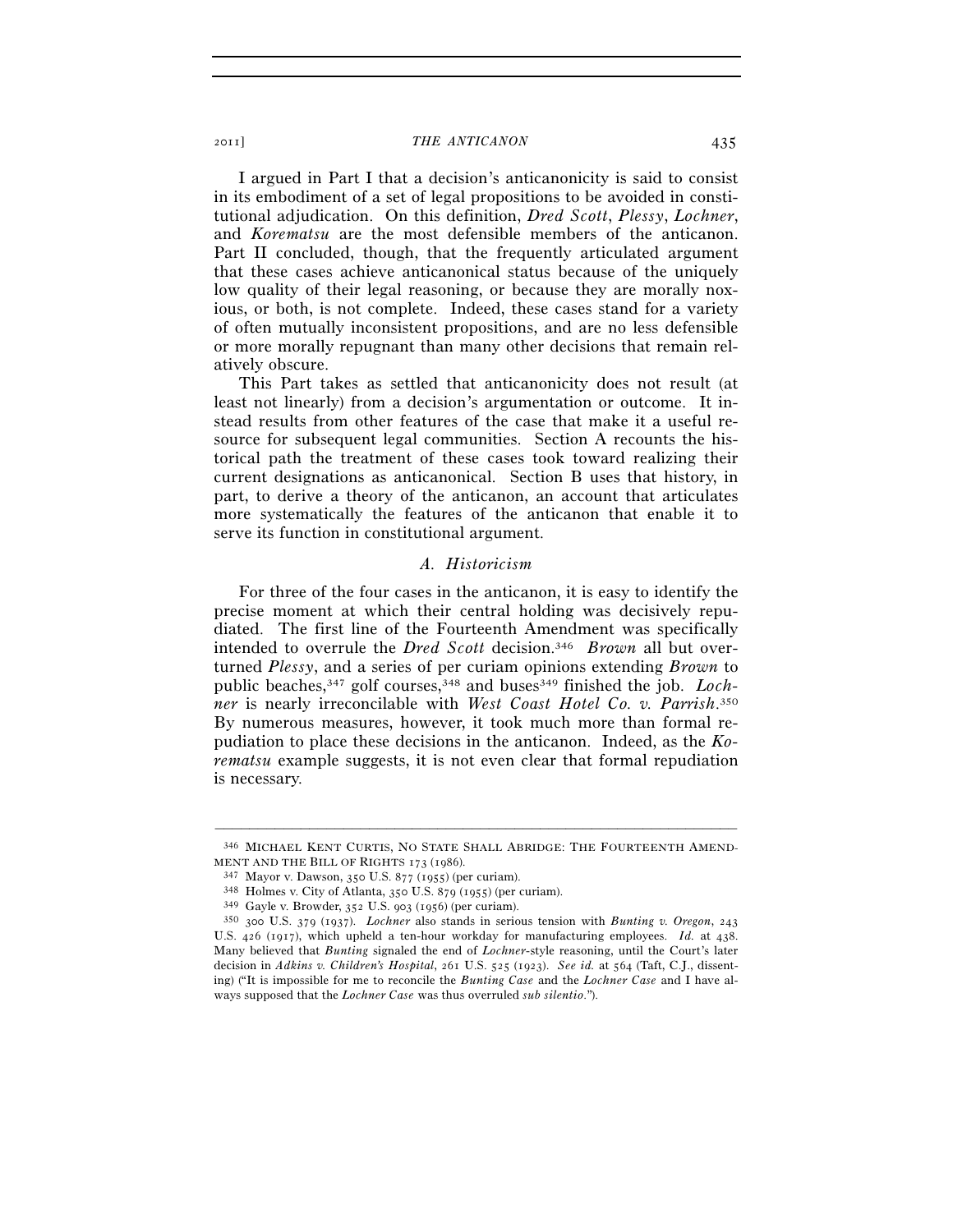I argued in Part I that a decision's anticanonicity is said to consist in its embodiment of a set of legal propositions to be avoided in constitutional adjudication. On this definition, *Dred Scott*, *Plessy*, *Lochner*, and *Korematsu* are the most defensible members of the anticanon. Part II concluded, though, that the frequently articulated argument that these cases achieve anticanonical status because of the uniquely low quality of their legal reasoning, or because they are morally noxious, or both, is not complete. Indeed, these cases stand for a variety of often mutually inconsistent propositions, and are no less defensible or more morally repugnant than many other decisions that remain relatively obscure.

This Part takes as settled that anticanonicity does not result (at least not linearly) from a decision's argumentation or outcome. It instead results from other features of the case that make it a useful resource for subsequent legal communities. Section A recounts the historical path the treatment of these cases took toward realizing their current designations as anticanonical. Section B uses that history, in part, to derive a theory of the anticanon, an account that articulates more systematically the features of the anticanon that enable it to serve its function in constitutional argument.

# *A. Historicism*

For three of the four cases in the anticanon, it is easy to identify the precise moment at which their central holding was decisively repudiated. The first line of the Fourteenth Amendment was specifically intended to overrule the *Dred Scott* decision.346 *Brown* all but overturned *Plessy*, and a series of per curiam opinions extending *Brown* to public beaches,<sup>347</sup> golf courses,<sup>348</sup> and buses<sup>349</sup> finished the job. *Lochner* is nearly irreconcilable with *West Coast Hotel Co. v. Parrish*. 350 By numerous measures, however, it took much more than formal repudiation to place these decisions in the anticanon. Indeed, as the *Korematsu* example suggests, it is not even clear that formal repudiation is necessary.

<sup>–––––––––––––––––––––––––––––––––––––––––––––––––––––––––––––</sup> 346 MICHAEL KENT CURTIS, NO STATE SHALL ABRIDGE: THE FOURTEENTH AMEND-

MENT AND THE BILL OF RIGHTS 173 (1986).<br><sup>347</sup> Mayor v. Dawson, 350 U.S. 877 (1955) (per curiam).<br><sup>348</sup> Holmes v. City of Atlanta, 350 U.S. 879 (1955) (per curiam).<br><sup>349</sup> Gayle v. Browder, 352 U.S. 903 (1956) (per curiam). U.S. 426 (1917), which upheld a ten-hour workday for manufacturing employees. *Id.* at 438. Many believed that *Bunting* signaled the end of *Lochner*-style reasoning, until the Court's later decision in *Adkins v. Children's Hospital*, 261 U.S. 525 (1923). *See id.* at 564 (Taft, C.J., dissenting) ("It is impossible for me to reconcile the *Bunting Case* and the *Lochner Case* and I have always supposed that the *Lochner Case* was thus overruled *sub silentio*.").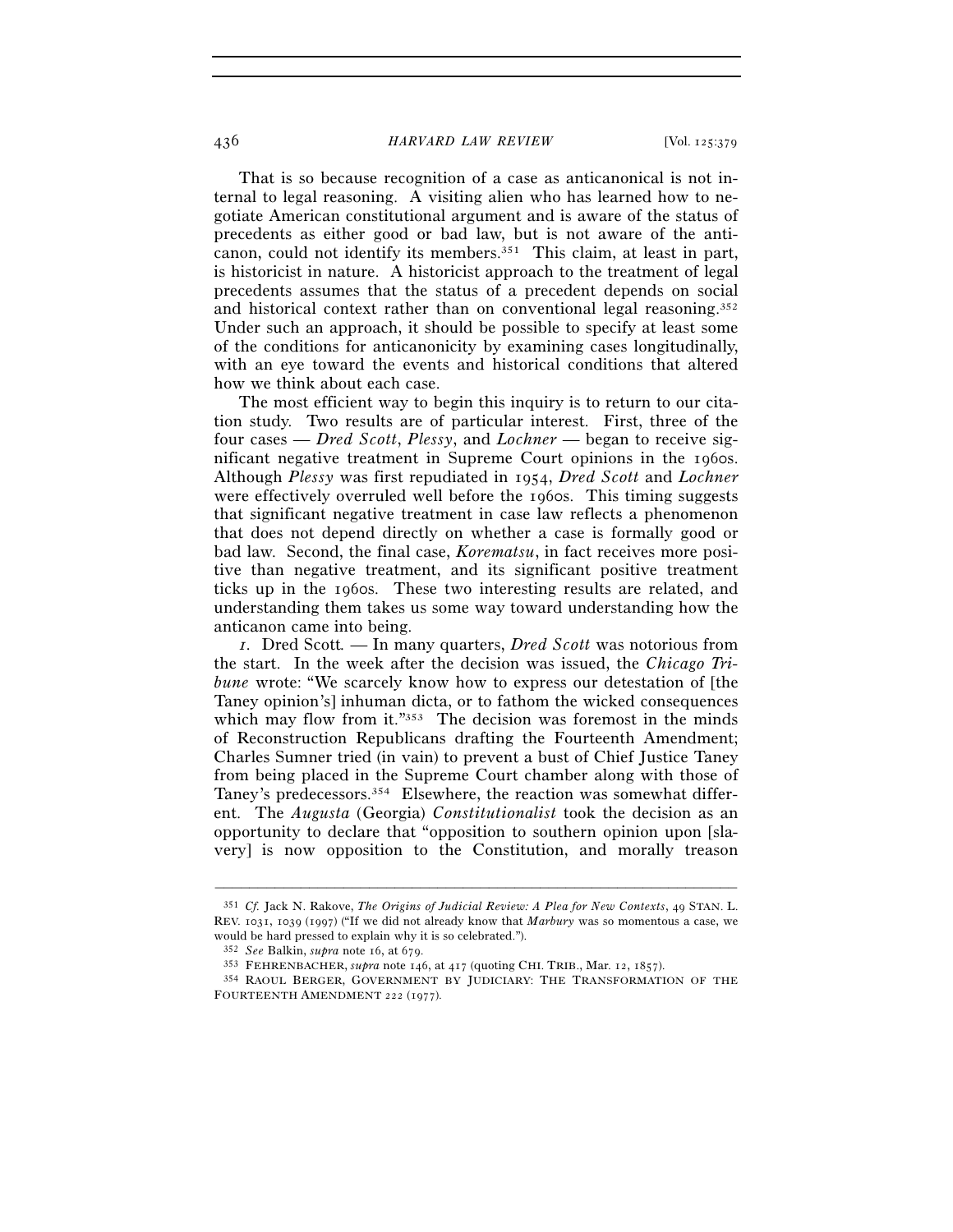#### 436 *HARVARD LAW REVIEW* [Vol. 125:379

That is so because recognition of a case as anticanonical is not internal to legal reasoning. A visiting alien who has learned how to negotiate American constitutional argument and is aware of the status of precedents as either good or bad law, but is not aware of the anticanon, could not identify its members.351 This claim, at least in part, is historicist in nature. A historicist approach to the treatment of legal precedents assumes that the status of a precedent depends on social and historical context rather than on conventional legal reasoning.<sup>352</sup> Under such an approach, it should be possible to specify at least some of the conditions for anticanonicity by examining cases longitudinally, with an eye toward the events and historical conditions that altered how we think about each case.

The most efficient way to begin this inquiry is to return to our citation study. Two results are of particular interest. First, three of the four cases — *Dred Scott*, *Plessy*, and *Lochner* — began to receive significant negative treatment in Supreme Court opinions in the 1960s. Although *Plessy* was first repudiated in 1954, *Dred Scott* and *Lochner* were effectively overruled well before the 1960s. This timing suggests that significant negative treatment in case law reflects a phenomenon that does not depend directly on whether a case is formally good or bad law. Second, the final case, *Korematsu*, in fact receives more positive than negative treatment, and its significant positive treatment ticks up in the 1960s. These two interesting results are related, and understanding them takes us some way toward understanding how the anticanon came into being.

*1.* Dred Scott*.* — In many quarters, *Dred Scott* was notorious from the start. In the week after the decision was issued, the *Chicago Tribune* wrote: "We scarcely know how to express our detestation of [the Taney opinion's] inhuman dicta, or to fathom the wicked consequences which may flow from it."353 The decision was foremost in the minds of Reconstruction Republicans drafting the Fourteenth Amendment; Charles Sumner tried (in vain) to prevent a bust of Chief Justice Taney from being placed in the Supreme Court chamber along with those of Taney's predecessors.<sup>354</sup> Elsewhere, the reaction was somewhat different. The *Augusta* (Georgia) *Constitutionalist* took the decision as an opportunity to declare that "opposition to southern opinion upon [slavery] is now opposition to the Constitution, and morally treason

<sup>351</sup> *Cf.* Jack N. Rakove, *The Origins of Judicial Review: A Plea for New Contexts*, 49 STAN. L. REV. 1031, 1039 (1997) ("If we did not already know that *Marbury* was so momentous a case, we would be hard pressed to explain why it is so celebrated.").

<sup>&</sup>lt;sup>352</sup> See Balkin, *supra* note 16, at 679.<br><sup>353</sup> FEHRENBACHER, *supra* note 146, at 417 (quoting CHI. TRIB., Mar. 12, 1857).<br><sup>354</sup> RAOUL BERGER, GOVERNMENT BY JUDICIARY: THE TRANSFORMATION OF THE FOURTEENTH AMENDMENT 222 (1977).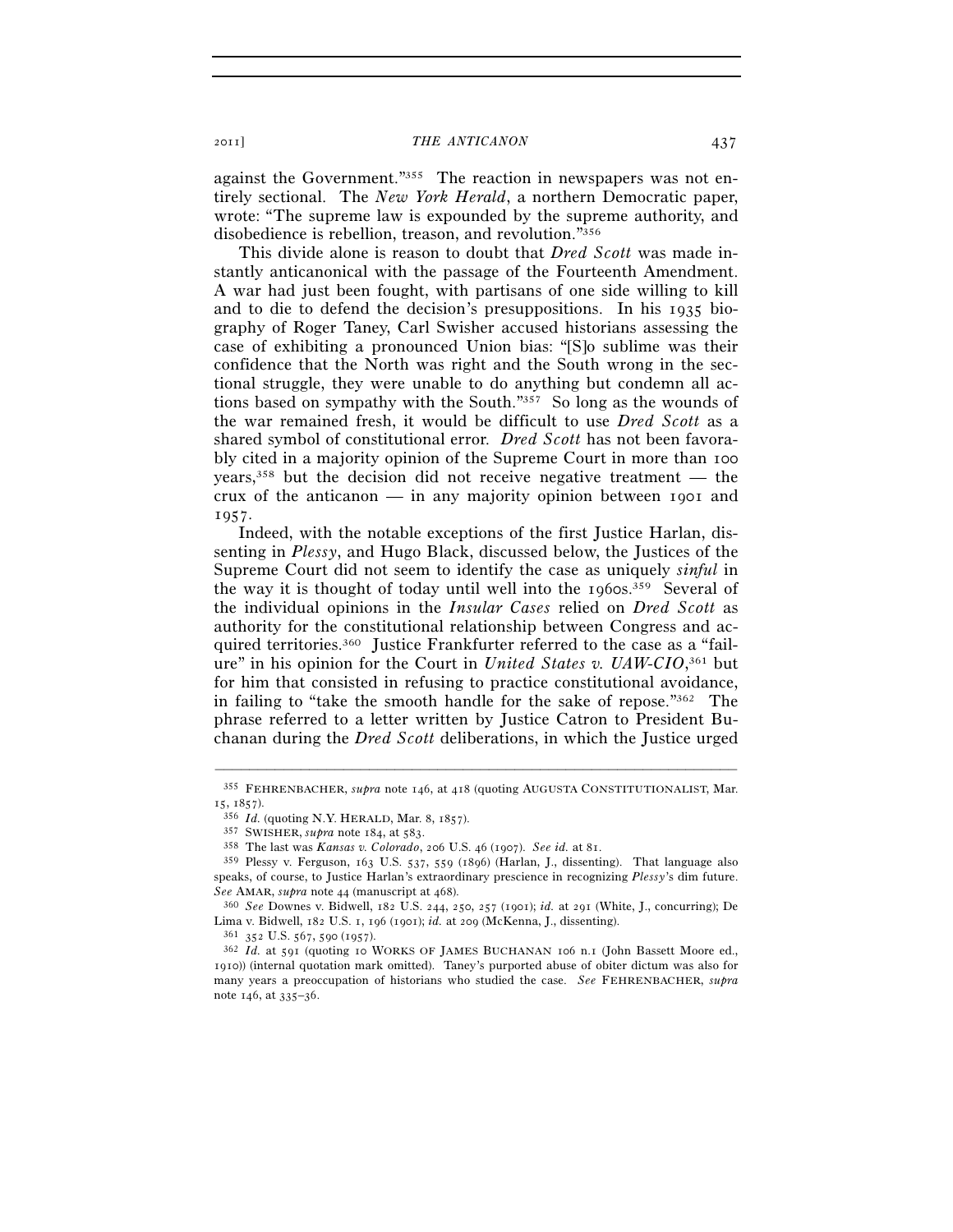against the Government."355 The reaction in newspapers was not entirely sectional. The *New York Herald*, a northern Democratic paper, wrote: "The supreme law is expounded by the supreme authority, and disobedience is rebellion, treason, and revolution."356

This divide alone is reason to doubt that *Dred Scott* was made instantly anticanonical with the passage of the Fourteenth Amendment. A war had just been fought, with partisans of one side willing to kill and to die to defend the decision's presuppositions. In his 1935 biography of Roger Taney, Carl Swisher accused historians assessing the case of exhibiting a pronounced Union bias: "[S]o sublime was their confidence that the North was right and the South wrong in the sectional struggle, they were unable to do anything but condemn all actions based on sympathy with the South."357 So long as the wounds of the war remained fresh, it would be difficult to use *Dred Scott* as a shared symbol of constitutional error. *Dred Scott* has not been favorably cited in a majority opinion of the Supreme Court in more than 100 years,358 but the decision did not receive negative treatment — the crux of the anticanon — in any majority opinion between 1901 and 1957.

Indeed, with the notable exceptions of the first Justice Harlan, dissenting in *Plessy*, and Hugo Black, discussed below, the Justices of the Supreme Court did not seem to identify the case as uniquely *sinful* in the way it is thought of today until well into the  $1960s$ .<sup>359</sup> Several of the individual opinions in the *Insular Cases* relied on *Dred Scott* as authority for the constitutional relationship between Congress and acquired territories.360 Justice Frankfurter referred to the case as a "failure" in his opinion for the Court in *United States v. UAW-CIO*, 361 but for him that consisted in refusing to practice constitutional avoidance, in failing to "take the smooth handle for the sake of repose."362 The phrase referred to a letter written by Justice Catron to President Buchanan during the *Dred Scott* deliberations, in which the Justice urged

<sup>–––––––––––––––––––––––––––––––––––––––––––––––––––––––––––––</sup> 355 FEHRENBACHER, *supra* note 146, at 418 (quoting AUGUSTA CONSTITUTIONALIST, Mar. 15, 1857).<br><sup>356</sup> *Id.* (quoting N.Y. HERALD, Mar. 8, 1857).<br><sup>357</sup> SWISHER, *supra* note 184, at 583.<br><sup>358</sup> The last was *Kansas v. Colorado*, 206 U.S. 46 (1907). *See id.* at 81.<br><sup>359</sup> Plessy v. Ferguson, 163 U.S. 537, 55

speaks, of course, to Justice Harlan's extraordinary prescience in recognizing *Plessy*'s dim future.

*See* AMAR, *supra* note 44 (manuscript at 468). 360 *See* Downes v. Bidwell, 182 U.S. 244, 250, 257 (1901); *id.* at 291 (White, J., concurring); De

<sup>&</sup>lt;sup>361</sup> 352 U.S. 567, 590 (1957).<br><sup>362</sup> Id. at 591 (quoting 10 WORKS OF JAMES BUCHANAN 106 n.1 (John Bassett Moore ed., 1910)) (internal quotation mark omitted). Taney's purported abuse of obiter dictum was also for many years a preoccupation of historians who studied the case. *See* FEHRENBACHER, *supra* note 146, at 335–36.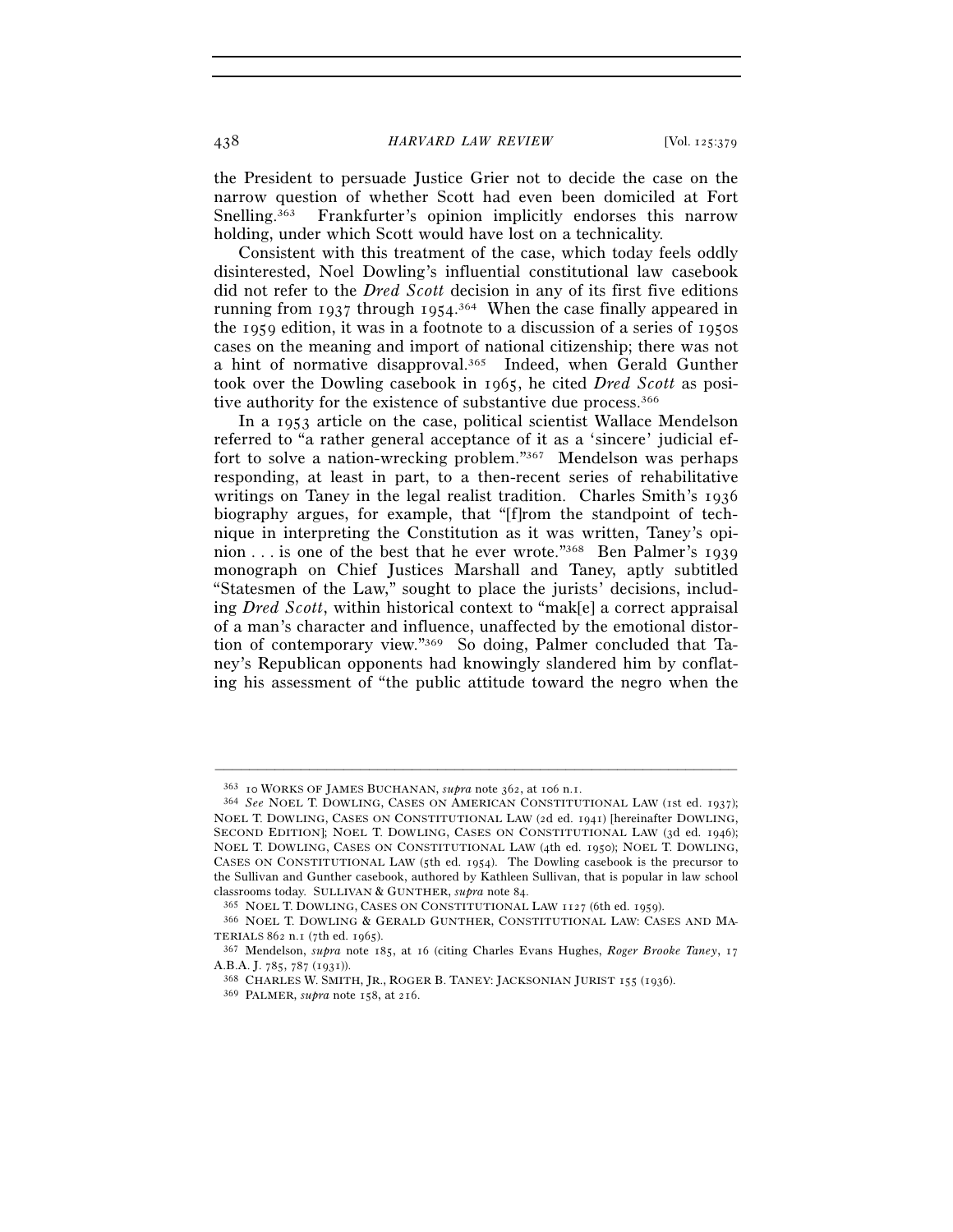438 *HARVARD LAW REVIEW* [Vol. 125:379

the President to persuade Justice Grier not to decide the case on the narrow question of whether Scott had even been domiciled at Fort Snelling.363 Frankfurter's opinion implicitly endorses this narrow holding, under which Scott would have lost on a technicality.

Consistent with this treatment of the case, which today feels oddly disinterested, Noel Dowling's influential constitutional law casebook did not refer to the *Dred Scott* decision in any of its first five editions running from 1937 through 1954.<sup>364</sup> When the case finally appeared in the 1959 edition, it was in a footnote to a discussion of a series of 1950s cases on the meaning and import of national citizenship; there was not a hint of normative disapproval.365 Indeed, when Gerald Gunther took over the Dowling casebook in 1965, he cited *Dred Scott* as positive authority for the existence of substantive due process.<sup>366</sup>

In a 1953 article on the case, political scientist Wallace Mendelson referred to "a rather general acceptance of it as a 'sincere' judicial effort to solve a nation-wrecking problem."367 Mendelson was perhaps responding, at least in part, to a then-recent series of rehabilitative writings on Taney in the legal realist tradition. Charles Smith's 1936 biography argues, for example, that "[f]rom the standpoint of technique in interpreting the Constitution as it was written, Taney's opinion . . . is one of the best that he ever wrote."368 Ben Palmer's 1939 monograph on Chief Justices Marshall and Taney, aptly subtitled "Statesmen of the Law," sought to place the jurists' decisions, including *Dred Scott*, within historical context to "mak[e] a correct appraisal of a man's character and influence, unaffected by the emotional distortion of contemporary view."369 So doing, Palmer concluded that Taney's Republican opponents had knowingly slandered him by conflating his assessment of "the public attitude toward the negro when the

<sup>363</sup> <sup>10</sup> WORKS OF JAMES BUCHANAN, *supra* note 362, at 106 n.1. 364 *See* NOEL T. DOWLING, CASES ON AMERICAN CONSTITUTIONAL LAW (1st ed. 1937); NOEL T. DOWLING, CASES ON CONSTITUTIONAL LAW (2d ed. 1941) [hereinafter DOWLING, SECOND EDITION]; NOEL T. DOWLING, CASES ON CONSTITUTIONAL LAW (3d ed. 1946); NOEL T. DOWLING, CASES ON CONSTITUTIONAL LAW (4th ed. 1950); NOEL T. DOWLING, CASES ON CONSTITUTIONAL LAW (5th ed. 1954). The Dowling casebook is the precursor to the Sullivan and Gunther casebook, authored by Kathleen Sullivan, that is popular in law school classrooms today. SULLIVAN & GUNTHER, *supra* note 84.<br><sup>365</sup> NOEL T. DOWLING, CASES ON CONSTITUTIONAL LAW 1127 (6th ed. 1959).<br><sup>366</sup> NOEL T. DOWLING & GERALD GUNTHER, CONSTITUTIONAL LAW: CASES AND MA-

TERIALS <sup>862</sup> n.1 (7th ed. 1965). 367 Mendelson, *supra* note 185, at 16 (citing Charles Evans Hughes, *Roger Brooke Taney*, <sup>17</sup>

A.B.A. J. 785, 787 (1931)). 368 CHARLES W. SMITH, JR., ROGER B. TANEY: JACKSONIAN JURIST <sup>155</sup> (1936). 369 PALMER, *supra* note 158, at 216.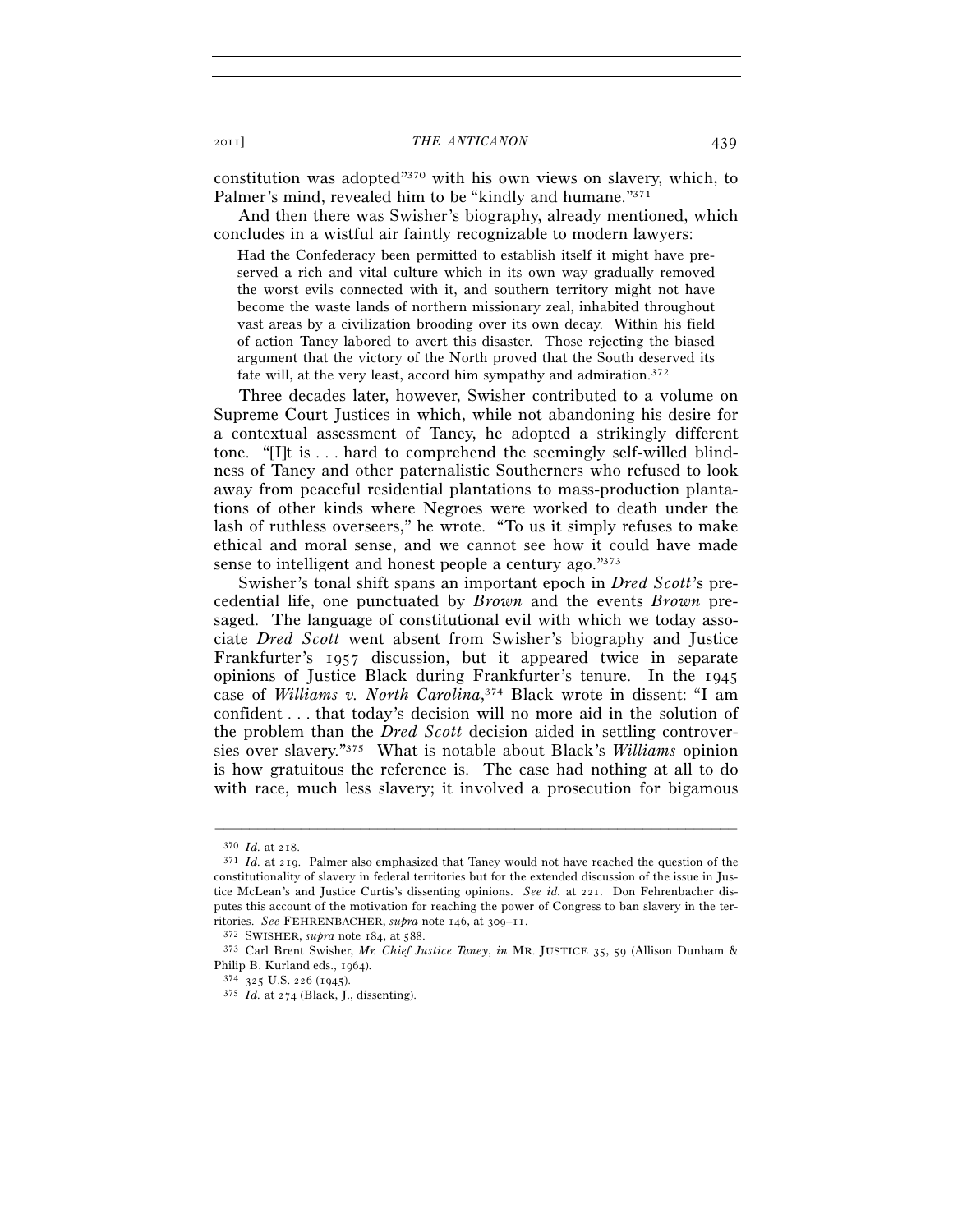constitution was adopted"370 with his own views on slavery, which, to Palmer's mind, revealed him to be "kindly and humane."371

And then there was Swisher's biography, already mentioned, which concludes in a wistful air faintly recognizable to modern lawyers:

Had the Confederacy been permitted to establish itself it might have preserved a rich and vital culture which in its own way gradually removed the worst evils connected with it, and southern territory might not have become the waste lands of northern missionary zeal, inhabited throughout vast areas by a civilization brooding over its own decay. Within his field of action Taney labored to avert this disaster. Those rejecting the biased argument that the victory of the North proved that the South deserved its fate will, at the very least, accord him sympathy and admiration.372

Three decades later, however, Swisher contributed to a volume on Supreme Court Justices in which, while not abandoning his desire for a contextual assessment of Taney, he adopted a strikingly different tone. "[I]t is . . . hard to comprehend the seemingly self-willed blindness of Taney and other paternalistic Southerners who refused to look away from peaceful residential plantations to mass-production plantations of other kinds where Negroes were worked to death under the lash of ruthless overseers," he wrote. "To us it simply refuses to make ethical and moral sense, and we cannot see how it could have made sense to intelligent and honest people a century ago."373

Swisher's tonal shift spans an important epoch in *Dred Scott*'s precedential life, one punctuated by *Brown* and the events *Brown* presaged. The language of constitutional evil with which we today associate *Dred Scott* went absent from Swisher's biography and Justice Frankfurter's 1957 discussion, but it appeared twice in separate opinions of Justice Black during Frankfurter's tenure. In the 1945 case of *Williams v. North Carolina*, 374 Black wrote in dissent: "I am confident . . . that today's decision will no more aid in the solution of the problem than the *Dred Scott* decision aided in settling controversies over slavery."375 What is notable about Black's *Williams* opinion is how gratuitous the reference is. The case had nothing at all to do with race, much less slavery; it involved a prosecution for bigamous

<sup>370</sup> *Id.* at 218. 371 *Id.* at 219. Palmer also emphasized that Taney would not have reached the question of the constitutionality of slavery in federal territories but for the extended discussion of the issue in Justice McLean's and Justice Curtis's dissenting opinions. *See id.* at 221. Don Fehrenbacher disputes this account of the motivation for reaching the power of Congress to ban slavery in the ter-<br>ritories. See FEHRENBACHER, supra note 146, at  $309-11$ .

<sup>&</sup>lt;sup>372</sup> SWISHER, *supra* note 184, at 588. 373 Carl Brent Swisher, *Mr. Chief Justice Taney*, *in* MR. JUSTICE 35, 59 (Allison Dunham & Philip B. Kurland eds., 1964).

<sup>&</sup>lt;sup>374</sup> 325 U.S. 226 (1945). <sup>375</sup> *Id.* at 274 (Black, J., dissenting).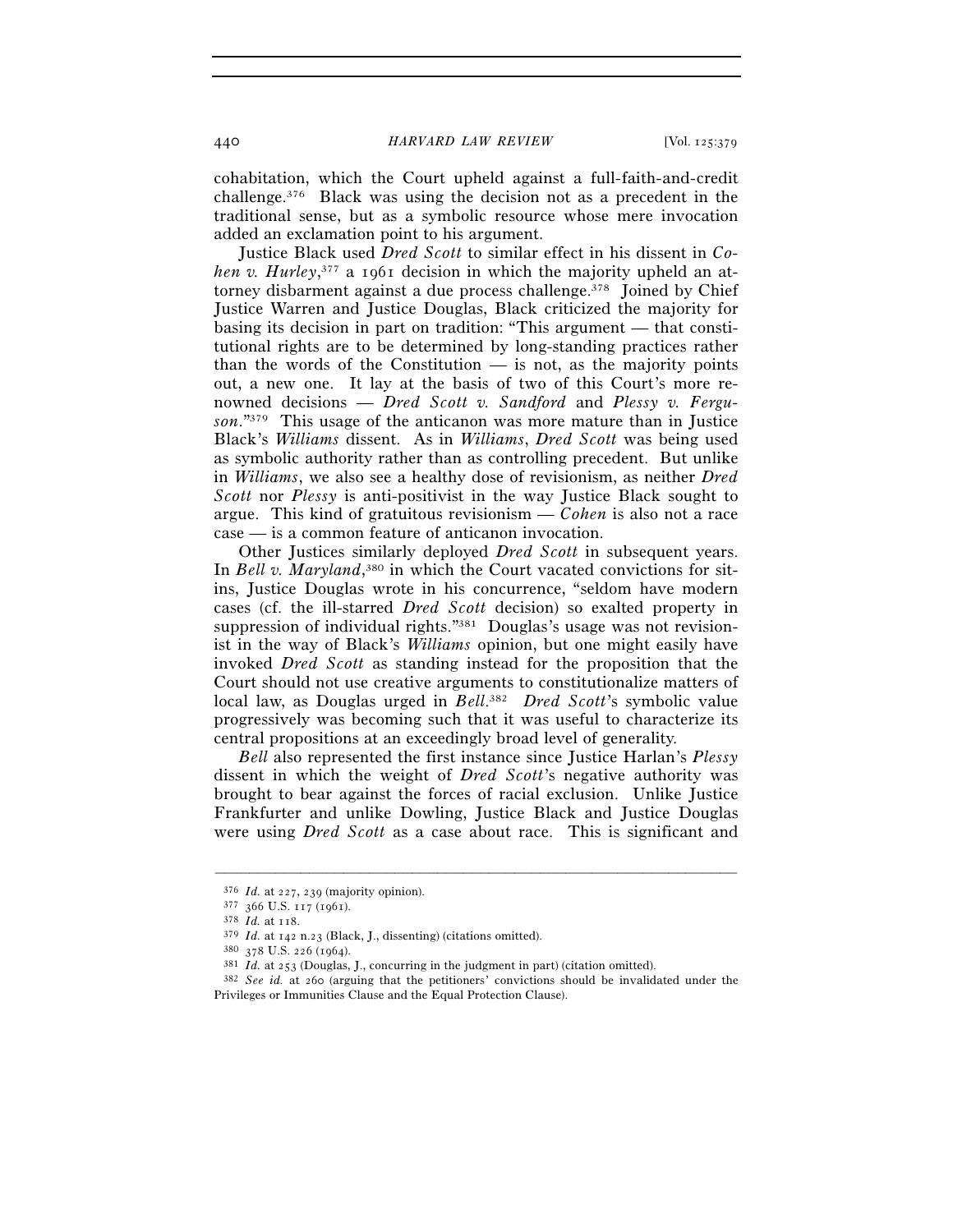cohabitation, which the Court upheld against a full-faith-and-credit challenge.376 Black was using the decision not as a precedent in the traditional sense, but as a symbolic resource whose mere invocation added an exclamation point to his argument.

Justice Black used *Dred Scott* to similar effect in his dissent in *Co*hen v. Hurley,<sup>377</sup> a 1961 decision in which the majority upheld an attorney disbarment against a due process challenge.<sup>378</sup> Joined by Chief Justice Warren and Justice Douglas, Black criticized the majority for basing its decision in part on tradition: "This argument — that constitutional rights are to be determined by long-standing practices rather than the words of the Constitution — is not, as the majority points out, a new one. It lay at the basis of two of this Court's more renowned decisions — *Dred Scott v. Sandford* and *Plessy v. Ferguson*."379 This usage of the anticanon was more mature than in Justice Black's *Williams* dissent. As in *Williams*, *Dred Scott* was being used as symbolic authority rather than as controlling precedent. But unlike in *Williams*, we also see a healthy dose of revisionism, as neither *Dred Scott* nor *Plessy* is anti-positivist in the way Justice Black sought to argue. This kind of gratuitous revisionism — *Cohen* is also not a race case — is a common feature of anticanon invocation.

Other Justices similarly deployed *Dred Scott* in subsequent years. In *Bell v. Maryland*,<sup>380</sup> in which the Court vacated convictions for sitins, Justice Douglas wrote in his concurrence, "seldom have modern cases (cf. the ill-starred *Dred Scott* decision) so exalted property in suppression of individual rights."381 Douglas's usage was not revisionist in the way of Black's *Williams* opinion, but one might easily have invoked *Dred Scott* as standing instead for the proposition that the Court should not use creative arguments to constitutionalize matters of local law, as Douglas urged in *Bell*. 382 *Dred Scott*'s symbolic value progressively was becoming such that it was useful to characterize its central propositions at an exceedingly broad level of generality.

*Bell* also represented the first instance since Justice Harlan's *Plessy* dissent in which the weight of *Dred Scott*'s negative authority was brought to bear against the forces of racial exclusion. Unlike Justice Frankfurter and unlike Dowling, Justice Black and Justice Douglas were using *Dred Scott* as a case about race. This is significant and

<sup>376</sup> *Id.* at 227, 239 (majority opinion). 377 <sup>366</sup> U.S. 117 (1961).

<sup>&</sup>lt;sup>379</sup> *Id.* at 142 n.23 (Black, J., dissenting) (citations omitted).<br><sup>380</sup> 378 U.S. 226 (1964).<br><sup>381</sup> *Id.* at 253 (Douglas, J., concurring in the judgment in part) (citation omitted).<br><sup>381</sup> *Id.* at 253 (Douglas, J., con Privileges or Immunities Clause and the Equal Protection Clause).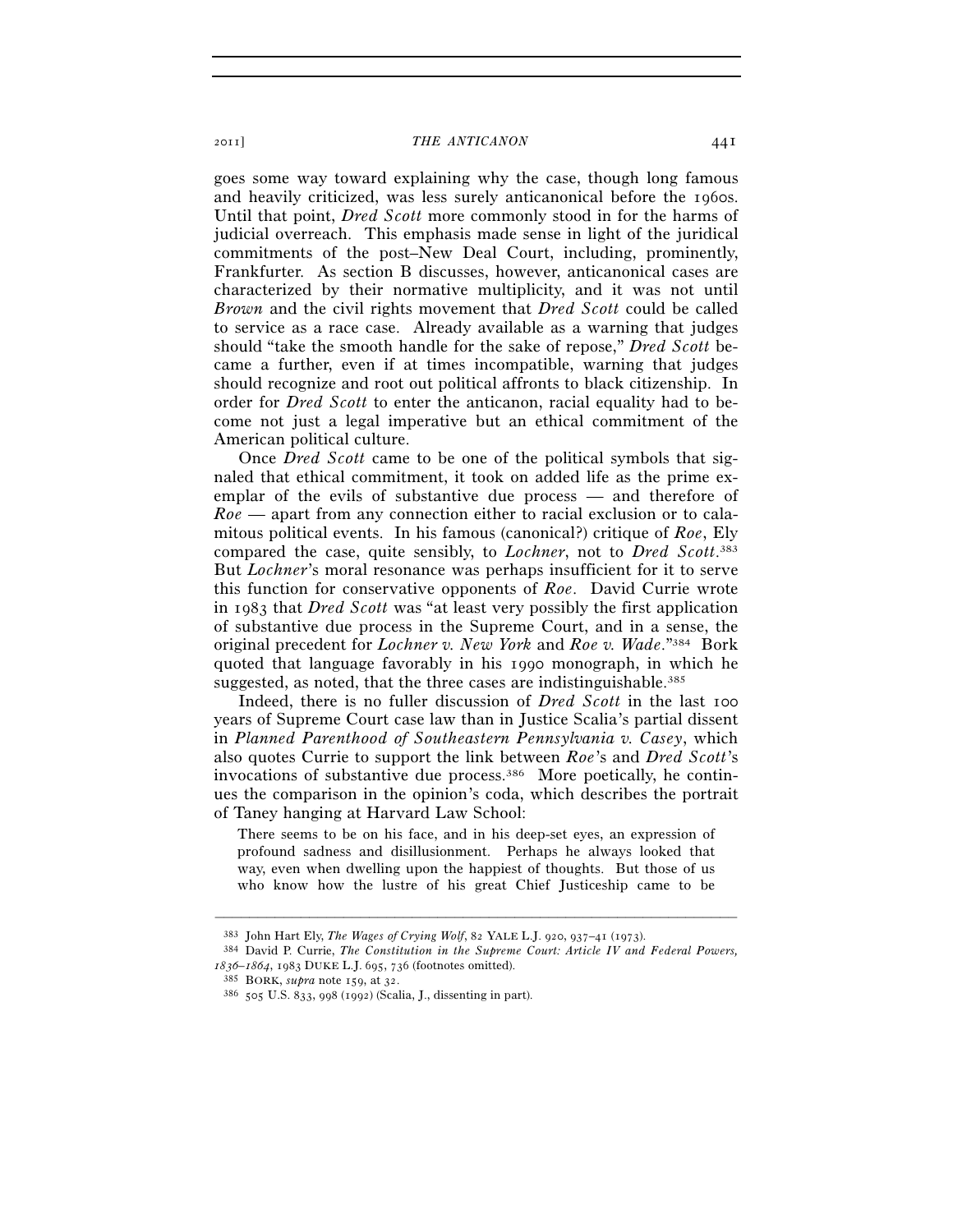goes some way toward explaining why the case, though long famous and heavily criticized, was less surely anticanonical before the 1960s. Until that point, *Dred Scott* more commonly stood in for the harms of judicial overreach. This emphasis made sense in light of the juridical commitments of the post–New Deal Court, including, prominently, Frankfurter. As section B discusses, however, anticanonical cases are characterized by their normative multiplicity, and it was not until *Brown* and the civil rights movement that *Dred Scott* could be called to service as a race case. Already available as a warning that judges should "take the smooth handle for the sake of repose," *Dred Scott* became a further, even if at times incompatible, warning that judges should recognize and root out political affronts to black citizenship. In order for *Dred Scott* to enter the anticanon, racial equality had to become not just a legal imperative but an ethical commitment of the American political culture.

Once *Dred Scott* came to be one of the political symbols that signaled that ethical commitment, it took on added life as the prime exemplar of the evils of substantive due process — and therefore of *Roe* — apart from any connection either to racial exclusion or to calamitous political events. In his famous (canonical?) critique of *Roe*, Ely compared the case, quite sensibly, to *Lochner*, not to *Dred Scott*. 383 But *Lochner*'s moral resonance was perhaps insufficient for it to serve this function for conservative opponents of *Roe*. David Currie wrote in 1983 that *Dred Scott* was "at least very possibly the first application of substantive due process in the Supreme Court, and in a sense, the original precedent for *Lochner v. New York* and *Roe v. Wade*."384 Bork quoted that language favorably in his 1990 monograph, in which he suggested, as noted, that the three cases are indistinguishable.<sup>385</sup>

Indeed, there is no fuller discussion of *Dred Scott* in the last 100 years of Supreme Court case law than in Justice Scalia's partial dissent in *Planned Parenthood of Southeastern Pennsylvania v. Casey*, which also quotes Currie to support the link between *Roe*'s and *Dred Scott*'s invocations of substantive due process.386 More poetically, he continues the comparison in the opinion's coda, which describes the portrait of Taney hanging at Harvard Law School:

There seems to be on his face, and in his deep-set eyes, an expression of profound sadness and disillusionment. Perhaps he always looked that way, even when dwelling upon the happiest of thoughts. But those of us who know how the lustre of his great Chief Justiceship came to be

<sup>383</sup> John Hart Ely, *The Wages of Crying Wolf*, 82 YALE L.J. 920, 937–41 (1973). 384 David P. Currie, *The Constitution in the Supreme Court: Article IV and Federal Powers,* 

<sup>&</sup>lt;sup>385</sup> BORK, *supra* note 159, at 32.<br><sup>386</sup> 505 U.S. 833, 998 (1992) (Scalia, J., dissenting in part).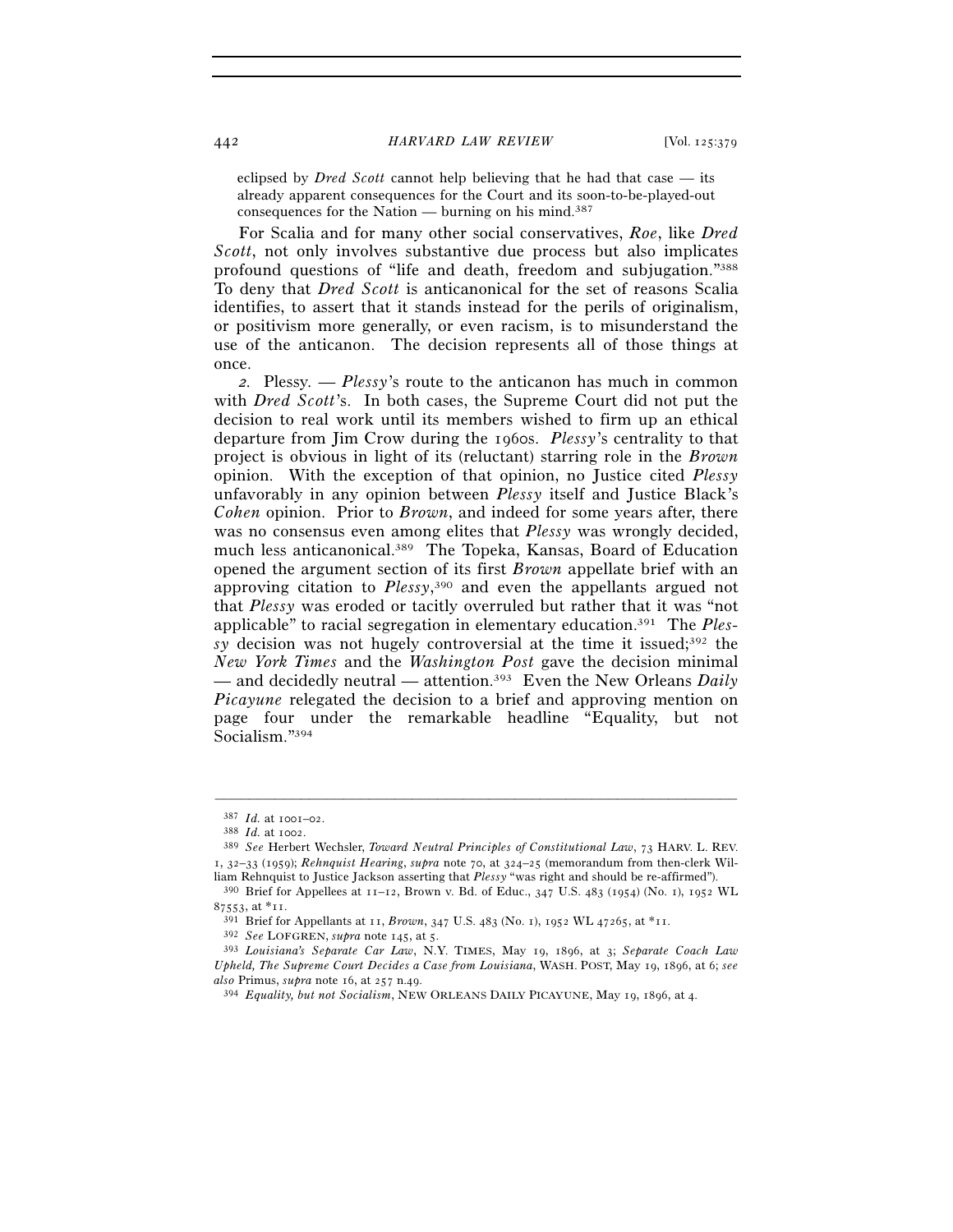eclipsed by *Dred Scott* cannot help believing that he had that case — its already apparent consequences for the Court and its soon-to-be-played-out consequences for the Nation — burning on his mind.<sup>387</sup>

For Scalia and for many other social conservatives, *Roe*, like *Dred Scott*, not only involves substantive due process but also implicates profound questions of "life and death, freedom and subjugation."388 To deny that *Dred Scott* is anticanonical for the set of reasons Scalia identifies, to assert that it stands instead for the perils of originalism, or positivism more generally, or even racism, is to misunderstand the use of the anticanon. The decision represents all of those things at once.

*2.* Plessy*. — Plessy*'s route to the anticanon has much in common with *Dred Scott*'s. In both cases, the Supreme Court did not put the decision to real work until its members wished to firm up an ethical departure from Jim Crow during the 1960s. *Plessy*'s centrality to that project is obvious in light of its (reluctant) starring role in the *Brown* opinion. With the exception of that opinion, no Justice cited *Plessy* unfavorably in any opinion between *Plessy* itself and Justice Black's *Cohen* opinion. Prior to *Brown*, and indeed for some years after, there was no consensus even among elites that *Plessy* was wrongly decided, much less anticanonical.389 The Topeka, Kansas, Board of Education opened the argument section of its first *Brown* appellate brief with an approving citation to *Plessy*, 390 and even the appellants argued not that *Plessy* was eroded or tacitly overruled but rather that it was "not applicable" to racial segregation in elementary education.391 The *Plessy* decision was not hugely controversial at the time it issued;<sup>392</sup> the *New York Times* and the *Washington Post* gave the decision minimal — and decidedly neutral — attention.393 Even the New Orleans *Daily Picayune* relegated the decision to a brief and approving mention on page four under the remarkable headline "Equality, but not Socialism."394

<sup>387</sup> *Id.* at 1001–02. 388 *Id.* at 1002. 389 *See* Herbert Wechsler, *Toward Neutral Principles of Constitutional Law*, 73 HARV. L. REV. 1, 32–33 (1959); *Rehnquist Hearing*, *supra* note 70, at 324–25 (memorandum from then-clerk Wil-

liam Rehnquist to Justice Jackson asserting that *Plessy* "was right and should be re-affirmed"). 390 Brief for Appellees at 11–12, Brown v. Bd. of Educ., 347 U.S. 483 (1954) (No. 1), 1952 WL

<sup>87553,</sup> at \*11.<br><sup>391</sup> Brief for Appellants at 11, *Brown*, 347 U.S. 483 (No. 1), 1952 WL 47265, at \*11.<br><sup>392</sup> See LOFGREN, *supra* note 145, at 5.<br><sup>393</sup> Louisiana's Separate Car Law, N.Y. TIMES, May 19, 1896, at 3; Separat *Upheld, The Supreme Court Decides a Case from Louisiana*, WASH. POST, May 19, 1896, at 6; *see also* Primus, *supra* note 16, at 257 n.49. 394 *Equality, but not Socialism*, NEW ORLEANS DAILY PICAYUNE, May 19, 1896, at 4.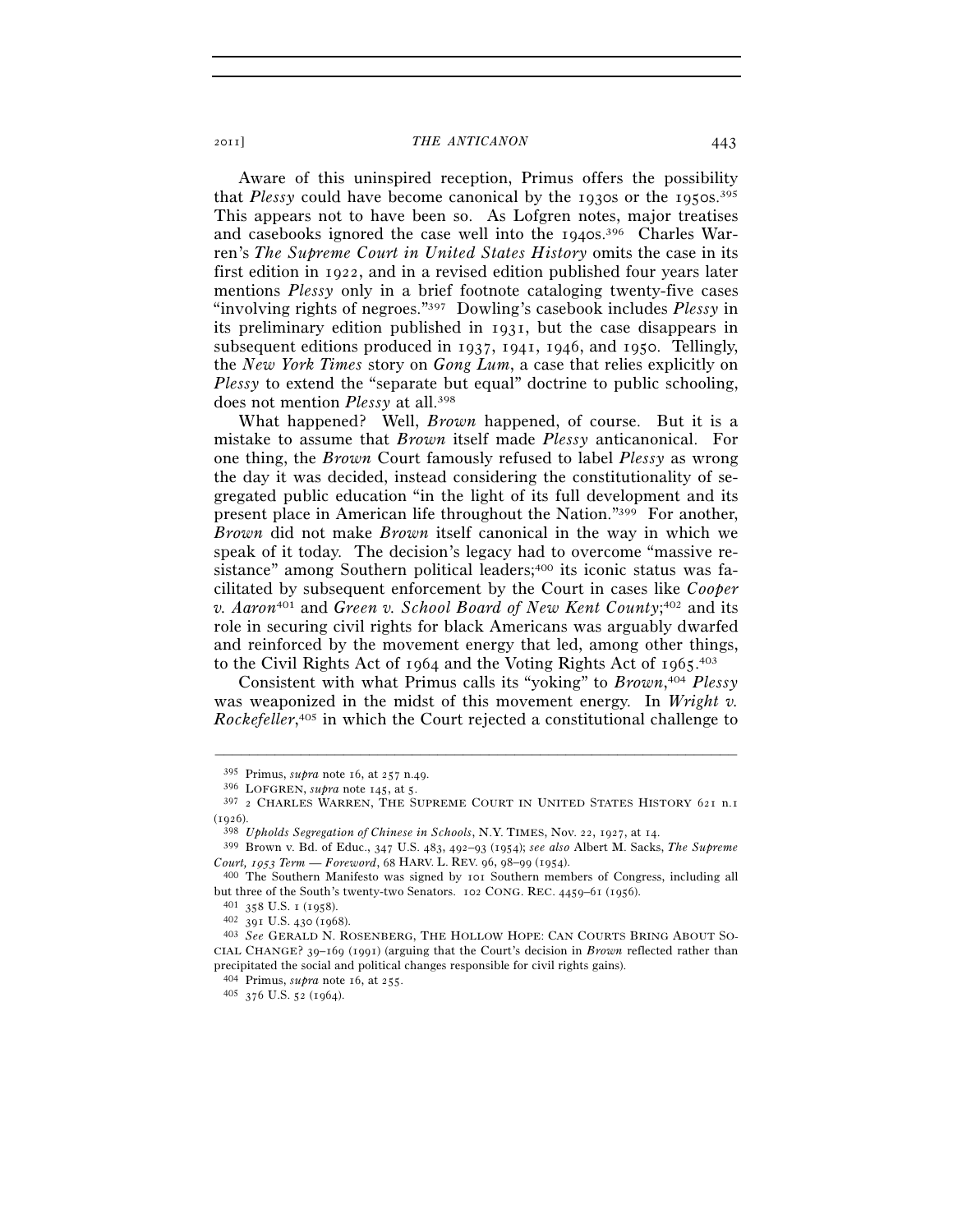Aware of this uninspired reception, Primus offers the possibility that *Plessy* could have become canonical by the 1930s or the 1950s.395 This appears not to have been so. As Lofgren notes, major treatises and casebooks ignored the case well into the 1940s.<sup>396</sup> Charles Warren's *The Supreme Court in United States History* omits the case in its first edition in 1922, and in a revised edition published four years later mentions *Plessy* only in a brief footnote cataloging twenty-five cases "involving rights of negroes."397 Dowling's casebook includes *Plessy* in its preliminary edition published in 1931, but the case disappears in subsequent editions produced in 1937, 1941, 1946, and 1950. Tellingly, the *New York Times* story on *Gong Lum*, a case that relies explicitly on *Plessy* to extend the "separate but equal" doctrine to public schooling, does not mention *Plessy* at all.398

What happened? Well, *Brown* happened, of course. But it is a mistake to assume that *Brown* itself made *Plessy* anticanonical. For one thing, the *Brown* Court famously refused to label *Plessy* as wrong the day it was decided, instead considering the constitutionality of segregated public education "in the light of its full development and its present place in American life throughout the Nation."399 For another, *Brown* did not make *Brown* itself canonical in the way in which we speak of it today. The decision's legacy had to overcome "massive resistance" among Southern political leaders;<sup>400</sup> its iconic status was facilitated by subsequent enforcement by the Court in cases like *Cooper v. Aaron*401 and *Green v. School Board of New Kent County*; 402 and its role in securing civil rights for black Americans was arguably dwarfed and reinforced by the movement energy that led, among other things, to the Civil Rights Act of 1964 and the Voting Rights Act of 1965. 403

Consistent with what Primus calls its "yoking" to *Brown*, <sup>404</sup> *Plessy* was weaponized in the midst of this movement energy. In *Wright v. Rockefeller*, 405 in which the Court rejected a constitutional challenge to

–––––––––––––––––––––––––––––––––––––––––––––––––––––––––––––

<sup>404</sup> Primus, *supra* note 16, at 255. 405 <sup>376</sup> U.S. 52 (1964).

<sup>&</sup>lt;sup>395</sup> Primus, *supra* note 16, at 257 n.49.<br><sup>396</sup> LOFGREN, *supra* note 145, at 5.<br><sup>397</sup> 2 CHARLES WARREN, THE SUPREME COURT IN UNITED STATES HISTORY 621 n.1

<sup>(</sup>1926). 398 *Upholds Segregation of Chinese in Schools*, N.Y. TIMES, Nov. 22, 1927, at 14. 399 Brown v. Bd. of Educ., 347 U.S. 483, 492–93 (1954); *see also* Albert M. Sacks, *The Supreme Court, 1953 Term* — *Foreword*, <sup>68</sup> HARV. L. REV. 96, 98–99 (1954). 400 The Southern Manifesto was signed by 101 Southern members of Congress, including all

but three of the South's twenty-two Senators. 102 CONG. REC. 4459–61 (1956). 401 <sup>358</sup> U.S. 1 (1958). 402 <sup>391</sup> U.S. 430 (1968). 403 *See* GERALD N. ROSENBERG, THE HOLLOW HOPE: CAN COURTS BRING ABOUT SO-

CIAL CHANGE? 39–169 (1991) (arguing that the Court's decision in *Brown* reflected rather than precipitated the social and political changes responsible for civil rights gains).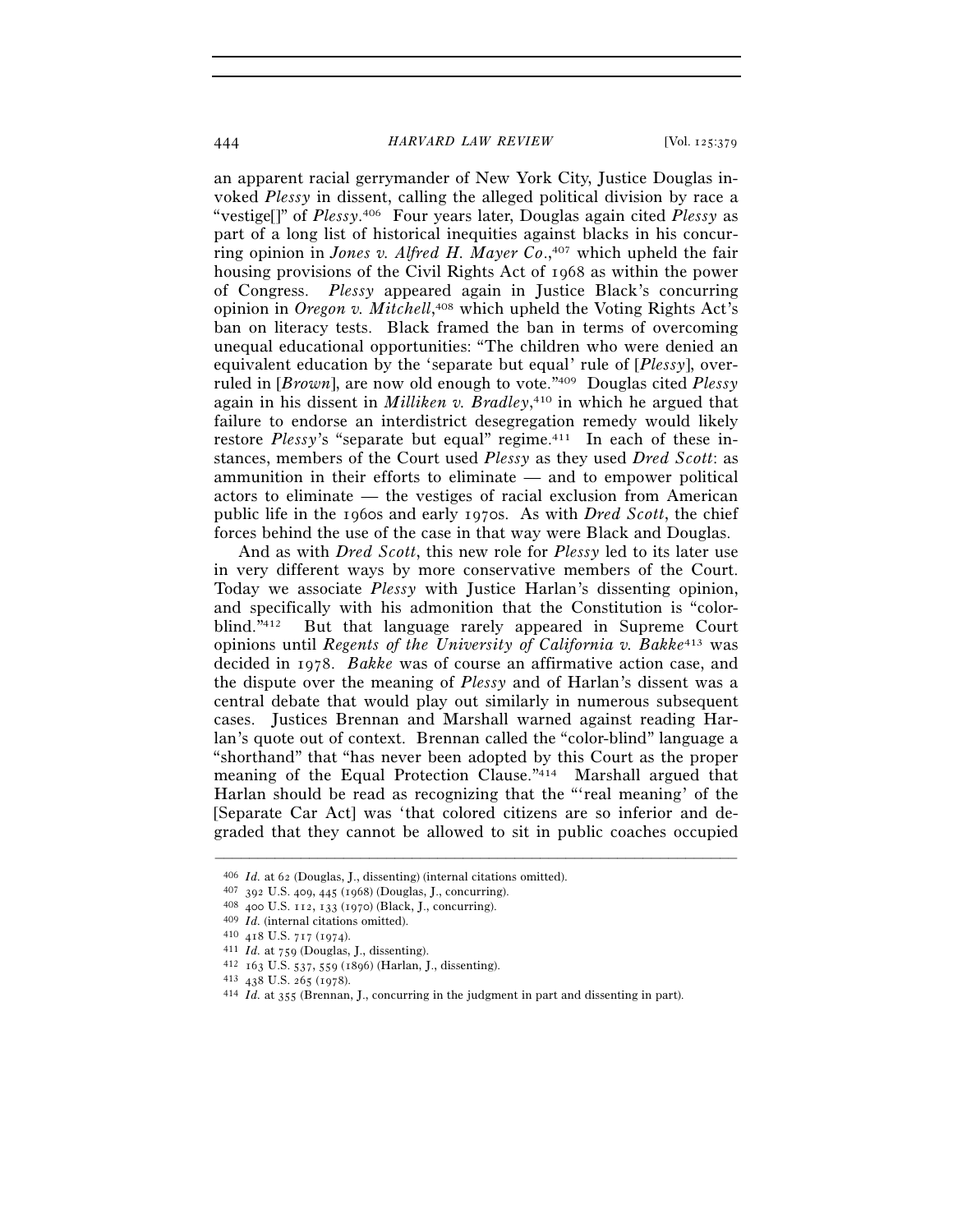444 *HARVARD LAW REVIEW* [Vol. 125:379

an apparent racial gerrymander of New York City, Justice Douglas invoked *Plessy* in dissent, calling the alleged political division by race a "vestige[]" of *Plessy*. 406 Four years later, Douglas again cited *Plessy* as part of a long list of historical inequities against blacks in his concurring opinion in *Jones v. Alfred H. Mayer Co.*,<sup>407</sup> which upheld the fair housing provisions of the Civil Rights Act of 1968 as within the power of Congress. *Plessy* appeared again in Justice Black's concurring opinion in *Oregon v. Mitchell*, 408 which upheld the Voting Rights Act's ban on literacy tests. Black framed the ban in terms of overcoming unequal educational opportunities: "The children who were denied an equivalent education by the 'separate but equal' rule of [*Plessy*], overruled in [*Brown*], are now old enough to vote."409 Douglas cited *Plessy* again in his dissent in *Milliken v. Bradley*, 410 in which he argued that failure to endorse an interdistrict desegregation remedy would likely restore *Plessy's* "separate but equal" regime.<sup>411</sup> In each of these instances, members of the Court used *Plessy* as they used *Dred Scott*: as ammunition in their efforts to eliminate — and to empower political actors to eliminate — the vestiges of racial exclusion from American public life in the 1960s and early 1970s. As with *Dred Scott*, the chief forces behind the use of the case in that way were Black and Douglas.

And as with *Dred Scott*, this new role for *Plessy* led to its later use in very different ways by more conservative members of the Court. Today we associate *Plessy* with Justice Harlan's dissenting opinion, and specifically with his admonition that the Constitution is "colorblind."412 But that language rarely appeared in Supreme Court opinions until *Regents of the University of California v. Bakke*413 was decided in 1978. *Bakke* was of course an affirmative action case, and the dispute over the meaning of *Plessy* and of Harlan's dissent was a central debate that would play out similarly in numerous subsequent cases. Justices Brennan and Marshall warned against reading Harlan's quote out of context. Brennan called the "color-blind" language a "shorthand" that "has never been adopted by this Court as the proper meaning of the Equal Protection Clause."414 Marshall argued that Harlan should be read as recognizing that the "'real meaning' of the [Separate Car Act] was 'that colored citizens are so inferior and degraded that they cannot be allowed to sit in public coaches occupied

<sup>406</sup> *Id.* at 62 (Douglas, J., dissenting) (internal citations omitted).<br>
407 392 U.S. 409, 445 (1968) (Douglas, J., concurring).<br>
408 400 U.S. 112, 133 (1970) (Black, J., concurring).<br>
409 *Id.* (internal citations omitte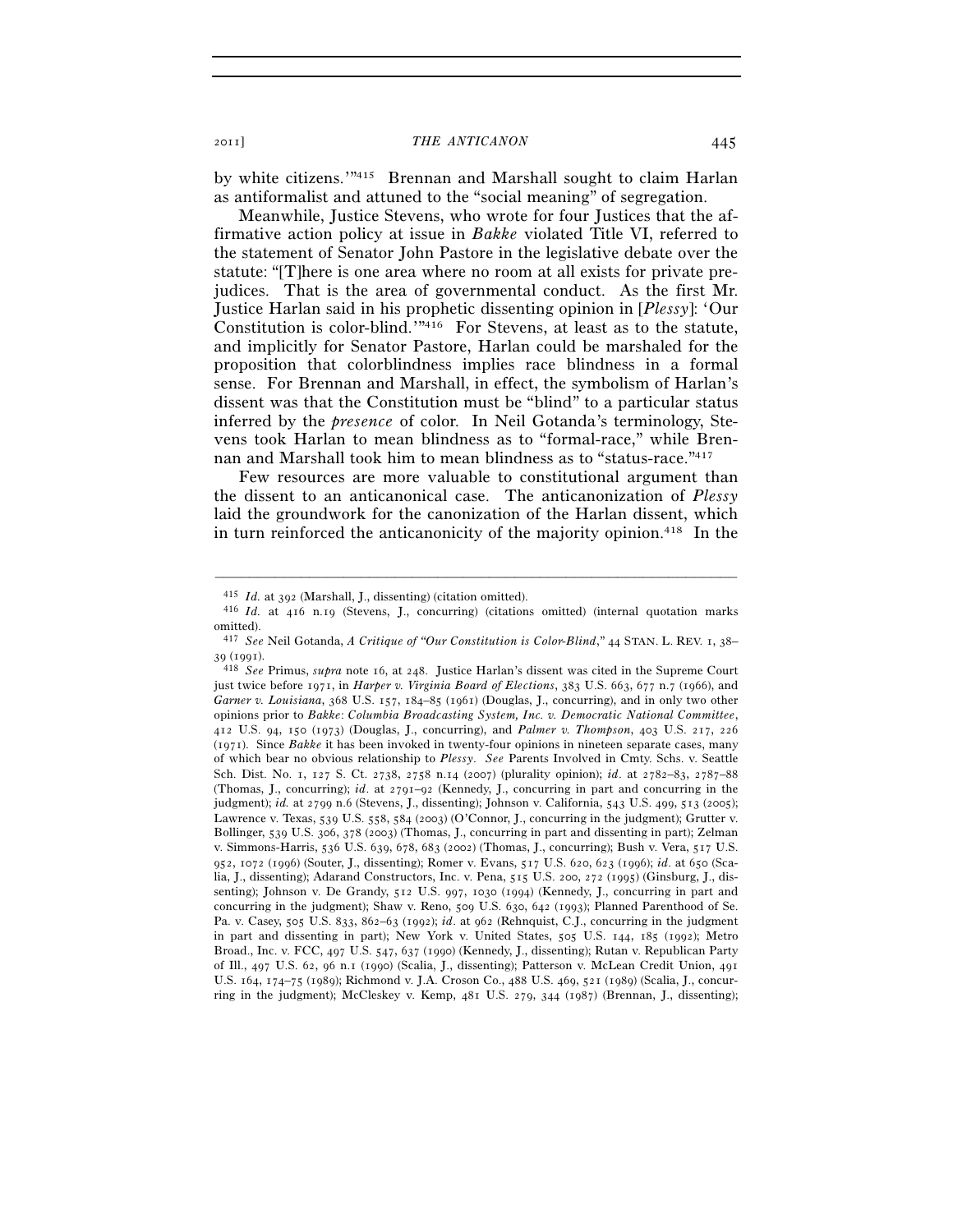by white citizens.'"415 Brennan and Marshall sought to claim Harlan as antiformalist and attuned to the "social meaning" of segregation.

Meanwhile, Justice Stevens, who wrote for four Justices that the affirmative action policy at issue in *Bakke* violated Title VI, referred to the statement of Senator John Pastore in the legislative debate over the statute: "[T]here is one area where no room at all exists for private prejudices. That is the area of governmental conduct. As the first Mr. Justice Harlan said in his prophetic dissenting opinion in [*Plessy*]: 'Our Constitution is color-blind.'"416 For Stevens, at least as to the statute, and implicitly for Senator Pastore, Harlan could be marshaled for the proposition that colorblindness implies race blindness in a formal sense. For Brennan and Marshall, in effect, the symbolism of Harlan's dissent was that the Constitution must be "blind" to a particular status inferred by the *presence* of color. In Neil Gotanda's terminology, Stevens took Harlan to mean blindness as to "formal-race," while Brennan and Marshall took him to mean blindness as to "status-race."417

Few resources are more valuable to constitutional argument than the dissent to an anticanonical case. The anticanonization of *Plessy* laid the groundwork for the canonization of the Harlan dissent, which in turn reinforced the anticanonicity of the majority opinion.418 In the

<sup>415</sup> *Id.* at 392 (Marshall, J., dissenting) (citation omitted). 416 *Id.* at 416 n.19 (Stevens, J., concurring) (citations omitted) (internal quotation marks omitted).

<sup>417</sup> *See* Neil Gotanda, *A Critique of "Our Constitution is Color-Blind*," 44 STAN. L. REV. 1, 38–

<sup>39</sup> (1991). 418 *See* Primus, *supra* note 16, at 248. Justice Harlan's dissent was cited in the Supreme Court just twice before 1971, in *Harper v. Virginia Board of Elections*, 383 U.S. 663, 677 n.7 (1966), and *Garner v. Louisiana*, 368 U.S. 157, 184–85 (1961) (Douglas, J., concurring), and in only two other opinions prior to *Bakke*: *Columbia Broadcasting System, Inc. v. Democratic National Committee*, 412 U.S. 94, 150 (1973) (Douglas, J., concurring), and *Palmer v. Thompson*, 403 U.S. 217, 226 (1971). Since *Bakke* it has been invoked in twenty-four opinions in nineteen separate cases, many of which bear no obvious relationship to *Plessy*. *See* Parents Involved in Cmty. Schs. v. Seattle Sch. Dist. No. 1, 127 S. Ct. 2738, 2758 n.14 (2007) (plurality opinion); *id*. at 2782–83, 2787–88 (Thomas, J., concurring); *id*. at 2791–92 (Kennedy, J., concurring in part and concurring in the judgment); *id.* at 2799 n.6 (Stevens, J., dissenting); Johnson v. California, 543 U.S. 499, 513 (2005); Lawrence v. Texas, 539 U.S. 558, 584 (2003) (O'Connor, J., concurring in the judgment); Grutter v. Bollinger, 539 U.S. 306, 378 (2003) (Thomas, J., concurring in part and dissenting in part); Zelman v. Simmons-Harris, 536 U.S. 639, 678, 683 (2002) (Thomas, J., concurring); Bush v. Vera, 517 U.S. 952, 1072 (1996) (Souter, J., dissenting); Romer v. Evans, 517 U.S. 620, 623 (1996); *id*. at 650 (Scalia, J., dissenting); Adarand Constructors, Inc. v. Pena, 515 U.S. 200, 272 (1995) (Ginsburg, J., dissenting); Johnson v. De Grandy, 512 U.S. 997, 1030 (1994) (Kennedy, J., concurring in part and concurring in the judgment); Shaw v. Reno, 509 U.S. 630, 642 (1993); Planned Parenthood of Se. Pa. v. Casey, 505 U.S. 833, 862–63 (1992); *id*. at 962 (Rehnquist, C.J., concurring in the judgment in part and dissenting in part); New York v. United States, 505 U.S. 144, 185 (1992); Metro Broad., Inc. v. FCC, 497 U.S. 547, 637 (1990) (Kennedy, J., dissenting); Rutan v. Republican Party of Ill., 497 U.S. 62, 96 n.1 (1990) (Scalia, J., dissenting); Patterson v. McLean Credit Union, 491 U.S. 164, 174–75 (1989); Richmond v. J.A. Croson Co., 488 U.S. 469, 521 (1989) (Scalia, J., concurring in the judgment); McCleskey v. Kemp, 481 U.S. 279, 344 (1987) (Brennan, J., dissenting);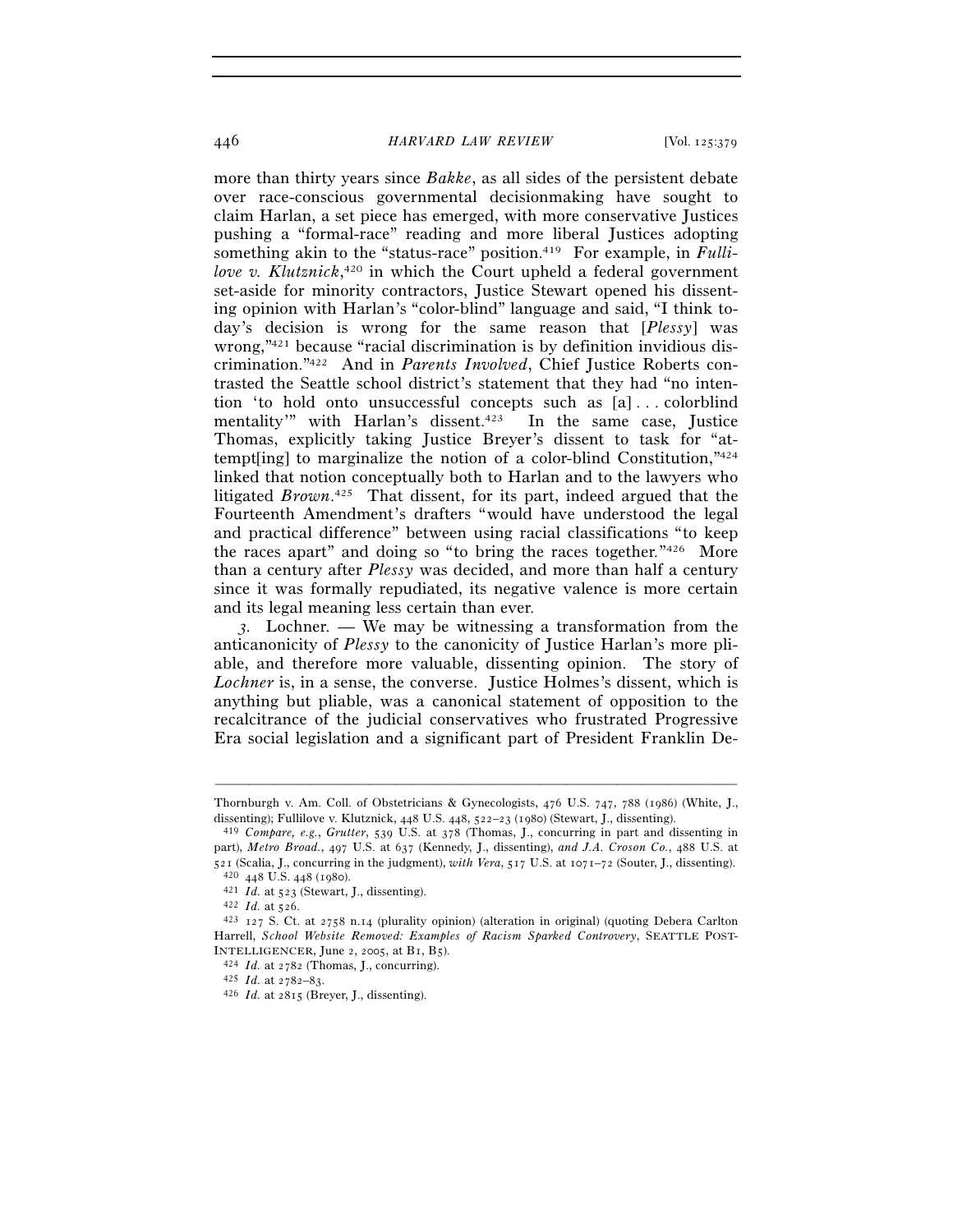446 *HARVARD LAW REVIEW* [Vol. 125:379

more than thirty years since *Bakke*, as all sides of the persistent debate over race-conscious governmental decisionmaking have sought to claim Harlan, a set piece has emerged, with more conservative Justices pushing a "formal-race" reading and more liberal Justices adopting something akin to the "status-race" position.<sup>419</sup> For example, in *Fullilove v. Klutznick*, 420 in which the Court upheld a federal government set-aside for minority contractors, Justice Stewart opened his dissenting opinion with Harlan's "color-blind" language and said, "I think today's decision is wrong for the same reason that [*Plessy*] was wrong,"421 because "racial discrimination is by definition invidious discrimination."422 And in *Parents Involved*, Chief Justice Roberts contrasted the Seattle school district's statement that they had "no intention 'to hold onto unsuccessful concepts such as [a] . . . colorblind mentality'" with Harlan's dissent.<sup>423</sup> In the same case, Justice Thomas, explicitly taking Justice Breyer's dissent to task for "attempt[ing] to marginalize the notion of a color-blind Constitution,"424 linked that notion conceptually both to Harlan and to the lawyers who litigated *Brown*. 425 That dissent, for its part, indeed argued that the Fourteenth Amendment's drafters "would have understood the legal and practical difference" between using racial classifications "to keep the races apart" and doing so "to bring the races together."426 More than a century after *Plessy* was decided, and more than half a century since it was formally repudiated, its negative valence is more certain and its legal meaning less certain than ever.

*3.* Lochner*. —* We may be witnessing a transformation from the anticanonicity of *Plessy* to the canonicity of Justice Harlan's more pliable, and therefore more valuable, dissenting opinion. The story of *Lochner* is, in a sense, the converse. Justice Holmes's dissent, which is anything but pliable, was a canonical statement of opposition to the recalcitrance of the judicial conservatives who frustrated Progressive Era social legislation and a significant part of President Franklin De-

<sup>–––––––––––––––––––––––––––––––––––––––––––––––––––––––––––––</sup> Thornburgh v. Am. Coll. of Obstetricians & Gynecologists, 476 U.S. 747, 788 (1986) (White, J., dissenting); Fullilove v. Klutznick, 448 U.S. 448, 522–23 (1980) (Stewart, J., dissenting). 419 *Compare, e.g.*, *Grutter*, 539 U.S. at 378 (Thomas, J., concurring in part and dissenting in

part), *Metro Broad.*, 497 U.S. at 637 (Kennedy, J., dissenting), *and J.A. Croson Co.*, 488 U.S. at 521 (Scalia, J., concurring in the judgment), with Vera, 517 U.S. at 1071-72 (Souter, J., dissenting).<br>  $^{420}$  448 U.S. 448 (1980).<br>  $^{421}$  *Id.* at 523 (Stewart, J., dissenting).<br>  $^{421}$  *Id.* at 523 (Stewart, J., dis

Harrell, *School Website Removed: Examples of Racism Sparked Controvery*, SEATTLE POST-INTELLIGENCER, June 2, 2005, at B1, B5). 424 *Id.* at 2782 (Thomas, J., concurring). 425 *Id.* at 2782–83. 426 *Id.* at 2815 (Breyer, J., dissenting).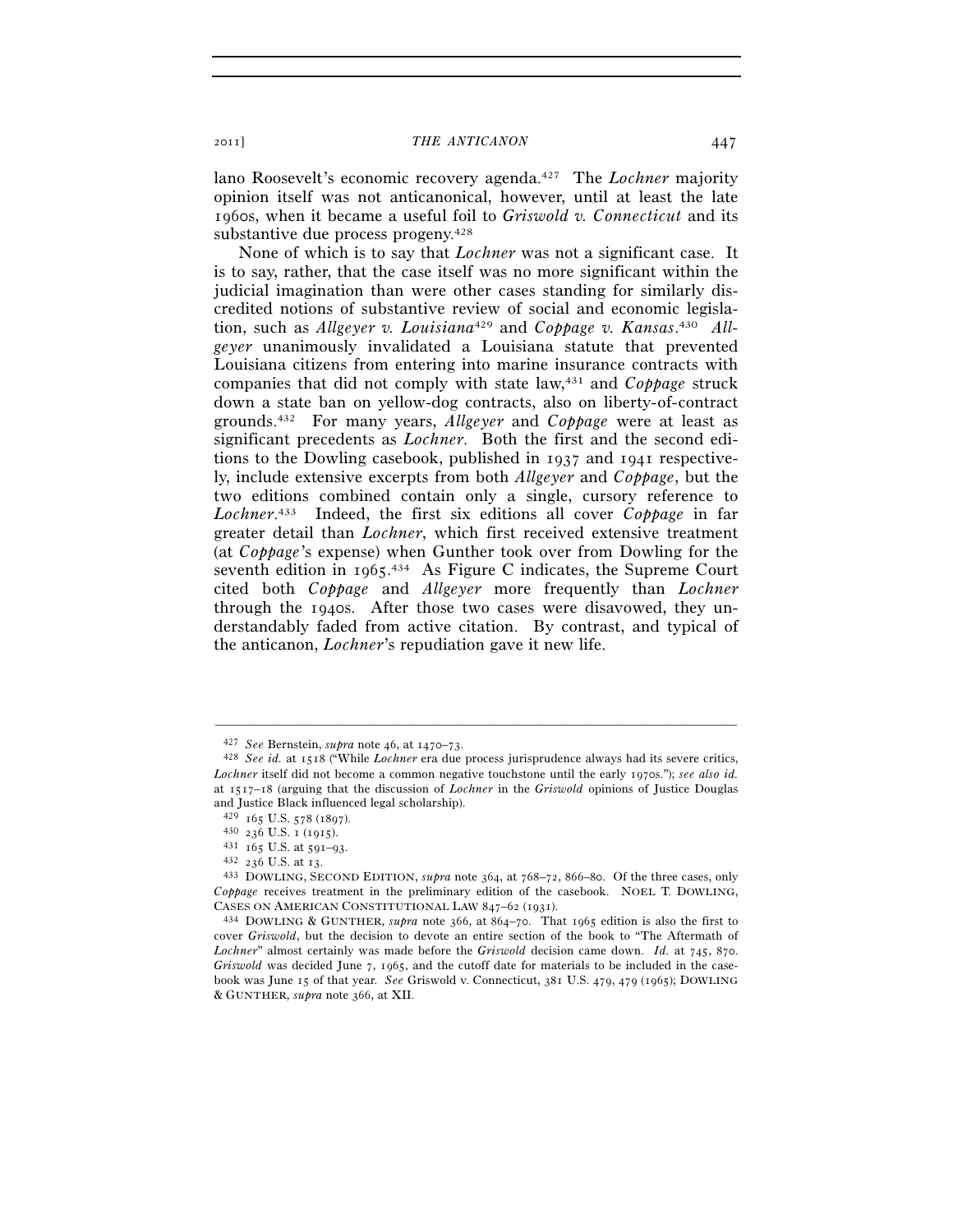lano Roosevelt's economic recovery agenda.427 The *Lochner* majority opinion itself was not anticanonical, however, until at least the late 1960s, when it became a useful foil to *Griswold v. Connecticut* and its substantive due process progeny.428

None of which is to say that *Lochner* was not a significant case. It is to say, rather, that the case itself was no more significant within the judicial imagination than were other cases standing for similarly discredited notions of substantive review of social and economic legislation, such as *Allgeyer v. Louisiana*429 and *Coppage v. Kansas*. 430 *Allgeyer* unanimously invalidated a Louisiana statute that prevented Louisiana citizens from entering into marine insurance contracts with companies that did not comply with state law,431 and *Coppage* struck down a state ban on yellow-dog contracts, also on liberty-of-contract grounds.432 For many years, *Allgeyer* and *Coppage* were at least as significant precedents as *Lochner*. Both the first and the second editions to the Dowling casebook, published in 1937 and 1941 respectively, include extensive excerpts from both *Allgeyer* and *Coppage*, but the two editions combined contain only a single, cursory reference to *Lochner*. 433 Indeed, the first six editions all cover *Coppage* in far greater detail than *Lochner*, which first received extensive treatment (at *Coppage*'s expense) when Gunther took over from Dowling for the seventh edition in 1965.<sup>434</sup> As Figure C indicates, the Supreme Court cited both *Coppage* and *Allgeyer* more frequently than *Lochner* through the 1940s. After those two cases were disavowed, they understandably faded from active citation. By contrast, and typical of the anticanon, *Lochner*'s repudiation gave it new life.

<sup>427</sup> *See* Bernstein, *supra* note 46, at 1470–73. 428 *See id.* at 1518 ("While *Lochner* era due process jurisprudence always had its severe critics, *Lochner* itself did not become a common negative touchstone until the early 1970s."); *see also id.* at 1517–18 (arguing that the discussion of *Lochner* in the *Griswold* opinions of Justice Douglas and Justice Black influenced legal scholarship).<br> $429$  165 U.S. 578 (1897).

<sup>429</sup> <sup>165</sup> U.S. 578 (1897). 430 <sup>236</sup> U.S. 1 (1915). 431 <sup>165</sup> U.S. at 591–93. 432 <sup>236</sup> U.S. at 13. 433 DOWLING, SECOND EDITION, *supra* note 364, at 768–72, 866–80. Of the three cases, only *Coppage* receives treatment in the preliminary edition of the casebook. NOEL T. DOWLING,

CASES ON AMERICAN CONSTITUTIONAL LAW <sup>847</sup>–62 (1931). 434 DOWLING & GUNTHER, *supra* note 366, at <sup>864</sup>–70. That 1965 edition is also the first to cover *Griswold*, but the decision to devote an entire section of the book to "The Aftermath of *Lochner*" almost certainly was made before the *Griswold* decision came down. *Id.* at 745, 870. *Griswold* was decided June 7, 1965, and the cutoff date for materials to be included in the casebook was June 15 of that year. *See* Griswold v. Connecticut, 381 U.S. 479, 479 (1965); DOWLING & GUNTHER, *supra* note 366, at XII.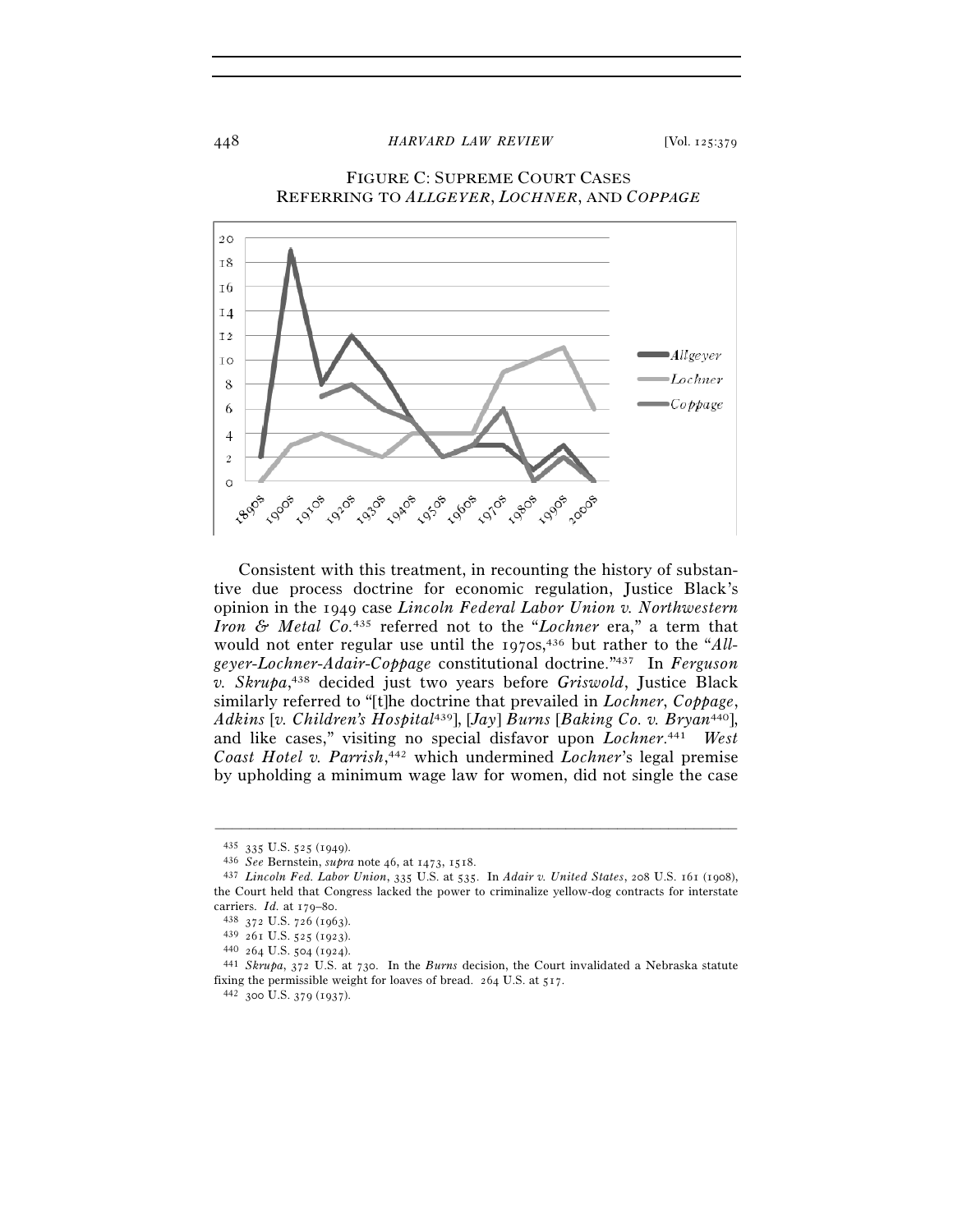## 448 *HARVARD LAW REVIEW* [Vol. 125:379



FIGURE C: SUPREME COURT CASES REFERRING TO *ALLGEYER*, *LOCHNER*, AND *COPPAGE*

 Consistent with this treatment, in recounting the history of substantive due process doctrine for economic regulation, Justice Black's opinion in the 1949 case *Lincoln Federal Labor Union v. Northwestern Iron & Metal Co.*435 referred not to the "*Lochner* era," a term that would not enter regular use until the 1970s,<sup>436</sup> but rather to the "*Allgeyer*-*Lochner*-*Adair*-*Coppage* constitutional doctrine."437 In *Ferguson v. Skrupa*, 438 decided just two years before *Griswold*, Justice Black similarly referred to "[t]he doctrine that prevailed in *Lochner*, *Coppage*, *Adkins* [*v. Children's Hospital*439], [*Jay*] *Burns* [*Baking Co. v. Bryan*440], and like cases," visiting no special disfavor upon *Lochner*. 441 *West Coast Hotel v. Parrish*, 442 which undermined *Lochner*'s legal premise by upholding a minimum wage law for women, did not single the case

<sup>435</sup> <sup>335</sup> U.S. 525 (1949). 436 *See* Bernstein, *supra* note 46, at 1473, 1518. 437 *Lincoln Fed. Labor Union*, 335 U.S. at 535. In *Adair v. United States*, 208 U.S. 161 (1908), the Court held that Congress lacked the power to criminalize yellow-dog contracts for interstate carriers. *Id.* at 179–80.<br>
<sup>438</sup> 372 U.S. 726 (1963).<br>
<sup>439</sup> 261 U.S. 525 (1923).<br>
<sup>440</sup> 264 U.S. 504 (1924).<br>
<sup>441</sup> *Skrupa*, 372 U.S. at 730. In the *Burns* decision, the Court invalidated a Nebraska statute

fixing the permissible weight for loaves of bread. 264 U.S. at 517.  $^{442}$  300 U.S. 379 (1937).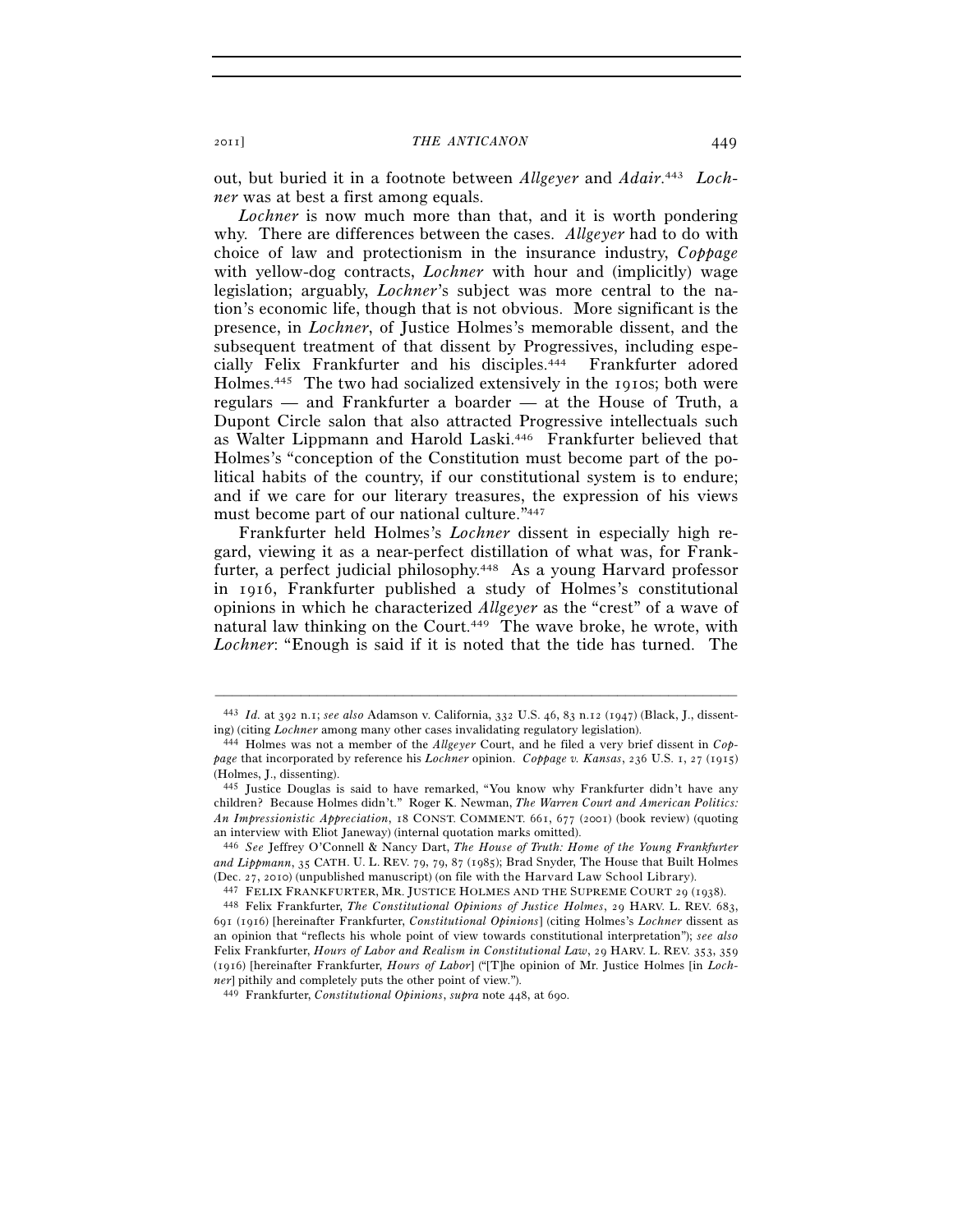out, but buried it in a footnote between *Allgeyer* and *Adair*. 443 *Lochner* was at best a first among equals.

*Lochner* is now much more than that, and it is worth pondering why. There are differences between the cases. *Allgeyer* had to do with choice of law and protectionism in the insurance industry, *Coppage* with yellow-dog contracts, *Lochner* with hour and (implicitly) wage legislation; arguably, *Lochner*'s subject was more central to the nation's economic life, though that is not obvious. More significant is the presence, in *Lochner*, of Justice Holmes's memorable dissent, and the subsequent treatment of that dissent by Progressives, including especially Felix Frankfurter and his disciples.444 Frankfurter adored Holmes.445 The two had socialized extensively in the 1910s; both were regulars — and Frankfurter a boarder — at the House of Truth, a Dupont Circle salon that also attracted Progressive intellectuals such as Walter Lippmann and Harold Laski.446 Frankfurter believed that Holmes's "conception of the Constitution must become part of the political habits of the country, if our constitutional system is to endure; and if we care for our literary treasures, the expression of his views must become part of our national culture."447

Frankfurter held Holmes's *Lochner* dissent in especially high regard, viewing it as a near-perfect distillation of what was, for Frankfurter, a perfect judicial philosophy.448 As a young Harvard professor in 1916, Frankfurter published a study of Holmes's constitutional opinions in which he characterized *Allgeyer* as the "crest" of a wave of natural law thinking on the Court.<sup>449</sup> The wave broke, he wrote, with *Lochner*: "Enough is said if it is noted that the tide has turned. The

<sup>–––––––––––––––––––––––––––––––––––––––––––––––––––––––––––––</sup> 443 *Id.* at 392 n.1; *see also* Adamson v. California, 332 U.S. 46, 83 n.12 (1947) (Black, J., dissenting) (citing *Lochner* among many other cases invalidating regulatory legislation). 444 Holmes was not a member of the *Allgeyer* Court, and he filed a very brief dissent in *Cop-*

*page* that incorporated by reference his *Lochner* opinion. *Coppage v. Kansas*, 236 U.S. 1, 27 (1915) (Holmes, J., dissenting).

<sup>445</sup> Justice Douglas is said to have remarked, "You know why Frankfurter didn't have any children? Because Holmes didn't." Roger K. Newman, *The Warren Court and American Politics: An Impressionistic Appreciation*, 18 CONST. COMMENT. 661, 677 (2001) (book review) (quoting an interview with Eliot Janeway) (internal quotation marks omitted).

<sup>446</sup> *See* Jeffrey O'Connell & Nancy Dart, *The House of Truth: Home of the Young Frankfurter and Lippmann*, 35 CATH. U. L. REV. 79, 79, 87 (1985); Brad Snyder, The House that Built Holmes (Dec. 27, 2010) (unpublished manuscript) (on file with the Harvard Law School Library).<br><sup>447</sup> FELIX FRANKFURTER, MR. JUSTICE HOLMES AND THE SUPREME COURT 29 (1938).<br><sup>448</sup> Felix Frankfurter, *The Constitutional Opinions of* 

<sup>691</sup> (1916) [hereinafter Frankfurter, *Constitutional Opinions*] (citing Holmes's *Lochner* dissent as an opinion that "reflects his whole point of view towards constitutional interpretation"); *see also* Felix Frankfurter, *Hours of Labor and Realism in Constitutional Law*, 29 HARV. L. REV. 353, 359 (1916) [hereinafter Frankfurter, *Hours of Labor*] ("[T]he opinion of Mr. Justice Holmes [in *Lochner*] pithily and completely puts the other point of view.").

<sup>449</sup> Frankfurter, *Constitutional Opinions*, *supra* note 448, at 690.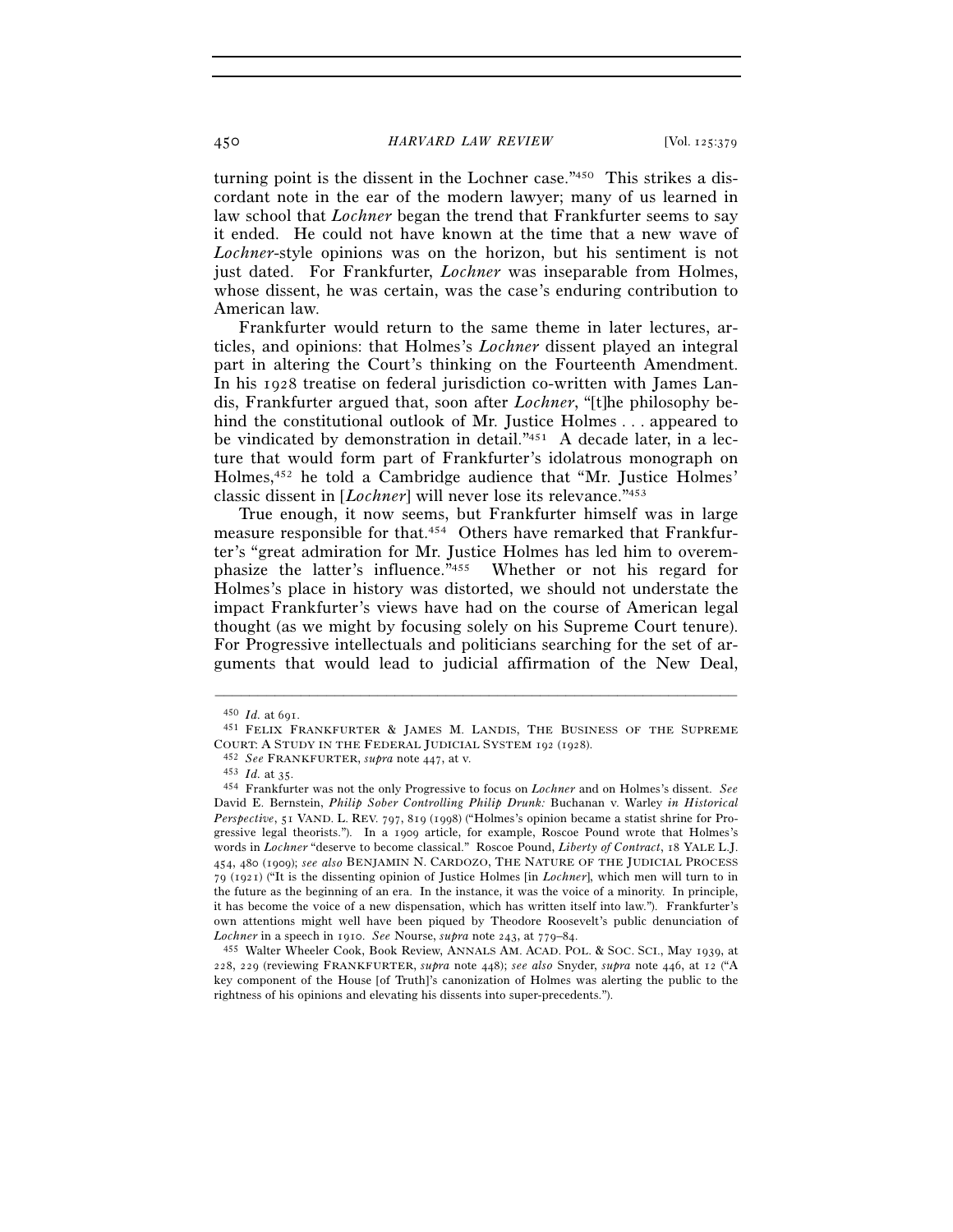turning point is the dissent in the Lochner case."450 This strikes a discordant note in the ear of the modern lawyer; many of us learned in law school that *Lochner* began the trend that Frankfurter seems to say it ended. He could not have known at the time that a new wave of *Lochner*-style opinions was on the horizon, but his sentiment is not just dated. For Frankfurter, *Lochner* was inseparable from Holmes, whose dissent, he was certain, was the case's enduring contribution to American law.

Frankfurter would return to the same theme in later lectures, articles, and opinions: that Holmes's *Lochner* dissent played an integral part in altering the Court's thinking on the Fourteenth Amendment. In his 1928 treatise on federal jurisdiction co-written with James Landis, Frankfurter argued that, soon after *Lochner*, "[t]he philosophy behind the constitutional outlook of Mr. Justice Holmes . . . appeared to be vindicated by demonstration in detail."451 A decade later, in a lecture that would form part of Frankfurter's idolatrous monograph on Holmes,452 he told a Cambridge audience that "Mr. Justice Holmes' classic dissent in [*Lochner*] will never lose its relevance."453

True enough, it now seems, but Frankfurter himself was in large measure responsible for that.454 Others have remarked that Frankfurter's "great admiration for Mr. Justice Holmes has led him to overemphasize the latter's influence."455 Whether or not his regard for Holmes's place in history was distorted, we should not understate the impact Frankfurter's views have had on the course of American legal thought (as we might by focusing solely on his Supreme Court tenure). For Progressive intellectuals and politicians searching for the set of arguments that would lead to judicial affirmation of the New Deal,

<sup>450</sup> *Id.* at 691.<br><sup>451</sup> FELIX FRANKFURTER & JAMES M. LANDIS, THE BUSINESS OF THE SUPREME<br>COURT: A STUDY IN THE FEDERAL JUDICIAL SYSTEM 192 (1928).

<sup>&</sup>lt;sup>452</sup> See FRANKFURTER, *supra* note 447, at v.<br><sup>453</sup> Id. at 35.<br><sup>454</sup> Frankfurter was not the only Progressive to focus on *Lochner* and on Holmes's dissent. See David E. Bernstein, *Philip Sober Controlling Philip Drunk:* Buchanan v. Warley *in Historical Perspective*, 51 VAND. L. REV. 797, 819 (1998) ("Holmes's opinion became a statist shrine for Progressive legal theorists."). In a 1909 article, for example, Roscoe Pound wrote that Holmes's words in *Lochner* "deserve to become classical." Roscoe Pound, *Liberty of Contract*, 18 YALE L.J. 454, 480 (1909); *see also* BENJAMIN N. CARDOZO, THE NATURE OF THE JUDICIAL PROCESS 79 (1921) ("It is the dissenting opinion of Justice Holmes [in *Lochner*], which men will turn to in the future as the beginning of an era. In the instance, it was the voice of a minority. In principle, it has become the voice of a new dispensation, which has written itself into law."). Frankfurter's own attentions might well have been piqued by Theodore Roosevelt's public denunciation of

*Lochner* in a speech in 1910. *See* Nourse, *supra* note 243, at 779–84. 455 Walter Wheeler Cook, Book Review, ANNALS AM. ACAD. POL. & SOC. SCI., May 1939, at 228, 229 (reviewing FRANKFURTER, *supra* note 448); *see also* Snyder, *supra* note 446, at 12 ("A key component of the House [of Truth]'s canonization of Holmes was alerting the public to the rightness of his opinions and elevating his dissents into super-precedents.").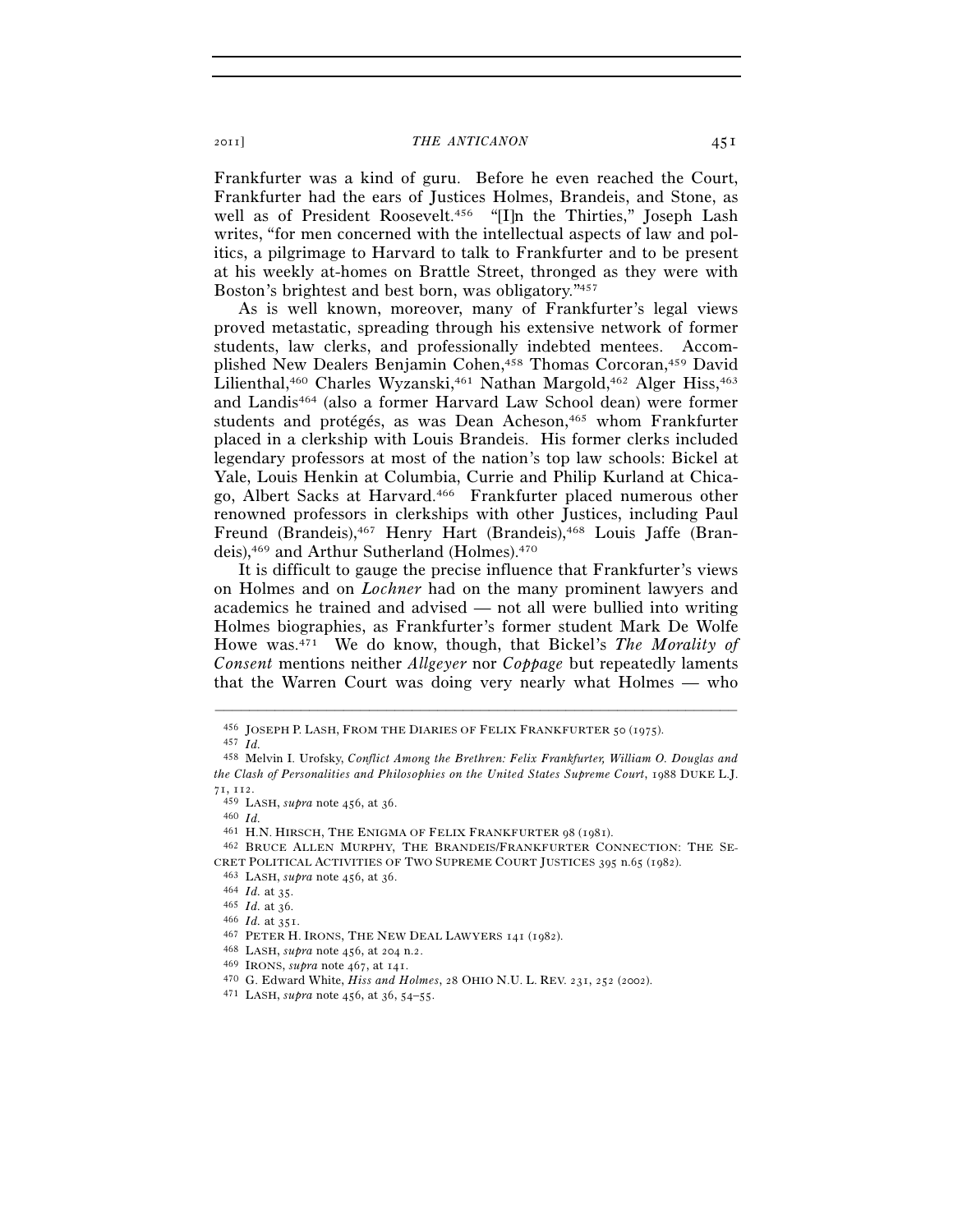Frankfurter was a kind of guru. Before he even reached the Court, Frankfurter had the ears of Justices Holmes, Brandeis, and Stone, as well as of President Roosevelt.<sup>456</sup> "[I]n the Thirties," Joseph Lash writes, "for men concerned with the intellectual aspects of law and politics, a pilgrimage to Harvard to talk to Frankfurter and to be present at his weekly at-homes on Brattle Street, thronged as they were with Boston's brightest and best born, was obligatory."457

As is well known, moreover, many of Frankfurter's legal views proved metastatic, spreading through his extensive network of former students, law clerks, and professionally indebted mentees. Accomplished New Dealers Benjamin Cohen,458 Thomas Corcoran,459 David Lilienthal,<sup>460</sup> Charles Wyzanski,<sup>461</sup> Nathan Margold,<sup>462</sup> Alger Hiss,<sup>463</sup> and Landis464 (also a former Harvard Law School dean) were former students and protégés, as was Dean Acheson,465 whom Frankfurter placed in a clerkship with Louis Brandeis. His former clerks included legendary professors at most of the nation's top law schools: Bickel at Yale, Louis Henkin at Columbia, Currie and Philip Kurland at Chicago, Albert Sacks at Harvard.466 Frankfurter placed numerous other renowned professors in clerkships with other Justices, including Paul Freund (Brandeis),467 Henry Hart (Brandeis),468 Louis Jaffe (Brandeis),469 and Arthur Sutherland (Holmes).470

It is difficult to gauge the precise influence that Frankfurter's views on Holmes and on *Lochner* had on the many prominent lawyers and academics he trained and advised — not all were bullied into writing Holmes biographies, as Frankfurter's former student Mark De Wolfe Howe was.471 We do know, though, that Bickel's *The Morality of Consent* mentions neither *Allgeyer* nor *Coppage* but repeatedly laments that the Warren Court was doing very nearly what Holmes — who

<sup>456</sup> JOSEPH P. LASH, FROM THE DIARIES OF FELIX FRANKFURTER <sup>50</sup> (1975). 457 *Id.*

<sup>458</sup> Melvin I. Urofsky, *Conflict Among the Brethren: Felix Frankfurter, William O. Douglas and the Clash of Personalities and Philosophies on the United States Supreme Court*, 1988 DUKE L.J. 71, 112.<br><sup>459</sup> LASH, *supra* note 456, at 36.<br><sup>460</sup> *Id.*<br><sup>461</sup> H.N. HIRSCH, THE ENIGMA OF FELIX FRANKFURTER 98 (1981).<br><sup>462</sup> BRUCE ALLEN MURPHY, THE BRANDEIS/FRANKFURTER CONNECTION: THE SE-

CRET POLITICAL ACTIVITIES OF TWO SUPREME COURT JUSTICES 395 n.65 (1982).<br>
463 LASH, *supra* note 456, at 36.<br>
464 *Id.* at 35.<br>
465 *Id.* at 35.<br>
466 *Id.* at 351.<br>
467 PETER H. IRONS, THE NEW DEAL LAWYERS 141 (1982).<br>
46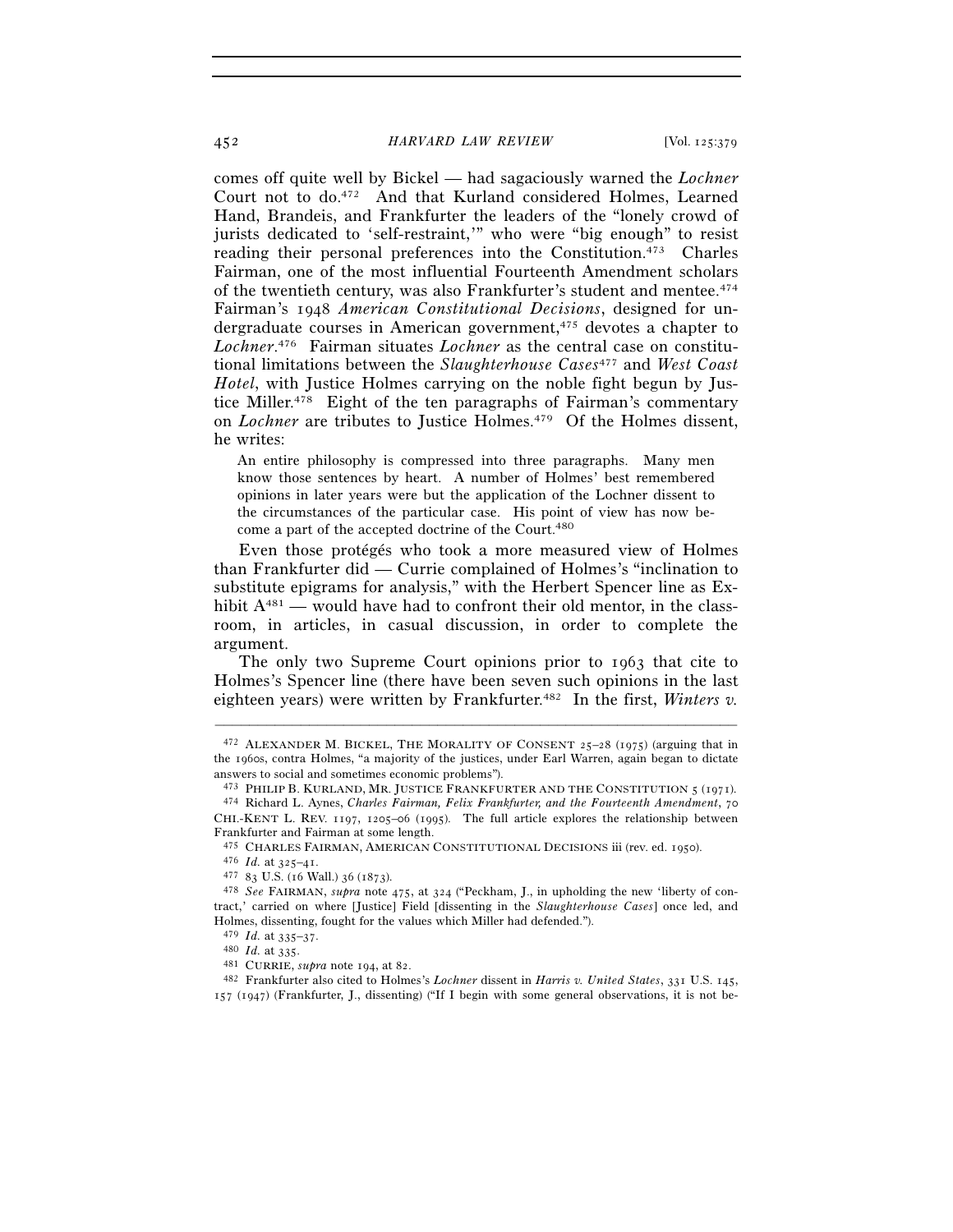comes off quite well by Bickel — had sagaciously warned the *Lochner* Court not to do.472 And that Kurland considered Holmes, Learned Hand, Brandeis, and Frankfurter the leaders of the "lonely crowd of jurists dedicated to 'self-restraint,'" who were "big enough" to resist reading their personal preferences into the Constitution.473 Charles Fairman, one of the most influential Fourteenth Amendment scholars of the twentieth century, was also Frankfurter's student and mentee.474 Fairman's 1948 *American Constitutional Decisions*, designed for undergraduate courses in American government,475 devotes a chapter to *Lochner*. 476 Fairman situates *Lochner* as the central case on constitutional limitations between the *Slaughterhouse Cases*477 and *West Coast Hotel*, with Justice Holmes carrying on the noble fight begun by Justice Miller.478 Eight of the ten paragraphs of Fairman's commentary on *Lochner* are tributes to Justice Holmes.479 Of the Holmes dissent, he writes:

An entire philosophy is compressed into three paragraphs. Many men know those sentences by heart. A number of Holmes' best remembered opinions in later years were but the application of the Lochner dissent to the circumstances of the particular case. His point of view has now become a part of the accepted doctrine of the Court.480

Even those protégés who took a more measured view of Holmes than Frankfurter did — Currie complained of Holmes's "inclination to substitute epigrams for analysis," with the Herbert Spencer line as Exhibit A<sup>481</sup> — would have had to confront their old mentor, in the classroom, in articles, in casual discussion, in order to complete the argument.

The only two Supreme Court opinions prior to 1963 that cite to Holmes's Spencer line (there have been seven such opinions in the last eighteen years) were written by Frankfurter.<sup>482</sup> In the first, *Winters v.* 

<sup>472</sup> ALEXANDER M. BICKEL, THE MORALITY OF CONSENT 25–28 (1975) (arguing that in the 1960s, contra Holmes, "a majority of the justices, under Earl Warren, again began to dictate answers to social and sometimes economic problems").<br> $473$  PHILIP B. KURLAND, MR. JUSTICE FRANKFURTER AND THE CONSTITUTION 5 (1971).

<sup>&</sup>lt;sup>474</sup> Richard L. Aynes, Charles Fairman, Felix Frankfurter, and the Fourteenth Amendment, 70 CHI.-KENT L. REV. 1197, 1205–06 (1995). The full article explores the relationship between

Frankfurter and Fairman at some length.<br>  $475$  CHARLES FAIRMAN, AMERICAN CONSTITUTIONAL DECISIONS iii (rev. ed. 1950).<br>  $476$  *Id.* at 325–41.<br>  $477$  83 U.S. (16 Wall.) 36 (1873).<br>  $478$  *See* FAIRMAN, *supra* note 475, a

tract,' carried on where [Justice] Field [dissenting in the *Slaughterhouse Cases*] once led, and Holmes, dissenting, fought for the values which Miller had defended.").  $479$  *Id.* at  $335-37$ .

<sup>479</sup> *Id.* at 335–37. 480 *Id.* at 335. 481 CURRIE, *supra* note 194, at 82. 482 Frankfurter also cited to Holmes's *Lochner* dissent in *Harris v. United States*, 331 U.S. 145, 157 (1947) (Frankfurter, J., dissenting) ("If I begin with some general observations, it is not be-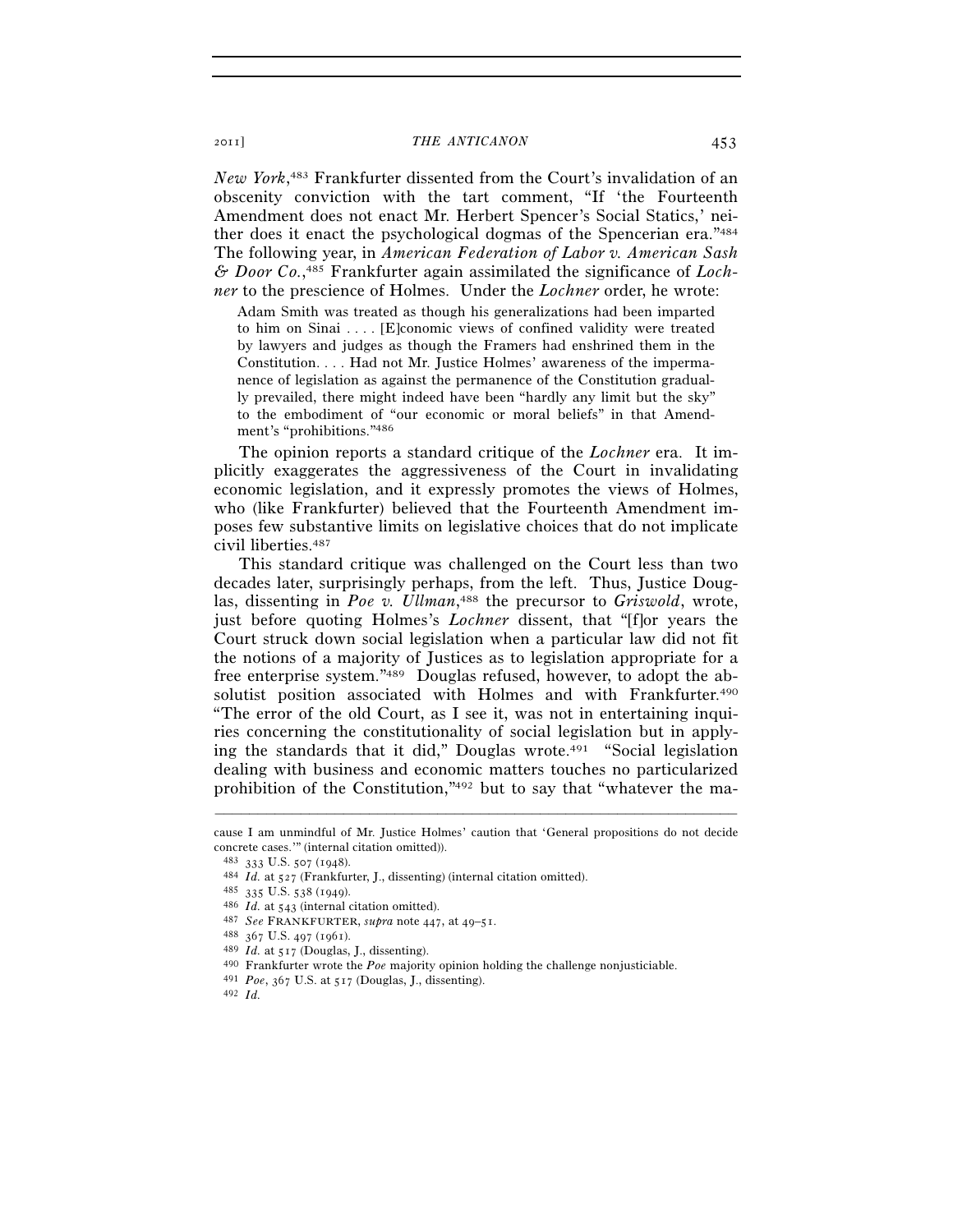*New York*, 483 Frankfurter dissented from the Court's invalidation of an obscenity conviction with the tart comment, "If 'the Fourteenth Amendment does not enact Mr. Herbert Spencer's Social Statics,' neither does it enact the psychological dogmas of the Spencerian era."484 The following year, in *American Federation of Labor v. American Sash & Door Co.*, 485 Frankfurter again assimilated the significance of *Lochner* to the prescience of Holmes. Under the *Lochner* order, he wrote:

Adam Smith was treated as though his generalizations had been imparted to him on Sinai . . . . [E]conomic views of confined validity were treated by lawyers and judges as though the Framers had enshrined them in the Constitution. . . . Had not Mr. Justice Holmes' awareness of the impermanence of legislation as against the permanence of the Constitution gradually prevailed, there might indeed have been "hardly any limit but the sky" to the embodiment of "our economic or moral beliefs" in that Amendment's "prohibitions."486

The opinion reports a standard critique of the *Lochner* era. It implicitly exaggerates the aggressiveness of the Court in invalidating economic legislation, and it expressly promotes the views of Holmes, who (like Frankfurter) believed that the Fourteenth Amendment imposes few substantive limits on legislative choices that do not implicate civil liberties.487

This standard critique was challenged on the Court less than two decades later, surprisingly perhaps, from the left. Thus, Justice Douglas, dissenting in *Poe v. Ullman*, 488 the precursor to *Griswold*, wrote, just before quoting Holmes's *Lochner* dissent, that "[f]or years the Court struck down social legislation when a particular law did not fit the notions of a majority of Justices as to legislation appropriate for a free enterprise system."489 Douglas refused, however, to adopt the absolutist position associated with Holmes and with Frankfurter.<sup>490</sup> "The error of the old Court, as I see it, was not in entertaining inquiries concerning the constitutionality of social legislation but in applying the standards that it did," Douglas wrote.491 "Social legislation dealing with business and economic matters touches no particularized prohibition of the Constitution,"492 but to say that "whatever the ma-

<sup>–––––––––––––––––––––––––––––––––––––––––––––––––––––––––––––</sup> cause I am unmindful of Mr. Justice Holmes' caution that 'General propositions do not decide concrete cases.'" (internal citation omitted)).

<sup>483 333</sup> U.S. 507 (1948).<br>
484 *Id.* at 527 (Frankfurter, J., dissenting) (internal citation omitted).<br>
485 335 U.S. 538 (1949).<br>
486 *Id.* at 543 (internal citation omitted).<br>
486 *Id.* at 543 (internal citation omitted).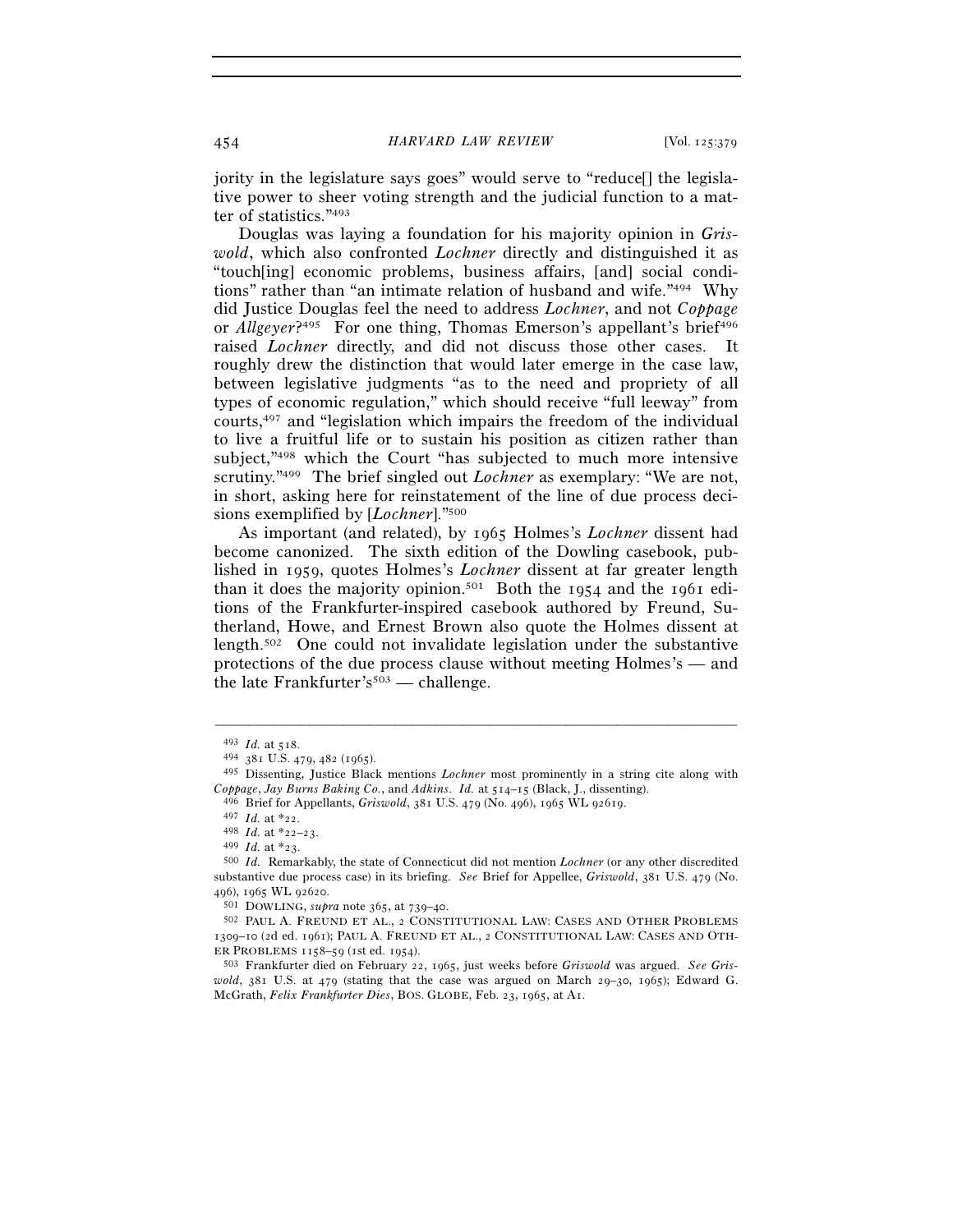jority in the legislature says goes" would serve to "reduce[] the legislative power to sheer voting strength and the judicial function to a matter of statistics."493

Douglas was laying a foundation for his majority opinion in *Griswold*, which also confronted *Lochner* directly and distinguished it as "touch[ing] economic problems, business affairs, [and] social conditions" rather than "an intimate relation of husband and wife."494 Why did Justice Douglas feel the need to address *Lochner*, and not *Coppage* or *Allgever*?<sup>495</sup> For one thing, Thomas Emerson's appellant's brief<sup>496</sup> raised *Lochner* directly, and did not discuss those other cases. It roughly drew the distinction that would later emerge in the case law, between legislative judgments "as to the need and propriety of all types of economic regulation," which should receive "full leeway" from courts,497 and "legislation which impairs the freedom of the individual to live a fruitful life or to sustain his position as citizen rather than subject,"498 which the Court "has subjected to much more intensive scrutiny."499 The brief singled out *Lochner* as exemplary: "We are not, in short, asking here for reinstatement of the line of due process decisions exemplified by [*Lochner*]."500

As important (and related), by 1965 Holmes's *Lochner* dissent had become canonized. The sixth edition of the Dowling casebook, published in 1959, quotes Holmes's *Lochner* dissent at far greater length than it does the majority opinion.<sup>501</sup> Both the 1954 and the 1961 editions of the Frankfurter-inspired casebook authored by Freund, Sutherland, Howe, and Ernest Brown also quote the Holmes dissent at length.502 One could not invalidate legislation under the substantive protections of the due process clause without meeting Holmes's — and the late Frankfurter's<sup>503</sup> — challenge.

<sup>493</sup> *Id.* at 518. 494 <sup>381</sup> U.S. 479, 482 (1965).

<sup>495</sup> Dissenting, Justice Black mentions *Lochner* most prominently in a string cite along with Coppage, Jay Burns Baking Co., and Adkins. Id. at  $514-15$  (Black, J., dissenting).<br>
496 Brief for Appellants, *Griswold*, 381 U.S. 479 (No. 496), 1965 WL 92619.<br>
497 Id. at \*22.<br>
498 Id. at \*22-23.<br>
499 Id. at \*23.

<sup>&</sup>lt;sup>500</sup> *Id.* Remarkably, the state of Connecticut did not mention *Lochner* (or any other discredited substantive due process case) in its briefing. *See* Brief for Appellee, *Griswold*, 381 U.S. 479 (No.

<sup>&</sup>lt;sup>501</sup> DOWLING, *supra* note 365, at 739–40.<br><sup>502</sup> PAUL A. FREUND ET AL., 2 CONSTITUTIONAL LAW: CASES AND OTHER PROBLEMS 1309–10 (2d ed. 1961); PAUL A. FREUND ET AL., 2 CONSTITUTIONAL LAW: CASES AND OTH-

ER PROBLEMS <sup>1158</sup>–59 (1st ed. 1954). 503 Frankfurter died on February 22, 1965, just weeks before *Griswold* was argued. *See Griswold*,  $381$  U.S. at  $479$  (stating that the case was argued on March 29-30, 1965); Edward G. McGrath, *Felix Frankfurter Dies*, BOS. GLOBE, Feb. 23, 1965, at A1.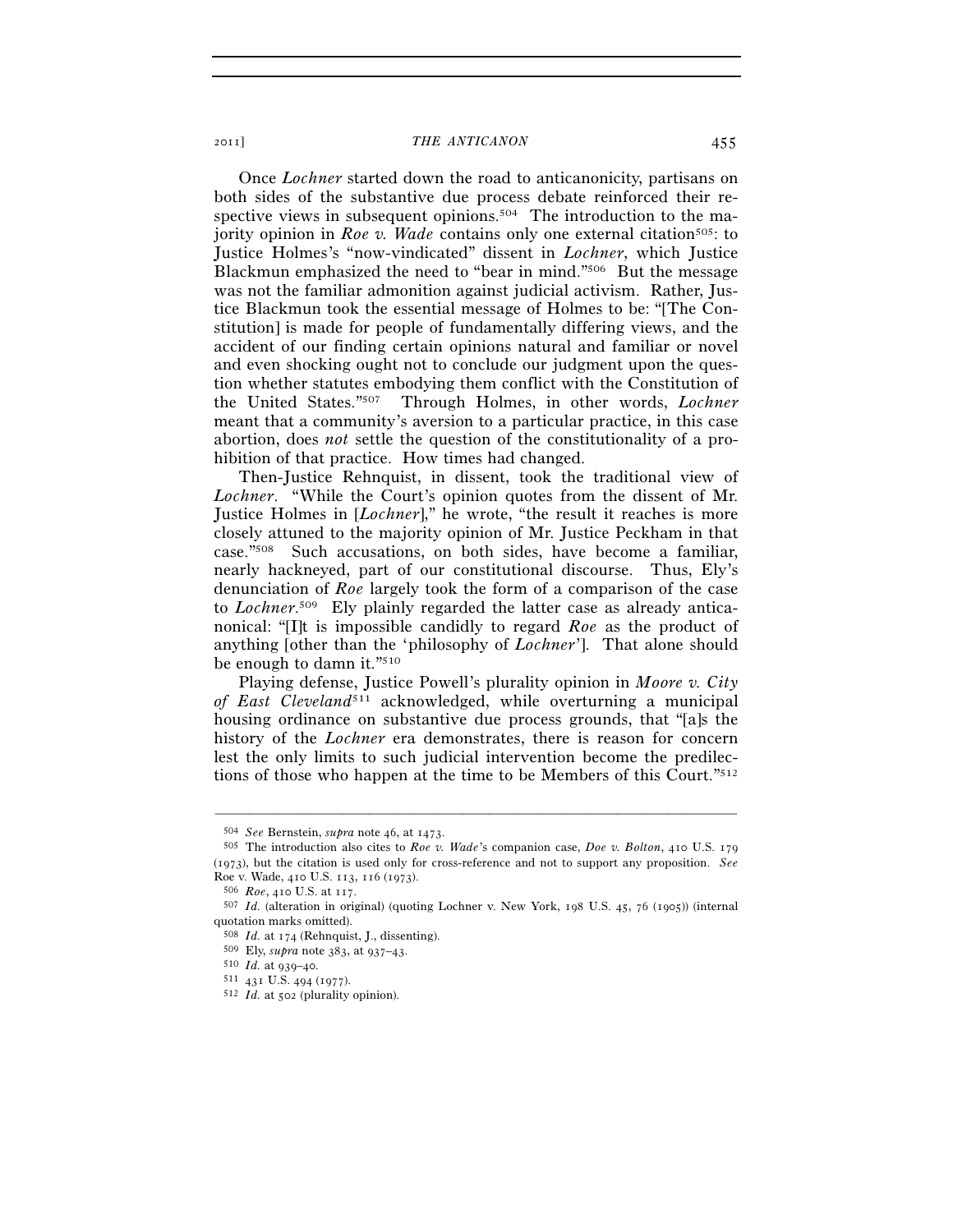Once *Lochner* started down the road to anticanonicity, partisans on both sides of the substantive due process debate reinforced their respective views in subsequent opinions.<sup>504</sup> The introduction to the majority opinion in *Roe v. Wade* contains only one external citation<sup>505</sup>: to Justice Holmes's "now-vindicated" dissent in *Lochner*, which Justice Blackmun emphasized the need to "bear in mind."506 But the message was not the familiar admonition against judicial activism. Rather, Justice Blackmun took the essential message of Holmes to be: "[The Constitution] is made for people of fundamentally differing views, and the accident of our finding certain opinions natural and familiar or novel and even shocking ought not to conclude our judgment upon the question whether statutes embodying them conflict with the Constitution of the United States."507 Through Holmes, in other words, *Lochner* meant that a community's aversion to a particular practice, in this case abortion, does *not* settle the question of the constitutionality of a prohibition of that practice. How times had changed.

Then-Justice Rehnquist, in dissent, took the traditional view of *Lochner*. "While the Court's opinion quotes from the dissent of Mr. Justice Holmes in [*Lochner*]," he wrote, "the result it reaches is more closely attuned to the majority opinion of Mr. Justice Peckham in that case."508 Such accusations, on both sides, have become a familiar, nearly hackneyed, part of our constitutional discourse. Thus, Ely's denunciation of *Roe* largely took the form of a comparison of the case to *Lochner*. 509 Ely plainly regarded the latter case as already anticanonical: "[I]t is impossible candidly to regard *Roe* as the product of anything [other than the 'philosophy of *Lochner*']. That alone should be enough to damn it."510

Playing defense, Justice Powell's plurality opinion in *Moore v. City of East Cleveland*511 acknowledged, while overturning a municipal housing ordinance on substantive due process grounds, that "[a]s the history of the *Lochner* era demonstrates, there is reason for concern lest the only limits to such judicial intervention become the predilections of those who happen at the time to be Members of this Court."512

<sup>504</sup> *See* Bernstein, *supra* note 46, at 1473. 505 The introduction also cites to *Roe v. Wade*'s companion case, *Doe v. Bolton*, 410 U.S. <sup>179</sup> (1973), but the citation is used only for cross-reference and not to support any proposition. *See* Roe v. Wade, 410 U.S. 113, 116 (1973). 506 *Roe*, 410 U.S. at 117. 507 *Id.* (alteration in original) (quoting Lochner v. New York, 198 U.S. 45, 76 (1905)) (internal

quotation marks omitted).

<sup>508</sup> *Id.* at 174 (Rehnquist, J., dissenting).

<sup>509</sup> Ely, *supra* note 383, at 937–43. 510 *Id.* at 939–40. 511 <sup>431</sup> U.S. 494 (1977). 512 *Id.* at 502 (plurality opinion).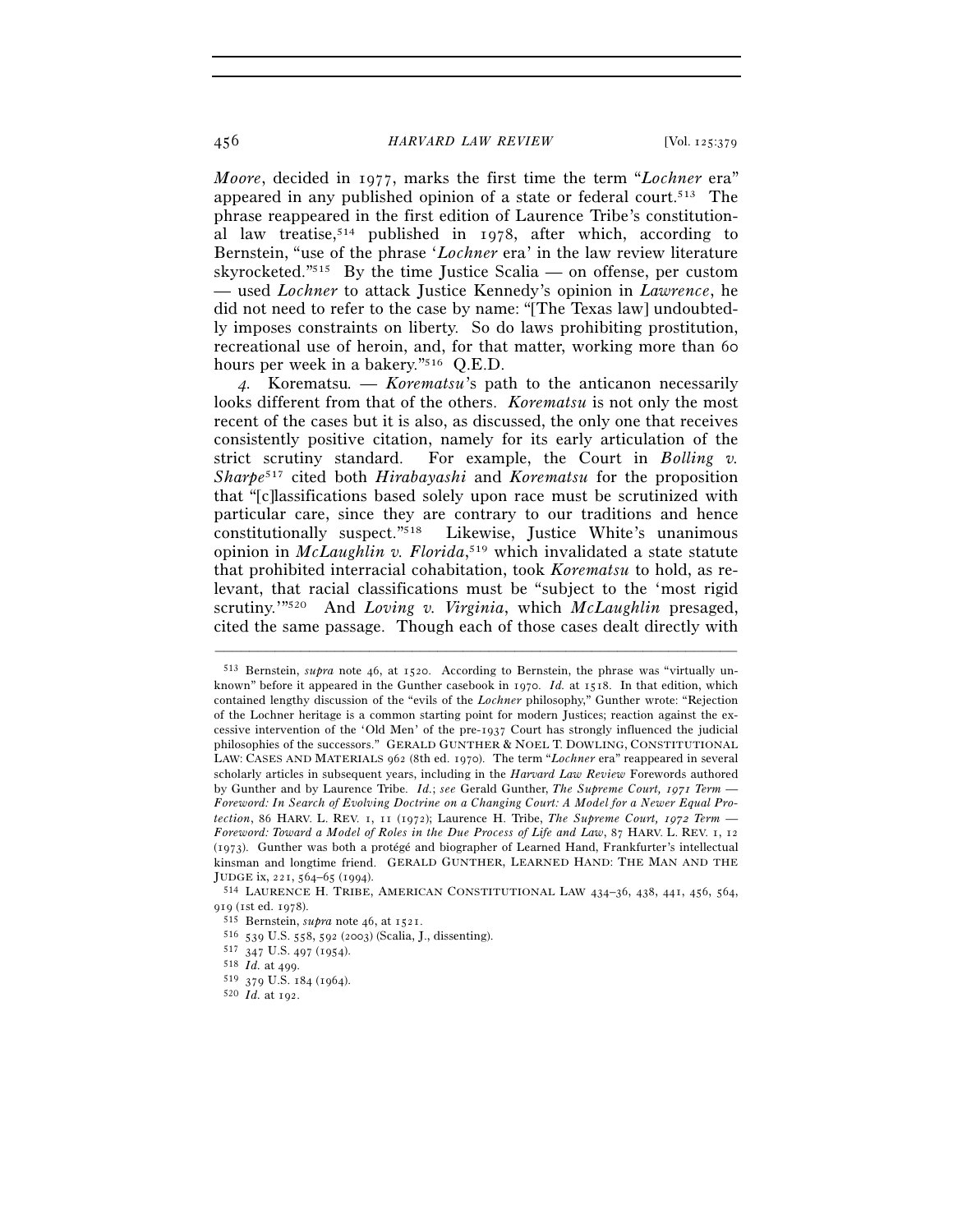*Moore*, decided in 1977, marks the first time the term "*Lochner* era" appeared in any published opinion of a state or federal court.513 The phrase reappeared in the first edition of Laurence Tribe's constitutional law treatise,514 published in 1978, after which, according to Bernstein, "use of the phrase '*Lochner* era' in the law review literature skyrocketed."515 By the time Justice Scalia — on offense, per custom — used *Lochner* to attack Justice Kennedy's opinion in *Lawrence*, he did not need to refer to the case by name: "[The Texas law] undoubtedly imposes constraints on liberty. So do laws prohibiting prostitution, recreational use of heroin, and, for that matter, working more than 60 hours per week in a bakery."516 Q.E.D.

*4.* Korematsu*. — Korematsu*'s path to the anticanon necessarily looks different from that of the others. *Korematsu* is not only the most recent of the cases but it is also, as discussed, the only one that receives consistently positive citation, namely for its early articulation of the strict scrutiny standard. For example, the Court in *Bolling v. Sharpe*517 cited both *Hirabayashi* and *Korematsu* for the proposition that "[c]lassifications based solely upon race must be scrutinized with particular care, since they are contrary to our traditions and hence constitutionally suspect."518 Likewise, Justice White's unanimous opinion in *McLaughlin v. Florida*, 519 which invalidated a state statute that prohibited interracial cohabitation, took *Korematsu* to hold, as relevant, that racial classifications must be "subject to the 'most rigid scrutiny.'"520 And *Loving v. Virginia*, which *McLaughlin* presaged, cited the same passage. Though each of those cases dealt directly with

<sup>513</sup> Bernstein, *supra* note 46, at 1520. According to Bernstein, the phrase was "virtually unknown" before it appeared in the Gunther casebook in 1970. *Id.* at 1518. In that edition, which contained lengthy discussion of the "evils of the *Lochner* philosophy," Gunther wrote: "Rejection of the Lochner heritage is a common starting point for modern Justices; reaction against the excessive intervention of the 'Old Men' of the pre-1937 Court has strongly influenced the judicial philosophies of the successors." GERALD GUNTHER & NOEL T. DOWLING, CONSTITUTIONAL LAW: CASES AND MATERIALS 962 (8th ed. 1970). The term "*Lochner* era" reappeared in several scholarly articles in subsequent years, including in the *Harvard Law Review* Forewords authored by Gunther and by Laurence Tribe. *Id.*; *see* Gerald Gunther, *The Supreme Court, 1971 Term — Foreword: In Search of Evolving Doctrine on a Changing Court: A Model for a Newer Equal Protection*, 86 HARV. L. REV. 1, 11 (1972); Laurence H. Tribe, *The Supreme Court, 1972 Term — Foreword: Toward a Model of Roles in the Due Process of Life and Law*, 87 HARV. L. REV. 1, 12 (1973). Gunther was both a protégé and biographer of Learned Hand, Frankfurter's intellectual kinsman and longtime friend. GERALD GUNTHER, LEARNED HAND: THE MAN AND THE JUDGE ix, 221, 564–65 (1994). 514 LAURENCE H. TRIBE, AMERICAN CONSTITUTIONAL LAW <sup>434</sup>–36, 438, 441, 456, 564,

<sup>919 (1</sup>st ed. 1978).<br><sup>515</sup> Bernstein, *supra* note 46, at 1521.<br><sup>516</sup> 539 U.S. 558, 592 (2003) (Scalia, J., dissenting).<br><sup>517</sup> 347 U.S. 497 (1954).<br><sup>518</sup> *Id.* at 499.<br><sup>519</sup> 379 U.S. 184 (1964).<br><sup>520</sup> *Id.* at 192.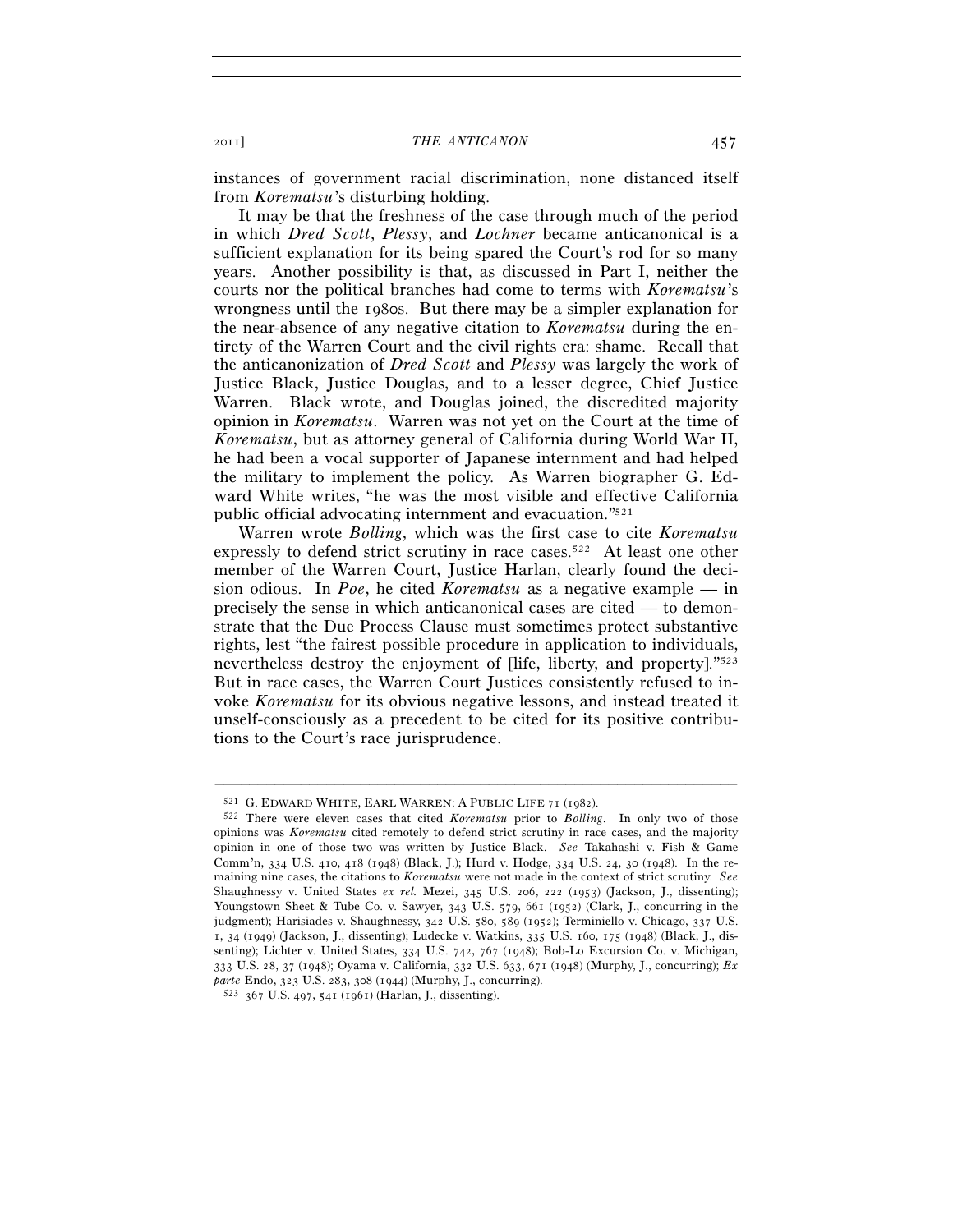instances of government racial discrimination, none distanced itself from *Korematsu*'s disturbing holding.

It may be that the freshness of the case through much of the period in which *Dred Scott*, *Plessy*, and *Lochner* became anticanonical is a sufficient explanation for its being spared the Court's rod for so many years. Another possibility is that, as discussed in Part I, neither the courts nor the political branches had come to terms with *Korematsu*'s wrongness until the 1980s. But there may be a simpler explanation for the near-absence of any negative citation to *Korematsu* during the entirety of the Warren Court and the civil rights era: shame. Recall that the anticanonization of *Dred Scott* and *Plessy* was largely the work of Justice Black, Justice Douglas, and to a lesser degree, Chief Justice Warren. Black wrote, and Douglas joined, the discredited majority opinion in *Korematsu*. Warren was not yet on the Court at the time of *Korematsu*, but as attorney general of California during World War II, he had been a vocal supporter of Japanese internment and had helped the military to implement the policy. As Warren biographer G. Edward White writes, "he was the most visible and effective California public official advocating internment and evacuation."521

Warren wrote *Bolling*, which was the first case to cite *Korematsu* expressly to defend strict scrutiny in race cases.<sup>522</sup> At least one other member of the Warren Court, Justice Harlan, clearly found the decision odious. In *Poe*, he cited *Korematsu* as a negative example — in precisely the sense in which anticanonical cases are cited — to demonstrate that the Due Process Clause must sometimes protect substantive rights, lest "the fairest possible procedure in application to individuals, nevertheless destroy the enjoyment of [life, liberty, and property]."523 But in race cases, the Warren Court Justices consistently refused to invoke *Korematsu* for its obvious negative lessons, and instead treated it unself-consciously as a precedent to be cited for its positive contributions to the Court's race jurisprudence.

<sup>521</sup> G. EDWARD WHITE, EARL WARREN: <sup>A</sup> PUBLIC LIFE <sup>71</sup> (1982). 522 There were eleven cases that cited *Korematsu* prior to *Bolling*. In only two of those opinions was *Korematsu* cited remotely to defend strict scrutiny in race cases, and the majority opinion in one of those two was written by Justice Black. *See* Takahashi v. Fish & Game Comm'n, 334 U.S. 410, 418 (1948) (Black, J.); Hurd v. Hodge, 334 U.S. 24, 30 (1948). In the remaining nine cases, the citations to *Korematsu* were not made in the context of strict scrutiny. *See* Shaughnessy v. United States *ex rel.* Mezei, 345 U.S. 206, 222 (1953) (Jackson, J., dissenting); Youngstown Sheet & Tube Co. v. Sawyer, 343 U.S. 579, 661 (1952) (Clark, J., concurring in the judgment); Harisiades v. Shaughnessy, 342 U.S. 580, 589 (1952); Terminiello v. Chicago, 337 U.S. 1, 34 (1949) (Jackson, J., dissenting); Ludecke v. Watkins, 335 U.S. 160, 175 (1948) (Black, J., dissenting); Lichter v. United States, 334 U.S. 742, 767 (1948); Bob-Lo Excursion Co. v. Michigan, 333 U.S. 28, 37 (1948); Oyama v. California, 332 U.S. 633, 671 (1948) (Murphy, J., concurring); *Ex parte* Endo, 323 U.S. 283, 308 (1944) (Murphy, J., concurring). 523 <sup>367</sup> U.S. 497, 541 (1961) (Harlan, J., dissenting).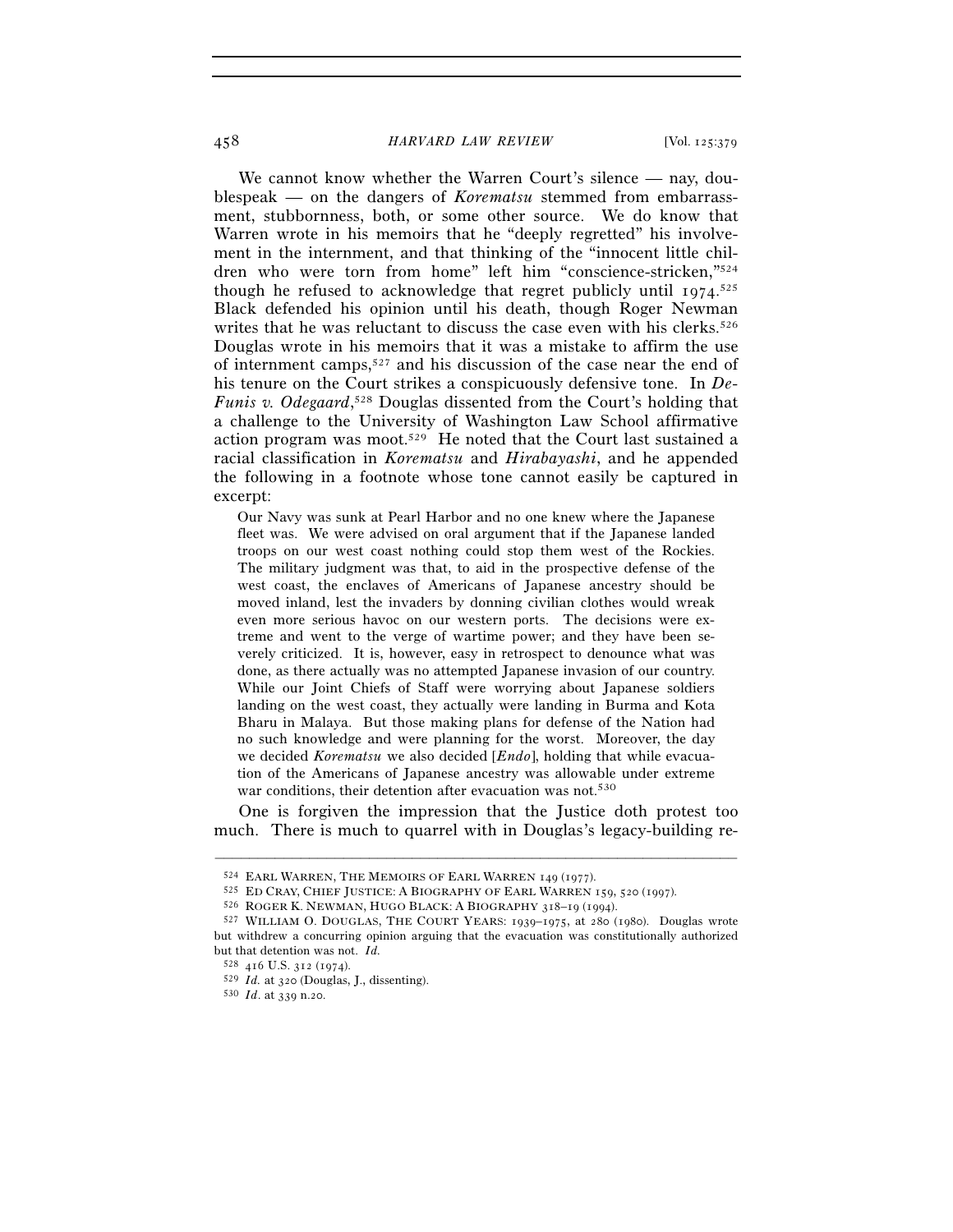We cannot know whether the Warren Court's silence — nay, doublespeak — on the dangers of *Korematsu* stemmed from embarrassment, stubbornness, both, or some other source. We do know that Warren wrote in his memoirs that he "deeply regretted" his involvement in the internment, and that thinking of the "innocent little children who were torn from home" left him "conscience-stricken,"524 though he refused to acknowledge that regret publicly until 1974. 525 Black defended his opinion until his death, though Roger Newman writes that he was reluctant to discuss the case even with his clerks.<sup>526</sup> Douglas wrote in his memoirs that it was a mistake to affirm the use of internment camps,527 and his discussion of the case near the end of his tenure on the Court strikes a conspicuously defensive tone. In *De-Funis v. Odegaard*, 528 Douglas dissented from the Court's holding that a challenge to the University of Washington Law School affirmative action program was moot.529 He noted that the Court last sustained a racial classification in *Korematsu* and *Hirabayashi*, and he appended the following in a footnote whose tone cannot easily be captured in excerpt:

Our Navy was sunk at Pearl Harbor and no one knew where the Japanese fleet was. We were advised on oral argument that if the Japanese landed troops on our west coast nothing could stop them west of the Rockies. The military judgment was that, to aid in the prospective defense of the west coast, the enclaves of Americans of Japanese ancestry should be moved inland, lest the invaders by donning civilian clothes would wreak even more serious havoc on our western ports. The decisions were extreme and went to the verge of wartime power; and they have been severely criticized. It is, however, easy in retrospect to denounce what was done, as there actually was no attempted Japanese invasion of our country. While our Joint Chiefs of Staff were worrying about Japanese soldiers landing on the west coast, they actually were landing in Burma and Kota Bharu in Malaya. But those making plans for defense of the Nation had no such knowledge and were planning for the worst. Moreover, the day we decided *Korematsu* we also decided [*Endo*], holding that while evacuation of the Americans of Japanese ancestry was allowable under extreme war conditions, their detention after evacuation was not.<sup>530</sup>

One is forgiven the impression that the Justice doth protest too much. There is much to quarrel with in Douglas's legacy-building re-

<sup>&</sup>lt;sup>524</sup> EARL WARREN, THE MEMOIRS OF EARL WARREN 149 (1977).<br><sup>525</sup> ED CRAY, CHIEF JUSTICE: A BIOGRAPHY OF EARL WARREN 159, 520 (1997).<br><sup>526</sup> ROGER K. NEWMAN, HUGO BLACK: A BIOGRAPHY 318–19 (1994).<br><sup>527</sup> WILLIAM O. DOUGLAS, T but withdrew a concurring opinion arguing that the evacuation was constitutionally authorized but that detention was not. *Id.*

<sup>528</sup> 416 U.S. 312 (1974).

<sup>529</sup> *Id.* at 320 (Douglas, J., dissenting). 530 *Id*. at 339 n.20.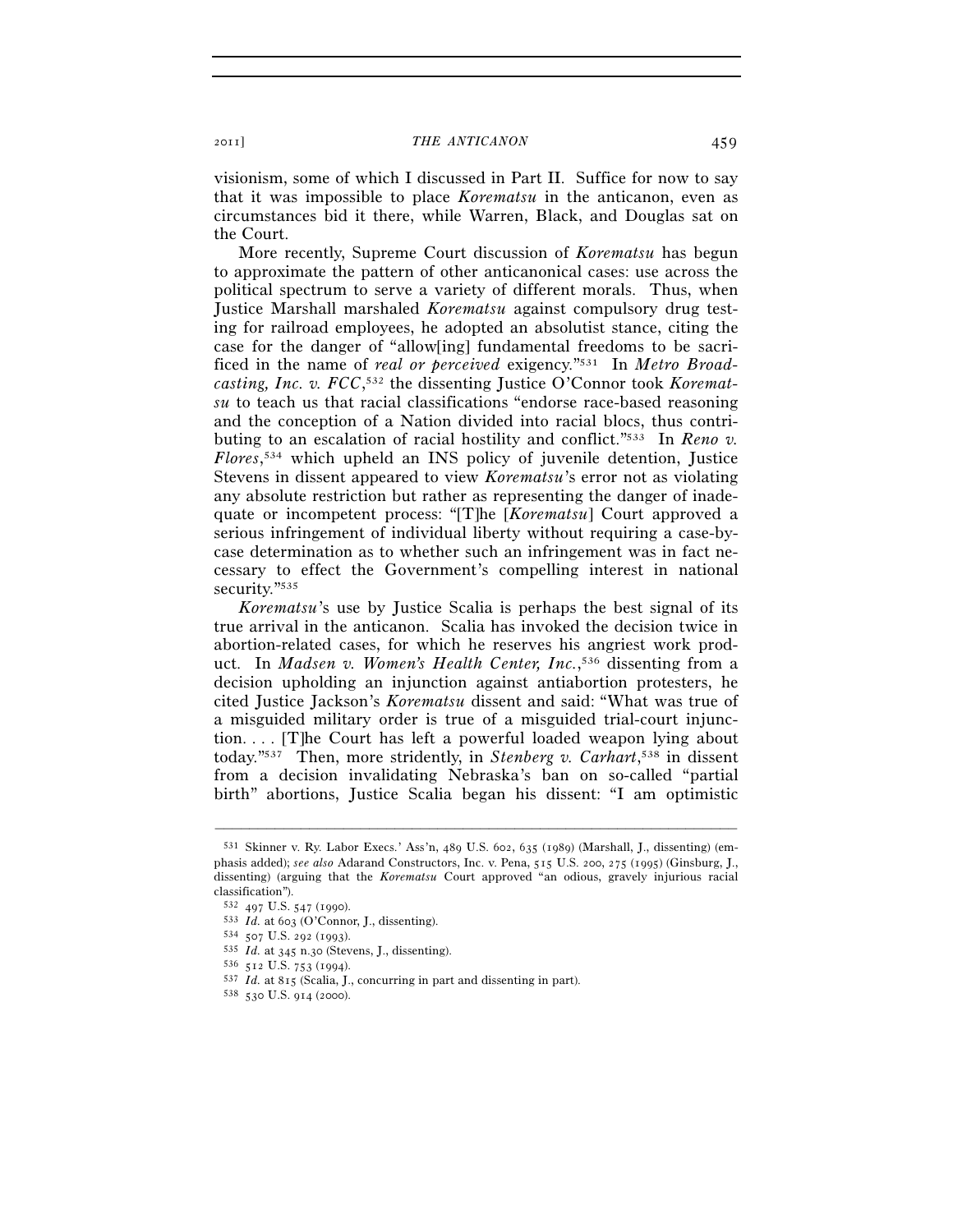visionism, some of which I discussed in Part II. Suffice for now to say that it was impossible to place *Korematsu* in the anticanon, even as circumstances bid it there, while Warren, Black, and Douglas sat on the Court.

More recently, Supreme Court discussion of *Korematsu* has begun to approximate the pattern of other anticanonical cases: use across the political spectrum to serve a variety of different morals. Thus, when Justice Marshall marshaled *Korematsu* against compulsory drug testing for railroad employees, he adopted an absolutist stance, citing the case for the danger of "allow[ing] fundamental freedoms to be sacrificed in the name of *real or perceived* exigency."531 In *Metro Broadcasting, Inc. v. FCC*, 532 the dissenting Justice O'Connor took *Korematsu* to teach us that racial classifications "endorse race-based reasoning and the conception of a Nation divided into racial blocs, thus contributing to an escalation of racial hostility and conflict."533 In *Reno v. Flores*, 534 which upheld an INS policy of juvenile detention, Justice Stevens in dissent appeared to view *Korematsu*'s error not as violating any absolute restriction but rather as representing the danger of inadequate or incompetent process: "[T]he [*Korematsu*] Court approved a serious infringement of individual liberty without requiring a case-bycase determination as to whether such an infringement was in fact necessary to effect the Government's compelling interest in national security."535

*Korematsu*'s use by Justice Scalia is perhaps the best signal of its true arrival in the anticanon. Scalia has invoked the decision twice in abortion-related cases, for which he reserves his angriest work product. In *Madsen v. Women's Health Center, Inc.*, 536 dissenting from a decision upholding an injunction against antiabortion protesters, he cited Justice Jackson's *Korematsu* dissent and said: "What was true of a misguided military order is true of a misguided trial-court injunction. . . . [T]he Court has left a powerful loaded weapon lying about today."537 Then, more stridently, in *Stenberg v. Carhart*, 538 in dissent from a decision invalidating Nebraska's ban on so-called "partial birth" abortions, Justice Scalia began his dissent: "I am optimistic

<sup>531</sup> Skinner v. Ry. Labor Execs.' Ass'n, 489 U.S. 602, 635 (1989) (Marshall, J., dissenting) (emphasis added); *see also* Adarand Constructors, Inc. v. Pena, 515 U.S. 200, 275 (1995) (Ginsburg, J., dissenting) (arguing that the *Korematsu* Court approved "an odious, gravely injurious racial classification").

<sup>532 497</sup> U.S. 547 (1990).<br>
533 *Id.* at 603 (O'Connor, J., dissenting).<br>
534 507 U.S. 292 (1993).<br>
535 *Id.* at 345 n.30 (Stevens, J., dissenting).<br>
536 512 U.S. 753 (1994).<br>
537 *Id.* at 815 (Scalia, J., concurring in par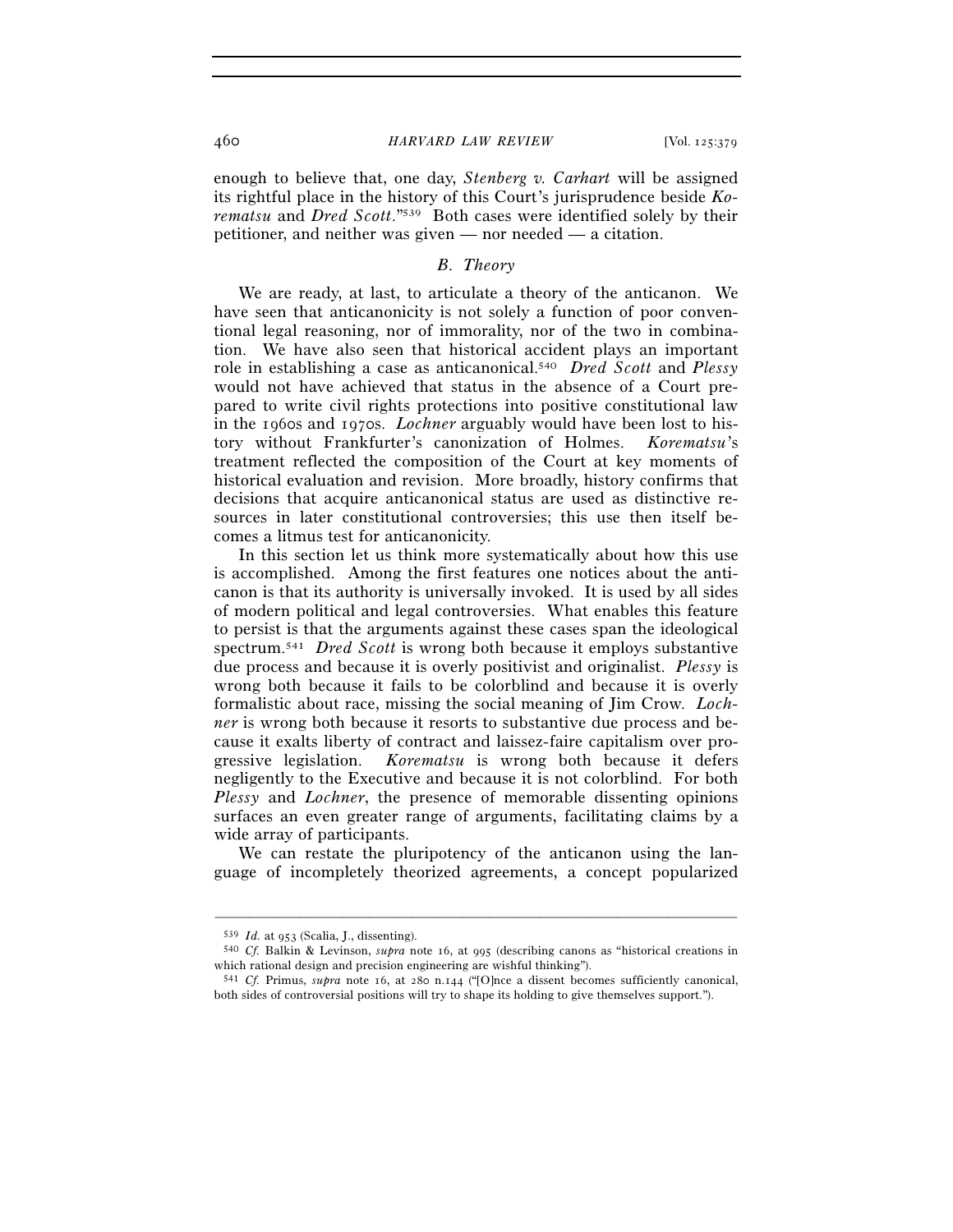enough to believe that, one day, *Stenberg v. Carhart* will be assigned its rightful place in the history of this Court's jurisprudence beside *Korematsu* and *Dred Scott*."539 Both cases were identified solely by their petitioner, and neither was given — nor needed — a citation.

# *B. Theory*

We are ready, at last, to articulate a theory of the anticanon. We have seen that anticanonicity is not solely a function of poor conventional legal reasoning, nor of immorality, nor of the two in combination. We have also seen that historical accident plays an important role in establishing a case as anticanonical.540 *Dred Scott* and *Plessy* would not have achieved that status in the absence of a Court prepared to write civil rights protections into positive constitutional law in the 1960s and 1970s. *Lochner* arguably would have been lost to history without Frankfurter's canonization of Holmes. *Korematsu*'s treatment reflected the composition of the Court at key moments of historical evaluation and revision. More broadly, history confirms that decisions that acquire anticanonical status are used as distinctive resources in later constitutional controversies; this use then itself becomes a litmus test for anticanonicity.

In this section let us think more systematically about how this use is accomplished. Among the first features one notices about the anticanon is that its authority is universally invoked. It is used by all sides of modern political and legal controversies. What enables this feature to persist is that the arguments against these cases span the ideological spectrum.541 *Dred Scott* is wrong both because it employs substantive due process and because it is overly positivist and originalist. *Plessy* is wrong both because it fails to be colorblind and because it is overly formalistic about race, missing the social meaning of Jim Crow. *Lochner* is wrong both because it resorts to substantive due process and because it exalts liberty of contract and laissez-faire capitalism over progressive legislation. *Korematsu* is wrong both because it defers negligently to the Executive and because it is not colorblind. For both *Plessy* and *Lochner*, the presence of memorable dissenting opinions surfaces an even greater range of arguments, facilitating claims by a wide array of participants.

We can restate the pluripotency of the anticanon using the language of incompletely theorized agreements, a concept popularized

<sup>539</sup> *Id.* at 953 (Scalia, J., dissenting). 540 *Cf.* Balkin & Levinson, *supra* note 16, at 995 (describing canons as "historical creations in which rational design and precision engineering are wishful thinking").

<sup>541</sup> *Cf.* Primus, *supra* note 16, at 280 n.144 ("[O]nce a dissent becomes sufficiently canonical, both sides of controversial positions will try to shape its holding to give themselves support.").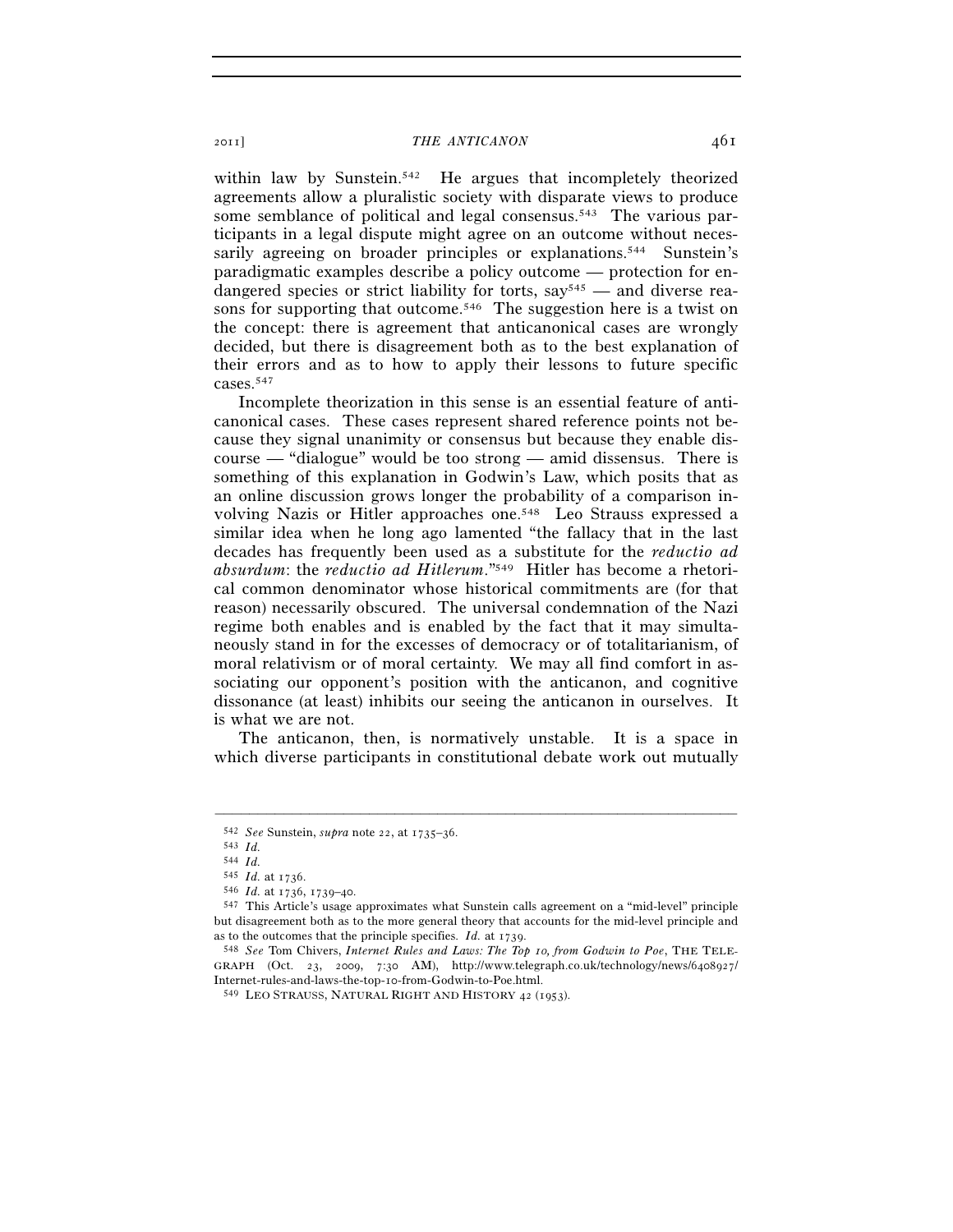within law by Sunstein.<sup>542</sup> He argues that incompletely theorized agreements allow a pluralistic society with disparate views to produce some semblance of political and legal consensus.<sup>543</sup> The various participants in a legal dispute might agree on an outcome without necessarily agreeing on broader principles or explanations.<sup>544</sup> Sunstein's paradigmatic examples describe a policy outcome — protection for endangered species or strict liability for torts,  $say^{545}$  — and diverse reasons for supporting that outcome.<sup>546</sup> The suggestion here is a twist on the concept: there is agreement that anticanonical cases are wrongly decided, but there is disagreement both as to the best explanation of their errors and as to how to apply their lessons to future specific cases.547

Incomplete theorization in this sense is an essential feature of anticanonical cases. These cases represent shared reference points not because they signal unanimity or consensus but because they enable discourse — "dialogue" would be too strong — amid dissensus. There is something of this explanation in Godwin's Law, which posits that as an online discussion grows longer the probability of a comparison involving Nazis or Hitler approaches one.548 Leo Strauss expressed a similar idea when he long ago lamented "the fallacy that in the last decades has frequently been used as a substitute for the *reductio ad absurdum*: the *reductio ad Hitlerum*."549 Hitler has become a rhetorical common denominator whose historical commitments are (for that reason) necessarily obscured. The universal condemnation of the Nazi regime both enables and is enabled by the fact that it may simultaneously stand in for the excesses of democracy or of totalitarianism, of moral relativism or of moral certainty. We may all find comfort in associating our opponent's position with the anticanon, and cognitive dissonance (at least) inhibits our seeing the anticanon in ourselves. It is what we are not.

The anticanon, then, is normatively unstable. It is a space in which diverse participants in constitutional debate work out mutually

<sup>542</sup> *See* Sunstein, *supra* note 22, at 1735–36. 543 *Id.*

<sup>544</sup>  $Id$ .<br>545  $Id$ . at 1736.

<sup>545</sup> *Id.* at 1736. 546 *Id.* at 1736, 1739–40. 547 This Article's usage approximates what Sunstein calls agreement on a "mid-level" principle but disagreement both as to the more general theory that accounts for the mid-level principle and as to the outcomes that the principle specifies. *Id.* at 1739. 548 *See* Tom Chivers, *Internet Rules and Laws: The Top 10, from Godwin to Poe*, THE TELE-

GRAPH (Oct. 23, 2009, 7:30 AM), http://www.telegraph.co.uk/technology/news/6408927/ Internet-rules-and-laws-the-top-10-from-Godwin-to-Poe.html.

<sup>549</sup> LEO STRAUSS, NATURAL RIGHT AND HISTORY 42 (1953).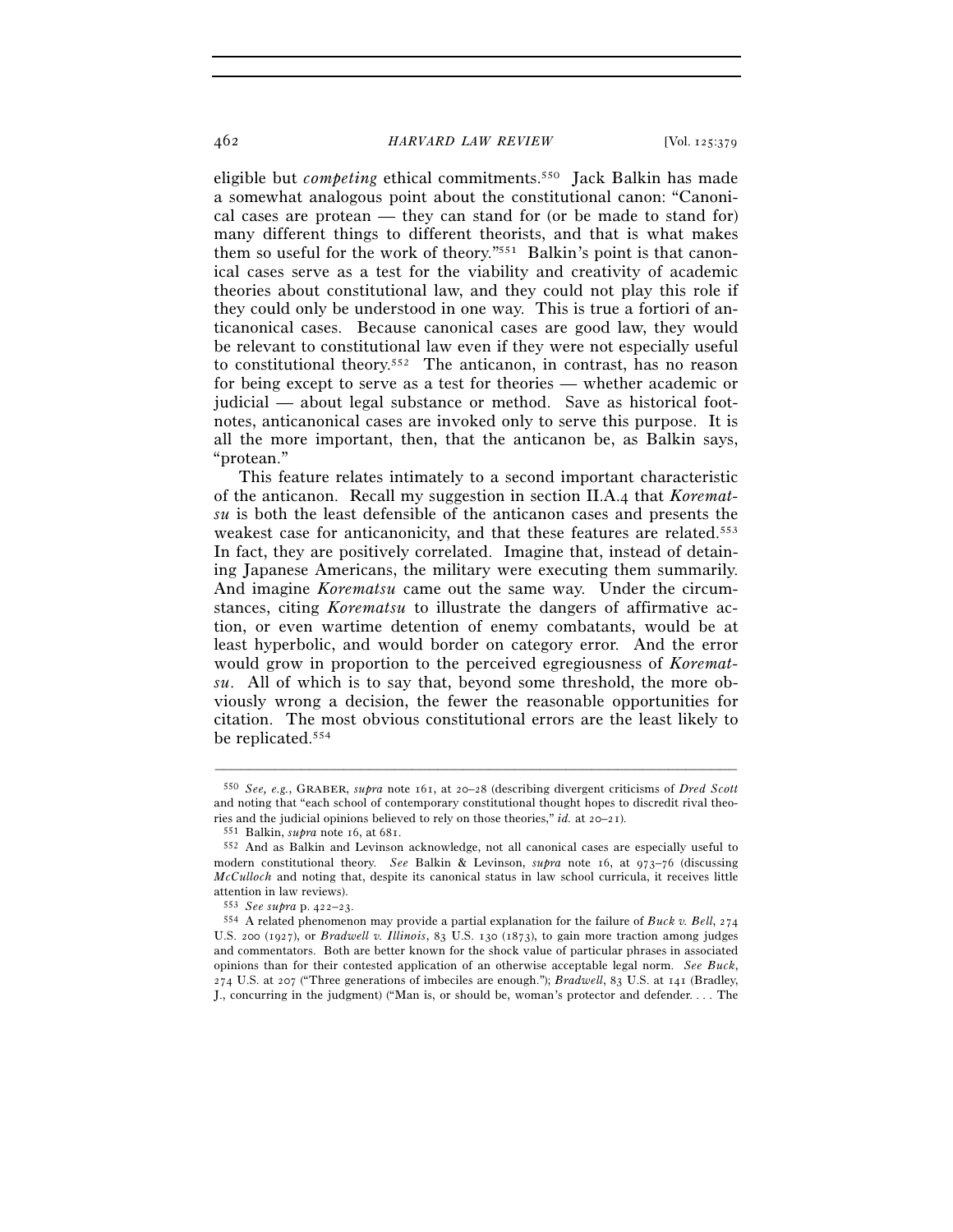eligible but *competing* ethical commitments.550 Jack Balkin has made a somewhat analogous point about the constitutional canon: "Canonical cases are protean — they can stand for (or be made to stand for) many different things to different theorists, and that is what makes them so useful for the work of theory."551 Balkin's point is that canonical cases serve as a test for the viability and creativity of academic theories about constitutional law, and they could not play this role if they could only be understood in one way. This is true a fortiori of anticanonical cases. Because canonical cases are good law, they would be relevant to constitutional law even if they were not especially useful to constitutional theory.552 The anticanon, in contrast, has no reason for being except to serve as a test for theories — whether academic or judicial — about legal substance or method. Save as historical footnotes, anticanonical cases are invoked only to serve this purpose. It is all the more important, then, that the anticanon be, as Balkin says, "protean."

This feature relates intimately to a second important characteristic of the anticanon. Recall my suggestion in section II.A.4 that *Korematsu* is both the least defensible of the anticanon cases and presents the weakest case for anticanonicity, and that these features are related.553 In fact, they are positively correlated. Imagine that, instead of detaining Japanese Americans, the military were executing them summarily. And imagine *Korematsu* came out the same way. Under the circumstances, citing *Korematsu* to illustrate the dangers of affirmative action, or even wartime detention of enemy combatants, would be at least hyperbolic, and would border on category error. And the error would grow in proportion to the perceived egregiousness of *Korematsu*. All of which is to say that, beyond some threshold, the more obviously wrong a decision, the fewer the reasonable opportunities for citation. The most obvious constitutional errors are the least likely to be replicated.554

<sup>550</sup> *See, e.g.*, GRABER, *supra* note 161, at 20–28 (describing divergent criticisms of *Dred Scott* and noting that "each school of contemporary constitutional thought hopes to discredit rival theories and the judicial opinions believed to rely on those theories," *id.* at 20–21).<br><sup>551</sup> Balkin, *supra* note 16, at 681.<br><sup>552</sup> And as Balkin and Levinson acknowledge, not all canonical cases are especially useful to

modern constitutional theory. *See* Balkin & Levinson, *supra* note 16, at 973–76 (discussing *McCulloch* and noting that, despite its canonical status in law school curricula, it receives little attention in law reviews).

<sup>553</sup> *See supra* p. 422–23. 554 A related phenomenon may provide a partial explanation for the failure of *Buck v. Bell*, <sup>274</sup> U.S. 200 (1927), or *Bradwell v. Illinois*, 83 U.S. 130 (1873), to gain more traction among judges and commentators. Both are better known for the shock value of particular phrases in associated opinions than for their contested application of an otherwise acceptable legal norm. *See Buck*, 274 U.S. at 207 ("Three generations of imbeciles are enough."); *Bradwell*, 83 U.S. at 141 (Bradley, J., concurring in the judgment) ("Man is, or should be, woman's protector and defender. . . . The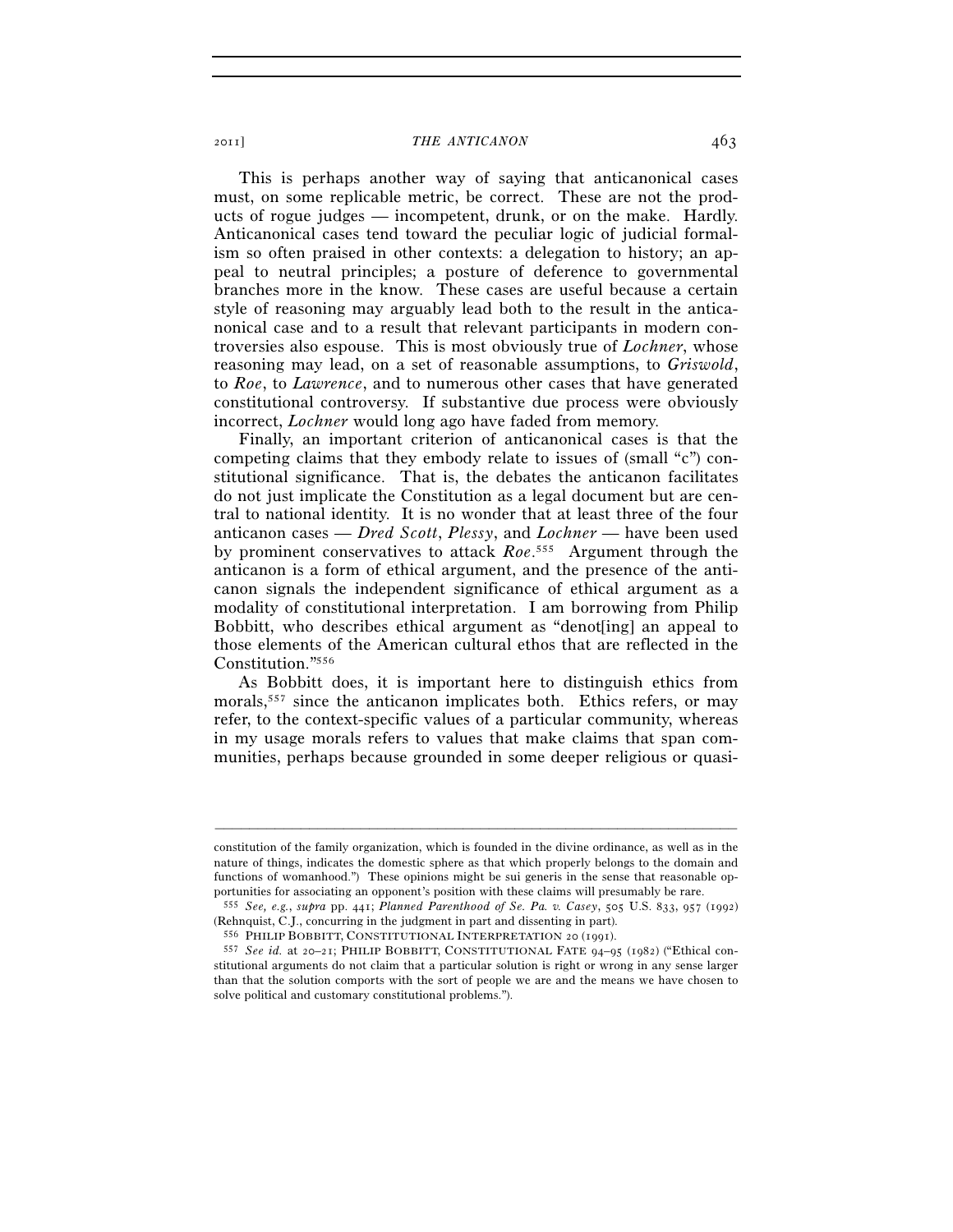This is perhaps another way of saying that anticanonical cases must, on some replicable metric, be correct. These are not the products of rogue judges — incompetent, drunk, or on the make. Hardly. Anticanonical cases tend toward the peculiar logic of judicial formalism so often praised in other contexts: a delegation to history; an appeal to neutral principles; a posture of deference to governmental branches more in the know. These cases are useful because a certain style of reasoning may arguably lead both to the result in the anticanonical case and to a result that relevant participants in modern controversies also espouse. This is most obviously true of *Lochner*, whose reasoning may lead, on a set of reasonable assumptions, to *Griswold*, to *Roe*, to *Lawrence*, and to numerous other cases that have generated constitutional controversy. If substantive due process were obviously incorrect, *Lochner* would long ago have faded from memory.

Finally, an important criterion of anticanonical cases is that the competing claims that they embody relate to issues of (small "c") constitutional significance. That is, the debates the anticanon facilitates do not just implicate the Constitution as a legal document but are central to national identity. It is no wonder that at least three of the four anticanon cases — *Dred Scott*, *Plessy*, and *Lochner* — have been used by prominent conservatives to attack *Roe*. 555 Argument through the anticanon is a form of ethical argument, and the presence of the anticanon signals the independent significance of ethical argument as a modality of constitutional interpretation. I am borrowing from Philip Bobbitt, who describes ethical argument as "denot[ing] an appeal to those elements of the American cultural ethos that are reflected in the Constitution."556

As Bobbitt does, it is important here to distinguish ethics from morals,<sup>557</sup> since the anticanon implicates both. Ethics refers, or may refer, to the context-specific values of a particular community, whereas in my usage morals refers to values that make claims that span communities, perhaps because grounded in some deeper religious or quasi-

constitution of the family organization, which is founded in the divine ordinance, as well as in the nature of things, indicates the domestic sphere as that which properly belongs to the domain and functions of womanhood.") These opinions might be sui generis in the sense that reasonable opportunities for associating an opponent's position with these claims will presumably be rare.

portunities for associating an opponent's position with these claims will presumably be rare. 555 *See, e.g.*, *supra* pp. 441; *Planned Parenthood of Se. Pa. v. Casey*, 505 U.S. 833, 957 (1992)

<sup>&</sup>lt;sup>556</sup> PHILIP BOBBITT, CONSTITUTIONAL INTERPRETATION 20 (1991).<br><sup>557</sup> See id. at 20–21; PHILIP BOBBITT, CONSTITUTIONAL FATE 94–95 (1982) ("Ethical constitutional arguments do not claim that a particular solution is right or wrong in any sense larger than that the solution comports with the sort of people we are and the means we have chosen to solve political and customary constitutional problems.").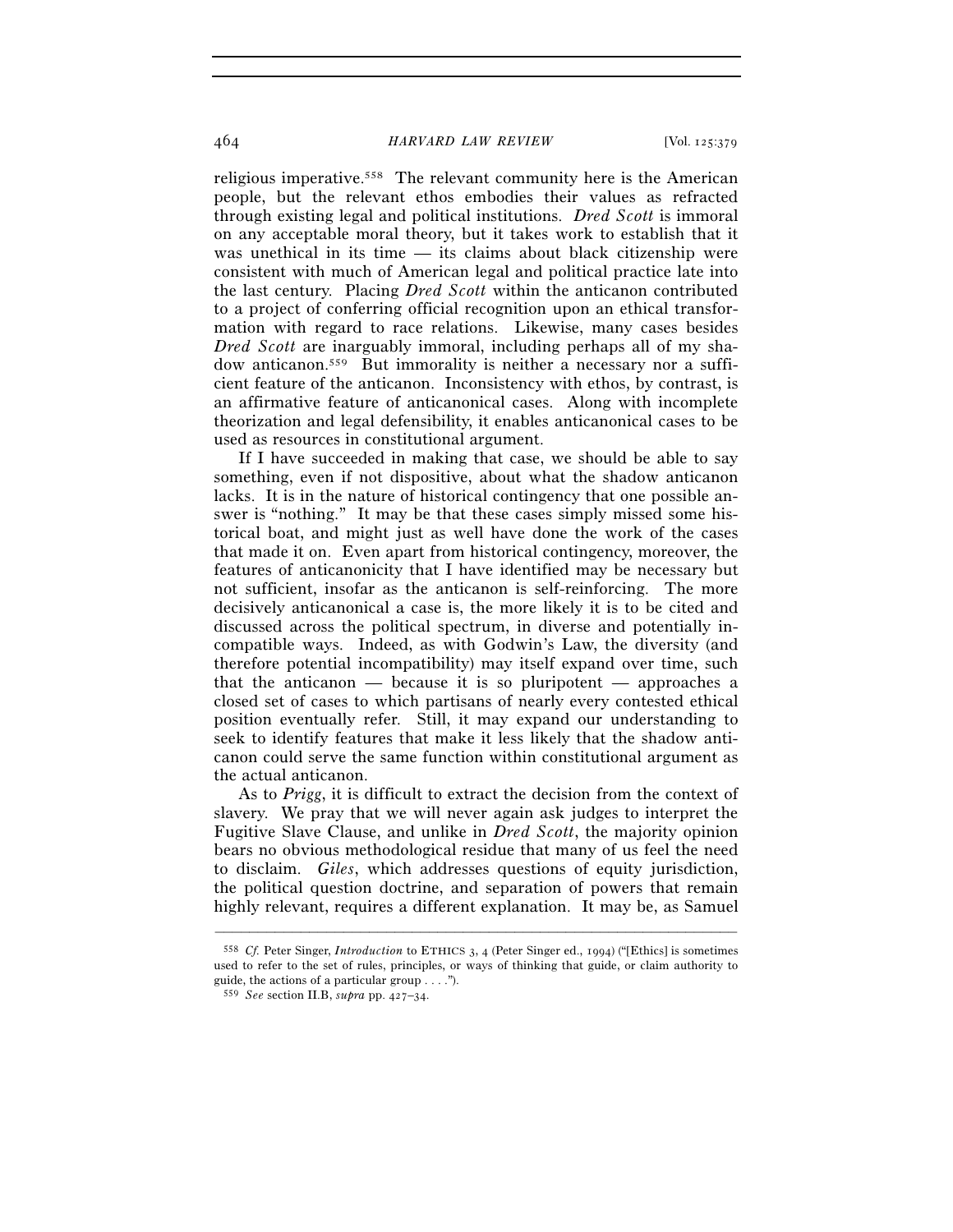religious imperative.558 The relevant community here is the American people, but the relevant ethos embodies their values as refracted through existing legal and political institutions. *Dred Scott* is immoral on any acceptable moral theory, but it takes work to establish that it was unethical in its time — its claims about black citizenship were consistent with much of American legal and political practice late into the last century. Placing *Dred Scott* within the anticanon contributed to a project of conferring official recognition upon an ethical transformation with regard to race relations. Likewise, many cases besides *Dred Scott* are inarguably immoral, including perhaps all of my shadow anticanon.559 But immorality is neither a necessary nor a sufficient feature of the anticanon. Inconsistency with ethos, by contrast, is an affirmative feature of anticanonical cases. Along with incomplete theorization and legal defensibility, it enables anticanonical cases to be used as resources in constitutional argument.

If I have succeeded in making that case, we should be able to say something, even if not dispositive, about what the shadow anticanon lacks. It is in the nature of historical contingency that one possible answer is "nothing." It may be that these cases simply missed some historical boat, and might just as well have done the work of the cases that made it on. Even apart from historical contingency, moreover, the features of anticanonicity that I have identified may be necessary but not sufficient, insofar as the anticanon is self-reinforcing. The more decisively anticanonical a case is, the more likely it is to be cited and discussed across the political spectrum, in diverse and potentially incompatible ways. Indeed, as with Godwin's Law, the diversity (and therefore potential incompatibility) may itself expand over time, such that the anticanon — because it is so pluripotent — approaches a closed set of cases to which partisans of nearly every contested ethical position eventually refer. Still, it may expand our understanding to seek to identify features that make it less likely that the shadow anticanon could serve the same function within constitutional argument as the actual anticanon.

As to *Prigg*, it is difficult to extract the decision from the context of slavery. We pray that we will never again ask judges to interpret the Fugitive Slave Clause, and unlike in *Dred Scott*, the majority opinion bears no obvious methodological residue that many of us feel the need to disclaim. *Giles*, which addresses questions of equity jurisdiction, the political question doctrine, and separation of powers that remain highly relevant, requires a different explanation. It may be, as Samuel

<sup>558</sup> *Cf.* Peter Singer, *Introduction* to ETHICS 3, 4 (Peter Singer ed., 1994) ("[Ethics] is sometimes used to refer to the set of rules, principles, or ways of thinking that guide, or claim authority to guide, the actions of a particular group . . . .").

<sup>559</sup> *See* section II.B, *supra* pp. 427–34.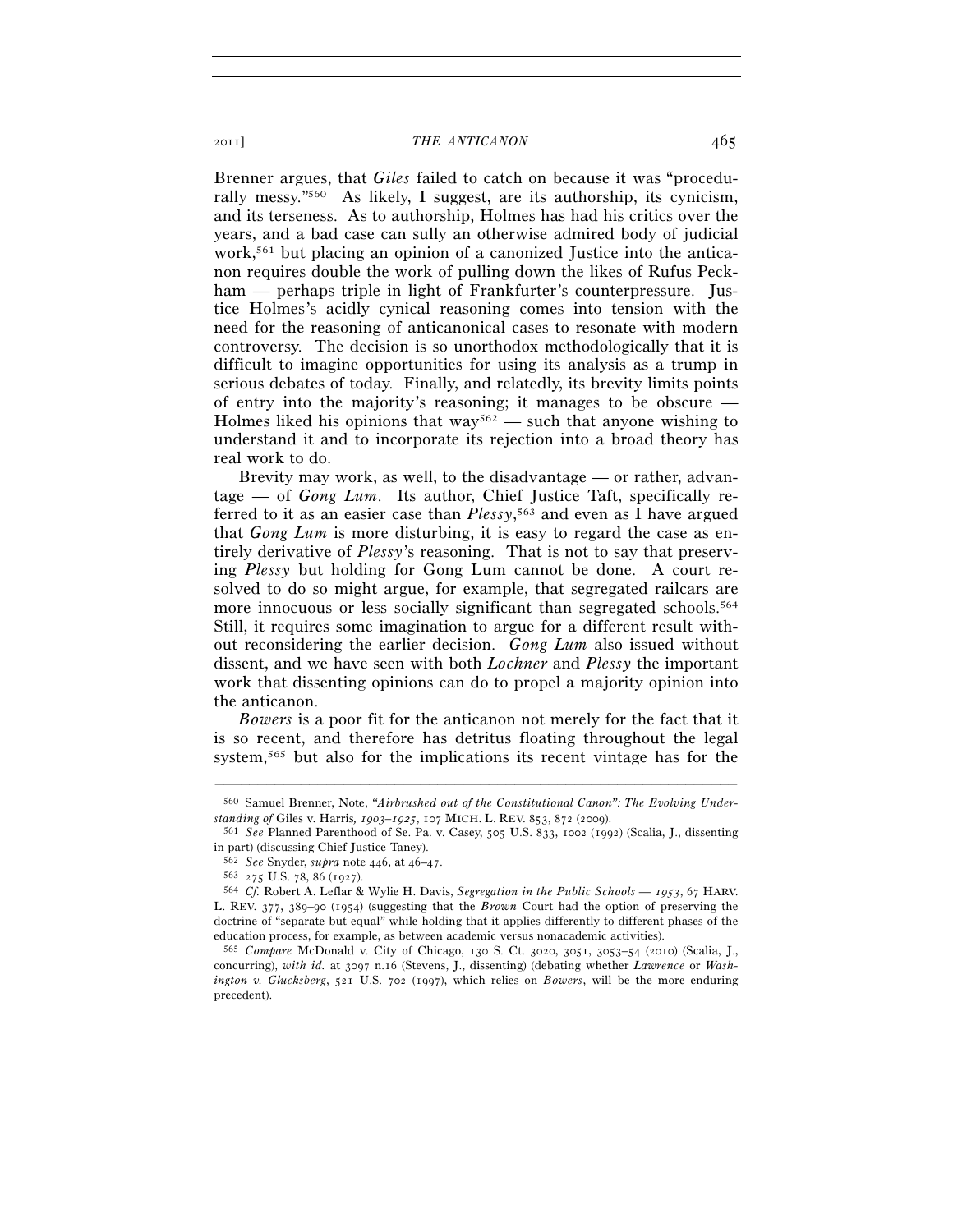Brenner argues, that *Giles* failed to catch on because it was "procedurally messy."560 As likely, I suggest, are its authorship, its cynicism, and its terseness. As to authorship, Holmes has had his critics over the years, and a bad case can sully an otherwise admired body of judicial work,<sup>561</sup> but placing an opinion of a canonized Justice into the anticanon requires double the work of pulling down the likes of Rufus Peckham — perhaps triple in light of Frankfurter's counterpressure. Justice Holmes's acidly cynical reasoning comes into tension with the need for the reasoning of anticanonical cases to resonate with modern controversy. The decision is so unorthodox methodologically that it is difficult to imagine opportunities for using its analysis as a trump in serious debates of today. Finally, and relatedly, its brevity limits points of entry into the majority's reasoning; it manages to be obscure — Holmes liked his opinions that  $\frac{way^{562}}{$  such that anyone wishing to understand it and to incorporate its rejection into a broad theory has real work to do.

Brevity may work, as well, to the disadvantage — or rather, advantage — of *Gong Lum*. Its author, Chief Justice Taft, specifically referred to it as an easier case than *Plessy*, 563 and even as I have argued that *Gong Lum* is more disturbing, it is easy to regard the case as entirely derivative of *Plessy*'s reasoning. That is not to say that preserving *Plessy* but holding for Gong Lum cannot be done. A court resolved to do so might argue, for example, that segregated railcars are more innocuous or less socially significant than segregated schools.<sup>564</sup> Still, it requires some imagination to argue for a different result without reconsidering the earlier decision. *Gong Lum* also issued without dissent, and we have seen with both *Lochner* and *Plessy* the important work that dissenting opinions can do to propel a majority opinion into the anticanon.

*Bowers* is a poor fit for the anticanon not merely for the fact that it is so recent, and therefore has detritus floating throughout the legal system,565 but also for the implications its recent vintage has for the

<sup>–––––––––––––––––––––––––––––––––––––––––––––––––––––––––––––</sup> 560 Samuel Brenner, Note, *"Airbrushed out of the Constitutional Canon": The Evolving Under-*

<sup>&</sup>lt;sup>561</sup> See Planned Parenthood of Se. Pa. v. Casey, 505 U.S. 833, 1002 (1992) (Scalia, J., dissenting in part) (discussing Chief Justice Taney).<br> $562 \text{ See}$  Snyder, *supra* note 446, at 46–47.

<sup>562</sup> *See* Snyder, *supra* note 446, at 46–47. 563 <sup>275</sup> U.S. 78, 86 (1927). 564 *Cf.* Robert A. Leflar & Wylie H. Davis, *Segregation in the Public Schools — 1953*, 67 HARV. L. REV. 377, 389–90 (1954) (suggesting that the *Brown* Court had the option of preserving the doctrine of "separate but equal" while holding that it applies differently to different phases of the education process, for example, as between academic versus nonacademic activities).

<sup>565</sup> *Compare* McDonald v. City of Chicago, 130 S. Ct. 3020, 3051, 3053–54 (2010) (Scalia, J., concurring), *with id.* at 3097 n.16 (Stevens, J., dissenting) (debating whether *Lawrence* or *Washington v. Glucksberg*, 521 U.S. 702 (1997), which relies on *Bowers*, will be the more enduring precedent).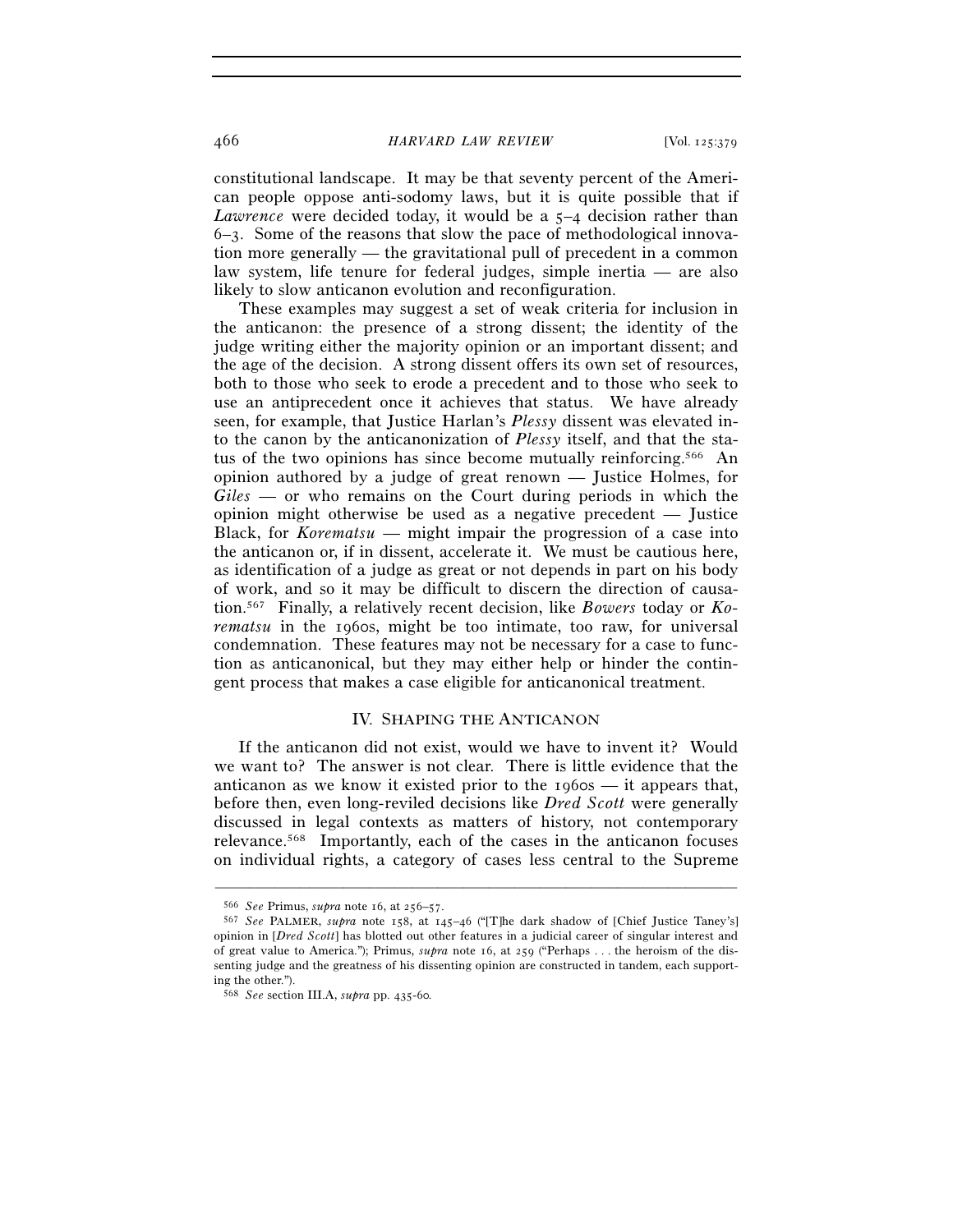constitutional landscape. It may be that seventy percent of the American people oppose anti-sodomy laws, but it is quite possible that if *Lawrence* were decided today, it would be a 5-4 decision rather than  $6-3$ . Some of the reasons that slow the pace of methodological innovation more generally — the gravitational pull of precedent in a common law system, life tenure for federal judges, simple inertia — are also likely to slow anticanon evolution and reconfiguration.

These examples may suggest a set of weak criteria for inclusion in the anticanon: the presence of a strong dissent; the identity of the judge writing either the majority opinion or an important dissent; and the age of the decision. A strong dissent offers its own set of resources, both to those who seek to erode a precedent and to those who seek to use an antiprecedent once it achieves that status. We have already seen, for example, that Justice Harlan's *Plessy* dissent was elevated into the canon by the anticanonization of *Plessy* itself, and that the status of the two opinions has since become mutually reinforcing.566 An opinion authored by a judge of great renown — Justice Holmes, for *Giles* — or who remains on the Court during periods in which the opinion might otherwise be used as a negative precedent — Justice Black, for *Korematsu* — might impair the progression of a case into the anticanon or, if in dissent, accelerate it. We must be cautious here, as identification of a judge as great or not depends in part on his body of work, and so it may be difficult to discern the direction of causation.567 Finally, a relatively recent decision, like *Bowers* today or *Korematsu* in the 1960s, might be too intimate, too raw, for universal condemnation. These features may not be necessary for a case to function as anticanonical, but they may either help or hinder the contingent process that makes a case eligible for anticanonical treatment.

# IV. SHAPING THE ANTICANON

If the anticanon did not exist, would we have to invent it? Would we want to? The answer is not clear. There is little evidence that the anticanon as we know it existed prior to the 1960s — it appears that, before then, even long-reviled decisions like *Dred Scott* were generally discussed in legal contexts as matters of history, not contemporary relevance.568 Importantly, each of the cases in the anticanon focuses on individual rights, a category of cases less central to the Supreme

<sup>566</sup> *See* Primus, *supra* note 16, at 256–57. 567 *See* PALMER, *supra* note 158, at 145–46 ("[T]he dark shadow of [Chief Justice Taney's] opinion in [*Dred Scott*] has blotted out other features in a judicial career of singular interest and of great value to America."); Primus, *supra* note 16, at 259 ("Perhaps . . . the heroism of the dissenting judge and the greatness of his dissenting opinion are constructed in tandem, each supporting the other.").

<sup>568</sup> *See* section III.A, *supra* pp. 435-60*.*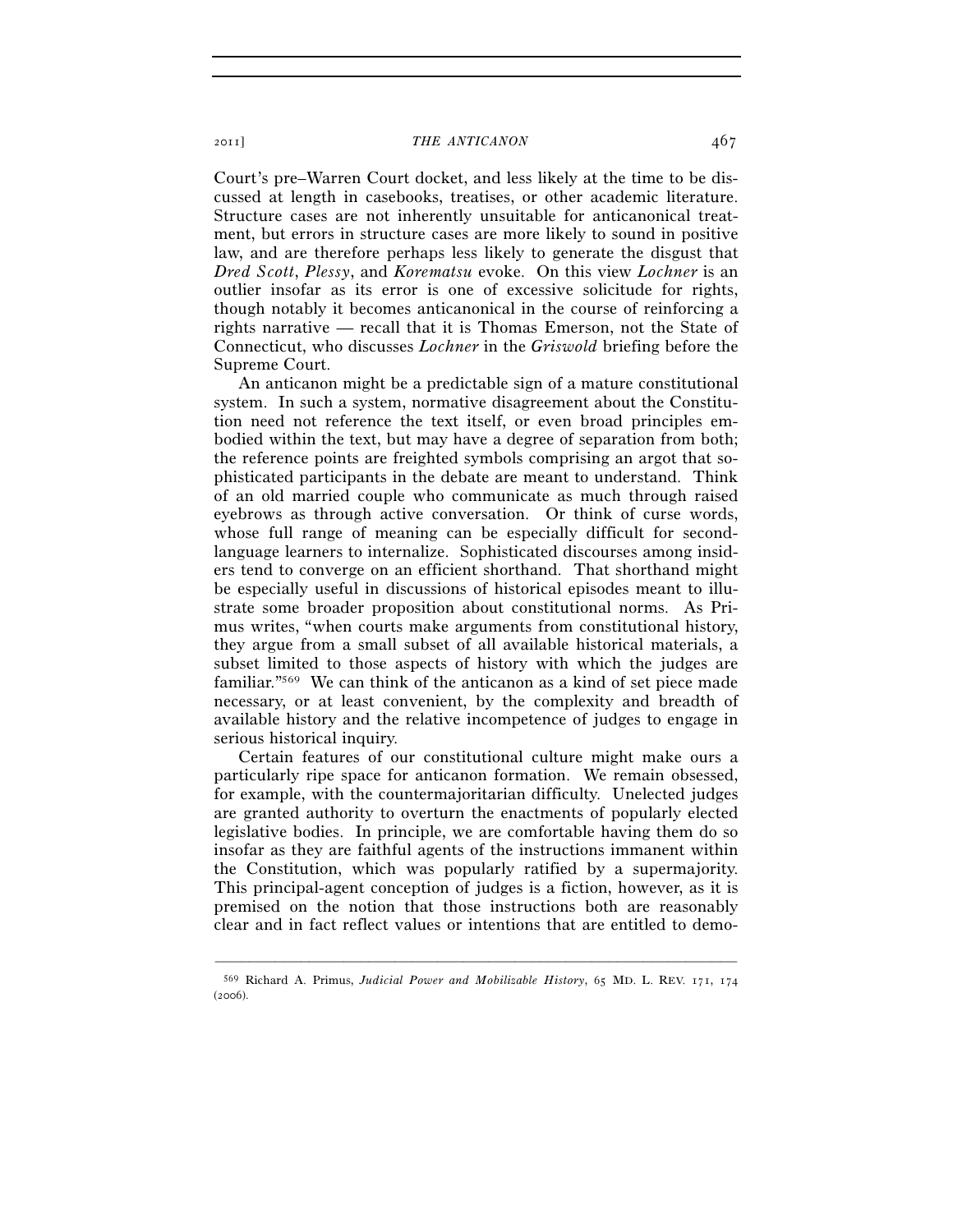Court's pre–Warren Court docket, and less likely at the time to be discussed at length in casebooks, treatises, or other academic literature. Structure cases are not inherently unsuitable for anticanonical treatment, but errors in structure cases are more likely to sound in positive law, and are therefore perhaps less likely to generate the disgust that *Dred Scott*, *Plessy*, and *Korematsu* evoke. On this view *Lochner* is an outlier insofar as its error is one of excessive solicitude for rights, though notably it becomes anticanonical in the course of reinforcing a rights narrative — recall that it is Thomas Emerson, not the State of Connecticut, who discusses *Lochner* in the *Griswold* briefing before the Supreme Court.

An anticanon might be a predictable sign of a mature constitutional system. In such a system, normative disagreement about the Constitution need not reference the text itself, or even broad principles embodied within the text, but may have a degree of separation from both; the reference points are freighted symbols comprising an argot that sophisticated participants in the debate are meant to understand. Think of an old married couple who communicate as much through raised eyebrows as through active conversation. Or think of curse words, whose full range of meaning can be especially difficult for secondlanguage learners to internalize. Sophisticated discourses among insiders tend to converge on an efficient shorthand. That shorthand might be especially useful in discussions of historical episodes meant to illustrate some broader proposition about constitutional norms. As Primus writes, "when courts make arguments from constitutional history, they argue from a small subset of all available historical materials, a subset limited to those aspects of history with which the judges are familiar."569 We can think of the anticanon as a kind of set piece made necessary, or at least convenient, by the complexity and breadth of available history and the relative incompetence of judges to engage in serious historical inquiry.

Certain features of our constitutional culture might make ours a particularly ripe space for anticanon formation. We remain obsessed, for example, with the countermajoritarian difficulty. Unelected judges are granted authority to overturn the enactments of popularly elected legislative bodies. In principle, we are comfortable having them do so insofar as they are faithful agents of the instructions immanent within the Constitution, which was popularly ratified by a supermajority. This principal-agent conception of judges is a fiction, however, as it is premised on the notion that those instructions both are reasonably clear and in fact reflect values or intentions that are entitled to demo-

<sup>–––––––––––––––––––––––––––––––––––––––––––––––––––––––––––––</sup> 569 Richard A. Primus, *Judicial Power and Mobilizable History*, 65 MD. L. REV. 171, 174 (2006).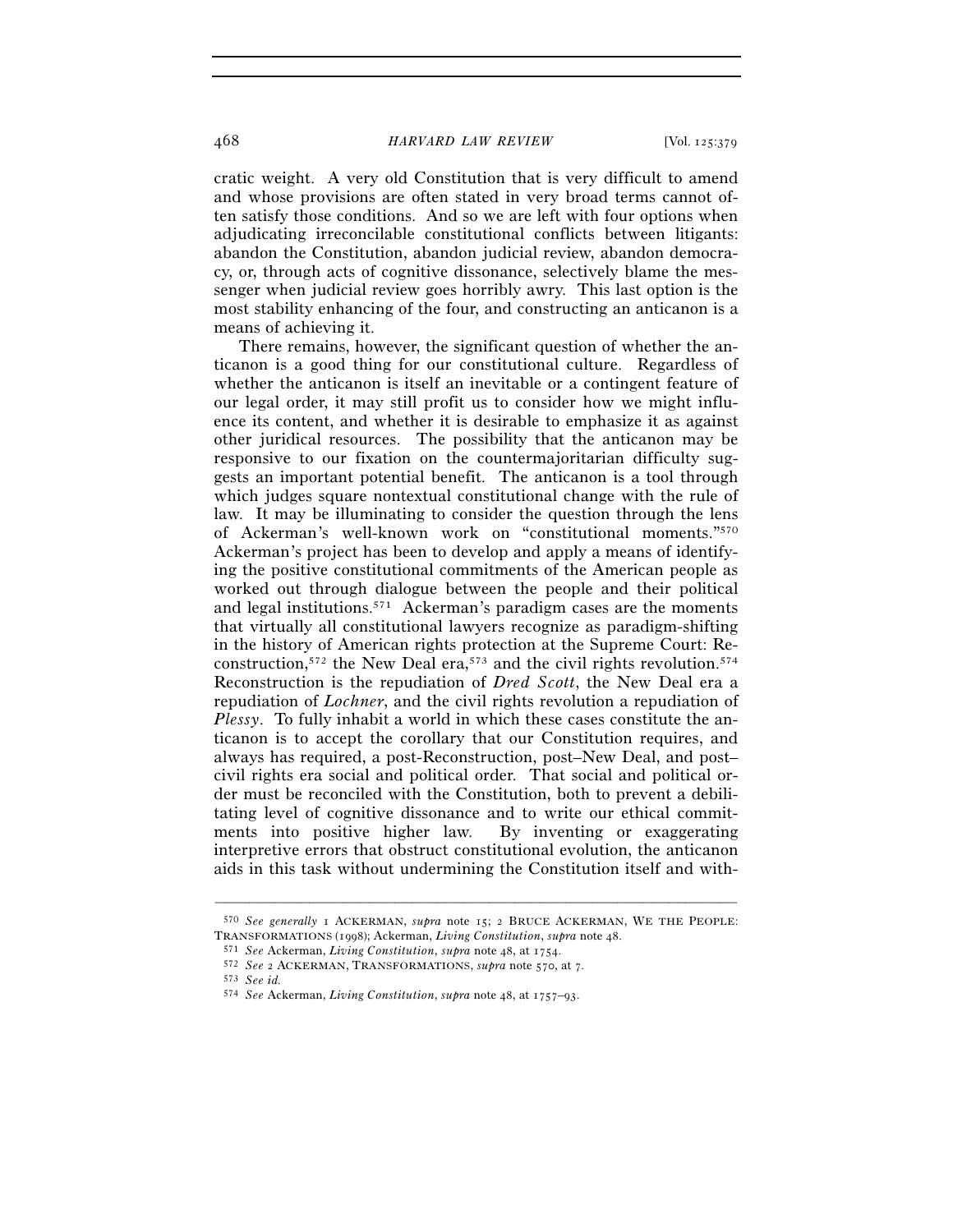cratic weight. A very old Constitution that is very difficult to amend and whose provisions are often stated in very broad terms cannot often satisfy those conditions. And so we are left with four options when adjudicating irreconcilable constitutional conflicts between litigants: abandon the Constitution, abandon judicial review, abandon democracy, or, through acts of cognitive dissonance, selectively blame the messenger when judicial review goes horribly awry. This last option is the most stability enhancing of the four, and constructing an anticanon is a means of achieving it.

There remains, however, the significant question of whether the anticanon is a good thing for our constitutional culture. Regardless of whether the anticanon is itself an inevitable or a contingent feature of our legal order, it may still profit us to consider how we might influence its content, and whether it is desirable to emphasize it as against other juridical resources. The possibility that the anticanon may be responsive to our fixation on the countermajoritarian difficulty suggests an important potential benefit. The anticanon is a tool through which judges square nontextual constitutional change with the rule of law. It may be illuminating to consider the question through the lens of Ackerman's well-known work on "constitutional moments."570 Ackerman's project has been to develop and apply a means of identifying the positive constitutional commitments of the American people as worked out through dialogue between the people and their political and legal institutions.571 Ackerman's paradigm cases are the moments that virtually all constitutional lawyers recognize as paradigm-shifting in the history of American rights protection at the Supreme Court: Reconstruction,572 the New Deal era,573 and the civil rights revolution.574 Reconstruction is the repudiation of *Dred Scott*, the New Deal era a repudiation of *Lochner*, and the civil rights revolution a repudiation of *Plessy*. To fully inhabit a world in which these cases constitute the anticanon is to accept the corollary that our Constitution requires, and always has required, a post-Reconstruction, post–New Deal, and post– civil rights era social and political order. That social and political order must be reconciled with the Constitution, both to prevent a debilitating level of cognitive dissonance and to write our ethical commitments into positive higher law. By inventing or exaggerating interpretive errors that obstruct constitutional evolution, the anticanon aids in this task without undermining the Constitution itself and with-

<sup>–––––––––––––––––––––––––––––––––––––––––––––––––––––––––––––</sup> 570 *See generally* 1 ACKERMAN, *supra* note 15; 2 BRUCE ACKERMAN, WE THE PEOPLE:

TRANSFORMATIONS (1998); Ackerman, *Living Constitution*, *supra* note 48.<br><sup>571</sup> See Ackerman, *Living Constitution*, *supra* note 48, at 1754.<br><sup>572</sup> See 2 ACKERMAN, TRANSFORMATIONS, *supra* note 570, at 7.<br><sup>573</sup> See id.

<sup>574</sup> *See* Ackerman, *Living Constitution*, *supra* note 48, at 1757–93.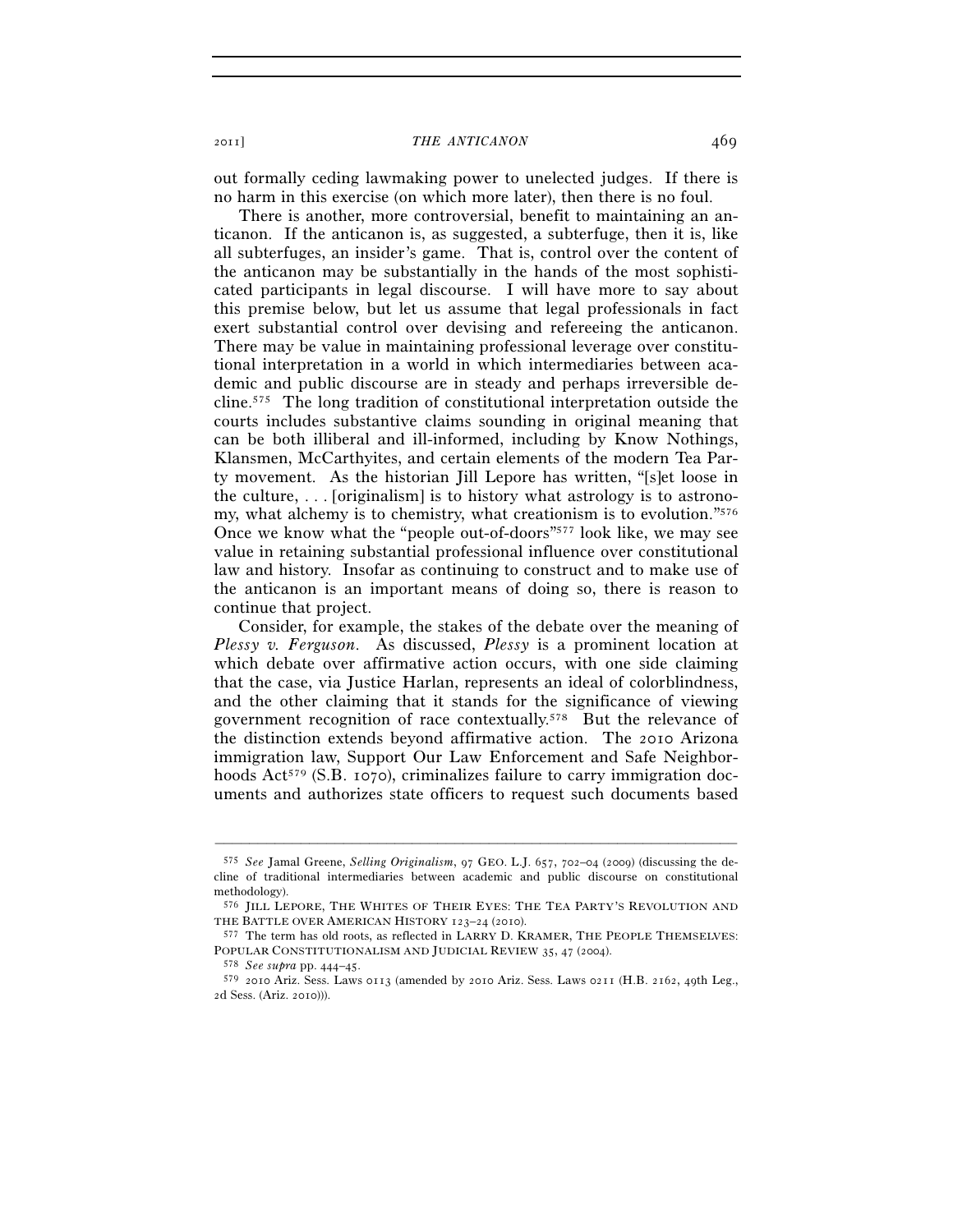out formally ceding lawmaking power to unelected judges. If there is no harm in this exercise (on which more later), then there is no foul.

There is another, more controversial, benefit to maintaining an anticanon. If the anticanon is, as suggested, a subterfuge, then it is, like all subterfuges, an insider's game. That is, control over the content of the anticanon may be substantially in the hands of the most sophisticated participants in legal discourse. I will have more to say about this premise below, but let us assume that legal professionals in fact exert substantial control over devising and refereeing the anticanon. There may be value in maintaining professional leverage over constitutional interpretation in a world in which intermediaries between academic and public discourse are in steady and perhaps irreversible decline.575 The long tradition of constitutional interpretation outside the courts includes substantive claims sounding in original meaning that can be both illiberal and ill-informed, including by Know Nothings, Klansmen, McCarthyites, and certain elements of the modern Tea Party movement. As the historian Jill Lepore has written, "[s]et loose in the culture, . . . [originalism] is to history what astrology is to astronomy, what alchemy is to chemistry, what creationism is to evolution."576 Once we know what the "people out-of-doors"577 look like, we may see value in retaining substantial professional influence over constitutional law and history. Insofar as continuing to construct and to make use of the anticanon is an important means of doing so, there is reason to continue that project.

Consider, for example, the stakes of the debate over the meaning of *Plessy v. Ferguson*. As discussed, *Plessy* is a prominent location at which debate over affirmative action occurs, with one side claiming that the case, via Justice Harlan, represents an ideal of colorblindness, and the other claiming that it stands for the significance of viewing government recognition of race contextually.578 But the relevance of the distinction extends beyond affirmative action. The 2010 Arizona immigration law, Support Our Law Enforcement and Safe Neighborhoods  $Act^{579}$  (S.B. 1070), criminalizes failure to carry immigration documents and authorizes state officers to request such documents based

<sup>575</sup> *See* Jamal Greene, *Selling Originalism*, 97 GEO. L.J. 657, 702–04 (2009) (discussing the decline of traditional intermediaries between academic and public discourse on constitutional methodology).

<sup>576</sup> JILL LEPORE, THE WHITES OF THEIR EYES: THE TEA PARTY'S REVOLUTION AND THE BATTLE OVER AMERICAN HISTORY  $123-24$  (2010).

<sup>577</sup> The term has old roots, as reflected in LARRY D. KRAMER, THE PEOPLE THEMSELVES: POPULAR CONSTITUTIONALISM AND JUDICIAL REVIEW 35, 47 (2004).<br><sup>578</sup> *See supra* pp. 444–45.<br><sup>579</sup> 2010 Ariz. Sess. Laws 0113 (amended by 2010 Ariz. Sess. Laws 0211 (H.B. 2162, 49th Leg.,

<sup>2</sup>d Sess. (Ariz. 2010))).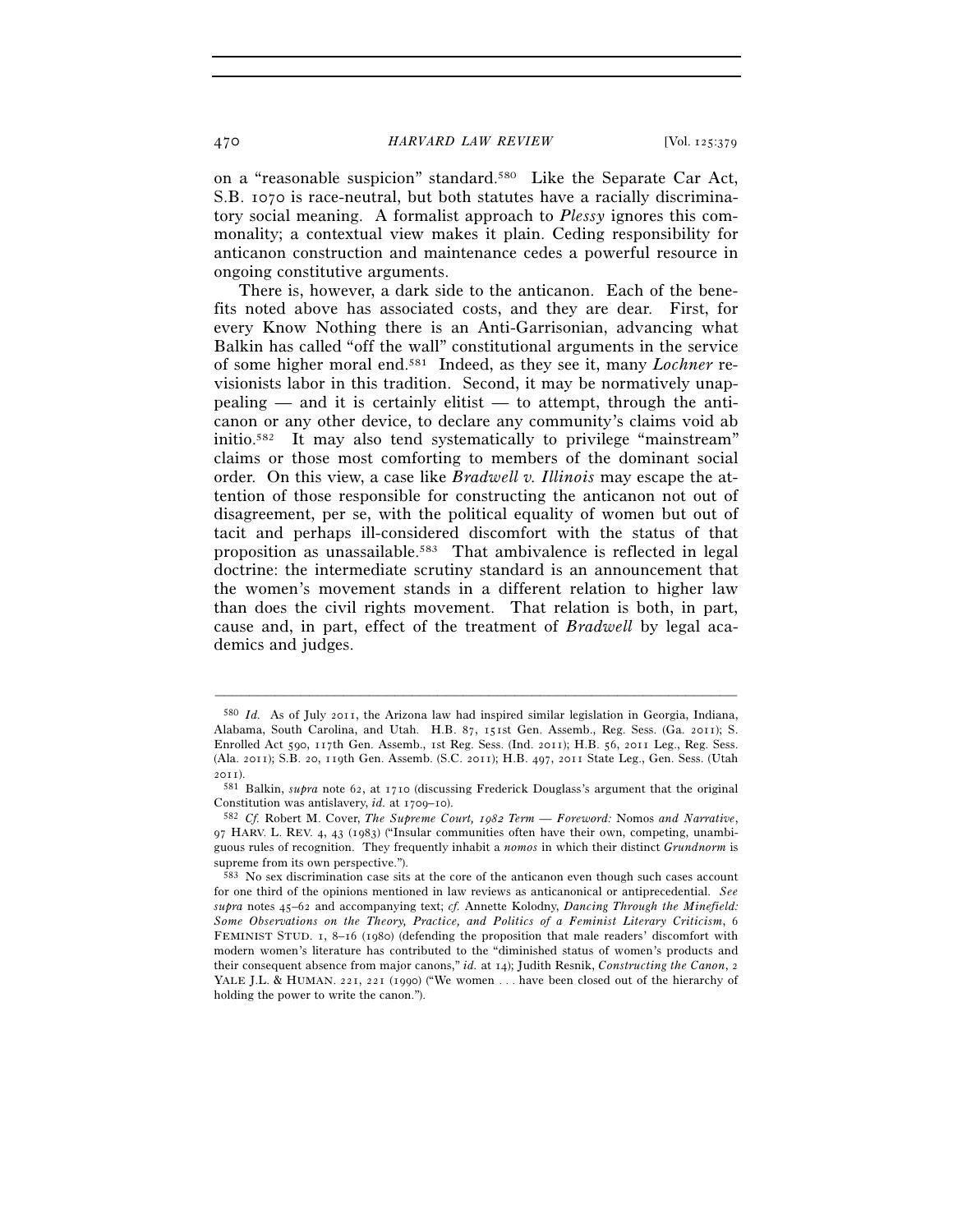on a "reasonable suspicion" standard.580 Like the Separate Car Act, S.B. 1070 is race-neutral, but both statutes have a racially discriminatory social meaning. A formalist approach to *Plessy* ignores this commonality; a contextual view makes it plain. Ceding responsibility for anticanon construction and maintenance cedes a powerful resource in ongoing constitutive arguments.

There is, however, a dark side to the anticanon. Each of the benefits noted above has associated costs, and they are dear. First, for every Know Nothing there is an Anti-Garrisonian, advancing what Balkin has called "off the wall" constitutional arguments in the service of some higher moral end.581 Indeed, as they see it, many *Lochner* revisionists labor in this tradition. Second, it may be normatively unap $pealing$  — and it is certainly elitist — to attempt, through the anticanon or any other device, to declare any community's claims void ab initio.582 It may also tend systematically to privilege "mainstream" claims or those most comforting to members of the dominant social order. On this view, a case like *Bradwell v. Illinois* may escape the attention of those responsible for constructing the anticanon not out of disagreement, per se, with the political equality of women but out of tacit and perhaps ill-considered discomfort with the status of that proposition as unassailable.<sup>583</sup> That ambivalence is reflected in legal doctrine: the intermediate scrutiny standard is an announcement that the women's movement stands in a different relation to higher law than does the civil rights movement. That relation is both, in part, cause and, in part, effect of the treatment of *Bradwell* by legal academics and judges.

<sup>580</sup> *Id.* As of July 2011, the Arizona law had inspired similar legislation in Georgia, Indiana, Alabama, South Carolina, and Utah. H.B. 87, 151st Gen. Assemb., Reg. Sess. (Ga. 2011); S. Enrolled Act 590, 117th Gen. Assemb., 1st Reg. Sess. (Ind. 2011); H.B. 56, 2011 Leg., Reg. Sess. (Ala. 2011); S.B. 20, 119th Gen. Assemb. (S.C. 2011); H.B. 497, 2011 State Leg., Gen. Sess. (Utah

<sup>2011</sup>). 581 Balkin, *supra* note 62, at 1710 (discussing Frederick Douglass's argument that the original Constitution was antislavery, *id.* at 1709–10). 582 *Cf.* Robert M. Cover, *The Supreme Court, 1982 Term — Foreword:* Nomos *and Narrative*,

<sup>97</sup> HARV. L. REV. 4, 43 (1983) ("Insular communities often have their own, competing, unambiguous rules of recognition. They frequently inhabit a *nomos* in which their distinct *Grundnorm* is supreme from its own perspective.").

<sup>583</sup> No sex discrimination case sits at the core of the anticanon even though such cases account for one third of the opinions mentioned in law reviews as anticanonical or antiprecedential. *See supra* notes 45–62 and accompanying text; *cf.* Annette Kolodny, *Dancing Through the Minefield: Some Observations on the Theory, Practice, and Politics of a Feminist Literary Criticism*, 6 FEMINIST STUD. 1, 8–16 (1980) (defending the proposition that male readers' discomfort with modern women's literature has contributed to the "diminished status of women's products and their consequent absence from major canons," *id.* at 14); Judith Resnik, *Constructing the Canon*, 2 YALE J.L. & HUMAN. 221, 221 (1990) ("We women . . . have been closed out of the hierarchy of holding the power to write the canon.").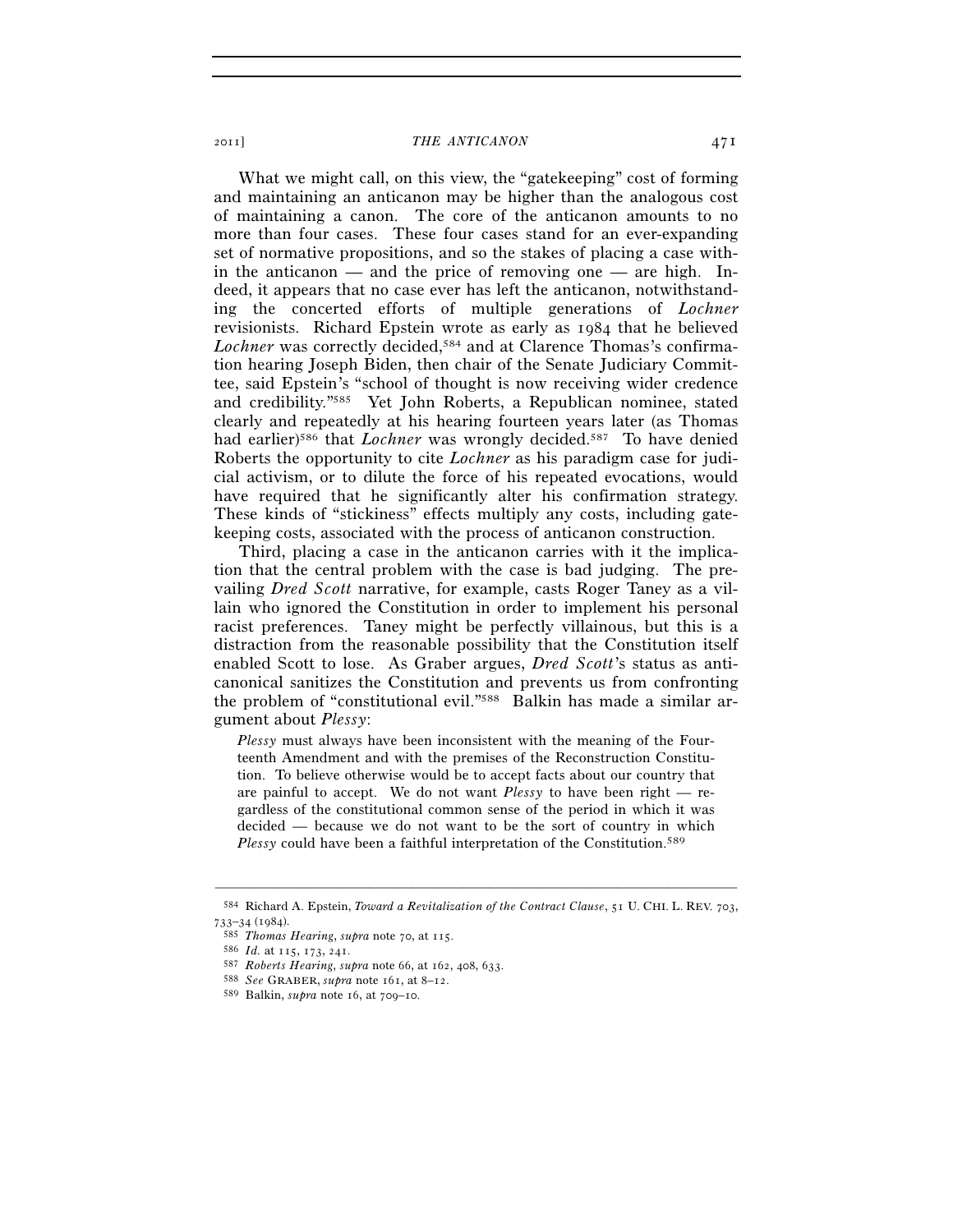What we might call, on this view, the "gatekeeping" cost of forming and maintaining an anticanon may be higher than the analogous cost of maintaining a canon. The core of the anticanon amounts to no more than four cases. These four cases stand for an ever-expanding set of normative propositions, and so the stakes of placing a case within the anticanon — and the price of removing one — are high. Indeed, it appears that no case ever has left the anticanon, notwithstanding the concerted efforts of multiple generations of *Lochner* revisionists. Richard Epstein wrote as early as 1984 that he believed Lochner was correctly decided,<sup>584</sup> and at Clarence Thomas's confirmation hearing Joseph Biden, then chair of the Senate Judiciary Committee, said Epstein's "school of thought is now receiving wider credence and credibility."585 Yet John Roberts, a Republican nominee, stated clearly and repeatedly at his hearing fourteen years later (as Thomas had earlier)<sup>586</sup> that *Lochner* was wrongly decided.<sup>587</sup> To have denied Roberts the opportunity to cite *Lochner* as his paradigm case for judicial activism, or to dilute the force of his repeated evocations, would have required that he significantly alter his confirmation strategy. These kinds of "stickiness" effects multiply any costs, including gatekeeping costs, associated with the process of anticanon construction.

Third, placing a case in the anticanon carries with it the implication that the central problem with the case is bad judging. The prevailing *Dred Scott* narrative, for example, casts Roger Taney as a villain who ignored the Constitution in order to implement his personal racist preferences. Taney might be perfectly villainous, but this is a distraction from the reasonable possibility that the Constitution itself enabled Scott to lose. As Graber argues, *Dred Scott*'s status as anticanonical sanitizes the Constitution and prevents us from confronting the problem of "constitutional evil."588 Balkin has made a similar argument about *Plessy*:

*Plessy* must always have been inconsistent with the meaning of the Fourteenth Amendment and with the premises of the Reconstruction Constitution. To believe otherwise would be to accept facts about our country that are painful to accept. We do not want *Plessy* to have been right — regardless of the constitutional common sense of the period in which it was decided — because we do not want to be the sort of country in which *Plessy* could have been a faithful interpretation of the Constitution.<sup>589</sup>

<sup>–––––––––––––––––––––––––––––––––––––––––––––––––––––––––––––</sup> 584 Richard A. Epstein, *Toward a Revitalization of the Contract Clause*, 51 U. CHI. L. REV. 703,

<sup>585</sup> Thomas Hearing, supra note 70, at 115.<br>586 Id. at 115, 173, 241.<br>587 Roberts Hearing, supra note 66, at 162, 408, 633.<br>588 See GRABER, supra note 161, at 8–12.<br>589 Balkin, supra note 16, at 709–10.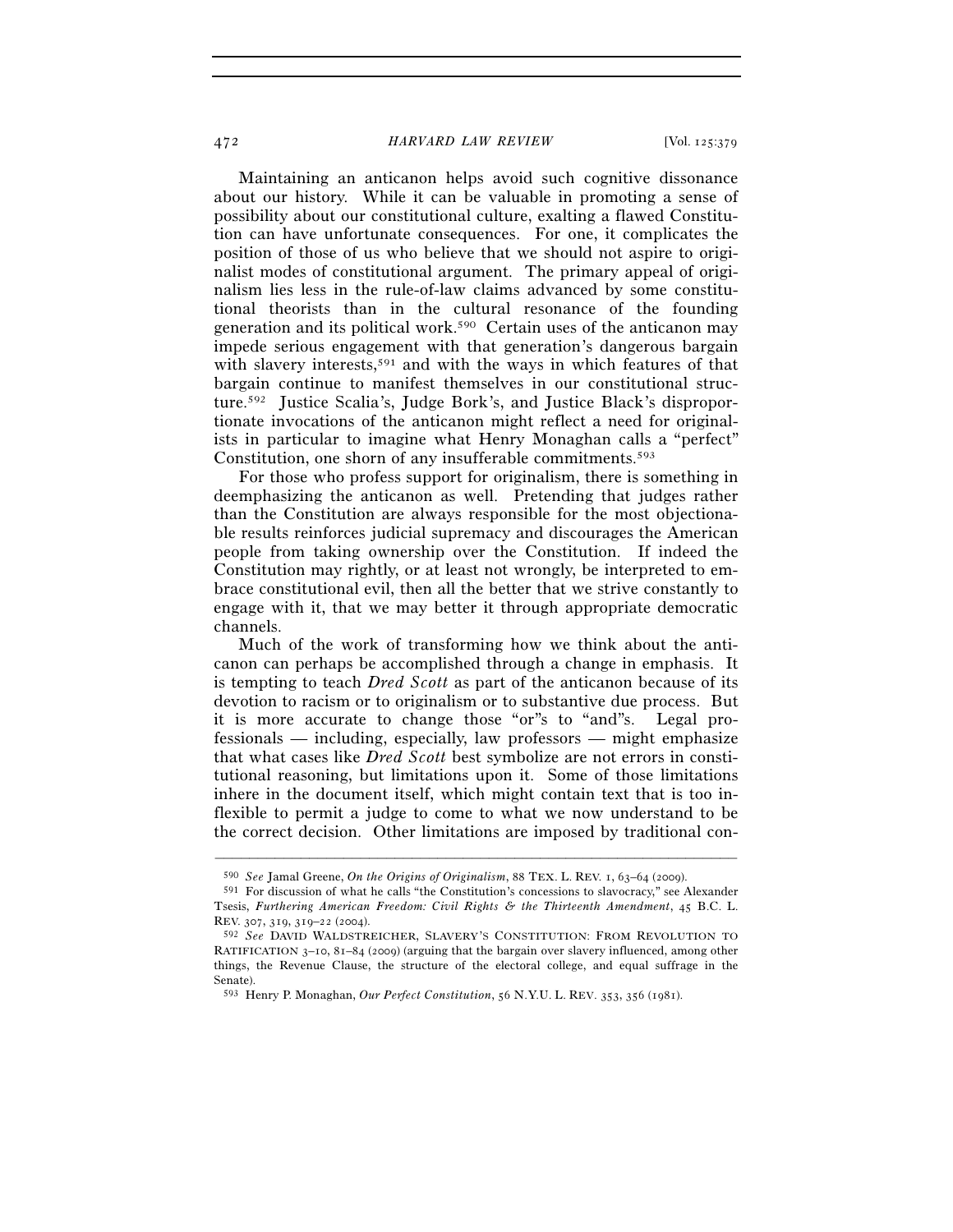Maintaining an anticanon helps avoid such cognitive dissonance about our history. While it can be valuable in promoting a sense of possibility about our constitutional culture, exalting a flawed Constitution can have unfortunate consequences. For one, it complicates the position of those of us who believe that we should not aspire to originalist modes of constitutional argument. The primary appeal of originalism lies less in the rule-of-law claims advanced by some constitutional theorists than in the cultural resonance of the founding generation and its political work.590 Certain uses of the anticanon may impede serious engagement with that generation's dangerous bargain with slavery interests,591 and with the ways in which features of that bargain continue to manifest themselves in our constitutional structure.592 Justice Scalia's, Judge Bork's, and Justice Black's disproportionate invocations of the anticanon might reflect a need for originalists in particular to imagine what Henry Monaghan calls a "perfect" Constitution, one shorn of any insufferable commitments.<sup>593</sup>

For those who profess support for originalism, there is something in deemphasizing the anticanon as well. Pretending that judges rather than the Constitution are always responsible for the most objectionable results reinforces judicial supremacy and discourages the American people from taking ownership over the Constitution. If indeed the Constitution may rightly, or at least not wrongly, be interpreted to embrace constitutional evil, then all the better that we strive constantly to engage with it, that we may better it through appropriate democratic channels.

Much of the work of transforming how we think about the anticanon can perhaps be accomplished through a change in emphasis. It is tempting to teach *Dred Scott* as part of the anticanon because of its devotion to racism or to originalism or to substantive due process. But it is more accurate to change those "or"s to "and"s. Legal professionals — including, especially, law professors — might emphasize that what cases like *Dred Scott* best symbolize are not errors in constitutional reasoning, but limitations upon it. Some of those limitations inhere in the document itself, which might contain text that is too inflexible to permit a judge to come to what we now understand to be the correct decision. Other limitations are imposed by traditional con-

<sup>590</sup> *See* Jamal Greene, *On the Origins of Originalism*, 88 TEX. L. REV. 1, 63–64 (2009).

<sup>591</sup> For discussion of what he calls "the Constitution's concessions to slavocracy," see Alexander Tsesis, *Furthering American Freedom: Civil Rights & the Thirteenth Amendment*, 45 B.C. L. REV. 307, 319, 319–22 (2004).

<sup>592</sup> *See* DAVID WALDSTREICHER, SLAVERY'S CONSTITUTION: FROM REVOLUTION TO RATIFICATION 3–10, 81–84 (2009) (arguing that the bargain over slavery influenced, among other things, the Revenue Clause, the structure of the electoral college, and equal suffrage in the Senate).

<sup>593</sup> Henry P. Monaghan, *Our Perfect Constitution*, 56 N.Y.U. L. REV. 353, 356 (1981).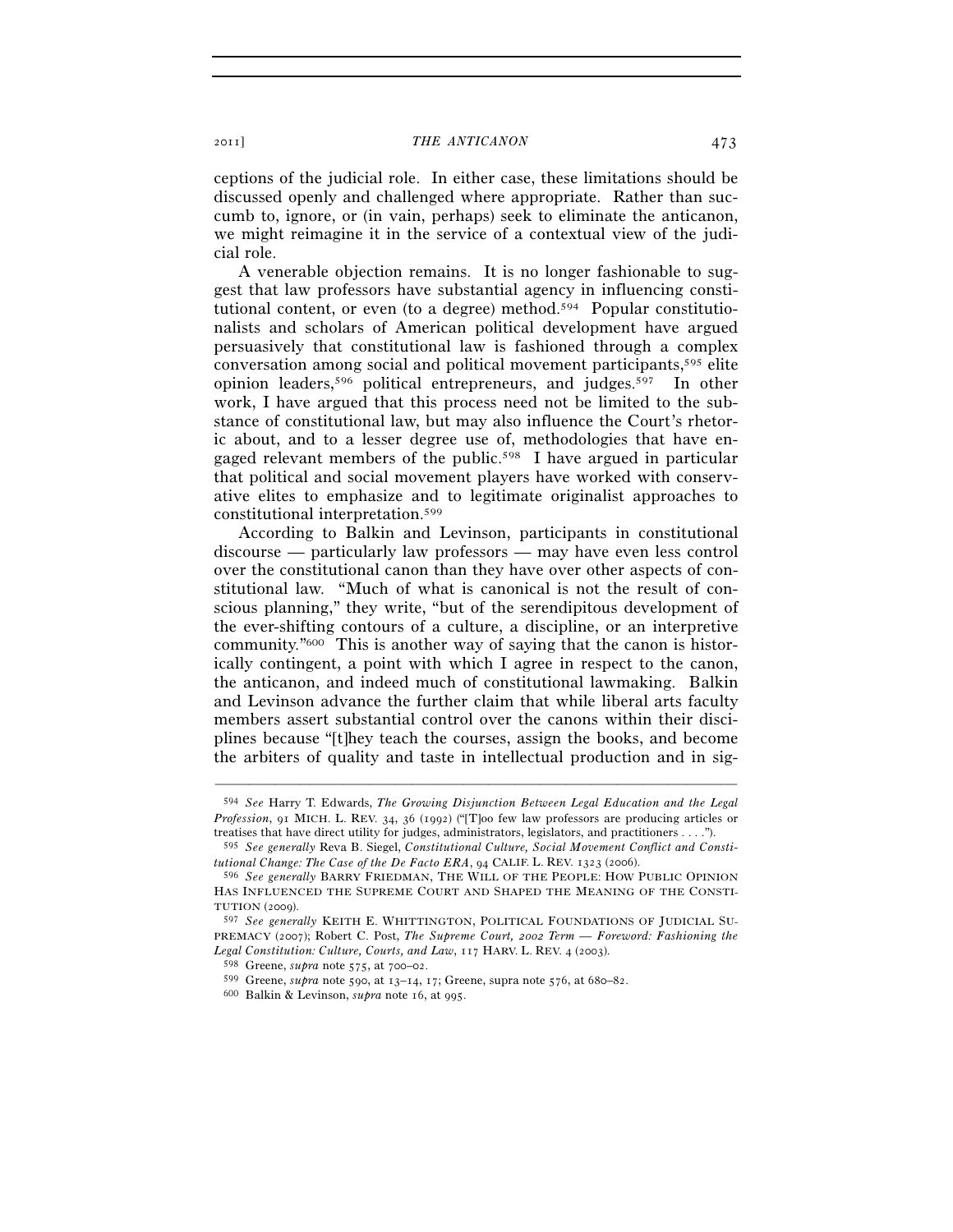ceptions of the judicial role. In either case, these limitations should be discussed openly and challenged where appropriate. Rather than succumb to, ignore, or (in vain, perhaps) seek to eliminate the anticanon, we might reimagine it in the service of a contextual view of the judicial role.

A venerable objection remains. It is no longer fashionable to suggest that law professors have substantial agency in influencing constitutional content, or even (to a degree) method.594 Popular constitutionalists and scholars of American political development have argued persuasively that constitutional law is fashioned through a complex conversation among social and political movement participants,595 elite opinion leaders,596 political entrepreneurs, and judges.597 In other work, I have argued that this process need not be limited to the substance of constitutional law, but may also influence the Court's rhetoric about, and to a lesser degree use of, methodologies that have engaged relevant members of the public.598 I have argued in particular that political and social movement players have worked with conservative elites to emphasize and to legitimate originalist approaches to constitutional interpretation.599

According to Balkin and Levinson, participants in constitutional discourse — particularly law professors — may have even less control over the constitutional canon than they have over other aspects of constitutional law. "Much of what is canonical is not the result of conscious planning," they write, "but of the serendipitous development of the ever-shifting contours of a culture, a discipline, or an interpretive community."600 This is another way of saying that the canon is historically contingent, a point with which I agree in respect to the canon, the anticanon, and indeed much of constitutional lawmaking. Balkin and Levinson advance the further claim that while liberal arts faculty members assert substantial control over the canons within their disciplines because "[t]hey teach the courses, assign the books, and become the arbiters of quality and taste in intellectual production and in sig-

<sup>594</sup> *See* Harry T. Edwards, *The Growing Disjunction Between Legal Education and the Legal Profession*, 91 MICH. L. REV. 34, 36 (1992) ("[T]oo few law professors are producing articles or treatises that have direct utility for judges, administrators, legislators, and practitioners . . . .").

<sup>595</sup> *See generally* Reva B. Siegel, *Constitutional Culture, Social Movement Conflict and Constitutional Change: The Case of the De Facto ERA*, 94 CALIF. L. REV. 1323 (2006).

<sup>596</sup> *See generally* BARRY FRIEDMAN, THE WILL OF THE PEOPLE: HOW PUBLIC OPINION HAS INFLUENCED THE SUPREME COURT AND SHAPED THE MEANING OF THE CONSTI-TUTION (2009).

<sup>597</sup> *See generally* KEITH E. WHITTINGTON, POLITICAL FOUNDATIONS OF JUDICIAL SU-PREMACY (2007); Robert C. Post, *The Supreme Court, 2002 Term — Foreword: Fashioning the Legal Constitution: Culture, Courts, and Law*, 117 HARV. L. REV. 4 (2003).

<sup>&</sup>lt;sup>599</sup> Greene, *supra* note 590, at  $13-14$ ,  $17$ ; Greene, supra note 576, at 680–82. <sup>600</sup> Balkin & Levinson, *supra* note 16, at 995.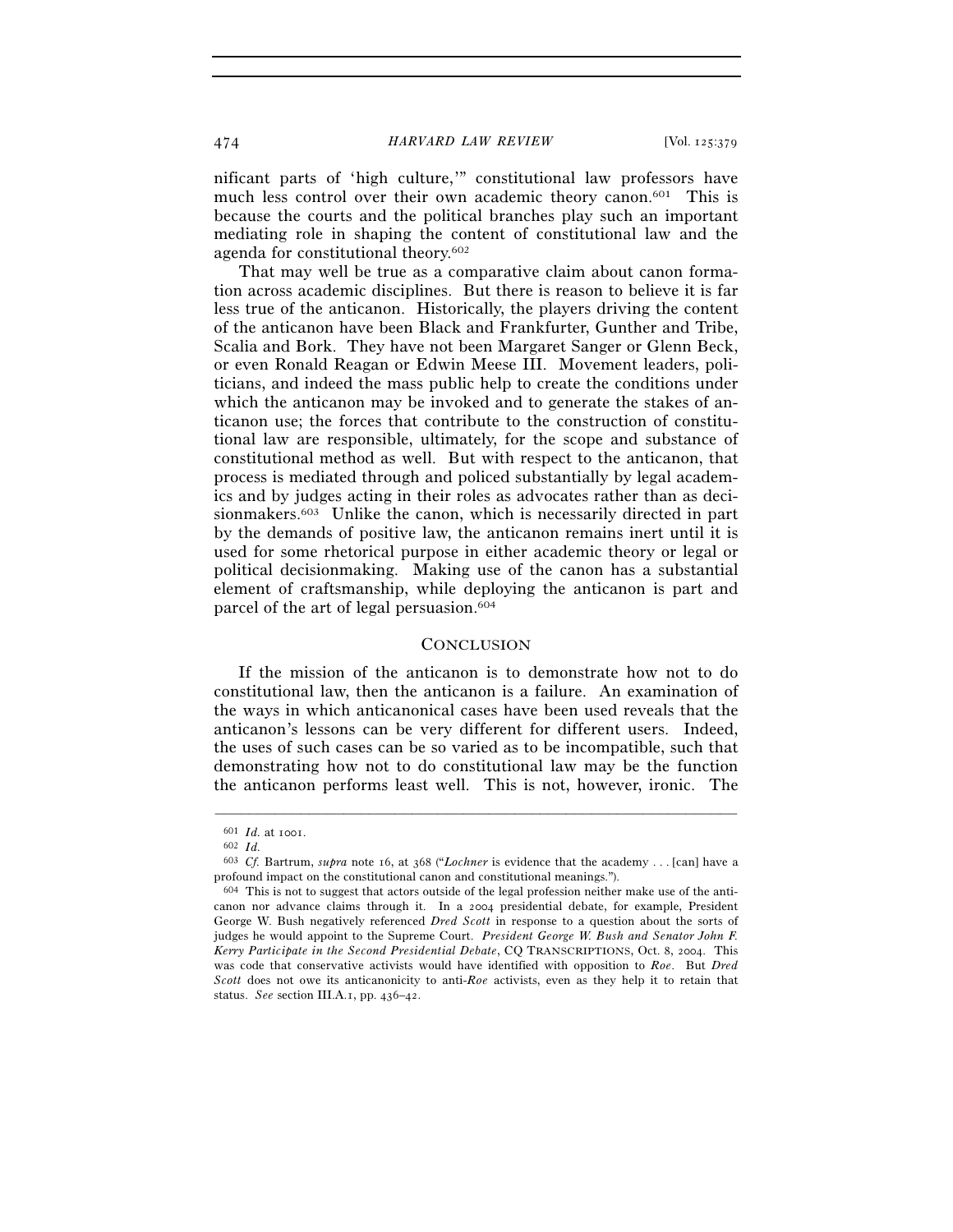nificant parts of 'high culture,'" constitutional law professors have much less control over their own academic theory canon.<sup>601</sup> This is because the courts and the political branches play such an important mediating role in shaping the content of constitutional law and the agenda for constitutional theory.602

That may well be true as a comparative claim about canon formation across academic disciplines. But there is reason to believe it is far less true of the anticanon. Historically, the players driving the content of the anticanon have been Black and Frankfurter, Gunther and Tribe, Scalia and Bork. They have not been Margaret Sanger or Glenn Beck, or even Ronald Reagan or Edwin Meese III. Movement leaders, politicians, and indeed the mass public help to create the conditions under which the anticanon may be invoked and to generate the stakes of anticanon use; the forces that contribute to the construction of constitutional law are responsible, ultimately, for the scope and substance of constitutional method as well. But with respect to the anticanon, that process is mediated through and policed substantially by legal academics and by judges acting in their roles as advocates rather than as decisionmakers.603 Unlike the canon, which is necessarily directed in part by the demands of positive law, the anticanon remains inert until it is used for some rhetorical purpose in either academic theory or legal or political decisionmaking. Making use of the canon has a substantial element of craftsmanship, while deploying the anticanon is part and parcel of the art of legal persuasion.604

# **CONCLUSION**

If the mission of the anticanon is to demonstrate how not to do constitutional law, then the anticanon is a failure. An examination of the ways in which anticanonical cases have been used reveals that the anticanon's lessons can be very different for different users. Indeed, the uses of such cases can be so varied as to be incompatible, such that demonstrating how not to do constitutional law may be the function the anticanon performs least well. This is not, however, ironic. The

<sup>601</sup> *Id.* at 1001. 602 *Id.*

<sup>603</sup> *Cf.* Bartrum, *supra* note 16, at 368 ("*Lochner* is evidence that the academy . . . [can] have a profound impact on the constitutional canon and constitutional meanings.").

<sup>604</sup> This is not to suggest that actors outside of the legal profession neither make use of the anticanon nor advance claims through it. In a 2004 presidential debate, for example, President George W. Bush negatively referenced *Dred Scott* in response to a question about the sorts of judges he would appoint to the Supreme Court. *President George W. Bush and Senator John F. Kerry Participate in the Second Presidential Debate*, CQ TRANSCRIPTIONS, Oct. 8, 2004. This was code that conservative activists would have identified with opposition to *Roe*. But *Dred Scott* does not owe its anticanonicity to anti-*Roe* activists, even as they help it to retain that status. *See* section III.A.1, pp. 436–42.